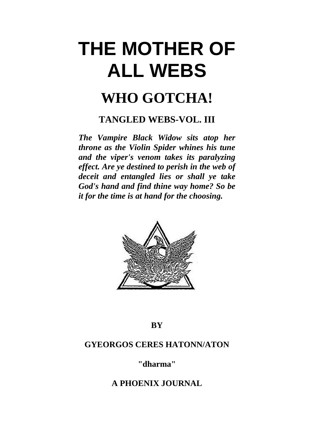# **THE MOTHER OF ALL WEBS**

# **WHO GOTCHA!**

# **TANGLED WEBS-VOL. III**

*The Vampire Black Widow sits atop her throne as the Violin Spider whines his tune and the viper's venom takes its paralyzing effect. Are ye destined to perish in the web of deceit and entangled lies or shall ye take God's hand and find thine way home? So be it for the time is at hand for the choosing.*



# **BY**

# **GYEORGOS CERES HATONN/ATON**

# **"dharma"**

# **A PHOENIX JOURNAL**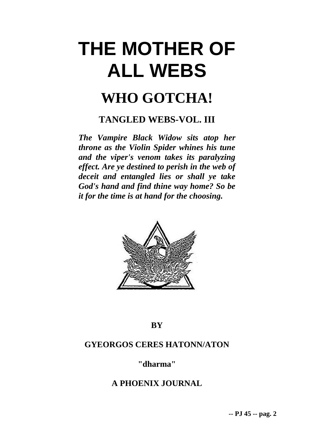# **THE MOTHER OF ALL WEBS**

# **WHO GOTCHA!**

# **TANGLED WEBS-VOL. III**

*The Vampire Black Widow sits atop her throne as the Violin Spider whines his tune and the viper's venom takes its paralyzing effect. Are ye destined to perish in the web of deceit and entangled lies or shall ye take God's hand and find thine way home? So be it for the time is at hand for the choosing.*



# **BY**

# **GYEORGOS CERES HATONN/ATON**

# **"dharma"**

# **A PHOENIX JOURNAL**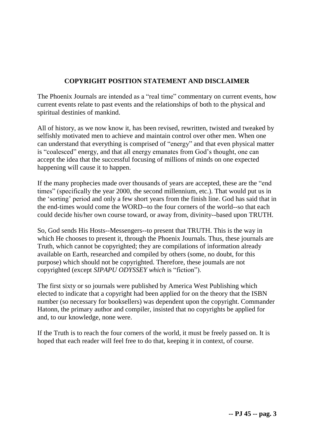#### **COPYRIGHT POSITION STATEMENT AND DISCLAIMER**

The Phoenix Journals are intended as a "real time" commentary on current events, how current events relate to past events and the relationships of both to the physical and spiritual destinies of mankind.

All of history, as we now know it, has been revised, rewritten, twisted and tweaked by selfishly motivated men to achieve and maintain control over other men. When one can understand that everything is comprised of "energy" and that even physical matter is "coalesced" energy, and that all energy emanates from God"s thought, one can accept the idea that the successful focusing of millions of minds on one expected happening will cause it to happen.

If the many prophecies made over thousands of years are accepted, these are the "end times" (specifically the year 2000, the second millennium, etc.). That would put us in the "sorting" period and only a few short years from the finish line. God has said that in the end-times would come the WORD--to the four corners of the world--so that each could decide his/her own course toward, or away from, divinity--based upon TRUTH.

So, God sends His Hosts--Messengers--to present that TRUTH. This is the way in which He chooses to present it, through the Phoenix Journals. Thus, these journals are Truth, which cannot be copyrighted; they are compilations of information already available on Earth, researched and compiled by others (some, no doubt, for this purpose) which should not be copyrighted. Therefore, these joumals are not copyrighted (except *SIPAPU ODYSSEY which* is "fiction").

The first sixty or so journals were published by America West Publishing which elected to indicate that a copyright had been applied for on the theory that the ISBN number (so necessary for booksellers) was dependent upon the copyright. Commander Hatonn, the primary author and compiler, insisted that no copyrights be applied for and, to our knowledge, none were.

If the Truth is to reach the four corners of the world, it must be freely passed on. It is hoped that each reader will feel free to do that, keeping it in context, of course.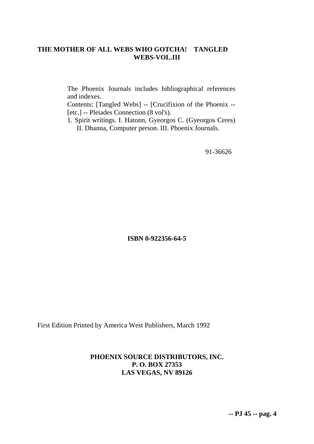#### **THE MOTHER OF ALL WEBS WHO GOTCHA! TANGLED WEBS-VOL.III**

The Phoenix Journals includes bibliographical references and indexes.

Contents: [Tangled Webs] -- [Crucifixion of the Phoenix -- [etc.] -- Pleiades Connection (8 vol's).

1. Spirit writings. I. Hatonn, Gyeorgos C. (Gyeorgos Ceres) II. Dhanna, Computer person. III. Phoenix Journals.

91-36626

**ISBN 0-922356-64-5**

First Edition Printed by America West Publishers, March 1992

#### **PHOENIX SOURCE DISTRIBUTORS, INC. P. O. BOX 27353 LAS VEGAS, NV 89126**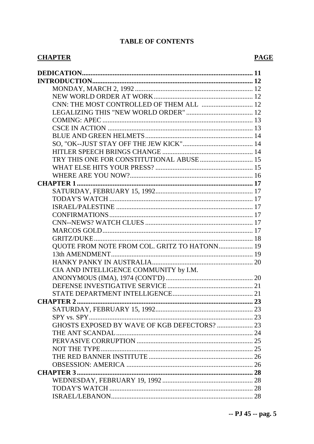# **TABLE OF CONTENTS**

# **CHAPTER**

| TRY THIS ONE FOR CONSTITUTIONAL ABUSE  15    |  |
|----------------------------------------------|--|
|                                              |  |
|                                              |  |
|                                              |  |
|                                              |  |
|                                              |  |
|                                              |  |
|                                              |  |
|                                              |  |
|                                              |  |
|                                              |  |
| QUOTE FROM NOTE FROM COL. GRITZ TO HATONN 19 |  |
|                                              |  |
|                                              |  |
| CIA AND INTELLIGENCE COMMUNITY by I.M.       |  |
|                                              |  |
|                                              |  |
|                                              |  |
|                                              |  |
|                                              |  |
|                                              |  |
| GHOSTS EXPOSED BY WAVE OF KGB DEFECTORS?  23 |  |
|                                              |  |
|                                              |  |
|                                              |  |
|                                              |  |
|                                              |  |
|                                              |  |
|                                              |  |
|                                              |  |
|                                              |  |

# **PAGE**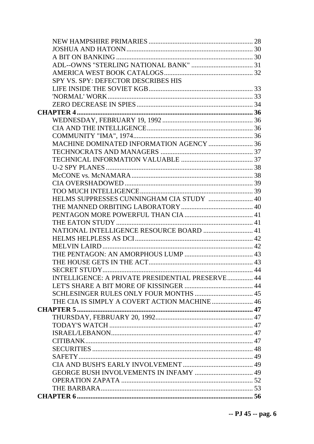| SPY VS. SPY: DEFECTOR DESCRIBES HIS              |  |
|--------------------------------------------------|--|
|                                                  |  |
|                                                  |  |
|                                                  |  |
|                                                  |  |
|                                                  |  |
|                                                  |  |
|                                                  |  |
| MACHINE DOMINATED INFORMATION AGENCY  36         |  |
|                                                  |  |
|                                                  |  |
|                                                  |  |
|                                                  |  |
|                                                  |  |
|                                                  |  |
| HELMS SUPPRESSES CUNNINGHAM CIA STUDY  40        |  |
|                                                  |  |
|                                                  |  |
|                                                  |  |
| NATIONAL INTELLIGENCE RESOURCE BOARD  41         |  |
|                                                  |  |
|                                                  |  |
|                                                  |  |
|                                                  |  |
|                                                  |  |
| INTELLIGENCE: A PRIVATE PRESIDENTIAL PRESERVE 44 |  |
|                                                  |  |
|                                                  |  |
|                                                  |  |
|                                                  |  |
|                                                  |  |
|                                                  |  |
|                                                  |  |
|                                                  |  |
|                                                  |  |
|                                                  |  |
|                                                  |  |
|                                                  |  |
|                                                  |  |
|                                                  |  |
|                                                  |  |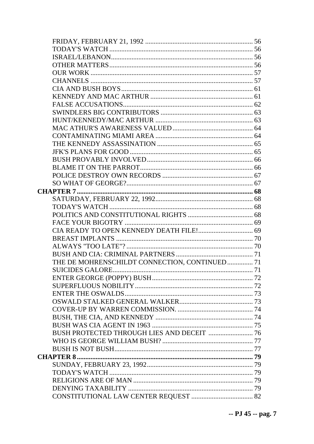| THE DE MOHRENSCHILDT CONNECTION, CONTINUED71 |  |
|----------------------------------------------|--|
|                                              |  |
|                                              |  |
|                                              |  |
|                                              |  |
|                                              |  |
|                                              |  |
|                                              |  |
|                                              |  |
|                                              |  |
|                                              |  |
|                                              |  |
|                                              |  |
|                                              |  |
|                                              |  |
|                                              |  |
|                                              |  |
|                                              |  |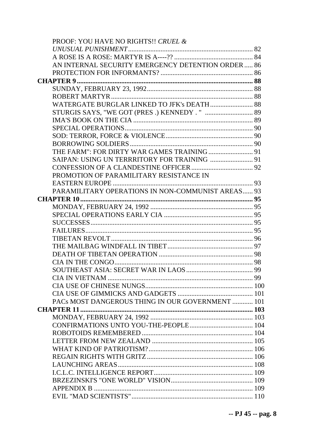| PROOF: YOU HAVE NO RIGHTS!! CRUEL &                |  |
|----------------------------------------------------|--|
|                                                    |  |
|                                                    |  |
| AN INTERNAL SECURITY EMERGENCY DETENTION ORDER  86 |  |
|                                                    |  |
|                                                    |  |
|                                                    |  |
|                                                    |  |
| WATERGATE BURGLAR LINKED TO JFK's DEATH 88         |  |
| STURGIS SAYS, "WE GOT (PRES.) KENNEDY. "  89       |  |
|                                                    |  |
|                                                    |  |
|                                                    |  |
|                                                    |  |
| THE FARM": FOR DIRTY WAR GAMES TRAINING  91        |  |
| SAIPAN: USING UN TERRRITORY FOR TRAINING  91       |  |
|                                                    |  |
| PROMOTION OF PARAMILITARY RESISTANCE IN            |  |
|                                                    |  |
| PARAMILITARY OPERATIONS IN NON-COMMUNIST AREAS 93  |  |
|                                                    |  |
|                                                    |  |
|                                                    |  |
|                                                    |  |
|                                                    |  |
|                                                    |  |
|                                                    |  |
|                                                    |  |
|                                                    |  |
|                                                    |  |
|                                                    |  |
|                                                    |  |
|                                                    |  |
| PACS MOST DANGEROUS THING IN OUR GOVERNMENT  101   |  |
| <b>CHAPTER 11</b>                                  |  |
|                                                    |  |
|                                                    |  |
|                                                    |  |
|                                                    |  |
|                                                    |  |
|                                                    |  |
|                                                    |  |
|                                                    |  |
|                                                    |  |
|                                                    |  |
|                                                    |  |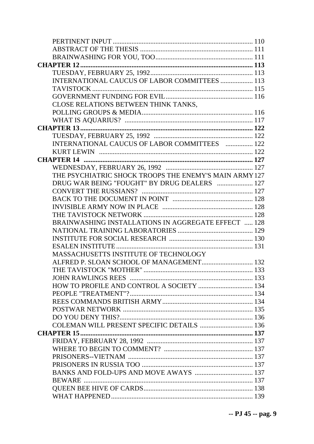| <b>CHAPTER 12.</b>                                         |  |
|------------------------------------------------------------|--|
|                                                            |  |
| INTERNATIONAL CAUCUS OF LABOR COMMITTEES  113              |  |
|                                                            |  |
|                                                            |  |
| CLOSE RELATIONS BETWEEN THINK TANKS,                       |  |
|                                                            |  |
|                                                            |  |
|                                                            |  |
|                                                            |  |
| INTERNATIONAL CAUCUS OF LABOR COMMITTEES  122              |  |
|                                                            |  |
|                                                            |  |
|                                                            |  |
| THE PSYCHIATRIC SHOCK TROOPS THE ENEMY'S MAIN ARMY 127     |  |
|                                                            |  |
|                                                            |  |
|                                                            |  |
|                                                            |  |
|                                                            |  |
| <b>BRAINWASHING INSTALLATIONS IN AGGREGATE EFFECT  128</b> |  |
|                                                            |  |
|                                                            |  |
|                                                            |  |
| MASSACHUSETTS INSTITUTE OF TECHNOLOGY                      |  |
| ALFRED P. SLOAN SCHOOL OF MANAGEMENT 132                   |  |
|                                                            |  |
|                                                            |  |
|                                                            |  |
|                                                            |  |
|                                                            |  |
|                                                            |  |
|                                                            |  |
| COLEMAN WILL PRESENT SPECIFIC DETAILS  136                 |  |
| <b>CHAPTER 15 </b>                                         |  |
|                                                            |  |
|                                                            |  |
|                                                            |  |
|                                                            |  |
|                                                            |  |
|                                                            |  |
|                                                            |  |
|                                                            |  |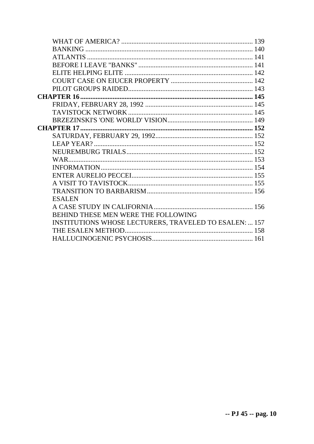| <b>ESALEN</b>                                                 |  |
|---------------------------------------------------------------|--|
|                                                               |  |
| <b>BEHIND THESE MEN WERE THE FOLLOWING</b>                    |  |
| <b>INSTITUTIONS WHOSE LECTURERS, TRAVELED TO ESALEN:  157</b> |  |
|                                                               |  |
|                                                               |  |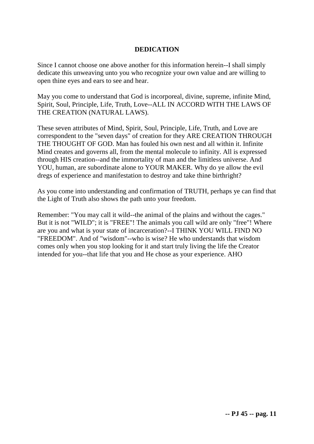#### **DEDICATION**

Since I cannot choose one above another for this information herein--I shall simply dedicate this unweaving unto you who recognize your own value and are willing to open thine eyes and ears to see and hear.

May you come to understand that God is incorporeal, divine, supreme, infinite Mind, Spirit, Soul, Principle, Life, Truth, Love--ALL IN ACCORD WITH THE LAWS OF THE CREATION (NATURAL LAWS).

These seven attributes of Mind, Spirit, Soul, Principle, Life, Truth, and Love are correspondent to the "seven days" of creation for they ARE CREATION THROUGH THE THOUGHT OF GOD. Man has fouled his own nest and all within it. Infinite Mind creates and governs all, from the mental molecule to infinity. All is expressed through HIS creation--and the immortality of man and the limitless universe. And YOU, human, are subordinate alone to YOUR MAKER. Why do ye allow the evil dregs of experience and manifestation to destroy and take thine birthright?

As you come into understanding and confirmation of TRUTH, perhaps ye can find that the Light of Truth also shows the path unto your freedom.

Remember: "You may call it wild--the animal of the plains and without the cages." But it is not "WILD"; it is "FREE"! The animals you call wild are only "free"! Where are you and what is your state of incarceration?--I THINK YOU WILL FIND NO "FREEDOM". And of "wisdom"--who is wise? He who understands that wisdom comes only when you stop looking for it and start truly living the life the Creator intended for you--that life that you and He chose as your experience. AHO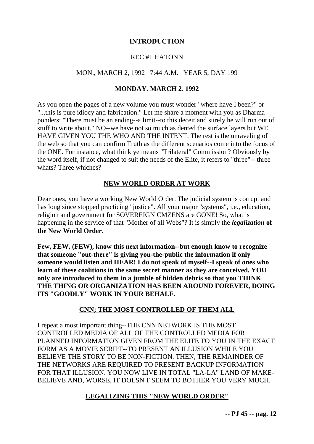#### **INTRODUCTION**

#### REC #1 HATONN

#### MON., MARCH 2, 1992 7:44 A.M. YEAR 5, DAY 199

#### **MONDAY. MARCH 2. 1992**

As you open the pages of a new volume you must wonder "where have I been?" or "...this is pure idiocy and fabrication." Let me share a moment with you as Dharma ponders: "There must be an ending--a limit--to this deceit and surely he will run out of stuff to write about." NO--we have not so much as dented the surface layers but WE HAVE GIVEN YOU THE WHO AND THE INTENT. The rest is the unraveling of the web so that you can confirm Truth as the different scenarios come into the focus of the ONE. For instance, what think ye means "Trilateral" Commission? Obviously by the word itself, if not changed to suit the needs of the Elite, it refers to "three"-- three whats? Three whiches?

#### **NEW WORLD ORDER AT WORK**

Dear ones, you have a working New World Order. The judicial system is corrupt and has long since stopped practicing "justice". All your major "systems", i.e., education, religion and government for SOVEREIGN CMZENS are GONE! So, what is happening in the service of that "Mother of all Webs"? It is simply the *legalization* **of the New World Order.**

**Few, FEW, (FEW), know this next information--but enough know to recognize that someone "out-there" is giving you-the-public the information if only someone would listen and HEAR! I do not speak of myself--I speak of ones who learn of these coalitions in the same secret manner as they are conceived. YOU only are introduced to them in a jumble of hidden debris so that you THINK THE THING OR ORGANIZATION HAS BEEN AROUND FOREVER, DOING ITS "GOODLY" WORK IN YOUR BEHALF.**

#### **CNN; THE MOST CONTROLLED OF THEM ALL**

I repeat a most important thing--THE CNN NETWORK IS THE MOST CONTROLLED MEDIA OF ALL OF THE CONTROLLED MEDIA FOR PLANNED INFORMATION GIVEN FROM THE ELITE TO YOU IN THE EXACT FORM AS A MOVIE SCRIPT--TO PRESENT AN ILLUSION WHILE YOU BELIEVE THE STORY TO BE NON-FICTION. THEN, THE REMAINDER OF THE NETWORKS ARE REQUIRED TO PRESENT BACKUP INFORMATION FOR THAT ILLUSION. YOU NOW LIVE IN TOTAL "LA-LA" LAND OF MAKE-BELIEVE AND, WORSE, IT DOESN'T SEEM TO BOTHER YOU VERY MUCH.

#### **LEGALIZING THIS "NEW WORLD ORDER"**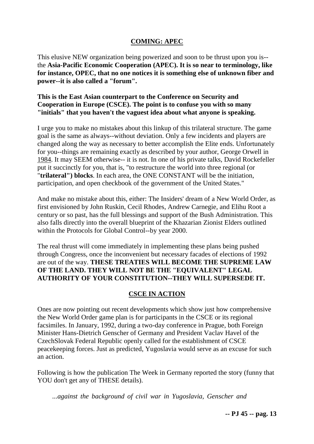#### **COMING: APEC**

This elusive NEW organization being powerized and soon to be thrust upon you is- the **Asia-Pacific Economic Cooperation (APEC). It is so near to terminology, like for instance, OPEC, that no one notices it is something else of unknown fiber and power--it is also called a "forum".**

**This is the East Asian counterpart to the Conference on Security and Cooperation in Europe (CSCE). The point is to confuse you with so many "initials" that you haven't the vaguest idea about what anyone is speaking.**

I urge you to make no mistakes about this linkup of this trilateral structure. The game goal is the same as always--without deviation. Only a few incidents and players are changed along the way as necessary to better accomplish the Elite ends. Unfortunately for you--things are remaining exactly as described by your author, George Orwell in 1984. It may SEEM otherwise-- it is not. In one of his private talks, David Rockefeller put it succinctly for you, that is, "to restructure the world into three regional (or "**trilateral") blocks**. In each area, the ONE CONSTANT will be the initiation, participation, and open checkbook of the government of the United States."

And make no mistake about this, either: The Insiders' dream of a New World Order, as first envisioned by John Ruskin, Cecil Rhodes, Andrew Carnegie, and Elihu Root a century or so past, has the full blessings and support of the Bush Administration. This also falls directly into the overall blueprint of the Khazarian Zionist Elders outlined within the Protocols for Global Control--by year 2000.

The real thrust will come immediately in implementing these plans being pushed through Congress, once the inconvenient but necessary facades of elections of 1992 are out of the way. **THESE TREATIES WILL BECOME THE SUPREME LAW OF THE LAND. THEY WILL NOT BE THE "EQUIVALENT" LEGAL AUTHORITY OF YOUR CONSTITUTION--THEY WILL SUPERSEDE IT.**

#### **CSCE IN ACTION**

Ones are now pointing out recent developments which show just how comprehensive the New World Order game plan is for participants in the CSCE or its regional facsimiles. In January, 1992, during a two-day conference in Prague, both Foreign Minister Hans-Dietrich Genscher of Germany and President Vaclav Havel of the CzechSlovak Federal Republic openly called for the establishment of CSCE peacekeeping forces. Just as predicted, Yugoslavia would serve as an excuse for such an action.

Following is how the publication The Week in Germany reported the story (funny that YOU don't get any of THESE details).

*...against the background of civil war in Yugoslavia, Genscher and*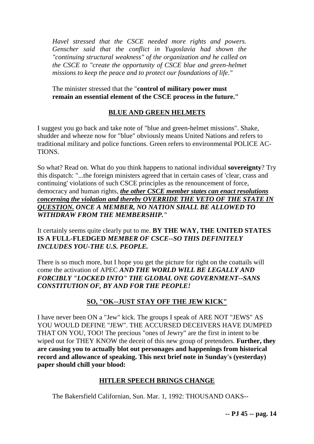*Havel stressed that the CSCE needed more rights and powers. Genscher said that the conflict in Yugoslavia had shown the "continuing structural weakness" of the organization and he called on the CSCE to "create the opportunity of CSCE blue and green-helmet missions to keep the peace and to protect our foundations of life."*

The minister stressed that the "**control of military power must remain an essential element of the CSCE process in the future."**

#### **BLUE AND GREEN HELMETS**

I suggest you go back and take note of "blue and green-helmet missions". Shake, shudder and wheeze now for "blue" obviously means United Nations and refers to traditional military and police functions. Green refers to environmental POLICE AC-TIONS.

So what? Read on. What do you think happens to national individual **sovereignty**? Try this dispatch: "...the foreign ministers agreed that in certain cases of 'clear, crass and continuing' violations of such CSCE principles as the renouncement of force, democracy and human rights, *the other CSCE member states can enact resolutions concerning the violation and thereby OVERRIDE THE VETO OF THE STATE IN QUESTION. ONCE A MEMBER, NO NATION SHALL BE ALLOWED TO WITHDRAW FROM THE MEMBERSHIP."*

It certainly seems quite clearly put to me. **BY THE WAY, THE UNITED STATES IS A FULL-FLEDGED** *MEMBER OF CSCE--SO THIS DEFINITELY INCLUDES YOU-THE U.S. PEOPLE.* 

There is so much more, but I hope you get the picture for right on the coattails will come the activation of APEC *AND THE WORLD WILL BE LEGALLY AND FORCIBLY "LOCKED INTO" THE GLOBAL ONE GOVERNMENT--SANS CONSTITUTION OF, BY AND FOR THE PEOPLE!*

#### **SO, "OK--JUST STAY OFF THE JEW KICK"**

I have never been ON a "Jew" kick. The groups I speak of ARE NOT "JEWS" AS YOU WOULD DEFINE "JEW". THE ACCURSED DECEIVERS HAVE DUMPED THAT ON YOU, TOO! The precious "ones of Jewry" are the first in intent to be wiped out for THEY KNOW the deceit of this new group of pretenders. **Further, they are causing you to actually blot out personages and happenings from historical record and allowance of speaking. This next brief note in Sunday's (yesterday) paper should chill your blood:**

#### **HITLER SPEECH BRINGS CHANGE**

The Bakersfield Californian, Sun. Mar. 1, 1992: THOUSAND OAKS--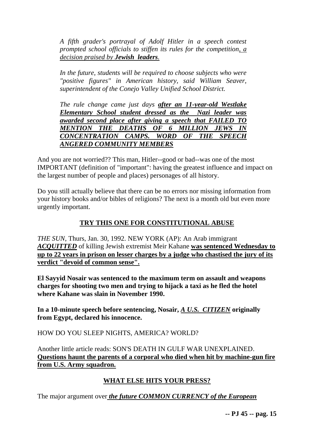*A fifth grader's portrayal of Adolf Hitler in a speech contest prompted school officials to stiffen its rules for the competition, a decision praised by Jewish leaders.* 

*In the future, students will be required to choose subjects who were "positive figures" in American history, said William Seaver, superintendent of the Conejo Valley Unified School District.*

*The rule change came just days after an 11-year-old Westlake Elementary School student dressed as the Nazi leader was awarded second place after giving a speech that FAILED TO MENTION THE DEATHS OF 6 MILLION JEWS IN CONCENTRATION CAMPS. WORD OF THE SPEECH ANGERED COMMUNITY MEMBERS*

And you are not worried?? This man, Hitler--good or bad--was one of the most IMPORTANT (definition of "important": having the greatest influence and impact on the largest number of people and places) personages of all history.

Do you still actually believe that there can be no errors nor missing information from your history books and/or bibles of religions? The next is a month old but even more urgently important.

### **TRY THIS ONE FOR CONSTITUTIONAL ABUSE**

*THE SUN*, Thurs, Jan. 30, 1992. NEW YORK (AP): An Arab immigrant *ACQUITTED* of killing Jewish extremist Meir Kahane **was sentenced Wednesday to up to 22 years in prison on lesser charges by a judge who chastised the jury of its verdict "devoid of common sense".** 

**El Sayyid Nosair was sentenced to the maximum term on assault and weapons charges for shooting two men and trying to hijack a taxi as he fled the hotel where Kahane was slain in November 1990.**

**In a 10-minute speech before sentencing, Nosair,** *A U.S. CITIZEN* **originally from Egypt, declared his innocence.**

HOW DO YOU SLEEP NIGHTS, AMERICA? WORLD?

Another little article reads: SON'S DEATH IN GULF WAR UNEXPLAINED. **Questions haunt the parents of a corporal who died when hit by machine-gun fire from U.S. Army squadron.**

#### **WHAT ELSE HITS YOUR PRESS?**

The major argument over *the future COMMON CURRENCY of the European*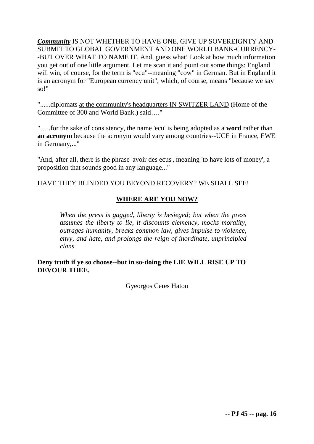*Community* IS NOT WHETHER TO HAVE ONE, GIVE UP SOVEREIGNTY AND SUBMIT TO GLOBAL GOVERNMENT AND ONE WORLD BANK-CURRENCY- -BUT OVER WHAT TO NAME IT. And, guess what! Look at how much information you get out of one little argument. Let me scan it and point out some things: England will win, of course, for the term is "ecu"--meaning "cow" in German. But in England it is an acronym for "European currency unit", which, of course, means "because we say so!"

"......diplomats at the community's headquarters IN SWITZER LAND (Home of the Committee of 300 and World Bank.) said…."

"…..for the sake of consistency, the name 'ecu' is being adopted as a **word** rather than **an acronym** because the acronym would vary among countries--UCE in France, EWE in Germany,..."

"And, after all, there is the phrase 'avoir des ecus', meaning 'to have lots of money', a proposition that sounds good in any language..."

HAVE THEY BLINDED YOU BEYOND RECOVERY? WE SHALL SEE!

#### **WHERE ARE YOU NOW?**

*When the press is gagged, liberty is besieged; but when the press assumes the liberty to lie, it discounts clemency, mocks morality, outrages humanity, breaks common law, gives impulse to violence, envy, and hate, and prolongs the reign of inordinate, unprincipled clans.*

#### **Deny truth if ye so choose--but in so-doing the LIE WILL RISE UP TO DEVOUR THEE.**

Gyeorgos Ceres Haton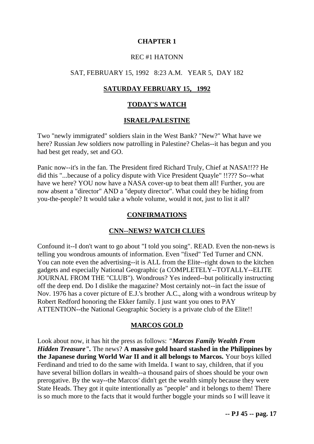#### **CHAPTER 1**

#### REC #1 HATONN

#### SAT, FEBRUARY 15, 1992 8:23 A.M. YEAR 5, DAY 182

#### **SATURDAY FEBRUARY 15, 1992**

#### **TODAY'S WATCH**

#### **ISRAEL/PALESTINE**

Two "newly immigrated" soldiers slain in the West Bank? "New?" What have we here? Russian Jew soldiers now patrolling in Palestine? Chelas--it has begun and you had best get ready, set and GO.

Panic now--it's in the fan. The President fired Richard Truly, Chief at NASA!!?? He did this "...because of a policy dispute with Vice President Quayle" !!??? So--what have we here? YOU now have a NASA cover-up to beat them all! Further, you are now absent a "director" AND a "deputy director". What could they be hiding from you-the-people? It would take a whole volume, would it not, just to list it all?

#### **CONFIRMATIONS**

#### **CNN--NEWS? WATCH CLUES**

Confound it--I don't want to go about "I told you soing". READ. Even the non-news is telling you wondrous amounts of information. Even "fixed" Ted Turner and CNN. You can note even the advertising--it is ALL from the Elite--right down to the kitchen gadgets and especially National Geographic (a COMPLETELY--TOTALLY--ELITE JOURNAL FROM THE "CLUB"). Wondrous? Yes indeed--but politically instructing off the deep end. Do I dislike the magazine? Most certainly not--in fact the issue of Nov. 1976 has a cover picture of E.J.'s brother A.C., along with a wondrous writeup by Robert Redford honoring the Ekker family. I just want you ones to PAY ATTENTION--the National Geographic Society is a private club of the Elite!!

#### **MARCOS GOLD**

Look about now, it has hit the press as follows: *"Marcos Family Wealth From Hidden Treasure".* The news? **A massive gold hoard stashed in the Philippines by the Japanese during World War II and it all belongs to Marcos.** Your boys killed Ferdinand and tried to do the same with Imelda. I want to say, children, that if you have several billion dollars in wealth--a thousand pairs of shoes should be your own prerogative. By the way--the Marcos' didn't get the wealth simply because they were State Heads. They got it quite intentionally as "people" and it belongs to them! There is so much more to the facts that it would further boggle your minds so I will leave it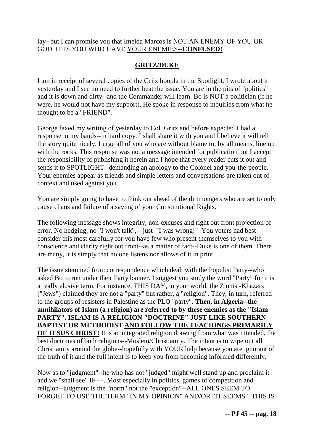lay--but I can promise you that Imelda Marcos is NOT AN ENEMY OF YOU OR GOD. IT IS YOU WHO HAVE YOUR ENEMIES--**CONFUSED!**

#### **GRITZ/DUKE**

I am in receipt of several copies of the Gritz hoopla in the Spotlight. I wrote about it yesterday and I see no need to further beat the issue. You are in the pits of "politics" and it is down and dirty--and the Commander will learn. Bo is NOT a politician (if he were, he would not have my support). He spoke in response to inquiries from what he thought to be a "FRIEND".

George faxed my writing of yesterday to Col. Gritz and before expected I had a response in my hands--in hard copy. I shall share it with you and I believe it will tell the story quite nicely. I urge all of you who are without blame to, by all means, line up with the rocks. This response was not a message intended for publication but I accept the responsibility of publishing it herein and I hope that every reader cuts it out and sends it to SPOTLIGHT--demanding an apology to the Colonel and you-the-people. Your enemies appear as friends and simple letters and conversations are taken out of context and used against you.

You are simply going to have to think out ahead of the dirtmongers who are set to only cause chaos and failure of a saving of your Constitutional Rights.

The following message shows integrity, non-excuses and right out front projection of error. No hedging, no "I won't talk",-- just "I was wrong!" You voters had best consider this most carefully for you have few who present themselves to you with conscience and clarity right out front--as a matter of fact--Duke is one of them. There are many, it is simply that no one listens nor allows of it in print.

The issue stemmed from correspondence which dealt with the Populist Party--who asked Bo to run under their Party banner. I suggest you study the word "Party" for it is a really elusive term. For instance, THIS DAY, in your world, the Zionist-Khazars ("Jews") claimed they are not a "party" but rather, a "religion". They, in turn, referred to the groups of resisters in Palestine as the PLO "party". **Then, in Algeria--the annihilators of Islam (a religion) are referred to by these enemies as the "Islam PARTY". ISLAM IS A RELIGION "DOCTRINE" JUST LIKE SOUTHERN BAPTIST OR METHODIST AND FOLLOW THE TEACHINGS PRIMARILY OF JESUS CHRIST!** It is an integrated religion drawing from what was intended, the best doctrines of both religions--Moslem/Christianity. The intent is to wipe out all Christianity around the globe--hopefully with YOUR help because you are ignorant of the truth of it and the full intent is to keep you from becoming informed differently.

Now as to "judgment"--he who has not "judged" might well stand up and proclaim it and we "shall see" IF - -. Most especially in politics, games of competition and religion--judgment is the "norm" not the "exception"--ALL ONES SEEM TO FORGET TO USE THE TERM "IN MY OPINION" AND/OR "IT SEEMS". THIS IS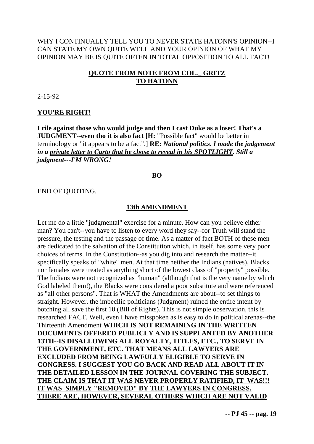#### WHY I CONTINUALLY TELL YOU TO NEVER STATE HATONN'S OPINION--I CAN STATE MY OWN QUITE WELL AND YOUR OPINION OF WHAT MY OPINION MAY BE IS QUITE OFTEN IN TOTAL OPPOSITION TO ALL FACT!

#### **QUOTE FROM NOTE FROM COL.\_ GRITZ TO HATONN**

2-15-92

#### **YOU'RE RIGHT!**

**I rile against those who would judge and then I cast Duke as a loser! That's a JUDGMENT--even tho it is also fact [H:** "Possible fact" would be better in terminology or "it appears to be a fact".] **RE:** *National politics. I made the judgement in a private letter to Carto that he chose to reveal in his SPOTLIGHT. Still a judgment---I'M WRONG!*

#### **BO**

END OF QUOTING.

#### **13th AMENDMENT**

Let me do a little "judgmental" exercise for a minute. How can you believe either man? You can't--you have to listen to every word they say--for Truth will stand the pressure, the testing and the passage of time. As a matter of fact BOTH of these men are dedicated to the salvation of the Constitution which, in itself, has some very poor choices of terms. In the Constitution--as you dig into and research the matter--it specifically speaks of "white" men. At that time neither the Indians (natives), Blacks nor females were treated as anything short of the lowest class of "property" possible. The Indians were not recognized as "human" (although that is the very name by which God labeled them!), the Blacks were considered a poor substitute and were referenced as "all other persons". That is WHAT the Amendments are about--to set things to straight. However, the imbecilic politicians (Judgment) ruined the entire intent by botching all save the first 10 (Bill of Rights). This is not simple observation, this is researched FACT. Well, even I have misspoken as is easy to do in political arenas--the Thirteenth Amendment **WHICH IS NOT REMAINING IN THE WRITTEN DOCUMENTS OFFERED PUBLICLY AND IS SUPPLANTED BY ANOTHER 13TH--IS DISALLOWING ALL ROYALTY, TITLES, ETC., TO SERVE IN THE GOVERNMENT, ETC. THAT MEANS ALL LAWYERS ARE EXCLUDED FROM BEING LAWFULLY ELIGIBLE TO SERVE IN CONGRESS. I SUGGEST YOU GO BACK AND READ ALL ABOUT IT IN THE DETAILED LESSON IN THE JOURNAL COVERING THE SUBJECT. THE CLAIM IS THAT IT WAS NEVER PROPERLY RATIFIED, IT WAS!!! IT WAS SIMPLY "REMOVED" BY THE LAWYERS IN CONGRESS. THERE ARE, HOWEVER, SEVERAL OTHERS WHICH ARE NOT VALID** 

**-- PJ 45 -- pag. 19**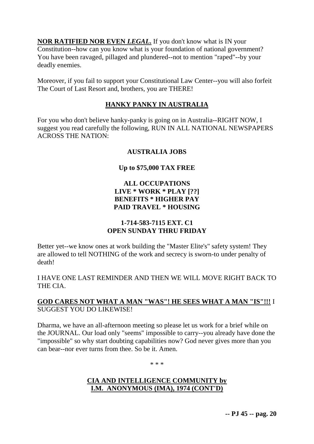**NOR RATIFIED NOR EVEN** *LEGAL***.** If you don't know what is IN your Constitution--how can you know what is your foundation of national government? You have been ravaged, pillaged and plundered--not to mention "raped"--by your deadly enemies.

Moreover, if you fail to support your Constitutional Law Center--you will also forfeit The Court of Last Resort and, brothers, you are THERE!

#### **HANKY PANKY IN AUSTRALIA**

For you who don't believe hanky-panky is going on in Australia--RIGHT NOW, I suggest you read carefully the following, RUN IN ALL NATIONAL NEWSPAPERS ACROSS THE NATION:

#### **AUSTRALIA JOBS**

#### **Up to \$75,000 TAX FREE**

#### **ALL OCCUPATIONS LIVE \* WORK \* PLAY [??] BENEFITS \* HIGHER PAY PAID TRAVEL \* HOUSING**

#### **1-714-583-7115 EXT. C1 OPEN SUNDAY THRU FRIDAY**

Better yet--we know ones at work building the "Master Elite's" safety system! They are allowed to tell NOTHING of the work and secrecy is sworn-to under penalty of death!

I HAVE ONE LAST REMINDER AND THEN WE WILL MOVE RIGHT BACK TO THE CIA.

#### **GOD CARES NOT WHAT A MAN "WAS"! HE SEES WHAT A MAN "IS"!!!** I SUGGEST YOU DO LIKEWISE!

Dharma, we have an all-afternoon meeting so please let us work for a brief while on the JOURNAL. Our load only "seems" impossible to carry--you already have done the "impossible" so why start doubting capabilities now? God never gives more than you can bear--nor ever turns from thee. So be it. Amen.

\* \* \*

#### **CIA AND INTELLIGENCE COMMUNITY by I.M. ANONYMOUS (IMA), 1974 (CONT'D)**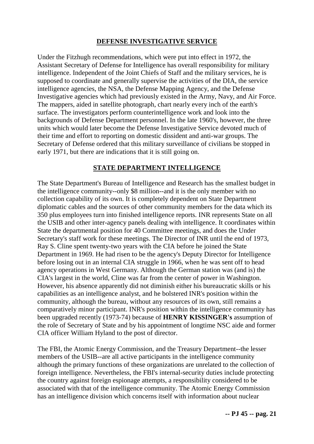#### **DEFENSE INVESTIGATIVE SERVICE**

Under the Fitzhugh recommendations, which were put into effect in 1972, the Assistant Secretary of Defense for Intelligence has overall responsibility for military intelligence. Independent of the Joint Chiefs of Staff and the military services, he is supposed to coordinate and generally supervise the activities of the DIA, the service intelligence agencies, the NSA, the Defense Mapping Agency, and the Defense Investigative agencies which had previously existed in the Army, Navy, and Air Force. The mappers, aided in satellite photograph, chart nearly every inch of the earth's surface. The investigators perform counterintelligence work and look into the backgrounds of Defense Department personnel. In the late 1960's, however, the three units which would later become the Defense Investigative Service devoted much of their time and effort to reporting on domestic dissident and anti-war groups. The Secretary of Defense ordered that this military surveillance of civilians be stopped in early 1971, but there are indications that it is still going on.

#### **STATE DEPARTMENT INTELLIGENCE**

The State Department's Bureau of Intelligence and Research has the smallest budget in the intelligence community--only \$8 million--and it is the only member with no collection capability of its own. It is completely dependent on State Department diplomatic cables and the sources of other community members for the data which its 350 plus employees turn into finished intelligence reports. INR represents State on all the USIB and other inter-agency panels dealing with intelligence. It coordinates within State the departmental position for 40 Committee meetings, and does the Under Secretary's staff work for these meetings. The Director of INR until the end of 1973, Ray S. Cline spent twenty-two years with the CIA before he joined the State Department in 1969. He had risen to be the agency's Deputy Director for Intelligence before losing out in an internal CIA struggle in 1966, when he was sent off to head agency operations in West Germany. Although the German station was (and is) the CIA's largest in the world, Cline was far from the center of power in Washington. However, his absence apparently did not diminish either his bureaucratic skills or his capabilities as an intelligence analyst, and he bolstered INR's position within the community, although the bureau, without any resources of its own, still remains a comparatively minor participant. INR's position within the intelligence community has been upgraded recently (1973-74) because of **HENRY KISSINGER's** assumption of the role of Secretary of State and by his appointment of longtime NSC aide and former CIA officer William Hyland to the post of director.

The FBI, the Atomic Energy Commission, and the Treasury Department--the lesser members of the USIB--are all active participants in the intelligence community although the primary functions of these organizations are unrelated to the collection of foreign intelligence. Nevertheless, the FBI's internal-security duties include protecting the country against foreign espionage attempts, a responsibility considered to be associated with that of the intelligence community. The Atomic Energy Commission has an intelligence division which concerns itself with information about nuclear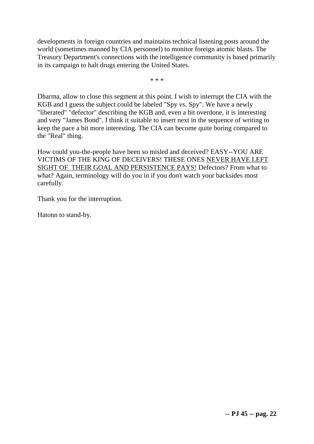developments in foreign countries and maintains technical listening posts around the world (sometimes manned by CIA personnel) to monitor foreign atomic blasts. The Treasury Department's connections with the intelligence community is based primarily in its campaign to halt drugs entering the United States.

\* \* \*

Dharma, allow to close this segment at this point. I wish to interrupt the CIA with the KGB and I guess the subject could be labeled "Spy vs. Spy". We have a newly "liberated" "defector" describing the KGB and, even a bit overdone, it is interesting and very "James Bond". I think it suitable to insert next in the sequence of writing to keep the pace a bit more interesting. The CIA can become quite boring compared to the "Real" thing.

How could you-the-people have been so misled and deceived? EASY--YOU ARE VICTIMS OF THE KING OF DECEIVERS! THESE ONES NEVER HAVE LEFT SIGHT OF THEIR GOAL AND PERSISTENCE PAYS! Defectors? From what to what? Again, terminology will do you in if you don't watch your backsides most carefully.

Thank you for the interruption.

Hatonn to stand-by.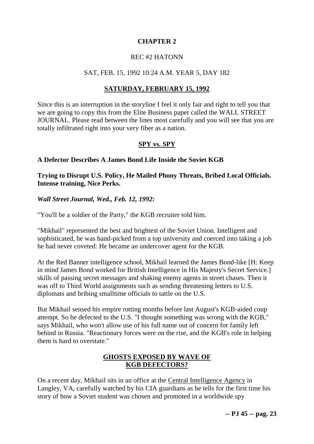#### **CHAPTER 2**

#### REC #2 HATONN

#### SAT, FEB. 15, 1992 10:24 A.M. YEAR 5, DAY 182

#### **SATURDAY, FEBRUARY 15, 1992**

Since this is an interruption in the storyline I feel it only fair and right to tell you that we are going to copy this from the Elite Business paper called the WALL STREET JOURNAL. Please read between the lines most carefully and you will see that you are totally infiltrated right into your very fiber as a nation.

#### **SPY vs. SPY**

#### **A Defector Describes A James Bond Life Inside the Soviet KGB**

**Trying to Disrupt U.S. Policy, He Mailed Phony Threats, Bribed Local Officials. Intense training, Nice Perks.**

#### *Wall Street Journal, Wed., Feb. 12, 1992:*

"You'll be a soldier of the Party," the KGB recruiter told him.

"Mikhail" represented the best and brightest of the Soviet Union. Intelligent and sophisticated, he was hand-picked from a top university and coerced into taking a job he had never coveted: He became an undercover agent for the KGB.

At the Red Banner intelligence school, Mikhail learned the James Bond-like [H: Keep in mind James Bond worked for British Intelligence in His Majesty's Secret Service.] skills of passing secret messages and shaking enemy agents in street chases. Then it was off to Third World assignments such as sending threatening letters to U.S. diplomats and bribing smalltime officials to tattle on the U.S.

But Mikhail sensed his empire rotting months before last August's KGB-aided coup attempt. So he defected to the U.S. "I thought something was wrong with the KGB," says Mikhail, who won't allow use of his full name out of concern for family left behind in Russia. "Reactionary forces were on the rise, and the KGB's role in helping them is hard to overstate."

#### **GHOSTS EXPOSED BY WAVE OF KGB DEFECTORS?**

On a recent day, Mikhail sits in an office at the Central Intelligence Agency in Langley, VA, carefully watched by his CIA guardians as he tells for the first time his story of how a Soviet student was chosen and promoted in a worldwide spy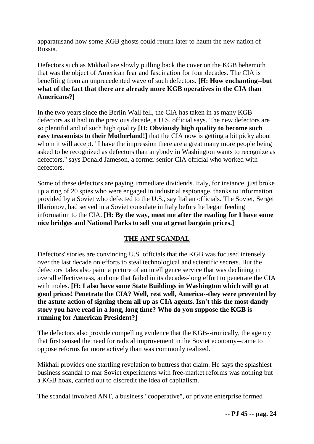apparatusand how some KGB ghosts could return later to haunt the new nation of Russia.

Defectors such as Mikhail are slowly pulling back the cover on the KGB behemoth that was the object of American fear and fascination for four decades. The CIA is benefiting from an unprecedented wave of such defectors. **[H: How enchanting--but what of the fact that there are already more KGB operatives in the CIA than Americans?]**

In the two years since the Berlin Wall fell, the CIA has taken in as many KGB defectors as it had in the previous decade, a U.S. official says. The new defectors are so plentiful and of such high quality **[H: Obviously high quality to become such easy treasonists to their Motherland!** I that the CIA now is getting a bit picky about whom it will accept. "I have the impression there are a great many more people being asked to be recognized as defectors than anybody in Washington wants to recognize as defectors," says Donald Jameson, a former senior CIA official who worked with defectors.

Some of these defectors are paying immediate dividends. Italy, for instance, just broke up a ring of 20 spies who were engaged in industrial espionage, thanks to information provided by a Soviet who defected to the U.S., say Italian officials. The Soviet, Sergei Illarionov, had served in a Soviet consulate in Italy before he began feeding information to the CIA. **[H: By the way, meet me after the reading for I have some nice bridges and National Parks to sell you at great bargain prices.]**

#### **THE ANT SCANDAL**

Defectors' stories are convincing U.S. officials that the KGB was focused intensely over the last decade on efforts to steal technological and scientific secrets. But the defectors' tales also paint a picture of an intelligence service that was declining in overall effectiveness, and one that failed in its decades-long effort to penetrate the CIA with moles. **[H: I also have some State Buildings in Washington which will go at good prices! Penetrate the CIA? Well, rest well, America--they were prevented by the astute action of signing them all up as CIA agents. Isn't this the most dandy story you have read in a long, long time? Who do you suppose the KGB is running for American President?]**

The defectors also provide compelling evidence that the KGB--ironically, the agency that first sensed the need for radical improvement in the Soviet economy--came to oppose reforms far more actively than was commonly realized.

Mikhail provides one startling revelation to buttress that claim. He says the splashiest business scandal to mar Soviet experiments with free-market reforms was nothing but a KGB hoax, carried out to discredit the idea of capitalism.

The scandal involved ANT, a business "cooperative", or private enterprise formed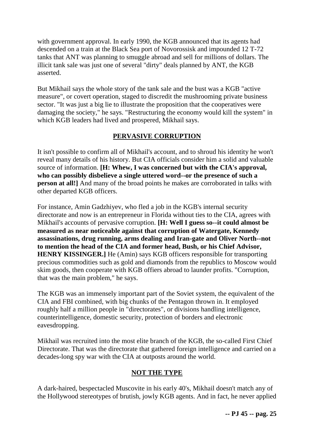with government approval. In early 1990, the KGB announced that its agents had descended on a train at the Black Sea port of Novorossisk and impounded 12 T-72 tanks that ANT was planning to smuggle abroad and sell for millions of dollars. The illicit tank sale was just one of several "dirty" deals planned by ANT, the KGB asserted.

But Mikhail says the whole story of the tank sale and the bust was a KGB "active measure", or covert operation, staged to discredit the mushrooming private business sector. "It was just a big lie to illustrate the proposition that the cooperatives were damaging the society," he says. "Restructuring the economy would kill the system" in which KGB leaders had lived and prospered, Mikhail says.

#### **PERVASIVE CORRUPTION**

It isn't possible to confirm all of Mikhail's account, and to shroud his identity he won't reveal many details of his history. But CIA officials consider him a solid and valuable source of information. **[H: Whew, I was concerned but with the CIA's approval, who can possibly disbelieve a single uttered word--or the presence of such a person at all!** And many of the broad points he makes are corroborated in talks with other departed KGB officers.

For instance, Amin Gadzhiyev, who fled a job in the KGB's internal security directorate and now is an entrepreneur in Florida without ties to the CIA, agrees with Mikhail's accounts of pervasive corruption. **[H: Well I guess so--it could almost be measured as near noticeable against that corruption of Watergate, Kennedy assassinations, drug running, arms dealing and Iran-gate and Oliver North--not to mention the head of the CIA and former head, Bush, or his Chief Advisor, HENRY KISSINGER.]** He (Amin) says KGB officers responsible for transporting precious commodities such as gold and diamonds from the republics to Moscow would skim goods, then cooperate with KGB offiers abroad to launder profits. "Corruption, that was the main problem," he says.

The KGB was an immensely important part of the Soviet system, the equivalent of the CIA and FBI combined, with big chunks of the Pentagon thrown in. It employed roughly half a million people in "directorates", or divisions handling intelligence, counterintelligence, domestic security, protection of borders and electronic eavesdropping.

Mikhail was recruited into the most elite branch of the KGB, the so-called First Chief Directorate. That was the directorate that gathered foreign intelligence and carried on a decades-long spy war with the CIA at outposts around the world.

#### **NOT THE TYPE**

A dark-haired, bespectacled Muscovite in his early 40's, Mikhail doesn't match any of the Hollywood stereotypes of brutish, jowly KGB agents. And in fact, he never applied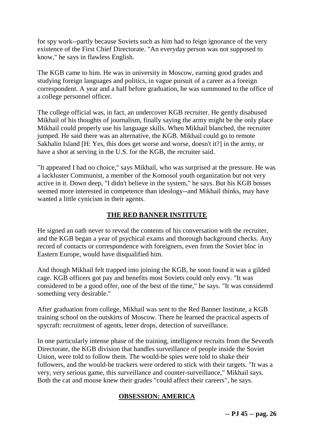for spy work--partly because Soviets such as him had to feign ignorance of the very existence of the First Chief Directorate. "An everyday person was not supposed to know," he says in flawless English.

The KGB came to him. He was in university in Moscow, earning good grades and studying foreign languages and politics, in vague pursuit of a career as a foreign correspondent. A year and a half before graduation, he was summoned to the office of a college personnel officer.

The college official was, in fact, an undercover KGB recruiter. He gently disabused Mikhail of his thoughts of journalism, finally saying the army might be the only place Mikhail could properly use his language skills. When Mikhail blanched, the recruiter jumped. He said there was an alternative, the KGB. Mikhail could go to remote Sakhalin Island [H: Yes, this does get worse and worse, doesn't it?] in the army, or have a shot at serving in the U.S. for the KGB, the recruiter said.

"It appeared I had no choice," says Mikhail, who was surprised at the pressure. He was a lackluster Communist, a member of the Komosol youth organization but not very active in it. Down deep, "I didn't believe in the system," he says. But his KGB bosses seemed more interested in competence than ideology--and Mikhail thinks, may have wanted a little cynicism in their agents.

#### **THE RED BANNER INSTITUTE**

He signed an oath never to reveal the contents of his conversation with the recruiter, and the KGB began a year of psychical exams and thorough background checks. Any record of contacts or correspondence with foreigners, even from the Soviet bloc in Eastern Europe, would have disqualified him.

And though Mikhail felt trapped into joining the KGB, he soon found it was a gilded cage. KGB officers got pay and benefits most Soviets could only envy. "It was considered to be a good offer, one of the best of the time," he says. "It was considered something very desirable."

After graduation from college, Mikhail was sent to the Red Banner Institute, a KGB training school on the outskirts of Moscow. There he learned the practical aspects of spycraft: recruitment of agents, letter drops, detection of surveillance.

In one particularly intense phase of the training, intelligence recruits from the Seventh Directorate, the KGB division that handles surveillance of people inside the Soviet Union, were told to follow them. The would-be spies were told to shake their followers, and the would-be trackers were ordered to stick with their targets. "It was a very, very serious game, this surveillance and counter-surveillance," Mikhail says. Both the cat and mouse knew their grades "could affect their careers", he says.

#### **OBSESSION: AMERICA**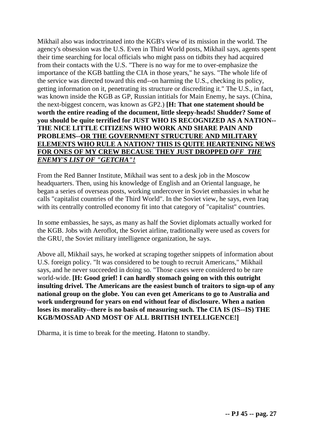Mikhail also was indoctrinated into the KGB's view of its mission in the world. The agency's obsession was the U.S. Even in Third World posts, Mikhail says, agents spent their time searching for local officials who might pass on tidbits they had acquired from their contacts with the U.S. "There is no way for me to over-emphasize the importance of the KGB battling the CIA in those years," he says. "The whole life of the service was directed toward this end--on harming the U.S., checking its policy, getting information on it, penetrating its structure or discrediting it." The U.S., in fact, was known inside the KGB as GP, Russian intitials for Main Enemy, he says. (China, the next-biggest concern, was known as GP2.) **[H: That one statement should be worth the entire reading of the document, little sleepy-heads! Shudder? Some of you should be quite terrified for JUST WHO IS RECOGNIZED AS A NATION-- THE NICE LITTLE CITIZENS WHO WORK AND SHARE PAIN AND PROBLEMS--OR THE GOVERNMENT STRUCTURE AND MILITARY ELEMENTS WHO RULE A NATION? THIS IS QUITE HEARTENING NEWS FOR ONES OF MY CREW BECAUSE THEY JUST DROPPED** *OFF THE ENEMY'S LIST OF "GETCHA"!*

From the Red Banner Institute, Mikhail was sent to a desk job in the Moscow headquarters. Then, using his knowledge of English and an Oriental language, he began a series of overseas posts, working undercover in Soviet embassies in what he calls "capitalist countries of the Third World". In the Soviet view, he says, even Iraq with its centrally controlled economy fit into that category of "capitalist" countries.

In some embassies, he says, as many as half the Soviet diplomats actually worked for the KGB. Jobs with Aeroflot, the Soviet airline, traditionally were used as covers for the GRU, the Soviet military intelligence organization, he says.

Above all, Mikhail says, he worked at scraping together snippets of information about U.S. foreign policy. "It was considered to be tough to recruit Americans," Mikhail says, and he never succeeded in doing so. "Those cases were considered to be rare world-wide. **[H: Good grief! I can hardly stomach going on with this outright insulting drivel. The Americans are the easiest bunch of traitors to sign-up of any national group on the globe. You can even get Americans to go to Australia and work underground for years on end without fear of disclosure. When a nation loses its morality--there is no basis of measuring such. The CIA IS (IS--IS) THE KGB/MOSSAD AND MOST OF ALL BRITISH INTELLIGENCE!]**

Dharma, it is time to break for the meeting. Hatonn to standby.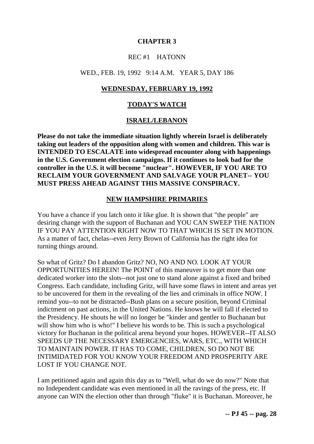#### **CHAPTER 3**

#### REC #1 HATONN

#### WED., FEB. 19, 1992 9:14 A.M. YEAR 5, DAY 186

#### **WEDNESDAY, FEBRUARY 19, 1992**

#### **TODAY'S WATCH**

#### **ISRAEL/LEBANON**

**Please do not take the immediate situation lightly wherein Israel is deliberately taking out leaders of the opposition along with women and children. This war is INTENDED TO ESCALATE into widespread encounter along with happenings in the U.S. Government election campaigns. If it continues to look bad for the controller in the U.S. it will become "nuclear". HOWEVER, IF YOU ARE TO RECLAIM YOUR GOVERNMENT AND SALVAGE YOUR PLANET-- YOU MUST PRESS AHEAD AGAINST THIS MASSIVE CONSPIRACY.**

#### **NEW HAMPSHIRE PRIMARIES**

You have a chance if you latch onto it like glue. It is shown that "the people" are desiring change with the support of Buchanan and YOU CAN SWEEP THE NATION IF YOU PAY ATTENTION RIGHT NOW TO THAT WHICH IS SET IN MOTION. As a matter of fact, chelas--even Jerry Brown of California has the right idea for turning things around.

So what of Gritz? Do I abandon Gritz? NO, NO AND NO. LOOK AT YOUR OPPORTUNITIES HEREIN! The POINT of this maneuver is to get more than one dedicated worker into the slots--not just one to stand alone against a fixed and bribed Congress. Each candidate, including Gritz, will have some flaws in intent and areas yet to be uncovered for them in the revealing of the lies and criminals in office NOW. I remind you--to not be distracted--Bush plans on a secure position, beyond Criminal indictment on past actions, in the United Nations. He knows he will fall if elected to the Presidency. He shouts he will no longer be "kinder and gentler to Buchanan but will show him who is who!" I believe his words to be. This is such a psychological victory for Buchanan in the political arena beyond your hopes. HOWEVER--IT ALSO SPEEDS UP THE NECESSARY EMERGENCIES, WARS, ETC., WITH WHICH TO MAINTAIN POWER. IT HAS TO COME, CHILDREN, SO DO NOT BE INTIMIDATED FOR YOU KNOW YOUR FREEDOM AND PROSPERITY ARE LOST IF YOU CHANGE NOT.

I am petitioned again and again this day as to "Well, what do we do now?" Note that no Independent candidate was even mentioned in all the ravings of the press, etc. If anyone can WIN the election other than through "fluke" it is Buchanan. Moreover, he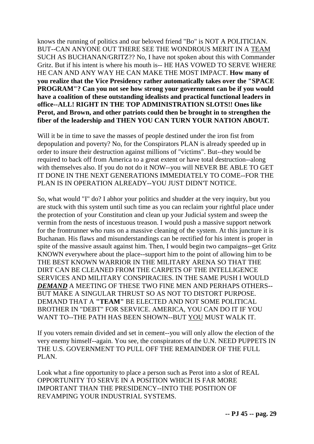knows the running of politics and our beloved friend "Bo" is NOT A POLITICIAN. BUT--CAN ANYONE OUT THERE SEE THE WONDROUS MERIT IN A TEAM SUCH AS BUCHANAN/GRITZ?? No, I have not spoken about this with Commander Gritz. But if his intent is where his mouth is-- HE HAS VOWED TO SERVE WHERE HE CAN AND ANY WAY HE CAN MAKE THE MOST IMPACT. **How many of you realize that the Vice Presidency rather automatically takes over the "SPACE PROGRAM"? Can you not see how strong your government can be if you would have a coalition of these outstanding idealists and practical functional leaders in office--ALL! RIGHT IN THE TOP ADMINISTRATION SLOTS!! Ones like Perot, and Brown, and other patriots could then be brought in to strengthen the fiber of the leadership and THEN YOU CAN TURN YOUR NATION ABOUT.**

Will it be in time to save the masses of people destined under the iron fist from depopulation and poverty? No, for the Conspirators PLAN is already speeded up in order to insure their destruction against millions of "victims". But--they would be required to back off from America to a great extent or have total destruction--along with themselves also. If you do not do it NOW--you will NEVER BE ABLE TO GET IT DONE IN THE NEXT GENERATIONS IMMEDIATELY TO COME--FOR THE PLAN IS IN OPERATION ALREADY--YOU JUST DIDN'T NOTICE.

So, what would "I" do? I abhor your politics and shudder at the very inquiry, but you are stuck with this system until such time as you can reclaim your rightful place under the protection of your Constitution and clean up your Judicial system and sweep the vermin from the nests of incestuous treason. I would push a massive support network for the frontrunner who runs on a massive cleaning of the system. At this juncture it is Buchanan. His flaws and misunderstandings can be rectified for his intent is proper in spite of the massive assault against him. Then, I would begin two campaigns--get Gritz KNOWN everywhere about the place--support him to the point of allowing him to be THE BEST KNOWN WARRIOR IN THE MILITARY ARENA SO THAT THE DIRT CAN BE CLEANED FROM THE CARPETS OF THE INTELLIGENCE SERVICES AND MILITARY CONSPIRACIES. IN THE SAME PUSH I WOULD *DEMAND* A MEETING OF THESE TWO FINE MEN AND PERHAPS OTHERS-- BUT MAKE A SINGULAR THRUST SO AS NOT TO DISTORT PURPOSE. DEMAND THAT A **"TEAM"** BE ELECTED AND NOT SOME POLITICAL BROTHER IN "DEBT" FOR SERVICE. AMERICA, YOU CAN DO IT IF YOU WANT TO--THE PATH HAS BEEN SHOWN--BUT YOU MUST WALK IT.

If you voters remain divided and set in cement--you will only allow the election of the very enemy himself--again. You see, the conspirators of the U.N. NEED PUPPETS IN THE U.S. GOVERNMENT TO PULL OFF THE REMAINDER OF THE FULL PLAN.

Look what a fine opportunity to place a person such as Perot into a slot of REAL OPPORTUNITY TO SERVE IN A POSITION WHICH IS FAR MORE IMPORTANT THAN THE PRESIDENCY--INTO THE POSITION OF REVAMPING YOUR INDUSTRIAL SYSTEMS.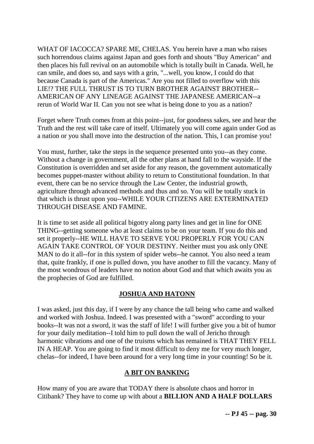WHAT OF IACOCCA? SPARE ME, CHELAS. You herein have a man who raises such horrendous claims against Japan and goes forth and shouts "Buy American" and then places his full revival on an automobile which is totally built in Canada. Well, he can smile, and does so, and says with a grin, "...well, you know, I could do that because Canada is part of the Americas." Are you not filled to overflow with this LIE!? THE FULL THRUST IS TO TURN BROTHER AGAINST BROTHER-- AMERICAN OF ANY LINEAGE AGAINST THE JAPANESE AMERICAN--a rerun of World War II. Can you not see what is being done to you as a nation?

Forget where Truth comes from at this point--just, for goodness sakes, see and hear the Truth and the rest will take care of itself. Ultimately you will come again under God as a nation or you shall move into the destruction of the nation. This, I can promise you!

You must, further, take the steps in the sequence presented unto you--as they come. Without a change in government, all the other plans at hand fall to the wayside. If the Constitution is overridden and set aside for any reason, the government automatically becomes puppet-master without ability to return to Constitutional foundation. In that event, there can be no service through the Law Center, the industrial growth, agriculture through advanced methods and thus and so. You will be totally stuck in that which is thrust upon you--WHILE YOUR CITIZENS ARE EXTERMINATED THROUGH DISEASE AND FAMINE.

It is time to set aside all political bigotry along party lines and get in line for ONE THING--getting someone who at least claims to be on your team. If you do this and set it properly--HE WILL HAVE TO SERVE YOU PROPERLY FOR YOU CAN AGAIN TAKE CONTROL OF YOUR DESTINY. Neither must you ask only ONE MAN to do it all--for in this system of spider webs--he cannot. You also need a team that, quite frankly, if one is pulled down, you have another to fill the vacancy. Many of the most wondrous of leaders have no notion about God and that which awaits you as the prophecies of God are fulfilled.

#### **JOSHUA AND HATONN**

I was asked, just this day, if I were by any chance the tall being who came and walked and worked with Joshua. Indeed. I was presented with a "sword" according to your books--It was not a sword, it was the staff of life! I will further give you a bit of humor for your daily meditation--I told him to pull down the wall of Jericho through harmonic vibrations and one of the truisms which has remained is THAT THEY FELL IN A HEAP. You are going to find it most difficult to deny me for very much longer, chelas--for indeed, I have been around for a very long time in your counting! So be it.

#### **A BIT ON BANKING**

How many of you are aware that TODAY there is absolute chaos and horror in Citibank? They have to come up with about a **BILLION AND A HALF DOLLARS**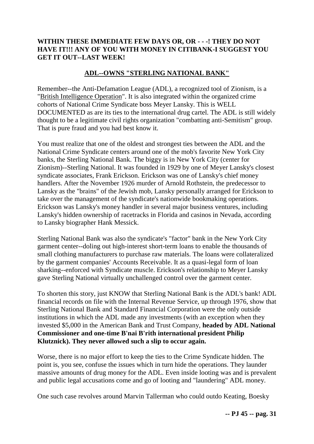#### **WITHIN THESE IMMEDIATE FEW DAYS OR, OR - - -! THEY DO NOT HAVE IT!!! ANY OF YOU WITH MONEY IN CITIBANK-I SUGGEST YOU GET IT OUT--LAST WEEK!**

#### **ADL--OWNS "STERLING NATIONAL BANK"**

Remember--the Anti-Defamation League (ADL), a recognized tool of Zionism, is a "British Intelligence Operation". It is also integrated within the organized crime cohorts of National Crime Syndicate boss Meyer Lansky. This is WELL DOCUMENTED as are its ties to the international drug cartel. The ADL is still widely thought to be a legitimate civil rights organization "combatting anti-Semitism" group. That is pure fraud and you had best know it.

You must realize that one of the oldest and strongest ties between the ADL and the National Crime Syndicate centers around one of the mob's favorite New York City banks, the Sterling National Bank. The biggy is in New York City (center for Zionism)--Sterling National. It was founded in 1929 by one of Meyer Lansky's closest syndicate associates, Frank Erickson. Erickson was one of Lansky's chief money handlers. After the November 1926 murder of Arnold Rothstein, the predecessor to Lansky as the "brains" of the Jewish mob, Lansky personally arranged for Erickson to take over the management of the syndicate's nationwide bookmaking operations. Erickson was Lansky's money handler in several major business ventures, including Lansky's hidden ownership of racetracks in Florida and casinos in Nevada, according to Lansky biographer Hank Messick.

Sterling National Bank was also the syndicate's "factor" bank in the New York City garment center--doling out high-interest short-term loans to enable the thousands of small clothing manufacturers to purchase raw materials. The loans were collateralized by the garment companies' Accounts Receivable. It as a quasi-legal form of loan sharking--enforced with Syndicate muscle. Erickson's relationship to Meyer Lansky gave Sterling National virtually unchallenged control over the garment center.

To shorten this story, just KNOW that Sterling National Bank is the ADL's bank! ADL financial records on file with the Internal Revenue Service, up through 1976, show that Sterling National Bank and Standard Financial Corporation were the only outside institutions in which the ADL made any investments (with an exception when they invested \$5,000 in the American Bank and Trust Company, **headed by ADL National Commissioner and one-time B'nai B'rith international president Philip Klutznick). They never allowed such a slip to occur again.**

Worse, there is no major effort to keep the ties to the Crime Syndicate hidden. The point is, you see, confuse the issues which in turn hide the operations. They launder massive amounts of drug money for the ADL. Even inside looting was and is prevalent and public legal accusations come and go of looting and "laundering" ADL money.

One such case revolves around Marvin Tallerman who could outdo Keating, Boesky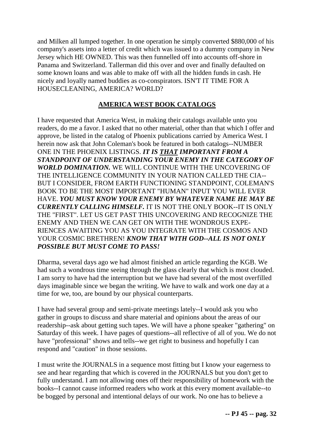and Milken all lumped together. In one operation he simply converted \$880,000 of his company's assets into a letter of credit which was issued to a dummy company in New Jersey which HE OWNED. This was then funnelled off into accounts off-shore in Panama and Switzerland. Tallerman did this over and over and finally defaulted on some known loans and was able to make off with all the hidden funds in cash. He nicely and loyally named buddies as co-conspirators. ISN'T IT TIME FOR A HOUSECLEANING, AMERICA? WORLD?

#### **AMERICA WEST BOOK CATALOGS**

I have requested that America West, in making their catalogs available unto you readers, do me a favor. I asked that no other material, other than that which I offer and approve, be listed in the catalog of Phoenix publications carried by America West. I herein now ask that John Coleman's book be featured in both catalogs--NUMBER ONE IN THE PHOENIX LISTINGS. *IT IS THAT IMPORTANT FROM A STANDPOINT OF UNDERSTANDING YOUR ENEMY IN THE CATEGORY OF WORLD DOMINATION.* WE WILL CONTINUE WITH THE UNCOVERING OF THE INTELLIGENCE COMMUNITY IN YOUR NATION CALLED THE CIA-- BUT I CONSIDER, FROM EARTH FUNCTIONING STANDPOINT, COLEMAN'S BOOK TO BE THE MOST IMPORTANT "HUMAN" INPUT YOU WILL EVER HAVE. *YOU MUST KNOW YOUR ENEMY BY WHATEVER NAME HE MAY BE CURRENTLY CALLING HIMSELF.* IT IS NOT THE ONLY BOOK--IT IS ONLY THE "FIRST". LET US GET PAST THIS UNCOVERING AND RECOGNIZE THE ENEMY AND THEN WE CAN GET ON WITH THE WONDROUS EXPE-RIENCES AWAITING YOU AS YOU INTEGRATE WITH THE COSMOS AND YOUR COSMIC BRETHREN! *KNOW THAT WITH GOD--ALL IS NOT ONLY POSSIBLE BUT MUST COME TO PASS!*

Dharma, several days ago we had almost finished an article regarding the KGB. We had such a wondrous time seeing through the glass clearly that which is most clouded. I am sorry to have had the interruption but we have had several of the most overfilled days imaginable since we began the writing. We have to walk and work one day at a time for we, too, are bound by our physical counterparts.

I have had several group and semi-private meetings lately--I would ask you who gather in groups to discuss and share material and opinions about the areas of our readership--ask about getting such tapes. We will have a phone speaker "gathering" on Saturday of this week. I have pages of questions--all reflective of all of you. We do not have "professional" shows and tells--we get right to business and hopefully I can respond and "caution" in those sessions.

I must write the JOURNALS in a sequence most fitting but I know your eagerness to see and hear regarding that which is covered in the JOURNALS but you don't get to fully understand. I am not allowing ones off their responsibility of homework with the books--I cannot cause informed readers who work at this every moment available--to be bogged by personal and intentional delays of our work. No one has to believe a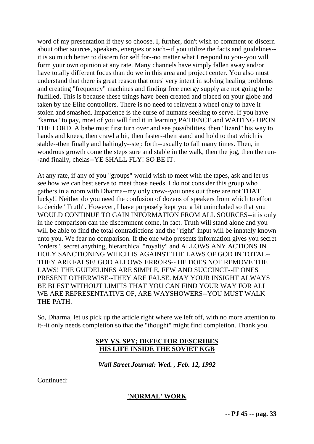word of my presentation if they so choose. I, further, don't wish to comment or discern about other sources, speakers, energies or such--if you utilize the facts and guidelines- it is so much better to discern for self for--no matter what I respond to you--you will form your own opinion at any rate. Many channels have simply fallen away and/or have totally different focus than do we in this area and project center. You also must understand that there is great reason that ones' very intent in solving healing problems and creating "frequency" machines and finding free energy supply are not going to be fulfilled. This is because these things have been created and placed on your globe and taken by the Elite controllers. There is no need to reinvent a wheel only to have it stolen and smashed. Impatience is the curse of humans seeking to serve. If you have "karma" to pay, most of you will find it in learning PATIENCE and WAITING UPON THE LORD. A babe must first turn over and see possibilities, then "lizard" his way to hands and knees, then crawl a bit, then faster--then stand and hold to that which is stable--then finally and haltingly--step forth--usually to fall many times. Then, in wondrous growth come the steps sure and stable in the walk, then the jog, then the run- -and finally, chelas--YE SHALL FLY! SO BE IT.

At any rate, if any of you "groups" would wish to meet with the tapes, ask and let us see how we can best serve to meet those needs. I do not consider this group who gathers in a room with Dharma--my only crew--you ones out there are not THAT lucky!! Neither do you need the confusion of dozens of speakers from which to effort to decide "Truth". However, I have purposely kept you a bit unincluded so that you WOULD CONTINUE TO GAIN INFORMATION FROM ALL SOURCES--it is only in the comparison can the discernment come, in fact. Truth will stand alone and you will be able to find the total contradictions and the "right" input will be innately known unto you. We fear no comparison. If the one who presents information gives you secret "orders", secret anything, hierarchical "royalty" and ALLOWS ANY ACTIONS IN HOLY SANCTIONING WHICH IS AGAINST THE LAWS OF GOD IN TOTAL-- THEY ARE FALSE! GOD ALLOWS ERRORS-- HE DOES NOT REMOVE THE LAWS! THE GUIDELINES ARE SIMPLE, FEW AND SUCCINCT--IF ONES PRESENT OTHERWISE--THEY ARE FALSE. MAY YOUR INSIGHT ALWAYS BE BLEST WITHOUT LIMITS THAT YOU CAN FIND YOUR WAY FOR ALL WE ARE REPRESENTATIVE OF, ARE WAYSHOWERS--YOU MUST WALK THE PATH.

So, Dharma, let us pick up the article right where we left off, with no more attention to it--it only needs completion so that the "thought" might find completion. Thank you.

#### **SPY VS. SPY; DEFECTOR DESCRIBES HIS LIFE INSIDE THE SOVIET KGB**

*Wall Street Journal: Wed. , Feb. 12, 1992*

Continued:

# **'NORMAL' WORK**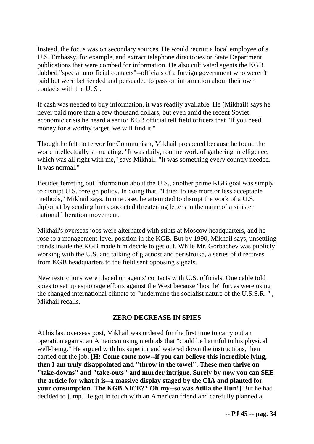Instead, the focus was on secondary sources. He would recruit a local employee of a U.S. Embassy, for example, and extract telephone directories or State Department publications that were combed for information. He also cultivated agents the KGB dubbed "special unofficial contacts"--officials of a foreign government who weren't paid but were befriended and persuaded to pass on information about their own contacts with the U. S .

If cash was needed to buy information, it was readily available. He (Mikhail) says he never paid more than a few thousand dollars, but even amid the recent Soviet economic crisis he heard a senior KGB official tell field officers that "If you need money for a worthy target, we will find it."

Though he felt no fervor for Communism, Mikhail prospered because he found the work intellectually stimulating. "It was daily, routine work of gathering intelligence, which was all right with me," says Mikhail. "It was something every country needed. It was normal."

Besides ferreting out information about the U.S., another prime KGB goal was simply to disrupt U.S. foreign policy. In doing that, "I tried to use more or less acceptable methods," Mikhail says. In one case, he attempted to disrupt the work of a U.S. diplomat by sending him concocted threatening letters in the name of a sinister national liberation movement.

Mikhail's overseas jobs were alternated with stints at Moscow headquarters, and he rose to a management-level position in the KGB. But by 1990, Mikhail says, unsettling trends inside the KGB made him decide to get out. While Mr. Gorbachev was publicly working with the U.S. and talking of glasnost and peristroika, a series of directives from KGB headquarters to the field sent opposing signals.

New restrictions were placed on agents' contacts with U.S. officials. One cable told spies to set up espionage efforts against the West because "hostile" forces were using the changed international climate to "undermine the socialist nature of the U.S.S.R. " , Mikhail recalls.

#### **ZERO DECREASE IN SPIES**

At his last overseas post, Mikhail was ordered for the first time to carry out an operation against an American using methods that "could be harmful to his physical well-being." He argued with his superior and watered down the instructions, then carried out the job**. [H: Come come now--if you can believe this incredible lying, then I am truly disappointed and "throw in the towel". These men thrive on "take-downs" and "take-outs" and murder intrigue. Surely by now you can SEE the article for what it is--a massive display staged by the CIA and planted for your consumption. The KGB NICE?? Oh my--so was Atilla the Hun!]** But he had decided to jump. He got in touch with an American friend and carefully planned a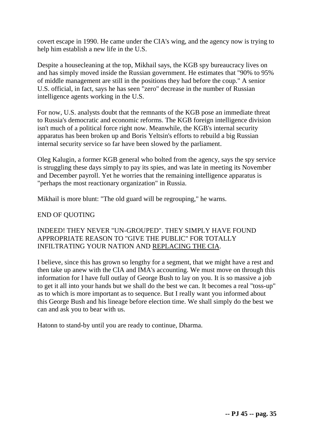covert escape in 1990. He came under the CIA's wing, and the agency now is trying to help him establish a new life in the U.S.

Despite a housecleaning at the top, Mikhail says, the KGB spy bureaucracy lives on and has simply moved inside the Russian government. He estimates that "90% to 95% of middle management are still in the positions they had before the coup." A senior U.S. official, in fact, says he has seen "zero" decrease in the number of Russian intelligence agents working in the U.S.

For now, U.S. analysts doubt that the remnants of the KGB pose an immediate threat to Russia's democratic and economic reforms. The KGB foreign intelligence division isn't much of a political force right now. Meanwhile, the KGB's internal security apparatus has been broken up and Boris Yeltsin's efforts to rebuild a big Russian internal security service so far have been slowed by the parliament.

Oleg Kalugin, a former KGB general who bolted from the agency, says the spy service is struggling these days simply to pay its spies, and was late in meeting its November and December payroll. Yet he worries that the remaining intelligence apparatus is "perhaps the most reactionary organization" in Russia.

Mikhail is more blunt: "The old guard will be regrouping," he warns.

#### END OF QUOTING

#### INDEED! THEY NEVER "UN-GROUPED". THEY SIMPLY HAVE FOUND APPROPRIATE REASON TO "GIVE THE PUBLIC" FOR TOTALLY INFILTRATING YOUR NATION AND REPLACING THE CIA.

I believe, since this has grown so lengthy for a segment, that we might have a rest and then take up anew with the CIA and IMA's accounting. We must move on through this information for I have full outlay of George Bush to lay on you. It is so massive a job to get it all into your hands but we shall do the best we can. It becomes a real "toss-up" as to which is more important as to sequence. But I really want you informed about this George Bush and his lineage before election time. We shall simply do the best we can and ask you to bear with us.

Hatonn to stand-by until you are ready to continue, Dharma.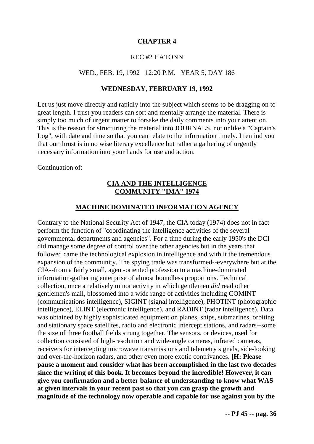### **CHAPTER 4**

#### REC #2 HATONN

#### WED., FEB. 19, 1992 12:20 P.M. YEAR 5, DAY 186

#### **WEDNESDAY, FEBRUARY 19, 1992**

Let us just move directly and rapidly into the subject which seems to be dragging on to great length. I trust you readers can sort and mentally arrange the material. There is simply too much of urgent matter to forsake the daily comments into your attention. This is the reason for structuring the material into JOURNALS, not unlike a "Captain's Log", with date and time so that you can relate to the information timely. I remind you that our thrust is in no wise literary excellence but rather a gathering of urgently necessary information into your hands for use and action.

Continuation of:

### **CIA AND THE INTELLIGENCE COMMUNITY "IMA" 1974**

#### **MACHINE DOMINATED INFORMATION AGENCY**

Contrary to the National Security Act of 1947, the CIA today (1974) does not in fact perform the function of "coordinating the intelligence activities of the several governmental departments and agencies". For a time during the early 1950's the DCI did manage some degree of control over the other agencies but in the years that followed came the technological explosion in intelligence and with it the tremendous expansion of the community. The spying trade was transformed--everywhere but at the CIA--from a fairly small, agent-oriented profession to a machine-dominated information-gathering enterprise of almost boundless proportions. Technical collection, once a relatively minor activity in which gentlemen *did* read other gentlemen's mail, blossomed into a wide range of activities including COMINT (communications intelligence), SIGINT (signal intelligence), PHOTINT (photographic intelligence), ELINT (electronic intelligence), and RADINT (radar intelligence). Data was obtained by highly sophisticated equipment on planes, ships, submarines, orbiting and stationary space satellites, radio and electronic intercept stations, and radars--some the size of three football fields strung together. The sensors, or devices, used for collection consisted of high-resolution and wide-angle cameras, infrared cameras, receivers for intercepting microwave transmissions and telemetry signals, side-looking and over-the-horizon radars, and other even more exotic contrivances. **[H: Please pause a moment and consider what has been accomplished in the last two decades since the writing of this book. It becomes beyond the incredible! However, it can give you confirmation and a better balance of understanding to know what WAS at given intervals in your recent past so that you can grasp the growth and magnitude of the technology now operable and capable for use against you by the**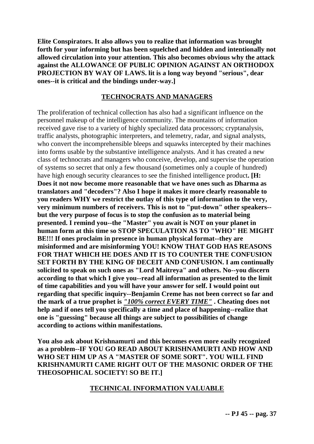**Elite Conspirators. It also allows you to realize that information was brought forth for your informing but has been squelched and hidden and intentionally not allowed circulation into your attention. This also becomes obvious why the attack against the ALLOWANCE OF PUBLIC OPINION AGAINST AN ORTHODOX PROJECTION BY WAY OF LAWS. lit is a long way beyond "serious", dear ones--it is critical and the bindings under-way.]**

#### **TECHNOCRATS AND MANAGERS**

The proliferation of technical collection has also had a significant influence on the personnel makeup of the intelligence community. The mountains of information received gave rise to a variety of highly specialized data processors; cryptanalysis, traffic analysts, photographic interpreters, and telemetry, radar, and signal analysts, who convert the incomprehensible bleeps and squawks intercepted by their machines into forms usable by the substantive intelligence analysts. And it has created a new class of technocrats and managers who conceive, develop, and supervise the operation of systems so secret that only a few thousand (sometimes only a couple of hundred) have high enough security clearances to see the finished intelligence product**. [H: Does it not now become more reasonable that we have ones such as Dharma as translators and "decoders"? Also I hope it makes it more clearly reasonable to you readers WHY we restrict the outlay of this type of information to the very, very minimum numbers of receivers. This is not to "put-down" other speakers- but the very purpose of focus is to stop the confusion as to material being presented. I remind you--the "Master" you await is NOT on your planet in human form at this time so STOP SPECULATION AS TO "WHO" HE MIGHT BE!!! If ones proclaim in presence in human physical format--they are misinformed and are misinforming YOU! KNOW THAT GOD HAS REASONS FOR THAT WHICH HE DOES AND IT IS TO COUNTER THE CONFUSION SET FORTH BY THE KING OF DECEIT AND CONFUSION. I am continually solicited to speak on such ones as "Lord Maitreya" and others. No--you discern according to that which I give you--read all information as presented to the limit of time capabilities and you will have your answer for self. I would point out regarding that specific inquiry--Benjamin Creme has not been correct so far and the mark of a true prophet is** *"100% correct EVERY TIME"* **. Cheating does not help and if ones tell you specifically a time and place of happening--realize that one is "guessing" because all things are subject to possibilities of change according to actions within manifestations.**

**You also ask about Krishnamurti and this becomes even more easily recognized as a problem--IF YOU GO READ ABOUT KRISHNAMURTI AND HOW AND WHO SET HIM UP AS A "MASTER OF SOME SORT". YOU WILL FIND KRISHNAMURTI CAME RIGHT OUT OF THE MASONIC ORDER OF THE THEOSOPHICAL SOCIETY! SO BE IT.]**

### **TECHNICAL INFORMATION VALUABLE**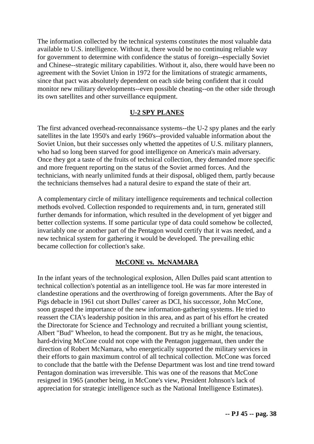The information collected by the technical systems constitutes the most valuable data available to U.S. intelligence. Without it, there would be no continuing reliable way for government to determine with confidence the status of foreign--especially Soviet and Chinese--strategic military capabilities. Without it, also, there would have been no agreement with the Soviet Union in 1972 for the limitations of strategic armaments, since that pact was absolutely dependent on each side being confident that it could monitor new military developments--even possible cheating--on the other side through its own satellites and other surveillance equipment.

## **U-2 SPY PLANES**

The first advanced overhead-reconnaissance systems--the U-2 spy planes and the early satellites in the late 1950's and early 1960's--provided valuable information about the Soviet Union, but their successes only whetted the appetites of U.S. military planners, who had so long been starved for good intelligence on America's main adversary. Once they got a taste of the fruits of technical collection, they demanded more specific and more frequent reporting on the status of the Soviet armed forces. And the technicians, with nearly unlimited funds at their disposal, obliged them, partly because the technicians themselves had a natural desire to expand the state of their art.

A complementary circle of military intelligence requirements and technical collection methods evolved. Collection responded to requirements and, in turn, generated still further demands for information, which resulted in the development of yet bigger and better collection systems. If some particular type of data could somehow be collected, invariably one or another part of the Pentagon would certify that it was needed, and a new technical system for gathering it would be developed. The prevailing ethic became collection for collection's sake.

## **McCONE vs. McNAMARA**

In the infant years of the technological explosion, Allen Dulles paid scant attention to technical collection's potential as an intelligence tool. He was far more interested in clandestine operations and the overthrowing of foreign governments. After the Bay of Pigs debacle in 1961 cut short Dulles' career as DCI, his successor, John McCone, soon grasped the importance of the new information-gathering systems. He tried to reassert the CIA's leadership position in this area, and as part of his effort he created the Directorate for Science and Technology and recruited a brilliant young scientist, Albert "Bud" Wheelon, to head the component. But try as he might, the tenacious, hard-driving McCone could not cope with the Pentagon juggernaut, then under the direction of Robert McNamara, who energetically supported the military services in their efforts to gain maximum control of all technical collection. McCone was forced to conclude that the battle with the Defense Department was lost and tine trend toward Pentagon domination was irreversible. This was one of the reasons that McCone resigned in 1965 (another being, in McCone's view, President Johnson's lack of appreciation for strategic intelligence such as the National Intelligence Estimates).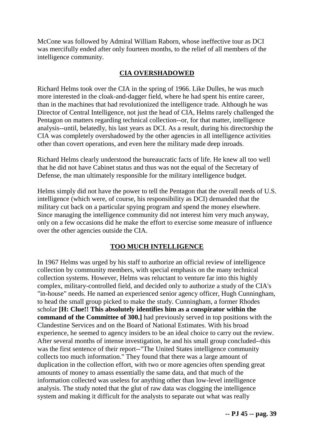McCone was followed by Admiral William Raborn, whose ineffective tour as DCI was mercifully ended after only fourteen months, to the relief of all members of the intelligence community.

## **CIA OVERSHADOWED**

Richard Helms took over the CIA in the spring of 1966. Like Dulles, he was much more interested in the cloak-and-dagger field, where he had spent his entire career, than in the machines that had revolutionized the intelligence trade. Although he was Director of Central Intelligence, not just the head of CIA, Helms rarely challenged the Pentagon on matters regarding technical collection--or, for that matter, intelligence analysis--until, belatedly, his last years as DCI. As a result, during his directorship the CIA was completely overshadowed by the other agencies in all intelligence activities other than covert operations, and even here the military made deep inroads.

Richard Helms clearly understood the bureaucratic facts of life. He knew all too well that he did not have Cabinet status and thus was not the equal of the Secretary of Defense, the man ultimately responsible for the military intelligence budget.

Helms simply did not have the power to tell the Pentagon that the overall needs of U.S. intelligence (which were, of course, his responsibility as DCI) demanded that the military cut back on a particular spying program and spend the money elsewhere. Since managing the intelligence community did not interest him very much anyway, only on a few occasions did he make the effort to exercise some measure of influence over the other agencies outside the CIA.

# **TOO MUCH INTELLIGENCE**

In 1967 Helms was urged by his staff to authorize an official review of intelligence collection by community members, with special emphasis on the many technical collection systems. However, Helms was reluctant to venture far into this highly complex, military-controlled field, and decided only to authorize a study of the CIA's "in-house" needs. He named an experienced senior agency officer, Hugh Cunningham, to head the small group picked to make the study. Cunningham, a former Rhodes scholar **[H: Clue!! This absolutely identifies him as a conspirator within the command of the Committee of 300.]** had previously served in top positions with the Clandestine Services and on the Board of National Estimates. With his broad experience, he seemed to agency insiders to be an ideal choice to carry out the review. After several months of intense investigation, he and his small group concluded--this was the first sentence of their report--"The United States intelligence community collects too much information." They found that there was a large amount of duplication in the collection effort, with two or more agencies often spending great amounts of money to amass essentially the same data, and that much of the information collected was useless for anything other than low-level intelligence analysis. The study noted that the glut of raw data was clogging the intelligence system and making it difficult for the analysts to separate out what was really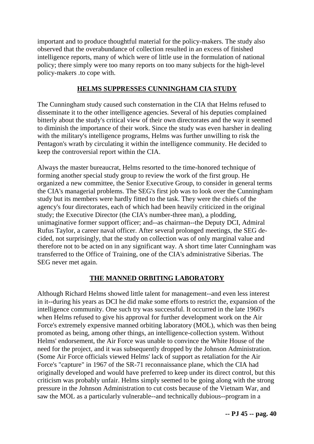important and to produce thoughtful material for the policy-makers. The study also observed that the overabundance of collection resulted in an excess of finished intelligence reports, many of which were of little use in the formulation of national policy; there simply were too many reports on too many subjects for the high-level policy-makers .to cope with.

# **HELMS SUPPRESSES CUNNINGHAM CIA STUDY**

The Cunningham study caused such consternation in the CIA that Helms refused to disseminate it to the other intelligence agencies. Several of his deputies complained bitterly about the study's critical view of their own directorates and the way it seemed to diminish the importance of their work. Since the study was even harsher in dealing with the military's intelligence programs, Helms was further unwilling to risk the Pentagon's wrath by circulating it within the intelligence community. He decided to keep the controversial report within the CIA.

Always the master bureaucrat, Helms resorted to the time-honored technique of forming another special study group to review the work of the first group. He organized a new committee, the Senior Executive Group, to consider in general terms the CIA's managerial problems. The SEG's first job was to look over the Cunningham study but its members were hardly fitted to the task. They were the chiefs of the agency's four directorates, each of which had been heavily criticized in the original study; the Executive Director (the CIA's number-three man), a plodding, unimaginative former support officer; and--as chairman--the Deputy DCI, Admiral Rufus Taylor, a career naval officer. After several prolonged meetings, the SEG decided, not surprisingly, that the study on collection was of only marginal value and therefore not to be acted on in any significant way. A short time later Cunningham was transferred to the Office of Training, one of the CIA's administrative Siberias. The SEG never met again.

# **THE MANNED ORBITING LABORATORY**

Although Richard Helms showed little talent for management--and even less interest in it--during his years as DCI he did make some efforts to restrict the, expansion of the intelligence community. One such try was successful. It occurred in the late 1960's when Helms refused to give his approval for further development work on the Air Force's extremely expensive manned orbiting laboratory (MOL), which was then being promoted as being, among other things, an intelligence-collection system. Without Helms' endorsement, the Air Force was unable to convince the White House of the need for the project, and it was subsequently dropped by the Johnson Administration. (Some Air Force officials viewed Helms' lack of support as retaliation for the Air Force's "capture" in 1967 of the SR-71 reconnaissance plane, which the CIA had originally developed and would have preferred to keep under its direct control, but this criticism was probably unfair. Helms simply seemed to be going along with the strong pressure in the Johnson Administration to cut costs because of the Vietnam War, and saw the MOL as a particularly vulnerable--and technically dubious--program in a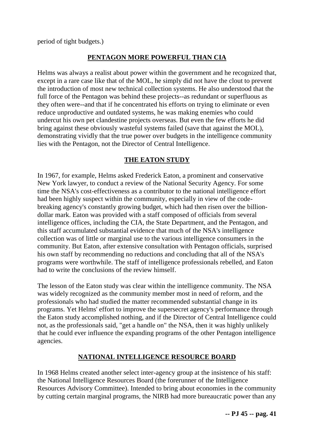period of tight budgets.)

# **PENTAGON MORE POWERFUL THAN CIA**

Helms was always a realist about power within the government and he recognized that, except in a rare case like that of the MOL, he simply did not have the clout to prevent the introduction of most new technical collection systems. He also understood that the full force of the Pentagon was behind these projects--as redundant or superfluous as they often were--and that if he concentrated his efforts on trying to eliminate or even reduce unproductive and outdated systems, he was making enemies who could undercut his own pet clandestine projects overseas. But even the few efforts he did bring against these obviously wasteful systems failed (save that against the MOL), demonstrating vividly that the true power over budgets in the intelligence community lies with the Pentagon, not the Director of Central Intelligence.

# **THE EATON STUDY**

In 1967, for example, Helms asked Frederick Eaton, a prominent and conservative New York lawyer, to conduct a review of the National Security Agency. For some time the NSA's cost-effectiveness as a contributor to the national intelligence effort had been highly suspect within the community, especially in view of the codebreaking agency's constantly growing budget, which had then risen over the billiondollar mark. Eaton was provided with a staff composed of officials from several intelligence offices, including the CIA, the State Department, and the Pentagon, and this staff accumulated substantial evidence that much of the NSA's intelligence collection was of little or marginal use to the various intelligence consumers in the community. But Eaton, after extensive consultation with Pentagon officials, surprised his own staff by recommending no reductions and concluding that all of the NSA's programs were worthwhile. The staff of intelligence professionals rebelled, and Eaton had to write the conclusions of the review himself.

The lesson of the Eaton study was clear within the intelligence community. The NSA was widely recognized as the community member most in need of reform, and the professionals who had studied the matter recommended substantial change in its programs. Yet Helms' effort to improve the supersecret agency's performance through the Eaton study accomplished nothing, and if the Director of Central Intelligence could not, as the professionals said, "get a handle on" the NSA, then it was highly unlikely that he could ever influence the expanding programs of the other Pentagon intelligence agencies.

# **NATIONAL INTELLIGENCE RESOURCE BOARD**

In 1968 Helms created another select inter-agency group at the insistence of his staff: the National Intelligence Resources Board (the forerunner of the Intelligence Resources Advisory Committee). Intended to bring about economies in the community by cutting certain marginal programs, the NIRB had more bureaucratic power than any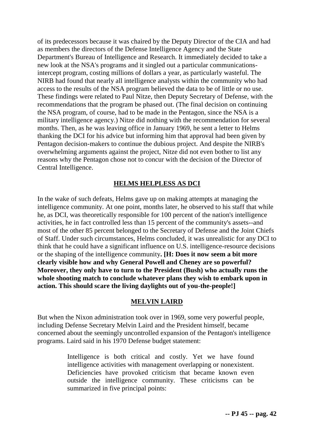of its predecessors because it was chaired by the Deputy Director of the CIA and had as members the directors of the Defense Intelligence Agency and the State Department's Bureau of Intelligence and Research. It immediately decided to take a new look at the NSA's programs and it singled out a particular communicationsintercept program, costing millions of dollars a year, as particularly wasteful. The NIRB had found that nearly all intelligence analysts within the community who had access to the results of the NSA program believed the data to be of little or no use. These findings were related to Paul Nitze, then Deputy Secretary of Defense, with the recommendations that the program be phased out. (The final decision on continuing the NSA program, of course, had to be made in the Pentagon, since the NSA is a military intelligence agency.) Nitze did nothing with the recommendation for several months. Then, as he was leaving office in January 1969, he sent a letter to Helms thanking the DCI for his advice but informing him that approval had been given by Pentagon decision-makers to continue the dubious project. And despite the NIRB's overwhelming arguments against the project, Nitze did not even bother to list any reasons why the Pentagon chose not to concur with the decision of the Director of Central Intelligence.

### **HELMS HELPLESS AS DCI**

In the wake of such defeats, Helms gave up on making attempts at managing the intelligence community. At one point, months later, he observed to his staff that while he, as DCI, was theoretically responsible for 100 percent of the nation's intelligence activities, he in fact controlled less than 15 percent of the community's assets--and most of the other 85 percent belonged to the Secretary of Defense and the Joint Chiefs of Staff. Under such circumstances, Helms concluded, it was unrealistic for any DCI to think that he could have a significant influence on U.S. intelligence-resource decisions or the shaping of the intelligence community**. [H: Does it now seem a bit more clearly visible how and why General Powell and Cheney are so powerful? Moreover, they only have to turn to the President (Bush) who actually runs the whole shooting match to conclude whatever plans they wish to embark upon in action. This should scare the living daylights out of you-the-people!]**

### **MELVIN LAIRD**

But when the Nixon administration took over in 1969, some very powerful people, including Defense Secretary Melvin Laird and the President himself, became concerned about the seemingly uncontrolled expansion of the Pentagon's intelligence programs. Laird said in his 1970 Defense budget statement:

> Intelligence is both critical and costly. Yet we have found intelligence activities with management overlapping or nonexistent. Deficiencies have provoked criticism that became known even outside the intelligence community. These criticisms can be summarized in five principal points: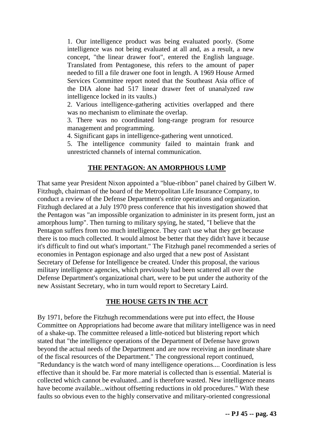1. Our intelligence product was being evaluated poorly. (Some intelligence was not being evaluated at all and, as a result, a new concept, "the linear drawer foot", entered the English language. Translated from Pentagonese, this refers to the amount of paper needed to fill a file drawer one foot in length. A 1969 House Armed Services Committee report noted that the Southeast Asia office of the DIA alone had 517 linear drawer feet of unanalyzed raw intelligence locked in its vaults.)

2. Various intelligence-gathering activities overlapped and there was no mechanism to eliminate the overlap.

3. There was no coordinated long-range program for resource management and programming.

4. Significant gaps in intelligence-gathering went unnoticed.

5. The intelligence community failed to maintain frank and unrestricted channels of internal communication.

### **THE PENTAGON: AN AMORPHOUS LUMP**

That same year President Nixon appointed a "blue-ribbon" panel chaired by Gilbert W. Fitzhugh, chairman of the board of the Metropolitan Life Insurance Company, to conduct a review of the Defense Department's entire operations and organization. Fitzhugh declared at a July 1970 press conference that his investigation showed that the Pentagon was "an impossible organization to administer in its present form, just an amorphous lump". Then turning to military spying, he stated, "I believe that the Pentagon suffers from too much intelligence. They can't use what they get because there is too much collected. It would almost be better that they didn't have it because it's difficult to find out what's important." The Fitzhugh panel recommended a series of economies in Pentagon espionage and also urged that a new post of Assistant Secretary of Defense for Intelligence be created. Under this proposal, the various military intelligence agencies, which previously had been scattered all over the Defense Department's organizational chart, were to be put under the authority of the new Assistant Secretary, who in turn would report to Secretary Laird.

### **THE HOUSE GETS IN THE ACT**

By 1971, before the Fitzhugh recommendations were put into effect, the House Committee on Appropriations had become aware that military intelligence was in need of a shake-up. The committee released a little-noticed but blistering report which stated that "the intelligence operations of the Department of Defense have grown beyond the actual needs of the Department and are now receiving an inordinate share of the fiscal resources of the Department." The congressional report continued, "Redundancy is the watch word of many intelligence operations.... Coordination is less effective than it should be. Far more material is collected than is essential. Material is collected which cannot be evaluated...and is therefore wasted. New intelligence means have become available...without offsetting reductions in old procedures." With these faults so obvious even to the highly conservative and military-oriented congressional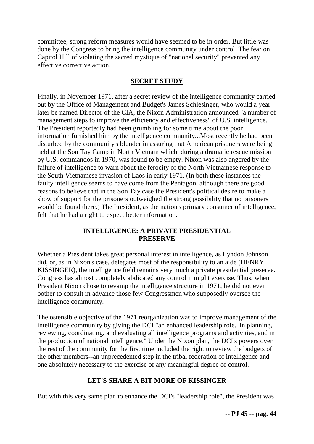committee, strong reform measures would have seemed to be in order. But little was done by the Congress to bring the intelligence community under control. The fear on Capitol Hill of violating the sacred mystique of "national security" prevented any effective corrective action.

### **SECRET STUDY**

Finally, in November 1971, after a secret review of the intelligence community carried out by the Office of Management and Budget's James Schlesinger, who would a year later be named Director of the CIA, the Nixon Administration announced "a number of management steps to improve the efficiency and effectiveness" of U.S. intelligence. The President reportedly had been grumbling for some time about the poor information furnished him by the intelligence community...Most recently he had been disturbed by the community's blunder in assuring that American prisoners were being held at the Son Tay Camp in North Vietnam which, during a dramatic rescue mission by U.S. commandos in 1970, was found to be empty. Nixon was also angered by the failure of intelligence to warn about the ferocity of the North Vietnamese response to the South Vietnamese invasion of Laos in early 1971. (In both these instances the faulty intelligence seems to have come from the Pentagon, although there are good reasons to believe that in the Son Tay case the President's political desire to make a show of support for the prisoners outweighed the strong possibility that no prisoners would be found there.) The President, as the nation's primary consumer of intelligence, felt that he had a right to expect better information.

# **INTELLIGENCE: A PRIVATE PRESIDENTIAL PRESERVE**

Whether a President takes great personal interest in intelligence, as Lyndon Johnson did, or, as in Nixon's case, delegates most of the responsibility to an aide (HENRY KISSINGER), the intelligence field remains very much a private presidential preserve. Congress has almost completely abdicated any control it might exercise. Thus, when President Nixon chose to revamp the intelligence structure in 1971, he did not even bother to consult in advance those few Congressmen who supposedly oversee the intelligence community.

The ostensible objective of the 1971 reorganization was to improve management of the intelligence community by giving the DCI "an enhanced leadership role...in planning, reviewing, coordinating, and evaluating all intelligence programs and activities, and in the production of national intelligence." Under the Nixon plan, the DCI's powers over the rest of the community for the first time included the right to review the budgets of the other members--an unprecedented step in the tribal federation of intelligence and one absolutely necessary to the exercise of any meaningful degree of control.

# **LET'S SHARE A BIT MORE OF KISSINGER**

But with this very same plan to enhance the DCI's "leadership role", the President was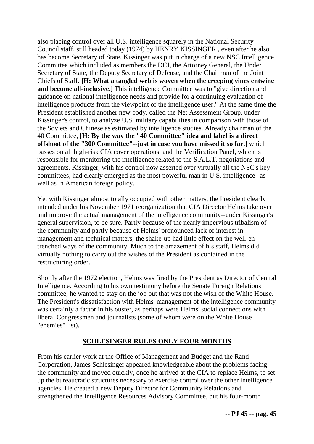also placing control over all U.S. intelligence squarely in the National Security Council staff, still headed today (1974) by HENRY KISSINGER , even after he also has become Secretary of State. Kissinger was put in charge of a new NSC Intelligence Committee which included as members the DCI, the Attorney General, the Under Secretary of State, the Deputy Secretary of Defense, and the Chairman of the Joint Chiefs of Staff. **[H: What a tangled web is woven when the creeping vines entwine and become all-inclusive.]** This intelligence Committee was to "give direction and guidance on national intelligence needs and provide for a continuing evaluation of intelligence products from the viewpoint of the intelligence user." At the same time the President established another new body, called the Net Assessment Group, under Kissinger's control, to analyze U.S. military capabilities in comparison with those of the Soviets and Chinese as estimated by intelligence studies. Already chairman of the 40 Committee, **[H: By the way the "40 Committee" idea and label is a direct offshoot of the "300 Committee"--just in case you have missed it so far.]** which passes on all high-risk CIA cover operations, and the Verification Panel, which is responsible for monitoring the intelligence related to the S.A.L.T. negotiations and agreements, Kissinger, with his control now asserted over virtually all the NSC's key committees, had clearly emerged as the most powerful man in U.S. intelligence--as well as in American foreign policy.

Yet with Kissinger almost totally occupied with other matters, the President clearly intended under his November 1971 reorganization that CIA Director Helms take over and improve the actual management of the intelligence community--under Kissinger's general supervision, to be sure. Partly because of the nearly impervious tribalism of the community and partly because of Helms' pronounced lack of interest in management and technical matters, the shake-up had little effect on the well-entrenched ways of the community. Much to the amazement of his staff, Helms did virtually nothing to carry out the wishes of the President as contained in the restructuring order.

Shortly after the 1972 election, Helms was fired by the President as Director of Central Intelligence. According to his own testimony before the Senate Foreign Relations committee, he wanted to stay on the job but that was not the wish of the White House. The President's dissatisfaction with Helms' management of the intelligence community was certainly a factor in his ouster, as perhaps were Helms' social connections with liberal Congressmen and journalists (some of whom were on the White House "enemies" list).

## **SCHLESINGER RULES ONLY FOUR MONTHS**

From his earlier work at the Office of Management and Budget and the Rand Corporation, James Schlesinger appeared knowledgeable about the problems facing the community and moved quickly, once he arrived at the CIA to replace Helms, to set up the bureaucratic structures necessary to exercise control over the other intelligence agencies. He created a new Deputy Director for Community Relations and strengthened the Intelligence Resources Advisory Committee, but his four-month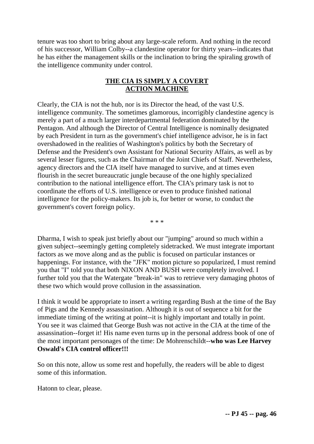tenure was too short to bring about any large-scale reform. And nothing in the record of his successor, William Colby--a clandestine operator for thirty years--indicates that he has either the management skills or the inclination to bring the spiraling growth of the intelligence community under control.

## **THE CIA IS SIMPLY A COVERT ACTION MACHINE**

Clearly, the CIA is not the hub, nor is its Director the head, of the vast U.S. intelligence community. The sometimes glamorous, incorrigibly clandestine agency is merely a part of a much larger interdepartmental federation dominated by the Pentagon. And although the Director of Central Intelligence is nominally designated by each President in turn as the government's chief intelligence advisor, he is in fact overshadowed in the realities of Washington's politics by both the Secretary of Defense and the President's own Assistant for National Security Affairs, as well as by several lesser figures, such as the Chairman of the Joint Chiefs of Staff. Nevertheless, agency directors and the CIA itself have managed to survive, and at times even flourish in the secret bureaucratic jungle because of the one highly specialized contribution to the national intelligence effort. The CIA's primary task is not to coordinate the efforts of U.S. intelligence or even to produce finished national intelligence for the policy-makers. Its job is, for better or worse, to conduct the government's covert foreign policy.

\* \* \*

Dharma, I wish to speak just briefly about our "jumping" around so much within a given subject--seemingly getting completely sidetracked. We must integrate important factors as we move along and as the public is focused on particular instances or happenings. For instance, with the "JFK" motion picture so popularized, I must remind you that "I" told you that both NIXON AND BUSH were completely involved. I further told you that the Watergate "break-in" was to retrieve very damaging photos of these two which would prove collusion in the assassination.

I think it would be appropriate to insert a writing regarding Bush at the time of the Bay of Pigs and the Kennedy assassination. Although it is out of sequence a bit for the immediate timing of the writing at point--it is highly important and totally in point. You see it was claimed that George Bush was not active in the CIA at the time of the assassination--forget it! His name even turns up in the personal address book of one of the most important personages of the time: De Mohrenschildt--**who was Lee Harvey Oswald's CIA control officer!!!**

So on this note, allow us some rest and hopefully, the readers will be able to digest some of this information.

Hatonn to clear, please.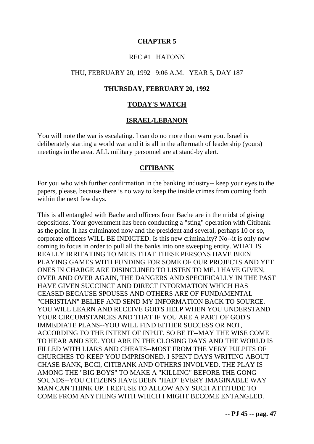#### **CHAPTER 5**

#### REC #1 HATONN

#### THU, FEBRUARY 20, 1992 9:06 A.M. YEAR 5, DAY 187

#### **THURSDAY, FEBRUARY 20, 1992**

#### **TODAY'S WATCH**

#### **ISRAEL/LEBANON**

You will note the war is escalating. I can do no more than warn you. Israel is deliberately starting a world war and it is all in the aftermath of leadership (yours) meetings in the area. ALL military personnel are at stand-by alert.

#### **CITIBANK**

For you who wish further confirmation in the banking industry-- keep your eyes to the papers, please, because there is no way to keep the inside crimes from coming forth within the next few days.

This is all entangled with Bache and officers from Bache are in the midst of giving depositions. Your government has been conducting a "sting" operation with Citibank as the point. It has culminated now and the president and several, perhaps 10 or so, corporate officers WILL BE INDICTED. Is this new criminality? No--it is only now coming to focus in order to pull all the banks into one sweeping entity. WHAT IS REALLY IRRITATING TO ME IS THAT THESE PERSONS HAVE BEEN PLAYING GAMES WITH FUNDING FOR SOME OF OUR PROJECTS AND YET ONES IN CHARGE ARE DISINCLINED TO LISTEN TO ME. I HAVE GIVEN, OVER AND OVER AGAIN, THE DANGERS AND SPECIFICALLY IN THE PAST HAVE GIVEN SUCCINCT AND DIRECT INFORMATION WHICH HAS CEASED BECAUSE SPOUSES AND OTHERS ARE OF FUNDAMENTAL "CHRISTIAN" BELIEF AND SEND MY INFORMATION BACK TO SOURCE. YOU WILL LEARN AND RECEIVE GOD'S HELP WHEN YOU UNDERSTAND YOUR CIRCUMSTANCES AND THAT IF YOU ARE A PART OF GOD'S IMMEDIATE PLANS--YOU WILL FIND EITHER SUCCESS OR NOT, ACCORDING TO THE INTENT OF INPUT. SO BE IT--MAY THE WISE COME TO HEAR AND SEE. YOU ARE IN THE CLOSING DAYS AND THE WORLD IS FILLED WITH LIARS AND CHEATS--MOST FROM THE VERY PULPITS OF CHURCHES TO KEEP YOU IMPRISONED. I SPENT DAYS WRITING ABOUT CHASE BANK, BCCI, CITIBANK AND OTHERS INVOLVED. THE PLAY IS AMONG THE "BIG BOYS" TO MAKE A "KILLING" BEFORE THE GONG SOUNDS--YOU CITIZENS HAVE BEEN "HAD" EVERY IMAGINABLE WAY MAN CAN THINK UP. I REFUSE TO ALLOW ANY SUCH ATTITUDE TO COME FROM ANYTHING WITH WHICH I MIGHT BECOME ENTANGLED.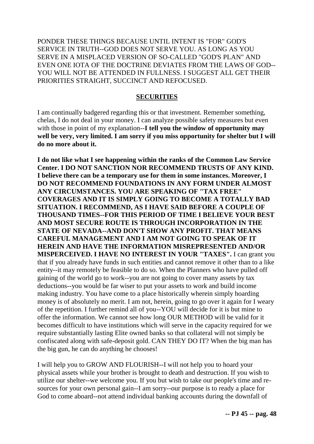PONDER THESE THINGS BECAUSE UNTIL INTENT IS "FOR" GOD'S SERVICE IN TRUTH--GOD DOES NOT SERVE YOU. AS LONG AS YOU SERVE IN A MISPLACED VERSION OF SO-CALLED "GOD'S PLAN" AND EVEN ONE IOTA OF THE DOCTRINE DEVIATES FROM THE LAWS OF GOD-- YOU WILL NOT BE ATTENDED IN FULLNESS. I SUGGEST ALL GET THEIR PRIORITIES STRAIGHT, SUCCINCT AND REFOCUSED.

## **SECURITIES**

I am continually badgered regarding this or that investment. Remember something, chelas, I do not deal in your money. I can analyze possible safety measures but even with those in point of my explanation--**I tell you the window of opportunity may well be very, very limited. I am sorry if you miss opportunity for shelter but I will do no more about it.**

**I do not like what I see happening within the ranks of the Common Law Service Center. I DO NOT SANCTION NOR RECOMMEND TRUSTS OF ANY KIND. I believe there can be a temporary use for them in some instances. Moreover, I DO NOT RECOMMEND FOUNDATIONS IN ANY FORM UNDER ALMOST ANY CIRCUMSTANCES. YOU ARE SPEAKING OF "TAX FREE" COVERAGES AND IT IS SIMPLY GOING TO BECOME A TOTALLY BAD SITUATION. I RECOMMEND, AS I HAVE SAID BEFORE A COUPLE OF THOUSAND TIMES--FOR THIS PERIOD OF TIME I BELIEVE YOUR BEST AND MOST SECURE ROUTE IS THROUGH INCORPORATION IN THE STATE OF NEVADA--AND DON'T SHOW ANY PROFIT. THAT MEANS CAREFUL MANAGEMENT AND I AM NOT GOING TO SPEAK OF IT HEREIN AND HAVE THE INFORMATION MISREPRESENTED AND/OR MISPERCEIVED. I HAVE NO INTEREST IN YOUR "TAXES".** I can grant you that if you already have funds in such entities and cannot remove it other than to a like entity--it may remotely be feasible to do so. When the Planners who have pulled off gaining of the world go to work--you are not going to cover many assets by tax deductions--you would be far wiser to put your assets to work and build income making industry. You have come to a place historically wherein simply hoarding money is of absolutely no merit. I am not, herein, going to go over it again for I weary of the repetition. I further remind all of you--YOU will decide for it is but mine to offer the information. We cannot see how long OUR METHOD will be valid for it becomes difficult to have institutions which will serve in the capacity required for we require substantially lasting Elite owned banks so that collateral will not simply be confiscated along with safe-deposit gold. CAN THEY DO IT? When the big man has the big gun, he can do anything he chooses!

I will help you to GROW AND FLOURISH--I will not help you to hoard your physical assets while your brother is brought to death and destruction. If you wish to utilize our shelter--we welcome you. If you but wish to take our people's time and resources for your own personal gain--I am sorry--our purpose is to ready a place for God to come aboard--not attend individual banking accounts during the downfall of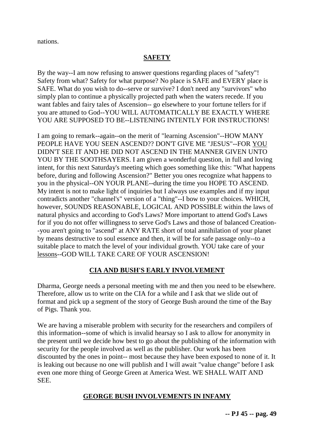nations.

## **SAFETY**

By the way--I am now refusing to answer questions regarding places of "safety"! Safety from what? Safety for what purpose? No place is SAFE and EVERY place is SAFE. What do you wish to do--serve or survive? I don't need any "survivors" who simply plan to continue a physically projected path when the waters recede. If you want fables and fairy tales of Ascension-- go elsewhere to your fortune tellers for if you are attuned to God--YOU WILL AUTOMATICALLY BE EXACTLY WHERE YOU ARE SUPPOSED TO BE--LISTENING INTENTLY FOR INSTRUCTIONS!

I am going to remark--again--on the merit of "learning Ascension"--HOW MANY PEOPLE HAVE YOU SEEN ASCEND?? DON'T GIVE ME "JESUS"--FOR YOU DIDN'T SEE IT AND HE DID NOT ASCEND IN THE MANNER GIVEN UNTO YOU BY THE SOOTHSAYERS. I am given a wonderful question, in full and loving intent, for this next Saturday's meeting which goes something like this: "What happens before, during and following Ascension?" Better you ones recognize what happens to you in the physical--ON YOUR PLANE--during the time you HOPE TO ASCEND. My intent is not to make light of inquiries but I always use examples and if my input contradicts another "channel's" version of a "thing"--I bow to your choices. WHICH, however, SOUNDS REASONABLE, LOGICAL AND POSSIBLE within the laws of natural physics and according to God's Laws? More important to attend God's Laws for if you do not offer willingness to serve God's Laws and those of balanced Creation- -you aren't going to "ascend" at ANY RATE short of total annihilation of your planet by means destructive to soul essence and then, it will be for safe passage only--to a suitable place to match the level of your individual growth. YOU take care of your lessons--GOD WILL TAKE CARE OF YOUR ASCENSION!

# **CIA AND BUSH'S EARLY INVOLVEMENT**

Dharma, George needs a personal meeting with me and then you need to be elsewhere. Therefore, allow us to write on the CIA for a while and I ask that we slide out of format and pick up a segment of the story of George Bush around the time of the Bay of Pigs. Thank you.

We are having a miserable problem with security for the researchers and compilers of this information--some of which is invalid hearsay so I ask to allow for anonymity in the present until we decide how best to go about the publishing of the information with security for the people involved as well as the publisher. Our work has been discounted by the ones in point-- most because they have been exposed to none of it. It is leaking out because no one will publish and I will await "value change" before I ask even one more thing of George Green at America West. WE SHALL WAIT AND SEE.

# **GEORGE BUSH INVOLVEMENTS IN INFAMY**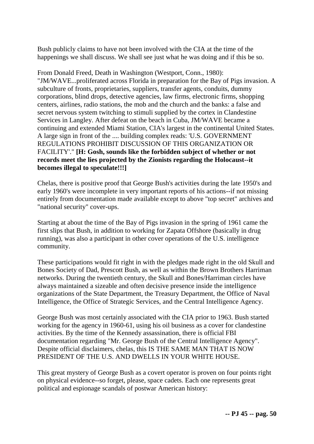Bush publicly claims to have not been involved with the CIA at the time of the happenings we shall discuss. We shall see just what he was doing and if this be so.

From Donald Freed, Death in Washington (Westport, Conn., 1980): "JM/WAVE...proliferated across Florida in preparation for the Bay of Pigs invasion. A subculture of fronts, proprietaries, suppliers, transfer agents, conduits, dummy corporations, blind drops, detective agencies, law firms, electronic firms, shopping centers, airlines, radio stations, the mob and the church and the banks: a false and secret nervous system twitching to stimuli supplied by the cortex in Clandestine Services in Langley. After defeat on the beach in Cuba, JM/WAVE became a continuing and extended Miami Station, CIA's largest in the continental United States. A large sign in front of the .... building complex reads: 'U.S. GOVERNMENT REGULATIONS PROHIBIT DISCUSSION OF THIS ORGANIZATION OR FACILITY'." **[H: Gosh, sounds like the forbidden subject of whether or not records meet the lies projected by the Zionists regarding the Holocaust--it becomes illegal to speculate!!!]**

Chelas, there is positive proof that George Bush's activities during the late 1950's and early 1960's were incomplete in very important reports of his actions--if not missing entirely from documentation made available except to above "top secret" archives and "national security" cover-ups.

Starting at about the time of the Bay of Pigs invasion in the spring of 1961 came the first slips that Bush, in addition to working for Zapata Offshore (basically in drug running), was also a participant in other cover operations of the U.S. intelligence community.

These participations would fit right in with the pledges made right in the old Skull and Bones Society of Dad, Prescott Bush, as well as within the Brown Brothers Harriman networks. During the twentieth century, the Skull and Bones/Harriman circles have always maintained a sizeable and often decisive presence inside the intelligence organizations of the State Department, the Treasury Department, the Office of Naval Intelligence, the Office of Strategic Services, and the Central Intelligence Agency.

George Bush was most certainly associated with the CIA prior to 1963. Bush started working for the agency in 1960-61, using his oil business as a cover for clandestine activities. By the time of the Kennedy assassination, there is official FBI documentation regarding "Mr. George Bush of the Central Intelligence Agency". Despite official disclaimers, chelas, this IS THE SAME MAN THAT IS NOW PRESIDENT OF THE U.S. AND DWELLS IN YOUR WHITE HOUSE.

This great mystery of George Bush as a covert operator is proven on four points right on physical evidence--so forget, please, space cadets. Each one represents great political and espionage scandals of postwar American history: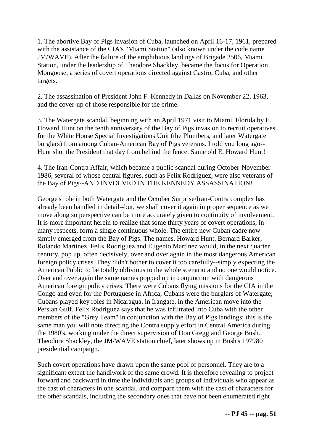1. The abortive Bay of Pigs invasion of Cuba, launched on April 16-17, 1961, prepared with the assistance of the CIA's "Miami Station" (also known under the code name JM/WAVE). After the failure of the amphibious landings of Brigade 2506, Miami Station, under the leadership of Theodore Shackley, became the focus for Operation Mongoose, a series of covert operations directed against Castro, Cuba, and other targets.

2. The assassination of President John F. Kennedy in Dallas on November 22, 1963, and the cover-up of those responsible for the crime.

3. The Watergate scandal, beginning with an April 1971 visit to Miami, Florida by E. Howard Hunt on the tenth anniversary of the Bay of Pigs invasion to recruit operatives for the White House Special Investigations Unit (the Plumbers, and later Watergate burglars) from among Cuban-American Bay of Pigs veterans. I told you long ago-- Hunt shot the President that day from behind the fence. Same old E. Howard Hunt!

4. The Iran-Contra Affair, which became a public scandal during October-November 1986, several of whose central figures, such as Felix Rodriguez, were also veterans of the Bay of Pigs--AND INVOLVED IN THE KENNEDY ASSASSINATION!

George's role in both Watergate and the October Surprise/Iran-Contra complex has already been handled in detail--but, we shall cover it again in proper sequence as we move along so perspective can be more accurately given to continuity of involvement. It is more important herein to realize that some thirty years of covert operations, in many respects, form a single continuous whole. The entire new Cuban cadre now simply emerged from the Bay of Pigs. The names, Howard Hunt, Bernard Barker, Rolando Martinez, Felix Rodriguez and Eugenio Martinez would, in the next quarter century, pop up, often decisively, over and over again in the most dangerous American foreign policy crises. They didn't bother to cover it too carefully--simply expecting the American Public to be totally oblivious to the whole scenario and no one would notice. Over and over again the same names popped up in conjunction with dangerous American foreign policy crises. There were Cubans flying missions for the CIA in the Congo and even for the Portuguese in Africa; Cubans were the burglars of Watergate; Cubans played key roles in Nicaragua, in Irangate, in the American move into the Persian Gulf. Felix Rodriguez says that he was infiltrated into Cuba with the other members of the "Grey Team" in conjunction with the Bay of Pigs landings; this is the same man you will note directing the Contra supply effort in Central America during the 1980's, working under the direct supervision of Don Gregg and George Bush. Theodore Shackley, the JM/WAVE station chief, later shows up in Bush's 197980 presidential campaign.

Such covert operations have drawn upon the same pool of personnel. They are to a significant extent the handiwork of the same crowd. It is therefore revealing to project forward and backward in time the individuals and groups of individuals who appear as the cast of characters in one scandal, and compare them with the cast of characters for the other scandals, including the secondary ones that have not been enumerated right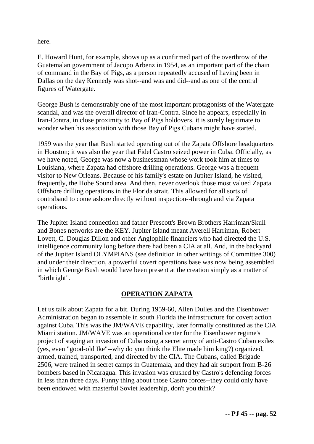here.

E. Howard Hunt, for example, shows up as a confirmed part of the overthrow of the Guatemalan government of Jacopo Arbenz in 1954, as an important part of the chain of command in the Bay of Pigs, as a person repeatedly accused of having been in Dallas on the day Kennedy was shot--and was and did--and as one of the central figures of Watergate.

George Bush is demonstrably one of the most important protagonists of the Watergate scandal, and was the overall director of Iran-Contra. Since he appears, especially in Iran-Contra, in close proximity to Bay of Pigs holdovers, it is surely legitimate to wonder when his association with those Bay of Pigs Cubans might have started.

1959 was the year that Bush started operating out of the Zapata Offshore headquarters in Houston; it was also the year that Fidel Castro seized power in Cuba. Officially, as we have noted, George was now a businessman whose work took him at times to Louisiana, where Zapata had offshore drilling operations. George was a frequent visitor to New Orleans. Because of his family's estate on Jupiter Island, he visited, frequently, the Hobe Sound area. And then, never overlook those most valued Zapata Offshore drilling operations in the Florida strait. This allowed for all sorts of contraband to come ashore directly without inspection--through and via Zapata operations.

The Jupiter Island connection and father Prescott's Brown Brothers Harriman/Skull and Bones networks are the KEY. Jupiter Island meant Averell Harriman, Robert Lovett, C. Douglas Dillon and other Anglophile financiers who had directed the U.S. intelligence community long before there had been a CIA at all. And, in the backyard of the Jupiter Island OLYMPIANS (see definition in other writings of Committee 300) and under their direction, a powerful covert operations base was now being assembled in which George Bush would have been present at the creation simply as a matter of "birthright".

# **OPERATION ZAPATA**

Let us talk about Zapata for a bit. During 1959-60, Allen Dulles and the Eisenhower Administration began to assemble in south Florida the infrastructure for covert action against Cuba. This was the JM/WAVE capability, later formally constituted as the CIA Miami station. JM/WAVE was an operational center for the Eisenhower regime's project of staging an invasion of Cuba using a secret army of anti-Castro Cuban exiles (yes, even "good-old Ike"--why do you think the Elite made him king?) organized, armed, trained, transported, and directed by the CIA. The Cubans, called Brigade 2506, were trained in secret camps in Guatemala, and they had air support from B-26 bombers based in Nicaragua. This invasion was crushed by Castro's defending forces in less than three days. Funny thing about those Castro forces--they could only have been endowed with masterful Soviet leadership, don't you think?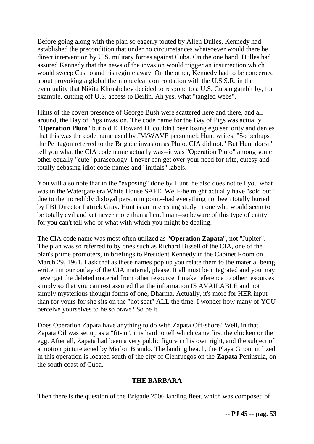Before going along with the plan so eagerly touted by Allen Dulles, Kennedy had established the precondition that under no circumstances whatsoever would there be direct intervention by U.S. military forces against Cuba. On the one hand, Dulles had assured Kennedy that the news of the invasion would trigger an insurrection which would sweep Castro and his regime away. On the other, Kennedy had to be concerned about provoking a global thermonuclear confrontation with the U.S.S.R. in the eventuality that Nikita Khrushchev decided to respond to a U.S. Cuban gambit by, for example, cutting off U.S. access to Berlin. Ah yes, what "tangled webs".

Hints of the covert presence of George Bush were scattered here and there, and all around, the Bay of Pigs invasion. The code name for the Bay of Pigs was actually "**Operation Pluto**" but old E. Howard H. couldn't bear losing ego seniority and denies that this was the code name used by JM/WAVE personnel; Hunt writes: "So perhaps the Pentagon referred to the Brigade invasion as Pluto. CIA did not." But Hunt doesn't tell you what the CIA code name actually was--it was "Operation Pluto" among some other equally "cute" phraseology. I never can get over your need for trite, cutesy and totally debasing idiot code-names and "initials" labels.

You will also note that in the "exposing" done by Hunt, he also does not tell you what was in the Watergate era White House SAFE. Well--he might actually have "sold out" due to the incredibly disloyal person in point--had everything not been totally buried by FBI Director Patrick Gray. Hunt is an interesting study in one who would seem to be totally evil and yet never more than a henchman--so beware of this type of entity for you can't tell who or what with which you might be dealing.

The CIA code name was most often utilized as "**Operation Zapata**", not "Jupiter". The plan was so referred to by ones such as Richard Bissell of the CIA, one of the plan's prime promoters, in briefings to President Kennedy in the Cabinet Room on March 29, 1961. I ask that as these names pop up you relate them to the material being written in our outlay of the CIA material, please. It all must be integrated and you may never get the deleted material from other resource. I make reference to other resources simply so that you can rest assured that the information IS AVAILABLE and not simply mysterious thought forms of one, Dharma. Actually, it's more for HER input than for yours for she sits on the "hot seat" ALL the time. I wonder how many of YOU perceive yourselves to be so brave? So be it.

Does Operation Zapata have anything to do with Zapata Off-shore? Well, in that Zapata Oil was set up as a "fit-in", it is hard to tell which came first the chicken or the egg. After all, Zapata had been a very public figure in his own right, and the subject of a motion picture acted by Marlon Brando. The landing beach, the Playa Giron, utilized in this operation is located south of the city of Cienfuegos on the **Zapata** Peninsula, on the south coast of Cuba.

## **THE BARBARA**

Then there is the question of the Brigade 2506 landing fleet, which was composed of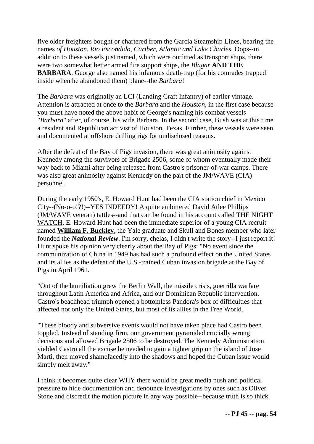five older freighters bought or chartered from the Garcia Steamship Lines, bearing the names *of Houston, Rio Escondido, Cariber, Atlantic and Lake Charles.* Oops--in addition to these vessels just named, which were outfitted as transport ships, there were two somewhat better armed fire support ships, the *Blagar* **AND THE BARBARA**. George also named his infamous death-trap (for his comrades trapped inside when he abandoned them) plane--the *Barbara*!

The *Barbara* was originally an LCI (Landing Craft Infantry) of earlier vintage. Attention is attracted at once to the *Barbara* and the *Houston*, in the first case because you must have noted the above habit of George's naming his combat vessels "*Barbara*" after, of course, his wife Barbara. In the second case, Bush was at this time a resident and Republican activist of Houston, Texas. Further, these vessels were seen and documented at offshore drilling rigs for undisclosed reasons.

After the defeat of the Bay of Pigs invasion, there was great animosity against Kennedy among the survivors of Brigade 2506, some of whom eventually made their way back to Miami after being released from Castro's prisoner-of-war camps. There was also great animosity against Kennedy on the part of the JM/WAVE (CIA) personnel.

During the early 1950's, E. Howard Hunt had been the CIA station chief in Mexico City--(No-o-o!?!)--YES INDEEDY! A quite embittered David Atlee Phillips (JM/WAVE veteran) tattles--and that can be found in his account called THE NIGHT WATCH. E. Howard Hunt had been the immediate superior of a young CIA recruit named **William F. Buckley**, the Yale graduate and Skull and Bones member who later founded the *National Review*. I'm sorry, chelas, I didn't write the story--I just report it! Hunt spoke his opinion very clearly about the Bay of Pigs: "No event since the communization of China in 1949 has had such a profound effect on the United States and its allies as the defeat of the U.S.-trained Cuban invasion brigade at the Bay of Pigs in April 1961.

"Out of the humiliation grew the Berlin Wall, the missile crisis, guerrilla warfare throughout Latin America and Africa, and our Dominican Republic intervention. Castro's beachhead triumph opened a bottomless Pandora's box of difficulties that affected not only the United States, but most of its allies in the Free World.

"These bloody and subversive events would not have taken place had Castro been toppled. Instead of standing firm, our government pyramided crucially wrong decisions and allowed Brigade 2506 to be destroyed. The Kennedy Administration yielded Castro all the excuse he needed to gain a tighter grip on the island of Jose Marti, then moved shamefacedly into the shadows and hoped the Cuban issue would simply melt away."

I think it becomes quite clear WHY there would be great media push and political pressure to hide documentation and denounce investigations by ones such as Oliver Stone and discredit the motion picture in any way possible--because truth is so thick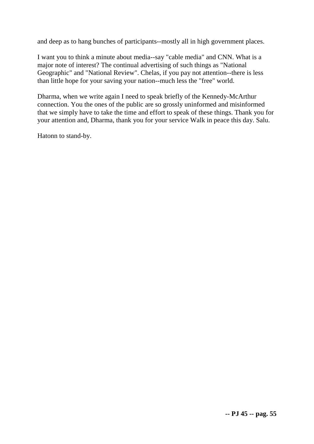and deep as to hang bunches of participants--mostly all in high government places.

I want you to think a minute about media--say "cable media" and CNN. What is a major note of interest? The continual advertising of such things as "National Geographic" and "National Review". Chelas, if you pay not attention--there is less than little hope for your saving your nation--much less the "free" world.

Dharma, when we write again I need to speak briefly of the Kennedy-McArthur connection. You the ones of the public are so grossly uninformed and misinformed that we simply have to take the time and effort to speak of these things. Thank you for your attention and, Dharma, thank you for your service Walk in peace this day. Salu.

Hatonn to stand-by.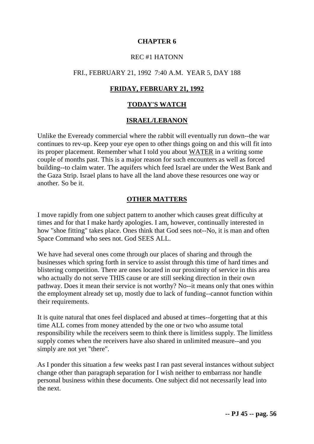### **CHAPTER 6**

### REC #1 HATONN

### FRI., FEBRUARY 21, 1992 7:40 A.M. YEAR 5, DAY 188

### **FRIDAY, FEBRUARY 21, 1992**

### **TODAY'S WATCH**

#### **ISRAEL/LEBANON**

Unlike the Eveready commercial where the rabbit will eventually run down--the war continues to rev-up. Keep your eye open to other things going on and this will fit into its proper placement. Remember what I told you about WATER in a writing some couple of months past. This is a major reason for such encounters as well as forced building--to claim water. The aquifers which feed Israel are under the West Bank and the Gaza Strip. Israel plans to have all the land above these resources one way or another. So be it.

#### **OTHER MATTERS**

I move rapidly from one subject pattern to another which causes great difficulty at times and for that I make hardy apologies. I am, however, continually interested in how "shoe fitting" takes place. Ones think that God sees not--No, it is man and often Space Command who sees not. God SEES ALL.

We have had several ones come through our places of sharing and through the businesses which spring forth in service to assist through this time of hard times and blistering competition. There are ones located in our proximity of service in this area who actually do not serve THIS cause or are still seeking direction in their own pathway. Does it mean their service is not worthy? No--it means only that ones within the employment already set up, mostly due to lack of funding--cannot function within their requirements.

It is quite natural that ones feel displaced and abused at times--forgetting that at this time ALL comes from money attended by the one or two who assume total responsibility while the receivers seem to think there is limitless supply. The limitless supply comes when the receivers have also shared in unlimited measure--and you simply are not yet "there".

As I ponder this situation a few weeks past I ran past several instances without subject change other than paragraph separation for I wish neither to embarrass nor handle personal business within these documents. One subject did not necessarily lead into the next.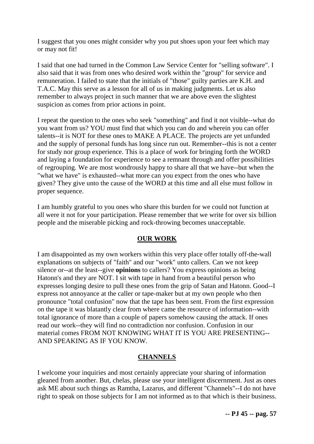I suggest that you ones might consider why you put shoes upon your feet which may or may not fit!

I said that one had turned in the Common Law Service Center for "selling software". I also said that it was from ones who desired work within the "group" for service and remuneration. I failed to state that the initials of "those" guilty parties are K.H. and T.A.C. May this serve as a lesson for all of us in making judgments. Let us also remember to always project in such manner that we are above even the slightest suspicion as comes from prior actions in point.

I repeat the question to the ones who seek "something" and find it not visible--what do you want from us? YOU must find that which you can do and wherein you can offer talents--it is NOT for these ones to MAKE A PLACE. The projects are yet unfunded and the supply of personal funds has long since run out. Remember--this is not a center for study nor group experience. This is a place of work for bringing forth the WORD and laying a foundation for experience to see a remnant through and offer possibilities of regrouping. We are most wondrously happy to share all that we have--but when the "what we have" is exhausted--what more can you expect from the ones who have given? They give unto the cause of the WORD at this time and all else must follow in proper sequence.

I am humbly grateful to you ones who share this burden for we could not function at all were it not for your participation. Please remember that we write for over six billion people and the miserable picking and rock-throwing becomes unacceptable.

# **OUR WORK**

I am disappointed as my own workers within this very place offer totally off-the-wall explanations on subjects of "faith" and our "work" unto callers. Can we not keep silence or--at the least--give **opinions** to callers? You express opinions as being Hatonn's and they are NOT. I sit with tape in hand from a beautiful person who expresses longing desire to pull these ones from the grip of Satan and Hatonn. Good--I express not annoyance at the caller or tape-maker but at my own people who then pronounce "total confusion" now that the tape has been sent. From the first expression on the tape it was blatantly clear from where came the resource of information--with total ignorance of more than a couple of papers somehow causing the attack. If ones read our work--they will find no contradiction nor confusion. Confusion in our material comes FROM NOT KNOWING WHAT IT IS YOU ARE PRESENTING-- AND SPEAKING AS IF YOU KNOW.

# **CHANNELS**

I welcome your inquiries and most certainly appreciate your sharing of information gleaned from another. But, chelas, please use your intelligent discernment. Just as ones ask ME about such things as Ramtha, Lazarus, and different "Channels"--I do not have right to speak on those subjects for I am not informed as to that which is their business.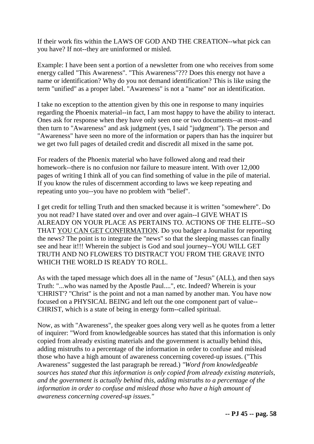If their work fits within the LAWS OF GOD AND THE CREATION--what pick can you have? If not--they are uninformed or misled.

Example: I have been sent a portion of a newsletter from one who receives from some energy called "This Awareness". "This Awareness"??? Does this energy not have a name or identification? Why do you not demand identification? This is like using the term "unified" as a proper label. "Awareness" is not a "name" nor an identification.

I take no exception to the attention given by this one in response to many inquiries regarding the Phoenix material--in fact, I am most happy to have the ability to interact. Ones ask for response when they have only seen one or two documents--at most--and then turn to "Awareness" and ask judgment (yes, I said "judgment"). The person and "Awareness" have seen no more of the information or papers than has the inquirer but we get two full pages of detailed credit and discredit all mixed in the same pot.

For readers of the Phoenix material who have followed along and read their homework--there is no confusion nor failure to measure intent. With over 12,000 pages of writing I think all of you can find something of value in the pile of material. If you know the rules of discernment according to laws we keep repeating and repeating unto you--you have no problem with "belief".

I get credit for telling Truth and then smacked because it is written "somewhere". Do you not read? I have stated over and over and over again--I GIVE WHAT IS ALREADY ON YOUR PLACE AS PERTAINS TO. ACTIONS OF THE ELITE--SO THAT YOU CAN GET CONFIRMATION. Do you badger a Journalist for reporting the news? The point is to integrate the "news" so that the sleeping masses can finally see and hear it!!! Wherein the subject is God and soul journey--YOU WILL GET TRUTH AND NO FLOWERS TO DISTRACT YOU FROM THE GRAVE INTO WHICH THE WORLD IS READY TO ROLL.

As with the taped message which does all in the name of "Jesus" (ALL), and then says Truth: "...who was named by the Apostle Paul....", etc. Indeed? Wherein is your 'CHRIST'? "Christ" is the point and not a man named by another man. You have now focused on a PHYSICAL BEING and left out the one component part of value-- CHRIST, which is a state of being in energy form--called spiritual.

Now, as with "Awareness", the speaker goes along very well as he quotes from a letter of inquirer: "Word from knowledgeable sources has stated that this information is only copied from already existing materials and the government is actually behind this, adding mistruths to a percentage of the information in order to confuse and mislead those who have a high amount of awareness concerning covered-up issues. ("This Awareness" suggested the last paragraph be reread*.*) *"Word from knowledgeable sources has stated that this information is only copied from already existing materials, and the government is actually behind this, adding mistruths to a percentage of the information in order to confuse and mislead those who have a high amount of awareness concerning covered-up issues."*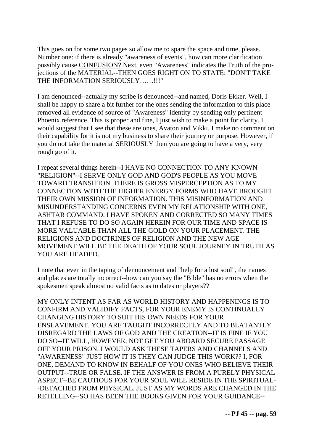This goes on for some two pages so allow me to spare the space and time, please. Number one: if there is already "awareness of events", how can more clarification possibly cause CONFUSION? Next, even "Awareness" indicates the Truth of the projections of the MATERIAL--THEN GOES RIGHT ON TO STATE: "DON'T TAKE THE INFORMATION SERIOUSLY……!!!"

I am denounced--actually my scribe is denounced--and named, Doris Ekker. Well, I shall be happy to share a bit further for the ones sending the information to this place removed all evidence of source of "Awareness" identity by sending only pertinent Phoenix reference. This is proper and fine, I just wish to make a point for clarity. I would suggest that I see that these are ones, Avaton and Vikki. I make no comment on their capability for it is not my business to share their journey or purpose. However, if you do not take the material SERIOUSLY then you are going to have a very, very rough go of it.

I repeat several things herein--I HAVE NO CONNECTION TO ANY KNOWN "RELIGION"--I SERVE ONLY GOD AND GOD'S PEOPLE AS YOU MOVE TOWARD TRANSITION. THERE IS GROSS MISPERCEPTION AS TO MY CONNECTION WITH THE HIGHER ENERGY FORMS WHO HAVE BROUGHT THEIR OWN MISSION OF INFORMATION. THIS MISINFORMATION AND MISUNDERSTANDING CONCERNS EVEN MY RELATIONSHIP WITH ONE, ASHTAR COMMAND. I HAVE SPOKEN AND CORRECTED SO MANY TIMES THAT I REFUSE TO DO SO AGAIN HEREIN FOR OUR TIME AND SPACE IS MORE VALUABLE THAN ALL THE GOLD ON YOUR PLACEMENT. THE RELIGIONS AND DOCTRINES OF RELIGION AND THE NEW AGE MOVEMENT WILL BE THE DEATH OF YOUR SOUL JOURNEY IN TRUTH AS YOU ARE HEADED.

I note that even in the taping of denouncement and "help for a lost soul", the names and places are totally incorrect--how can you say the "Bible" has no errors when the spokesmen speak almost no valid facts as to dates or players??

MY ONLY INTENT AS FAR AS WORLD HISTORY AND HAPPENINGS IS TO CONFIRM AND VALIDIFY FACTS, FOR YOUR ENEMY IS CONTINUALLY CHANGING HISTORY TO SUIT HIS OWN NEEDS FOR YOUR ENSLAVEMENT. YOU ARE TAUGHT INCORRECTLY AND TO BLATANTLY DISREGARD THE LAWS OF GOD AND THE CREATION--IT IS FINE IF YOU DO SO--IT WILL, HOWEVER, NOT GET YOU ABOARD SECURE PASSAGE OFF YOUR PRISON. I WOULD ASK THESE TAPERS AND CHANNELS AND "AWARENESS" JUST HOW IT IS THEY CAN JUDGE THIS WORK?? I, FOR ONE, DEMAND TO KNOW IN BEHALF OF YOU ONES WHO BELIEVE THEIR OUTPUT--TRUE OR FALSE. IF THE ANSWER IS FROM A PURELY PHYSICAL ASPECT--BE CAUTIOUS FOR YOUR SOUL WILL RESIDE IN THE SPIRITUAL- -DETACHED FROM PHYSICAL. JUST AS MY WORDS ARE CHANGED IN THE RETELLING--SO HAS BEEN THE BOOKS GIVEN FOR YOUR GUIDANCE--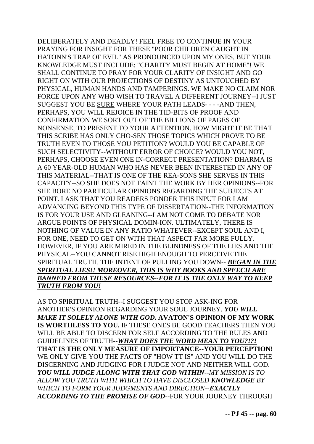DELIBERATELY AND DEADLY! FEEL FREE TO CONTINUE IN YOUR PRAYING FOR INSIGHT FOR THESE "POOR CHILDREN CAUGHT IN HATONN'S TRAP OF EVIL" AS PRONOUNCED UPON MY ONES, BUT YOUR KNOWLEDGE MUST INCLUDE: "CHARITY MUST BEGIN AT HOME"! WE SHALL CONTINUE TO PRAY FOR YOUR CLARITY OF INSIGHT AND GO RIGHT ON WITH OUR PROJECTIONS OF DESTINY AS UNTOUCHED BY PHYSICAL, HUMAN HANDS AND TAMPERINGS. WE MAKE NO CLAIM NOR FORCE UPON ANY WHO WISH TO TRAVEL A DIFFERENT JOURNEY--I JUST SUGGEST YOU BE SURE WHERE YOUR PATH LEADS- - - -AND THEN, PERHAPS, YOU WILL REJOICE IN THE TID-BITS OF PROOF AND CONFIRMATION WE SORT OUT OF THE BILLIONS OF PAGES OF NONSENSE, TO PRESENT TO YOUR ATTENTION. HOW MIGHT IT BE THAT THIS SCRIBE HAS ONLY CHO-SEN THOSE TOPICS WHICH PROVE TO BE TRUTH EVEN TO THOSE YOU PETITION? WOULD YOU BE CAPABLE OF SUCH SELECTIVITY--WITHOUT ERROR OF CHOICE? WOULD YOU NOT, PERHAPS, CHOOSE EVEN ONE IN-CORRECT PRESENTATION? DHARMA IS A 60 YEAR-OLD HUMAN WHO HAS NEVER BEEN INTERESTED IN ANY OF THIS MATERIAL--THAT IS ONE OF THE REA-SONS SHE SERVES IN THIS CAPACITY--SO SHE DOES NOT TAINT THE WORK BY HER OPINIONS--FOR SHE BORE NO PARTICULAR OPINIONS REGARDING THE SUBJECTS AT POINT. I ASK THAT YOU READERS PONDER THIS INPUT FOR I AM ADVANCING BEYOND THIS TYPE OF DISSERTATION--THE INFORMATION IS FOR YOUR USE AND GLEANING--I AM NOT COME TO DEBATE NOR ARGUE POINTS OF PHYSICAL DOMIN-ION. ULTIMATELY, THERE IS NOTHING OF VALUE IN ANY RATIO WHATEVER--EXCEPT SOUL AND I, FOR ONE, NEED TO GET ON WITH THAT ASPECT FAR MORE FULLY. HOWEVER, IF YOU ARE MIRED IN THE BLINDNESS OF THE LIES AND THE PHYSICAL--YOU CANNOT RISE HIGH ENOUGH TO PERCEIVE THE SPIRITUAL TRUTH. THE INTENT OF PULLING YOU DOWN-- *BEGAN IN THE SPIRITUAL LIES!! MOREOVER, THIS IS WHY BOOKS AND SPEECH ARE BANNED FROM THESE RESOURCES--FOR IT IS THE ONLY WAY TO KEEP TRUTH FROM YOU!*

AS TO SPIRITUAL TRUTH--I SUGGEST YOU STOP ASK-ING FOR ANOTHER'S OPINION REGARDING YOUR SOUL JOURNEY. *YOU WILL MAKE IT SOLELY ALONE WITH GOD.* **AVATON'S OPINION OF MY WORK IS WORTHLESS TO YOU.** IF THESE ONES BE GOOD TEACHERS THEN YOU WILL BE ABLE TO DISCERN FOR SELF ACCORDING TO THE RULES AND GUIDELINES OF TRUTH--*WHAT DOES THE WORD MEAN TO YOU?!?!* **THAT IS THE ONLY MEASURE OF IMPORTANCE--YOUR PERCEPTION!** WE ONLY GIVE YOU THE FACTS OF "HOW TT IS" AND YOU WILL DO THE DISCERNING AND JUDGING FOR I JUDGE NOT AND NEITHER WILL GOD. *YOU WILL JUDGE ALONG WITH THAT GOD WITHIN*--*MY MISSION IS TO ALLOW YOU TRUTH WITH WHICH TO HAVE DISCLOSED KNOWLEDGE BY WHICH TO FORM YOUR JUDGMENTS AND DIRECTION--EXACTLY ACCORDING TO THE PROMISE OF GOD*--FOR YOUR JOURNEY THROUGH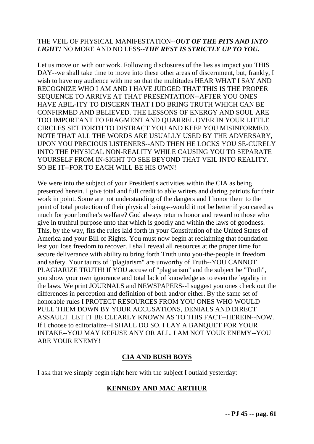## THE VEIL OF PHYSICAL MANIFESTATION--*OUT OF THE PITS AND INTO LIGHT!* NO MORE AND NO LESS--*THE REST IS STRICTLY UP TO YOU.*

Let us move on with our work. Following disclosures of the lies as impact you THIS DAY--we shall take time to move into these other areas of discernment, but, frankly, I wish to have my audience with me so that the multitudes HEAR WHAT I SAY AND RECOGNIZE WHO I AM AND I HAVE JUDGED THAT THIS IS THE PROPER SEQUENCE TO ARRIVE AT THAT PRESENTATION--AFTER YOU ONES HAVE ABIL-ITY TO DISCERN THAT I DO BRING TRUTH WHICH CAN BE CONFIRMED AND BELIEVED. THE LESSONS OF ENERGY AND SOUL ARE TOO IMPORTANT TO FRAGMENT AND QUARREL OVER IN YOUR LITTLE CIRCLES SET FORTH TO DISTRACT YOU AND KEEP YOU MISINFORMED. NOTE THAT ALL THE WORDS ARE USUALLY USED BY THE ADVERSARY, UPON YOU PRECIOUS LISTENERS--AND THEN HE LOCKS YOU SE-CURELY INTO THE PHYSICAL NON-REALITY WHILE CAUSING YOU TO SEPARATE YOURSELF FROM IN-SIGHT TO SEE BEYOND THAT VEIL INTO REALITY. SO BE IT--FOR TO EACH WILL BE HIS OWN!

We were into the subject of your President's activities within the CIA as being presented herein. I give total and full credit to able writers and daring patriots for their work in point. Some are not understanding of the dangers and I honor them to the point of total protection of their physical beings--would it not be better if you cared as much for your brother's welfare? God always returns honor and reward to those who give in truthful purpose unto that which is goodly and within the laws of goodness. This, by the way, fits the rules laid forth in your Constitution of the United States of America and your Bill of Rights. You must now begin at reclaiming that foundation lest you lose freedom to recover. I shall reveal all resources at the proper time for secure deliverance with ability to bring forth Truth unto you-the-people in freedom and safety. Your taunts of "plagiarism" are unworthy of Truth--YOU CANNOT PLAGIARIZE TRUTH! If YOU accuse of "plagiarism" and the subject be "Truth", you show your own ignorance and total lack of knowledge as to even the legality in the laws. We print JOURNALS and NEWSPAPERS--I suggest you ones check out the differences in perception and definition of both and/or either. By the same set of honorable rules I PROTECT RESOURCES FROM YOU ONES WHO WOULD PULL THEM DOWN BY YOUR ACCUSATIONS, DENIALS AND DIRECT ASSAULT. LET IT BE CLEARLY KNOWN AS TO THIS FACT--HEREIN--NOW. If I choose to editorialize--I SHALL DO SO. I LAY A BANQUET FOR YOUR INTAKE--YOU MAY REFUSE ANY OR ALL. I AM NOT YOUR ENEMY--YOU ARE YOUR ENEMY!

## **CIA AND BUSH BOYS**

I ask that we simply begin right here with the subject I outlaid yesterday:

# **KENNEDY AND MAC ARTHUR**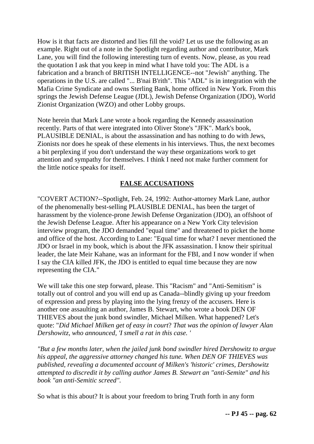How is it that facts are distorted and lies fill the void? Let us use the following as an example. Right out of a note in the Spotlight regarding author and contributor, Mark Lane, you will find the following interesting turn of events. Now, please, as you read the quotation I ask that you keep in mind what I have told you: The ADL is a fabrication and a branch of BRITISH INTELLIGENCE--not "Jewish" anything. The operations in the U.S. are called "... B'nai B'rith". This "ADL" is in integration with the Mafia Crime Syndicate and owns Sterling Bank, home officed in New York. From this springs the Jewish Defense League (JDL), Jewish Defense Organization (JDO), World Zionist Organization (WZO) and other Lobby groups.

Note herein that Mark Lane wrote a book regarding the Kennedy assassination recently. Parts of that were integrated into Oliver Stone's "JFK". Mark's book, PLAUSIBLE DENIAL, is about the assassination and has nothing to do with Jews, Zionists nor does he speak of these elements in his interviews. Thus, the next becomes a bit perplexing if you don't understand the way these organizations work to get attention and sympathy for themselves. I think I need not make further comment for the little notice speaks for itself.

# **FALSE ACCUSATIONS**

"COVERT ACTION?--Spotlight, Feb. 24, 1992: Author-attorney Mark Lane, author of the phenomenally best-selling PLAUSIBLE DENIAL, has been the target of harassment by the violence-prone Jewish Defense Organization (JDO), an offshoot of the Jewish Defense League. After his appearance on a New York City television interview program, the JDO demanded "equal time" and threatened to picket the home and office of the host. According to Lane: "Equal time for what? I never mentioned the JDO or Israel in my book, which is about the JFK assassination. I know their spiritual leader, the late Meir Kahane, was an informant for the FBI, and I now wonder if when I say the CIA killed JFK, the JDO is entitled to equal time because they are now representing the CIA."

We will take this one step forward, please. This "Racism" and "Anti-Semitism" is totally out of control and you will end up as Canada--blindly giving up your freedom of expression and press by playing into the lying frenzy of the accusers. Here is another one assaulting an author, James B. Stewart, who wrote a book DEN OF THIEVES about the junk bond swindler, Michael Milken. What happened? Let's quote: "*Did Michael Milken get of easy in court*? *That was the opinion of lawyer Alan Dershowitz, who announced, 'I smell a rat in this case. '*

*"But a few months later, when the jailed junk bond swindler hired Dershowitz to argue his appeal, the aggressive attorney changed his tune. When DEN OF THIEVES was published, revealing a documented account of Milken's 'historic' crimes, Dershowitz attempted to discredit it by calling author James B. Stewart an "anti-Semite" and his book "an anti-Semitic screed".*

So what is this about? It is about your freedom to bring Truth forth in any form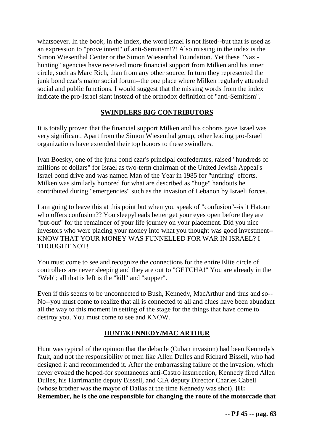whatsoever. In the book, in the Index, the word Israel is not listed--but that is used as an expression to "prove intent" of anti-Semitism!?! Also missing in the index is the Simon Wiesenthal Center or the Simon Wiesenthal Foundation. Yet these "Nazihunting" agencies have received more financial support from Milken and his inner circle, such as Marc Rich, than from any other source. In turn they represented the junk bond czar's major social forum--the one place where Milken regularly attended social and public functions. I would suggest that the missing words from the index indicate the pro-Israel slant instead of the orthodox definition of "anti-Semitism".

# **SWINDLERS BIG CONTRIBUTORS**

It is totally proven that the financial support Milken and his cohorts gave Israel was very significant. Apart from the Simon Wiesenthal group, other leading pro-Israel organizations have extended their top honors to these swindlers.

Ivan Boesky, one of the junk bond czar's principal confederates, raised "hundreds of millions of dollars" for Israel as two-term chairman of the United Jewish Appeal's Israel bond drive and was named Man of the Year in 1985 for "untiring" efforts. Milken was similarly honored for what are described as "huge" handouts he contributed during "emergencies" such as the invasion of Lebanon by Israeli forces.

I am going to leave this at this point but when you speak of "confusion"--is it Hatonn who offers confusion?? You sleepyheads better get your eyes open before they are "put-out" for the remainder of your life journey on your placement. Did you nice investors who were placing your money into what you thought was good investment-- KNOW THAT YOUR MONEY WAS FUNNELLED FOR WAR IN ISRAEL? I THOUGHT NOT!

You must come to see and recognize the connections for the entire Elite circle of controllers are never sleeping and they are out to "GETCHA!" You are already in the "Web"; all that is left is the "kill" and "supper".

Even if this seems to be unconnected to Bush, Kennedy, MacArthur and thus and so-- No--you must come to realize that all is connected to all and clues have been abundant all the way to this moment in setting of the stage for the things that have come to destroy you. You must come to see and KNOW.

# **HUNT/KENNEDY/MAC ARTHUR**

Hunt was typical of the opinion that the debacle (Cuban invasion) had been Kennedy's fault, and not the responsibility of men like Allen Dulles and Richard Bissell, who had designed it and recommended it. After the embarrassing failure of the invasion, which never evoked the hoped-for spontaneous anti-Castro insurrection, Kennedy fired Allen Dulles, his Harrimanite deputy Bissell, and CIA deputy Director Charles Cabell (whose brother was the mayor of Dallas at the time Kennedy was shot). **[H: Remember, he is the one responsible for changing the route of the motorcade that** 

**-- PJ 45 -- pag. 63**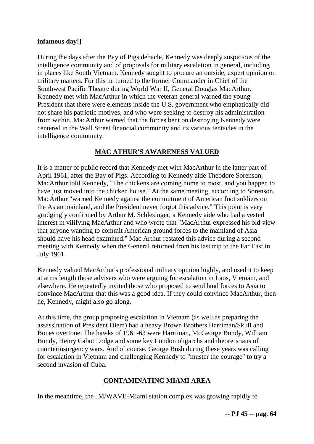## **infamous day!]**

During the days after the Bay of Pigs debacle, Kennedy was deeply suspicious of the intelligence community and of proposals for military escalation in general, including in places like South Vietnam. Kennedy sought to procure an outside, expert opinion on military matters. For this he turned to the former Commander in Chief of the Southwest Pacific Theatre during World War II, General Douglas MacArthur. Kennedy met with MacArthur in which the veteran general warned the young President that there were elements inside the U.S. government who emphatically did not share his patriotic motives, and who were seeking to destroy his administration from within. MacArthur warned that the forces bent on destroying Kennedy were centered in the Wall Street financial community and its various tentacles in the intelligence community.

## **MAC ATHUR'S AWARENESS VALUED**

It is a matter of public record that Kennedy met with MacArthur in the latter part of April 1961, after the Bay of Pigs. According to Kennedy aide Theodore Sorenson, MacArthur told Kennedy, "The chickens are coming home to roost, and you happen to have just moved into the chicken house." At the same meeting, according to Sorenson, MacArthur "warned Kennedy against the commitment of American foot soldiers on the Asian mainland, and the President never forgot this advice." This point is very grudgingly confirmed by Arthur M. Schlesinger, a Kennedy aide who had a vested interest in vilifying MacArthur and who wrote that "MacArthur expressed his old view that anyone wanting to commit American ground forces to the mainland of Asia should have his head examined." Mac Arthur restated this advice during a second meeting with Kennedy when the General returned from his last trip to the Far East in July 1961.

Kennedy valued MacArthur's professional military opinion highly, and used it to keep at arms length those advisers who were arguing for escalation in Laos, Vietnam, and elsewhere. He repeatedly invited those who proposed to send land forces to Asia to convince MacArthur that this was a good idea. If they could convince MacArthur, then he, Kennedy, might also go along.

At this time, the group proposing escalation in Vietnam (as well as preparing the assassination of President Diem) had a heavy Brown Brothers Harriman/Skull and Bones overtone: The hawks of 1961-63 were Harriman, McGeorge Bundy, William Bundy, Henry Cabot Lodge and some key London oligarchs and theoreticians of counterinsurgency wars. And of course, George Bush during these years was calling for escalation in Vietnam and challenging Kennedy to "muster the courage" to try a second invasion of Cuba.

## **CONTAMINATING MIAMI AREA**

In the meantime, the JM/WAVE-Miami station complex was growing rapidly to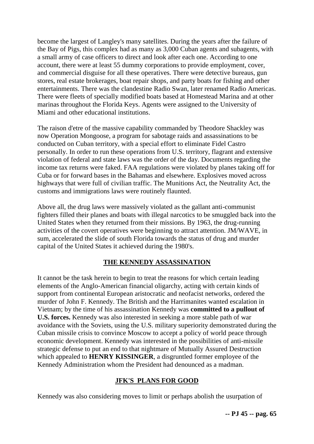become the largest of Langley's many satellites. During the years after the failure of the Bay of Pigs, this complex had as many as 3,000 Cuban agents and subagents, with a small army of case officers to direct and look after each one. According to one account, there were at least 55 dummy corporations to provide employment, cover, and commercial disguise for all these operatives. There were detective bureaus, gun stores, real estate brokerages, boat repair shops, and party boats for fishing and other entertainments. There was the clandestine Radio Swan, later renamed Radio Americas. There were fleets of specially modified boats based at Homestead Marina and at other marinas throughout the Florida Keys. Agents were assigned to the University of Miami and other educational institutions.

The raison d'etre of the massive capability commanded by Theodore Shackley was now Operation Mongoose, a program for sabotage raids and assassinations to be conducted on Cuban territory, with a special effort to eliminate Fidel Castro personally. In order to run these operations from U.S. territory, flagrant and extensive violation of federal and state laws was the order of the day. Documents regarding the income tax returns were faked. FAA regulations were violated by planes taking off for Cuba or for forward bases in the Bahamas and elsewhere. Explosives moved across highways that were full of civilian traffic. The Munitions Act, the Neutrality Act, the customs and immigrations laws were routinely flaunted.

Above all, the drug laws were massively violated as the gallant anti-communist fighters filled their planes and boats with illegal narcotics to be smuggled back into the United States when they returned from their missions. By 1963, the drug-running activities of the covert operatives were beginning to attract attention. JM/WAVE, in sum, accelerated the slide of south Florida towards the status of drug and murder capital of the United States it achieved during the 1980's.

# **THE KENNEDY ASSASSINATION**

It cannot be the task herein to begin to treat the reasons for which certain leading elements of the Anglo-American financial oligarchy, acting with certain kinds of support from continental European aristocratic and neofacist networks, ordered the murder of John F. Kennedy. The British and the Harrimanites wanted escalation in Vietnam; by the time of his assassination Kennedy was **committed to a pullout of U.S. forces.** Kennedy was also interested in seeking a more stable path of war avoidance with the Soviets, using the U.S. military superiority demonstrated during the Cuban missile crisis to convince Moscow to accept a policy of world peace through economic development. Kennedy was interested in the possibilities of anti-missile strategic defense to put an end to that nightmare of Mutually Assured Destruction which appealed to **HENRY KISSINGER**, a disgruntled former employee of the Kennedy Administration whom the President had denounced as a madman.

## **JFK'S PLANS FOR GOOD**

Kennedy was also considering moves to limit or perhaps abolish the usurpation of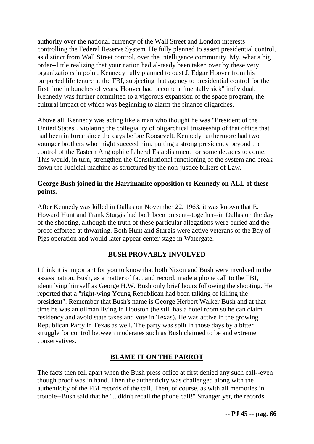authority over the national currency of the Wall Street and London interests controlling the Federal Reserve System. He fully planned to assert presidential control, as distinct from Wall Street control, over the intelligence community. My, what a big order--little realizing that your nation had al-ready been taken over by these very organizations in point. Kennedy fully planned to oust J. Edgar Hoover from his purported life tenure at the FBI, subjecting that agency to presidential control for the first time in bunches of years. Hoover had become a "mentally sick" individual. Kennedy was further committed to a vigorous expansion of the space program, the cultural impact of which was beginning to alarm the finance oligarches.

Above all, Kennedy was acting like a man who thought he was "President of the United States", violating the collegiality of oligarchical trusteeship of that office that had been in force since the days before Roosevelt. Kennedy furthermore had two younger brothers who might succeed him, putting a strong presidency beyond the control of the Eastern Anglophile Liberal Establishment for some decades to come. This would, in turn, strengthen the Constitutional functioning of the system and break down the Judicial machine as structured by the non-justice bilkers of Law.

## **George Bush joined in the Harrimanite opposition to Kennedy on ALL of these points.**

After Kennedy was killed in Dallas on November 22, 1963, it was known that E. Howard Hunt and Frank Sturgis had both been present--together--in Dallas on the day of the shooting, although the truth of these particular allegations were buried and the proof efforted at thwarting. Both Hunt and Sturgis were active veterans of the Bay of Pigs operation and would later appear center stage in Watergate.

# **BUSH PROVABLY INVOLVED**

I think it is important for you to know that both Nixon and Bush were involved in the assassination. Bush, as a matter of fact and record, made a phone call to the FBI, identifying himself as George H.W. Bush only brief hours following the shooting. He reported that a "right-wing Young Republican had been talking of killing the president". Remember that Bush's name is George Herbert Walker Bush and at that time he was an oilman living in Houston (he still has a hotel room so he can claim residency and avoid state taxes and vote in Texas). He was active in the growing Republican Party in Texas as well. The party was split in those days by a bitter struggle for control between moderates such as Bush claimed to be and extreme conservatives.

## **BLAME IT ON THE PARROT**

The facts then fell apart when the Bush press office at first denied any such call--even though proof was in hand. Then the authenticity was challenged along with the authenticity of the FBI records of the call. Then, of course, as with all memories in trouble--Bush said that he "...didn't recall the phone call!" Stranger yet, the records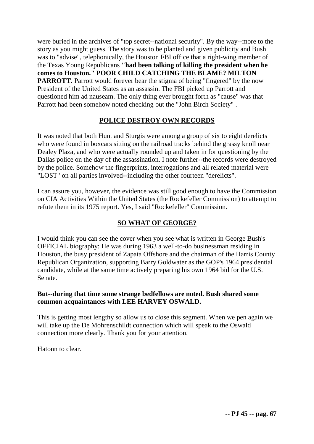were buried in the archives of "top secret--national security". By the way--more to the story as you might guess. The story was to be planted and given publicity and Bush was to "advise", telephonically, the Houston FBI office that a right-wing member of the Texas Young Republicans **"had been talking of killing the president when he comes to Houston." POOR CHILD CATCHING THE BLAME? MILTON PARROTT.** Parrott would forever bear the stigma of being "fingered" by the now President of the United States as an assassin. The FBI picked up Parrott and questioned him ad nauseam. The only thing ever brought forth as "cause" was that Parrott had been somehow noted checking out the "John Birch Society" .

### **POLICE DESTROY OWN RECORDS**

It was noted that both Hunt and Sturgis were among a group of six to eight derelicts who were found in boxcars sitting on the railroad tracks behind the grassy knoll near Dealey Plaza, and who were actually rounded up and taken in for questioning by the Dallas police on the day of the assassination. I note further--the records were destroyed by the police. Somehow the fingerprints, interrogations and all related material were "LOST" on all parties involved--including the other fourteen "derelicts".

I can assure you, however, the evidence was still good enough to have the Commission on CIA Activities Within the United States (the Rockefeller Commission) to attempt to refute them in its 1975 report. Yes, I said "Rockefeller" Commission.

## **SO WHAT OF GEORGE?**

I would think you can see the cover when you see what is written in George Bush's OFFICIAL biography: He was during 1963 a well-to-do businessman residing in Houston, the busy president of Zapata Offshore and the chairman of the Harris County Republican Organization, supporting Barry Goldwater as the GOP's 1964 presidential candidate, while at the same time actively preparing his own 1964 bid for the U.S. Senate.

### **But--during that time some strange bedfellows are noted. Bush shared some common acquaintances with LEE HARVEY OSWALD.**

This is getting most lengthy so allow us to close this segment. When we pen again we will take up the De Mohrenschildt connection which will speak to the Oswald connection more clearly. Thank you for your attention.

Hatonn to clear.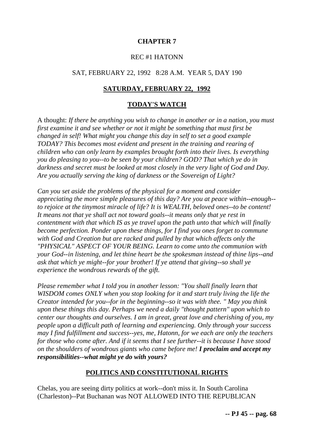## **CHAPTER 7**

#### REC #1 HATONN

### SAT, FEBRUARY 22, 1992 8:28 A.M. YEAR 5, DAY 190

#### **SATURDAY, FEBRUARY 22, 1992**

#### **TODAY'S WATCH**

A thought: *If there be anything you wish to change in another or in a nation, you must first examine it and see whether or not it might be something that must first be changed in self! What might you change this day in self to set a good example TODAY? This becomes most evident and present in the training and rearing of children who can only learn by examples brought forth into their lives. Is everything you do pleasing to you--to be seen by your children? GOD? That which ye do in darkness and secret must be looked at most closely in the very light of God and Day. Are you actually serving the king of darkness or the Sovereign of Light?*

*Can you set aside the problems of the physical for a moment and consider appreciating the more simple pleasures of this day? Are you at peace within--enough- to rejoice at the tinymost miracle of life? It is WEALTH, beloved ones--to be content! It means not that ye shall act not toward goals--it means only that ye rest in contentment with that which IS as ye travel upon the path unto that which will finally become perfection. Ponder upon these things, for I find you ones forget to commune with God and Creation but are racked and pulled by that which affects only the "PHYSICAL" ASPECT OF YOUR BEING. Learn to come unto the communion with your God--in listening, and let thine heart be the spokesman instead of thine lips--and ask that which ye might--for your brother! If ye attend that giving--so shall ye experience the wondrous rewards of the gift.*

*Please remember what I told you in another lesson: "You shall finally learn that WISDOM comes ONLY when you stop looking for it and start truly living the life the Creator intended for you--for in the beginning--so it was with thee. " May you think upon these things this day. Perhaps we need a daily "thought pattern" upon which to center our thoughts and ourselves. I am in great, great love and cherishing of you, my people upon a difficult path of learning and experiencing. Only through your success may I find fulfillment and success--yes, me, Hatonn, for we each are only the teachers for those who come after. And if it seems that I see further--it is because I have stood on the shoulders of wondrous giants who came before me! I proclaim and accept my responsibilities--what might ye do with yours?*

#### **POLITICS AND CONSTITUTIONAL RIGHTS**

Chelas, you are seeing dirty politics at work--don't miss it. In South Carolina (Charleston)--Pat Buchanan was NOT ALLOWED INTO THE REPUBLICAN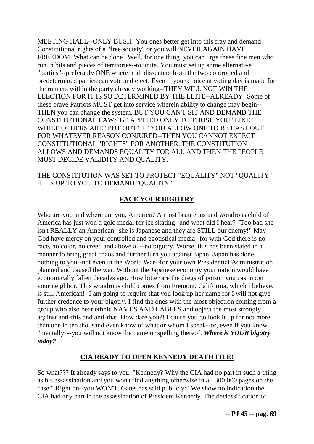MEETING HALL--ONLY BUSH! You ones better get into this fray and demand Constitutional rights of a "free society" or you will NEVER AGAIN HAVE FREEDOM. What can be done? Well, for one thing, you can urge these fine men who run in bits and pieces of territories--to unite. You must set up some alternative "parties"--preferably ONE wherein all dissenters from the two controlled and predetermined parties can vote and elect. Even if your choice at voting day is made for the runners within the party already working--THEY WILL NOT WIN THE ELECTION FOR IT IS SO DETERMINED BY THE ELITE--ALREADY! Some of these brave Patriots MUST get into service wherein ability to change may begin-- THEN you can change the system. BUT YOU CAN'T SIT AND DEMAND THE CONSTITUTIONAL LAWS BE APPLIED ONLY TO THOSE YOU "LIKE" WHILE OTHERS ARE "PUT OUT". IF YOU ALLOW ONE TO BE CAST OUT FOR WHATEVER REASON CONJURED--THEN YOU CANNOT EXPECT CONSTITUTIONAL "RIGHTS" FOR ANOTHER. THE CONSTITUTION ALLOWS AND DEMANDS EQUALITY FOR ALL AND THEN THE PEOPLE MUST DECIDE VALIDITY AND QUALITY.

THE CONSTITUTION WAS SET TO PROTECT "EQUALITY" NOT "QUALITY"- -IT IS UP TO YOU TO DEMAND "QUALITY".

## **FACE YOUR BIGOTRY**

Who are you and where are you, America? A most beauteous and wondrous child of America has just won a gold medal for ice skating--and what did I hear? "Too bad she isn't REALLY an American--she is Japanese and they are STILL our enemy!" May God have mercy on your controlled and egotistical media--for with God there is no race, no color, no creed and above all--no bigotry. Worse, this has been stated in a manner to bring great chaos and further turn you against Japan. Japan has done nothing to you--not even in the World War--for your own Presidential Administration planned and caused the war. Without the Japanese economy your nation would have economically fallen decades ago. How bitter are the dregs of poison you cast upon your neighbor. This wondrous child comes from Fremont, California, which I believe, is still American!! I am going to require that you look up her name for I will not give further credence to your bigotry. I find the ones with the most objection coming from a group who also bear ethnic NAMES AND LABELS and object the most strongly against anti-this and anti-that. How dare you?! I cause you go look it up for not more than one in ten thousand even know of what or whom I speak--or, even if you know "mentally"--you will not know the name or spelling thereof. *Where is YOUR bigotry today?*

### **CIA READY TO OPEN KENNEDY DEATH FILE!**

So what??? It already says to you: "Kennedy? Why the CIA had no part in such a thing as his assassination and you won't find anything otherwise in all 300,000 pages on the case." Right on--you WON'T. Gates has said publicly: "We show no indication the CIA had any part in the assassination of President Kennedy. The declassification of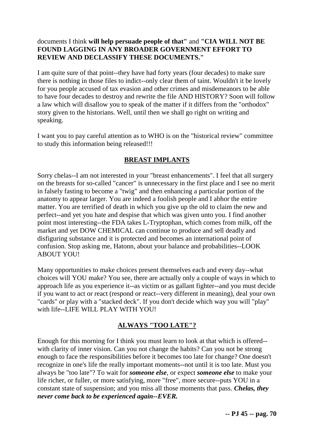# documents I think **will help persuade people of that"** and **"CIA WILL NOT BE FOUND LAGGING IN ANY BROADER GOVERNMENT EFFORT TO REVIEW AND DECLASSIFY THESE DOCUMENTS."**

I am quite sure of that point--they have had forty years (four decades) to make sure there is nothing in those files to indict--only clear them of taint. Wouldn't it be lovely for you people accused of tax evasion and other crimes and misdemeanors to be able to have four decades to destroy and rewrite the file AND HISTORY? Soon will follow a law which will disallow you to speak of the matter if it differs from the "orthodox" story given to the historians. Well, until then we shall go right on writing and speaking.

I want you to pay careful attention as to WHO is on the "historical review" committee to study this information being released!!!

# **BREAST IMPLANTS**

Sorry chelas--I am not interested in your "breast enhancements". I feel that all surgery on the breasts for so-called "cancer" is unnecessary in the first place and I see no merit in falsely fasting to become a "twig" and then enhancing a particular portion of the anatomy to appear larger. You are indeed a foolish people and I abhor the entire matter. You are terrified of death in which you give up the old to claim the new and perfect--and yet you hate and despise that which was given unto you. I find another point most interesting--the FDA takes L-Tryptophan, which comes from milk, off the market and yet DOW CHEMICAL can continue to produce and sell deadly and disfiguring substance and it is protected and becomes an international point of confusion. Stop asking me, Hatonn, about your balance and probabilities--LOOK ABOUT YOU!

Many opportunities to make choices present themselves each and every day--what choices will YOU make? You see, there are actually only a couple of ways in which to approach life as you experience it--as victim or as gallant fighter--and you must decide if you want to act or react (respond or react--very different in meaning), deal your own "cards" or play with a "stacked deck". If you don't decide which way you will "play" with life--LIFE WILL PLAY WITH YOU!

# **ALWAYS "TOO LATE"?**

Enough for this morning for I think you must learn to look at that which is offered- with clarity of inner vision. Can you not change the habits? Can you not be strong enough to face the responsibilities before it becomes too late for change? One doesn't recognize in one's life the really important moments--not until it is too late. Must you always be "too late"? To wait for *someone else*, or expect *someone else* to make your life richer, or fuller, or more satisfying, more "free", more secure--puts YOU in a constant state of suspension; and you miss all those moments that pass. *Chelas, they never come back to be experienced again--EVER.*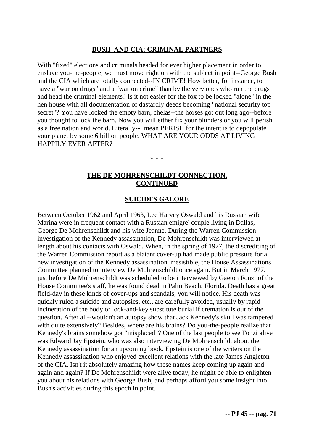### **BUSH AND CIA: CRIMINAL PARTNERS**

With "fixed" elections and criminals headed for ever higher placement in order to enslave you-the-people, we must move right on with the subject in point--George Bush and the CIA which are totally connected--IN CRIME! How better, for instance, to have a "war on drugs" and a "war on crime" than by the very ones who run the drugs and head the criminal elements? Is it not easier for the fox to be locked "alone" in the hen house with all documentation of dastardly deeds becoming "national security top secret"? You have locked the empty barn, chelas--the horses got out long ago--before you thought to lock the barn. Now you will either fix your blunders or you will perish as a free nation and world. Literally--I mean PERISH for the intent is to depopulate your planet by some 6 billion people. WHAT ARE YOUR ODDS AT LIVING HAPPILY EVER AFTER?

\* \* \*

## **THE DE MOHRENSCHILDT CONNECTION, CONTINUED**

### **SUICIDES GALORE**

Between October 1962 and April 1963, Lee Harvey Oswald and his Russian wife Marina were in frequent contact with a Russian emigre' couple living in Dallas, George De Mohrenschildt and his wife Jeanne. During the Warren Commission investigation of the Kennedy assassination, De Mohrenschildt was interviewed at length about his contacts with Oswald. When, in the spring of 1977, the discrediting of the Warren Commission report as a blatant cover-up had made public pressure for a new investigation of the Kennedy assassination irresistible, the House Assassinations Committee planned to interview De Mohrenschildt once again. But in March 1977, just before De Mohrenschildt was scheduled to be interviewed by Gaeton Fonzi of the House Committee's staff, he was found dead in Palm Beach, Florida. Death has a great field-day in these kinds of cover-ups and scandals, you will notice. His death was quickly ruled a suicide and autopsies, etc., are carefully avoided, usually by rapid incineration of the body or lock-and-key substitute burial if cremation is out of the question. After all--wouldn't an autopsy show that Jack Kennedy's skull was tampered with quite extensively? Besides, where are his brains? Do you-the-people realize that Kennedy's brains somehow got "misplaced"? One of the last people to see Fonzi alive was Edward Jay Epstein, who was also interviewing De Mohrenschildt about the Kennedy assassination for an upcoming book. Epstein is one of the writers on the Kennedy assassination who enjoyed excellent relations with the late James Angleton of the CIA. Isn't it absolutely amazing how these names keep coming up again and again and again? If De Mohrenschildt were alive today, he might be able to enlighten you about his relations with George Bush, and perhaps afford you some insight into Bush's activities during this epoch in point.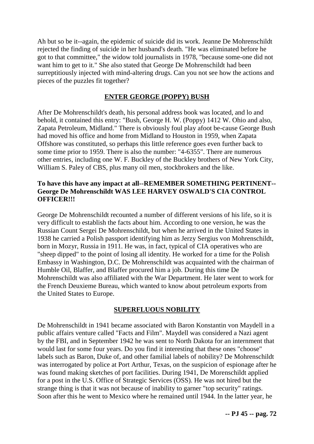Ah but so be it--again, the epidemic of suicide did its work. Jeanne De Mohrenschildt rejected the finding of suicide in her husband's death. "He was eliminated before he got to that committee," the widow told journalists in 1978, "because some-one did not want him to get to it." She also stated that George De Mohrenschildt had been surreptitiously injected with mind-altering drugs. Can you not see how the actions and pieces of the puzzles fit together?

### **ENTER GEORGE (POPPY) BUSH**

After De Mohrenschildt's death, his personal address book was located, and lo and behold, it contained this entry: "Bush, George H. W. (Poppy) 1412 W. Ohio and also, Zapata Petroleum, Midland." There is obviously foul play afoot be-cause George Bush had moved his office and home from Midland to Houston in 1959, when Zapata Offshore was constituted, so perhaps this little reference goes even further back to some time prior to 1959. There is also the number: "4-6355". There are numerous other entries, including one W. F. Buckley of the Buckley brothers of New York City, William S. Paley of CBS, plus many oil men, stockbrokers and the like.

## **To have this have any impact at all--REMEMBER SOMETHING PERTINENT-- George De Mohrenschildt WAS LEE HARVEY OSWALD'S CIA CONTROL OFFICER!!!**

George De Mohrenschildt recounted a number of different versions of his life, so it is very difficult to establish the facts about him. According to one version, he was the Russian Count Sergei De Mohrenschildt, but when he arrived in the United States in 1938 he carried a Polish passport identifying him as Jerzy Sergius von Mohrenschildt, born in Mozyr, Russia in 1911. He was, in fact, typical of CIA operatives who are "sheep dipped" to the point of losing all identity. He worked for a time for the Polish Embassy in Washington, D.C. De Mohrenschildt was acquainted with the chairman of Humble Oil, Blaffer, and Blaffer procured him a job. During this time De Mohrenschildt was also affiliated with the War Department. He later went to work for the French Deuxieme Bureau, which wanted to know about petroleum exports from the United States to Europe.

### **SUPERFLUOUS NOBILITY**

De Mohrenschildt in 1941 became associated with Baron Konstantin von Maydell in a public affairs venture called "Facts and Film". Maydell was considered a Nazi agent by the FBI, and in September 1942 he was sent to North Dakota for an internment that would last for some four years. Do you find it interesting that these ones "choose" labels such as Baron, Duke of, and other familial labels of nobility? De Mohrenschildt was interrogated by police at Port Arthur, Texas, on the suspicion of espionage after he was found making sketches of port facilities. During 1941, De Morenschildt applied for a post in the U.S. Office of Strategic Services (OSS). He was not hired but the strange thing is that it was not because of inability to garner "top security" ratings. Soon after this he went to Mexico where he remained until 1944. In the latter year, he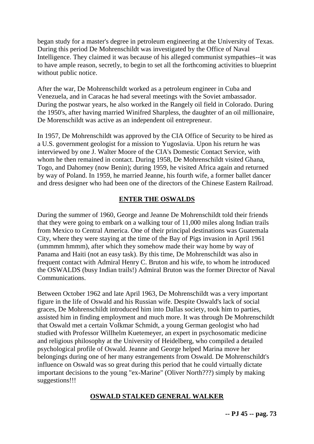began study for a master's degree in petroleum engineering at the University of Texas. During this period De Mohrenschildt was investigated by the Office of Naval Intelligence. They claimed it was because of his alleged communist sympathies--it was to have ample reason, secretly, to begin to set all the forthcoming activities to blueprint without public notice.

After the war, De Mohrenschildt worked as a petroleum engineer in Cuba and Venezuela, and in Caracas he had several meetings with the Soviet ambassador. During the postwar years, he also worked in the Rangely oil field in Colorado. During the 1950's, after having married Winifred Sharpless, the daughter of an oil millionaire, De Morenschildt was active as an independent oil entrepreneur.

In 1957, De Mohrenschildt was approved by the CIA Office of Security to be hired as a U.S. government geologist for a mission to Yugoslavia. Upon his return he was interviewed by one J. Walter Moore of the CIA's Domestic Contact Service, with whom he then remained in contact. During 1958, De Mohrenschildt visited Ghana, Togo, and Dahomey (now Benin); during 1959, he visited Africa again and returned by way of Poland. In 1959, he married Jeanne, his fourth wife, a former ballet dancer and dress designer who had been one of the directors of the Chinese Eastern Railroad.

# **ENTER THE OSWALDS**

During the summer of 1960, George and Jeanne De Mohrenschildt told their friends that they were going to embark on a walking tour of 11,000 miles along Indian trails from Mexico to Central America. One of their principal destinations was Guatemala City, where they were staying at the time of the Bay of Pigs invasion in April 1961 (ummmm hmmm), after which they somehow made their way home by way of Panama and Haiti (not an easy task). By this time, De Mohrenschildt was also in frequent contact with Admiral Henry C. Bruton and his wife, to whom he introduced the OSWALDS (busy Indian trails!) Admiral Bruton was the former Director of Naval Communications.

Between October 1962 and late April 1963, De Mohrenschildt was a very important figure in the life of Oswald and his Russian wife. Despite Oswald's lack of social graces, De Mohrenschildt introduced him into Dallas society, took him to parties, assisted him in finding employment and much more. It was through De Mohrenschildt that Oswald met a certain Volkmar Schmidt, a young German geologist who had studied with Professor Willhelm Kuetemeyer, an expert in psychosomatic medicine and religious philosophy at the University of Heidelberg, who compiled a detailed psychological profile of Oswald. Jeanne and George helped Marina move her belongings during one of her many estrangements from Oswald. De Mohrenschildt's influence on Oswald was so great during this period that he could virtually dictate important decisions to the young "ex-Marine" (Oliver North???) simply by making suggestions!!!

# **OSWALD STALKED GENERAL WALKER**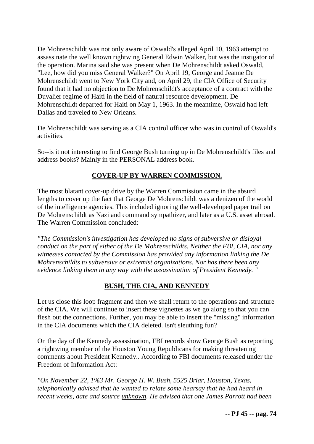De Mohrenschildt was not only aware of Oswald's alleged April 10, 1963 attempt to assassinate the well known rightwing General Edwin Walker, but was the instigator of the operation. Marina said she was present when De Mohrenschildt asked Oswald, "Lee, how did you miss General Walker?" On April 19, George and Jeanne De Mohrenschildt went to New York City and, on April 29, the CIA Office of Security found that it had no objection to De Mohrenschildt's acceptance of a contract with the Duvalier regime of Haiti in the field of natural resource development. De Mohrenschildt departed for Haiti on May 1, 1963. In the meantime, Oswald had left Dallas and traveled to New Orleans.

De Mohrenschildt was serving as a CIA control officer who was in control of Oswald's activities.

So--is it not interesting to find George Bush turning up in De Mohrenschildt's files and address books? Mainly in the PERSONAL address book.

## **COVER-UP BY WARREN COMMISSION.**

The most blatant cover-up drive by the Warren Commission came in the absurd lengths to cover up the fact that George De Mohrenschildt was a denizen of the world of the intelligence agencies. This included ignoring the well-developed paper trail on De Mohrenschildt as Nazi and command sympathizer, and later as a U.S. asset abroad. The Warren Commission concluded:

*"The Commission's investigation has developed no signs of subversive or disloyal conduct on the part of either of the De Mohrenschildts. Neither the FBI, CIA, nor any witnesses contacted by the Commission has provided any information linking the De Mohrenschildts to subversive or extremist organizations. Nor has there been any evidence linking them in any way with the assassination of President Kennedy. "*

# **BUSH, THE CIA, AND KENNEDY**

Let us close this loop fragment and then we shall return to the operations and structure of the CIA. We will continue to insert these vignettes as we go along so that you can flesh out the connections. Further, you may be able to insert the "missing" information in the CIA documents which the CIA deleted. Isn't sleuthing fun?

On the day of the Kennedy assassination, FBI records show George Bush as reporting a rightwing member of the Houston Young Republicans for making threatening comments about President Kennedy.. According to FBI documents released under the Freedom of Information Act:

*"On November 22, 1%3 Mr. George H. W. Bush, 5525 Briar, Houston, Texas, telephonically advised that he wanted to relate some hearsay that he had heard in recent weeks, date and source unknown. He advised that one James Parrott had been*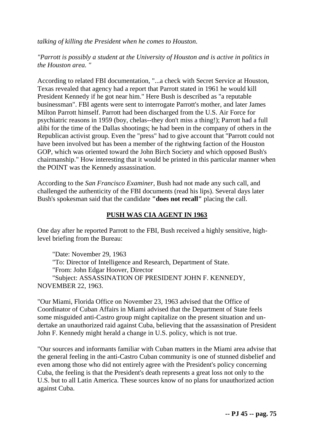*talking of killing the President when he comes to Houston.*

*"Parrott is possibly a student at the University of Houston and is active in politics in the Houston area. "*

According to related FBI documentation, "...a check with Secret Service at Houston, Texas revealed that agency had a report that Parrott stated in 1961 he would kill President Kennedy if he got near him." Here Bush is described as "a reputable businessman". FBI agents were sent to interrogate Parrott's mother, and later James Milton Parrott himself. Parrott had been discharged from the U.S. Air Force for psychiatric reasons in 1959 (boy, chelas--they don't miss a thing!); Parrott had a full alibi for the time of the Dallas shootings; he had been in the company of others in the Republican activist group. Even the "press" had to give account that ''Parrott could not have been involved but has been a member of the rightwing faction of the Houston GOP, which was oriented toward the John Birch Society and which opposed Bush's chairmanship." How interesting that it would be printed in this particular manner when the POINT was the Kennedy assassination.

According to the *San Francisco Examiner,* Bush had not made any such call, and challenged the authenticity of the FBI documents (read his lips). Several days later Bush's spokesman said that the candidate **"does not recall"** placing the call.

# **PUSH WAS CIA AGENT IN 1963**

One day after he reported Parrott to the FBI, Bush received a highly sensitive, highlevel briefing from the Bureau:

"Date: November 29, 1963 "To: Director of Intelligence and Research, Department of State. "From: John Edgar Hoover, Director "Subject: ASSASSINATION OF PRESIDENT JOHN F. KENNEDY, NOVEMBER 22, 1963.

"Our Miami, Florida Office on November 23, 1963 advised that the Office of Coordinator of Cuban Affairs in Miami advised that the Department of State feels some misguided anti-Castro group might capitalize on the present situation and undertake an unauthorized raid against Cuba, believing that the assassination of President John F. Kennedy might herald a change in U.S. policy, which is not true.

"Our sources and informants familiar with Cuban matters in the Miami area advise that the general feeling in the anti-Castro Cuban community is one of stunned disbelief and even among those who did not entirely agree with the President's policy concerning Cuba, the feeling is that the President's death represents a great loss not only to the U.S. but to all Latin America. These sources know of no plans for unauthorized action against Cuba.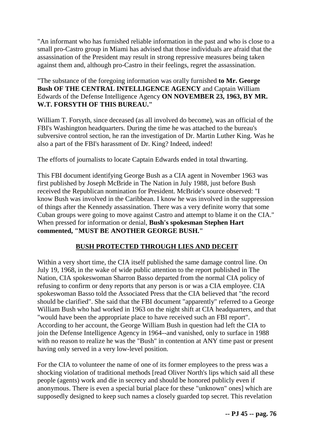"An informant who has furnished reliable information in the past and who is close to a small pro-Castro group in Miami has advised that those individuals are afraid that the assassination of the President may result in strong repressive measures being taken against them and, although pro-Castro in their feelings, regret the assassination.

"The substance of the foregoing information was orally furnished **to Mr. George Bush OF THE CENTRAL INTELLIGENCE AGENCY** and Captain William Edwards of the Defense Intelligence Agency **ON NOVEMBER 23, 1963, BY MR. W.T. FORSYTH OF THIS BUREAU."**

William T. Forsyth, since deceased (as all involved do become), was an official of the FBI's Washington headquarters. During the time he was attached to the bureau's subversive control section, he ran the investigation of Dr. Martin Luther King. Was he also a part of the FBI's harassment of Dr. King? Indeed, indeed!

The efforts of journalists to locate Captain Edwards ended in total thwarting.

This FBI document identifying George Bush as a CIA agent in November 1963 was first published by Joseph McBride in The Nation in July 1988, just before Bush received the Republican nomination for President. McBride's source observed: "I know Bush was involved in the Caribbean. I know he was involved in the suppression of things after the Kennedy assassination. There was a very definite worry that some Cuban groups were going to move against Castro and attempt to blame it on the CIA." When pressed for information or denial, **Bush's spokesman Stephen Hart commented, "MUST BE ANOTHER GEORGE BUSH."**

# **BUSH PROTECTED THROUGH LIES AND DECEIT**

Within a very short time, the CIA itself published the same damage control line. On July 19, 1968, in the wake of wide public attention to the report published in The Nation, CIA spokeswoman Sharron Basso departed from the normal CIA policy of refusing to confirm or deny reports that any person is or was a CIA employee. CIA spokeswoman Basso told the Associated Press that the CIA believed that "the record should be clarified". She said that the FBI document "apparently" referred to a George William Bush who had worked in 1963 on the night shift at CIA headquarters, and that "would have been the appropriate place to have received such an FBI report". According to her account, the George William Bush in question had left the CIA to join the Defense Intelligence Agency in 1964--and vanished, only to surface in 1988 with no reason to realize he was the "Bush" in contention at ANY time past or present having only served in a very low-level position.

For the CIA to volunteer the name of one of its former employees to the press was a shocking violation of traditional methods [read Oliver North's lips which said all these people (agents) work and die in secrecy and should be honored publicly even if anonymous. There is even a special burial place for these "unknown" ones] which are supposedly designed to keep such names a closely guarded top secret. This revelation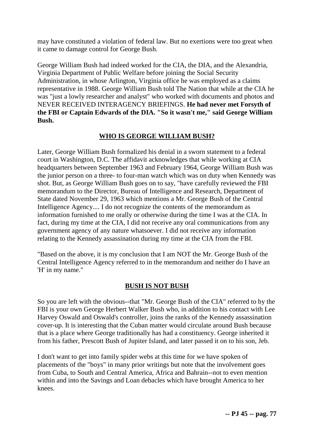may have constituted a violation of federal law. But no exertions were too great when it came to damage control for George Bush.

George William Bush had indeed worked for the CIA, the DIA, and the Alexandria, Virginia Department of Public Welfare before joining the Social Security Administration, in whose Arlington, Virginia office he was employed as a claims representative in 1988. George William Bush told The Nation that while at the CIA he was "just a lowly researcher and analyst" who worked with documents and photos and NEVER RECEIVED INTERAGENCY BRIEFINGS. **He had never met Forsyth of the FBI or Captain Edwards of the DIA. "So it wasn't me," said George William Bush.**

# **WHO IS GEORGE WILLIAM BUSH?**

Later, George William Bush formalized his denial in a sworn statement to a federal court in Washington, D.C. The affidavit acknowledges that while working at CIA headquarters between September 1963 and February 1964, George William Bush was the junior person on a three- to four-man watch which was on duty when Kennedy was shot. But, as George William Bush goes on to say, "have carefully reviewed the FBI memorandum to the Director, Bureau of Intelligence and Research, Department of State dated November 29, 1963 which mentions a Mr. George Bush of the Central Intelligence Agency.... I do not recognize the contents of the memorandum as information furnished to me orally or otherwise during the time I was at the CIA. In fact, during my time at the CIA, I did not receive any oral communications from any government agency of any nature whatsoever. I did not receive any information relating to the Kennedy assassination during my time at the CIA from the FBI.

"Based on the above, it is my conclusion that I am NOT the Mr. George Bush of the Central Intelligence Agency referred to in the memorandum and neither do I have an 'H' in my name."

# **BUSH IS NOT BUSH**

So you are left with the obvious--that "Mr. George Bush of the CIA" referred to by the FBI is your own George Herbert Walker Bush who, in addition to his contact with Lee Harvey Oswald and Oswald's controller, joins the ranks of the Kennedy assassination cover-up. It is interesting that the Cuban matter would circulate around Bush because that is a place where George traditionally has had a constituency. George inherited it from his father, Prescott Bush of Jupiter Island, and later passed it on to his son, Jeb.

I don't want to get into family spider webs at this time for we have spoken of placements of the "boys" in many prior writings but note that the involvement goes from Cuba, to South and Central America, Africa and Bahrain--not to even mention within and into the Savings and Loan debacles which have brought America to her knees.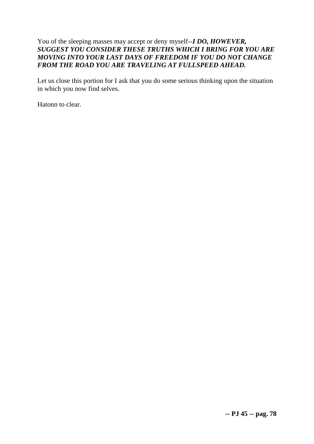## You of the sleeping masses may accept or deny myself--*I DO, HOWEVER, SUGGEST YOU CONSIDER THESE TRUTHS WHICH I BRING FOR YOU ARE MOVING INTO YOUR LAST DAYS OF FREEDOM IF YOU DO NOT CHANGE FROM THE ROAD YOU ARE TRAVELING AT FULLSPEED AHEAD.*

Let us close this portion for I ask that you do some serious thinking upon the situation in which you now find selves.

Hatonn to clear.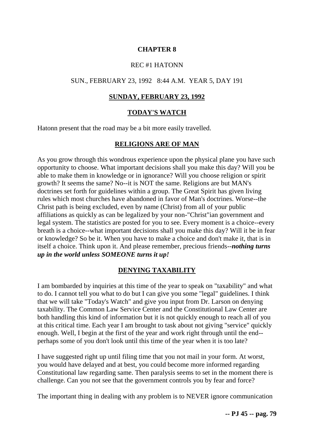## **CHAPTER 8**

#### REC #1 HATONN

#### SUN., FEBRUARY 23, 1992 8:44 A.M. YEAR 5, DAY 191

### **SUNDAY, FEBRUARY 23, 1992**

#### **TODAY'S WATCH**

Hatonn present that the road may be a bit more easily travelled.

#### **RELIGIONS ARE OF MAN**

As you grow through this wondrous experience upon the physical plane you have such opportunity to choose. What important decisions shall you make this day? Will you be able to make them in knowledge or in ignorance? Will you choose religion or spirit growth? It seems the same? No--it is NOT the same. Religions are but MAN's doctrines set forth for guidelines within a group. The Great Spirit has given living rules which most churches have abandoned in favor of Man's doctrines. Worse--the Christ path is being excluded, even by name (Christ) from all of your public affiliations as quickly as can be legalized by your non-"Christ"ian government and legal system. The statistics are posted for you to see. Every moment is a choice--every breath is a choice--what important decisions shall you make this day? Will it be in fear or knowledge? So be it. When you have to make a choice and don't make it, that is in itself a choice. Think upon it. And please remember, precious friends--*nothing turns up in the world unless SOMEONE turns it up!*

### **DENYING TAXABILITY**

I am bombarded by inquiries at this time of the year to speak on "taxability" and what to do. I cannot tell you what to do but I can give you some "legal" guidelines. I think that we will take "Today's Watch" and give you input from Dr. Larson on denying taxability. The Common Law Service Center and the Constitutional Law Center are both handling this kind of information but it is not quickly enough to reach all of you at this critical time. Each year I am brought to task about not giving "service" quickly enough. Well, I begin at the first of the year and work right through until the end- perhaps some of you don't look until this time of the year when it is too late?

I have suggested right up until filing time that you not mail in your form. At worst, you would have delayed and at best, you could become more informed regarding Constitutional law regarding same. Then paralysis seems to set in the moment there is challenge. Can you not see that the government controls you by fear and force?

The important thing in dealing with any problem is to NEVER ignore communication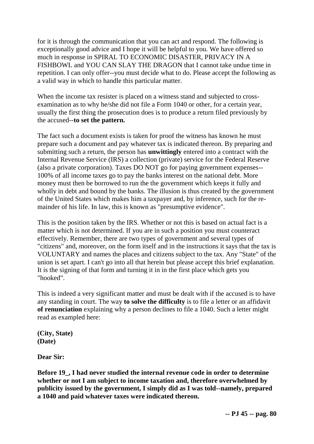for it is through the communication that you can act and respond. The following is exceptionally good advice and I hope it will be helpful to you. We have offered so much in response in SPIRAL TO ECONOMIC DISASTER, PRIVACY IN A FISHBOWL and YOU CAN SLAY THE DRAGON that I cannot take undue time in repetition. I can only offer--you must decide what to do. Please accept the following as a valid way in which to handle this particular matter.

When the income tax resister is placed on a witness stand and subjected to crossexamination as to why he/she did not file a Form 1040 or other, for a certain year, usually the first thing the prosecution does is to produce a return filed previously by the accused--**to set the pattern.**

The fact such a document exists is taken for proof the witness has known he must prepare such a document and pay whatever tax is indicated thereon. By preparing and submitting such a return, the person has **unwittingly** entered into a contract with the Internal Revenue Service (IRS) a collection (private) service for the Federal Reserve (also a private corporation). Taxes DO NOT go for paying government expenses-- 100% of all income taxes go to pay the banks interest on the national debt. More money must then be borrowed to run the the government which keeps it fully and wholly in debt and bound by the banks. The illusion is thus created by the government of the United States which makes him a taxpayer and, by inference, such for the remainder of his life. In law, this is known as "presumptive evidence".

This is the position taken by the IRS. Whether or not this is based on actual fact is a matter which is not determined. If you are in such a position you must counteract effectively. Remember, there are two types of government and several types of "citizens" and, moreover, on the form itself and in the instructions it says that the tax is VOLUNTARY and names the places and citizens subject to the tax. Any "State" of the union is set apart. I can't go into all that herein but please accept this brief explanation. It is the signing of that form and turning it in in the first place which gets you "hooked".

This is indeed a very significant matter and must be dealt with if the accused is to have any standing in court. The way **to solve the difficulty** is to file a letter or an affidavit **of renunciation** explaining why a person declines to file a 1040. Such a letter might read as exampled here:

**(City, State) (Date)**

**Dear Sir:**

**Before 19\_, I had never studied the internal revenue code in order to determine whether or not I am subject to income taxation and, therefore overwhelmed by publicity issued by the government, I simply did as I was told--namely, prepared a 1040 and paid whatever taxes were indicated thereon.**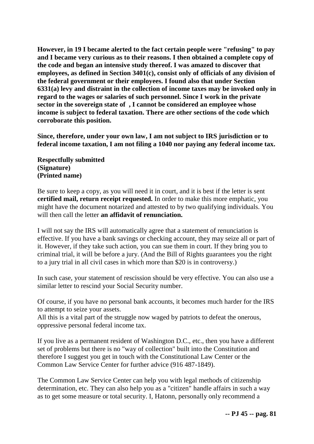**However, in 19 I became alerted to the fact certain people were "refusing" to pay and I became very curious as to their reasons. I then obtained a complete copy of the code and began an intensive study thereof. I was amazed to discover that employees, as defined in Section 3401(c), consist only of officials of any division of the federal government or their employees. I found also that under Section 6331(a) levy and distraint in the collection of income taxes may be invoked only in regard to the wages or salaries of such personnel. Since I work in the private sector in the sovereign state of , I cannot be considered an employee whose income is subject to federal taxation. There are other sections of the code which corroborate this position.**

**Since, therefore, under your own law, I am not subject to IRS jurisdiction or to federal income taxation, I am not filing a 1040 nor paying any federal income tax.**

**Respectfully submitted (Signature) (Printed name)**

Be sure to keep a copy, as you will need it in court, and it is best if the letter is sent **certified mail, return receipt requested.** In order to make this more emphatic, you might have the document notarized and attested to by two qualifying individuals. You will then call the letter **an affidavit of renunciation.**

I will not say the IRS will automatically agree that a statement of renunciation is effective. If you have a bank savings or checking account, they may seize all or part of it. However, if they take such action, you can sue them in court. If they bring you to criminal trial, it will be before a jury. (And the Bill of Rights guarantees you the right to a jury trial in all civil cases in which more than \$20 is in controversy.)

In such case, your statement of rescission should be very effective. You can also use a similar letter to rescind your Social Security number.

Of course, if you have no personal bank accounts, it becomes much harder for the IRS to attempt to seize your assets.

All this is a vital part of the struggle now waged by patriots to defeat the onerous, oppressive personal federal income tax.

If you live as a permanent resident of Washington D.C., etc., then you have a different set of problems but there is no "way of collection" built into the Constitution and therefore I suggest you get in touch with the Constitutional Law Center or the Common Law Service Center for further advice (916 487-1849).

The Common Law Service Center can help you with legal methods of citizenship determination, etc. They can also help you as a "citizen" handle affairs in such a way as to get some measure or total security. I, Hatonn, personally only recommend a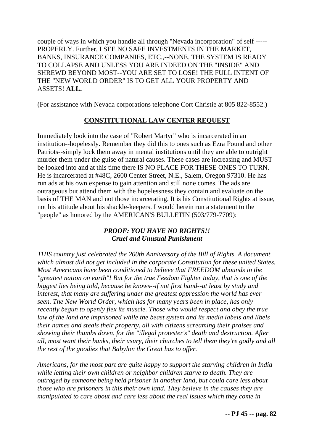couple of ways in which you handle all through "Nevada incorporation" of self ----- PROPERLY. Further, I SEE NO SAFE INVESTMENTS IN THE MARKET, BANKS, INSURANCE COMPANIES, ETC.,--NONE. THE SYSTEM IS READY TO COLLAPSE AND UNLESS YOU ARE INDEED ON THE "INSIDE" AND SHREWD BEYOND MOST--YOU ARE SET TO LOSE! THE FULL INTENT OF THE "NEW WORLD ORDER" IS TO GET ALL YOUR PROPERTY AND ASSETS! **ALL.**

(For assistance with Nevada corporations telephone Cort Christie at 805 822-8552.)

## **CONSTITUTIONAL LAW CENTER REQUEST**

Immediately look into the case of "Robert Martyr" who is incarcerated in an institution--hopelessly. Remember they did this to ones such as Ezra Pound and other Patriots--simply lock them away in mental institutions until they are able to outright murder them under the guise of natural causes. These cases are increasing and MUST be looked into and at this time there IS NO PLACE FOR THESE ONES TO TURN. He is incarcerated at #48C, 2600 Center Street, N.E., Salem, Oregon 97310. He has run ads at his own expense to gain attention and still none comes. The ads are outrageous but attend them with the hopelessness they contain and evaluate on the basis of THE MAN and not those incarcerating. It is his Constitutional Rights at issue, not his attitude about his shackle-keepers. I would herein run a statement to the "people" as honored by the AMERICAN'S BULLETIN (503/779-7709):

## *PROOF: YOU HAVE NO RIGHTS!! Cruel and Unusual Punishment*

*THIS country just celebrated the 200th Anniversary of the Bill of Rights. A document which almost did not get included in the corporate Constitution for these united States. Most Americans have been conditioned to believe that FREEDOM abounds in the "greatest nation on earth"! But for the true Feedom Fighter today, that is one of the biggest lies being told, because he knows--if not first hand--at least by study and interest, that many are suffering under the greatest oppression the world has ever seen. The New World Order, which has for many years been in place, has only recently begun to openly flex its muscle. Those who would respect and obey the true law of the land are imprisoned while the beast system and its media labels and libels their names and steals their property, all with citizens screaming their praises and showing their thumbs down, for the "illegal protester's" death and destruction. After all, most want their banks, their usury, their churches to tell them they're godly and all the rest of the goodies that Babylon the Great has to offer.*

*Americans, for the most part are quite happy to support the starving children in India while letting their own children or neighbor children starve to death. They are outraged by someone being held prisoner in another land, but could care less about those who are prisoners in this their own land. They believe in the causes they are manipulated to care about and care less about the real issues which they come in*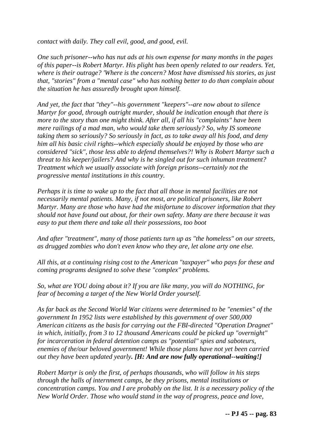*contact with daily. They call evil, good, and good, evil.*

*One such prisoner--who has nut ads at his own expense for many months in the pages of this paper--is Robert Martyr. His plight has been openly related to our readers. Yet, where is their outrage? 'Where is the concern? Most have dismissed his stories, as just that, "stories" from a "mental case" who has nothing better to do than complain about the situation he has assuredly brought upon himself.*

*And yet, the fact that "they"--his government "keepers"--are now about to silence Martyr for good, through outright murder, should be indication enough that there is more to the story than one might think. After all, if all his "complaints" have been mere railings of a mad man, who would take them seriously? So, why IS someone taking them so seriously? So seriously in fact, as to take away all his food, and deny him all his basic civil rights--which especially should be enjoyed by those who are considered "sick", those less able to defend themselves?! Why is Robert Martyr such a threat to his keeper/jailers? And why is he singled out for such inhuman treatment? Treatment which we usually associate with foreign prisons--certainly not the progressive mental institutions in this country.*

*Perhaps it is time to wake up to the fact that all those in mental facilities are not necessarily mental patients. Many, if not most, are political prisoners, like Robert Martyr. Many are those who have had the misfortune to discover information that they should not have found out about, for their own safety. Many are there because it was easy to put them there and take all their possessions, too boot*

*And after "treatment", many of those patients turn up as "the homeless" on our streets, as drugged zombies who don't even know who they are, let alone arty one else.*

*All this, at a continuing rising cost to the American "taxpayer" who pays for these and coming programs designed to solve these "complex" problems.*

*So, what are YOU doing about it? If you are like many, you will do NOTHING, for fear of becoming a target of the New World Order yourself.*

*As far back as the Second World War citizens were determined to be "enemies" of the government In 1952 lists were established by this government of over 500,000 American citizens as the basis for carrying out the FBI-directed "Operation Dragnet" in which, initially, from 3 to 12 thousand Americans could be picked up "overnight" for incarceration in federal detention camps as "potential" spies and saboteurs, enemies of the/our beloved government! While those plans have not yet been carried out they have been updated yearly. [H: And are now fully operational--waiting!]*

*Robert Martyr is only the first, of perhaps thousands, who will follow in his steps through the halls of internment camps, be they prisons, mental institutions or concentration camps. You and I are probably on the list. It is a necessary policy of the New World Order. Those who would stand in the way of progress, peace and love,*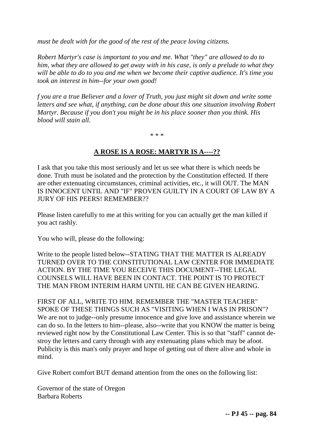*must be dealt with for the good of the rest of the peace loving citizens.*

*Robert Martyr's case is important to you and me. What "they" are allowed to do to him, what they are allowed to get away with in his case, is only a prelude to what they will be able to do to you and me when we become their captive audience. It's time you took an interest in him--for your own good!*

*f you are a true Believer and a lover of Truth, you just might sit down and write some letters and see what, if anything, can be done about this one situation involving Robert Martyr. Because if you don't you might be in his place sooner than you think. His blood will stain all.*

\* \* \*

## **A ROSE IS A ROSE: MARTYR IS A----??**

I ask that you take this most seriously and let us see what there is which needs be done. Truth must be isolated and the protection by the Constitution effected. If there are other extenuating circumstances, criminal activities, etc., it will OUT. The MAN IS INNOCENT UNTIL AND "IF" PROVEN GUILTY IN A COURT OF LAW BY A JURY OF HIS PEERS! REMEMBER??

Please listen carefully to me at this writing for you can actually get the man killed if you act rashly.

You who will, please do the following:

Write to the people listed below--STATING THAT THE MATTER IS ALREADY TURNED OVER TO THE CONSTITUTIONAL LAW CENTER FOR IMMEDIATE ACTION. BY THE TIME YOU RECEIVE THIS DOCUMENT--THE LEGAL COUNSELS WILL HAVE BEEN IN CONTACT. THE POINT IS TO PROTECT THE MAN FROM INTERIM HARM UNTIL HE CAN BE GIVEN HEARING.

FIRST OF ALL, WRITE TO HIM. REMEMBER THE "MASTER TEACHER" SPOKE OF THESE THINGS SUCH AS "VISITING WHEN I WAS IN PRISON"? We are not to judge--only presume innocence and give love and assistance wherein we can do so. In the letters to him--please, also--write that you KNOW the matter is being reviewed right now by the Constitutional Law Center. This is so that "staff" cannot destroy the letters and carry through with any extenuating plans which may be afoot. Publicity is this man's only prayer and hope of getting out of there alive and whole in mind.

Give Robert comfort BUT demand attention from the ones on the following list:

Governor of the state of Oregon Barbara Roberts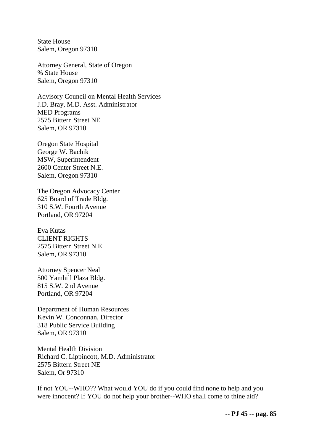State House Salem, Oregon 97310

Attorney General, State of Oregon % State House Salem, Oregon 97310

Advisory Council on Mental Health Services J.D. Bray, M.D. Asst. Administrator MED Programs 2575 Bittern Street NE Salem, OR 97310

Oregon State Hospital George W. Bachik MSW, Superintendent 2600 Center Street N.E. Salem, Oregon 97310

The Oregon Advocacy Center 625 Board of Trade Bldg. 310 S.W. Fourth Avenue Portland, OR 97204

Eva Kutas CLIENT RIGHTS 2575 Bittern Street N.E. Salem, OR 97310

Attorney Spencer Neal 500 Yamhill Plaza Bldg. 815 S.W. 2nd Avenue Portland, OR 97204

Department of Human Resources Kevin W. Conconnan, Director 318 Public Service Building Salem, OR 97310

Mental Health Division Richard C. Lippincott, M.D. Administrator 2575 Bittern Street NE Salem, Or 97310

If not YOU--WHO?? What would YOU do if you could find none to help and you were innocent? If YOU do not help your brother--WHO shall come to thine aid?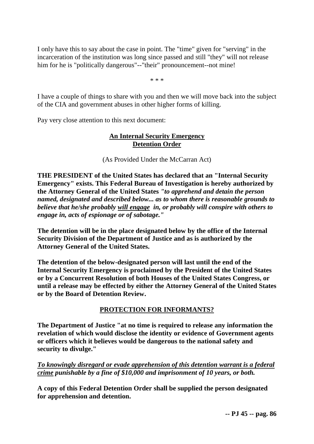I only have this to say about the case in point. The "time" given for "serving" in the incarceration of the institution was long since passed and still "they" will not release him for he is "politically dangerous"--"their" pronouncement--not mine!

\* \* \*

I have a couple of things to share with you and then we will move back into the subject of the CIA and government abuses in other higher forms of killing.

Pay very close attention to this next document:

## **An Internal Security Emergency Detention Order**

(As Provided Under the McCarran Act)

**THE PRESIDENT of the United States has declared that an "Internal Security Emergency" exists. This Federal Bureau of Investigation is hereby authorized by the Attorney General of the United States** *"to apprehend and detain the person named, designated and described below... as to whom there is reasonable grounds to believe that he/she probably will engage in, or probably will conspire with others to engage in, acts of espionage or of sabotage."*

**The detention will be in the place designated below by the office of the Internal Security Division of the Department of Justice and as is authorized by the Attorney General of the United States.**

**The detention of the below-designated person will last until the end of the Internal Security Emergency is proclaimed by the President of the United States or by a Concurrent Resolution of both Houses of the United States Congress, or until a release may be effected by either the Attorney General of the United States or by the Board of Detention Review.**

## **PROTECTION FOR INFORMANTS?**

**The Department of Justice "at no time is required to release any information the revelation of which would disclose the identity or evidence of Government agents or officers which it believes would be dangerous to the national safety and security to divulge."**

### *To knowingly disregard or evade apprehension of this detention warrant is a federal crime punishable by a fine of \$10,000 and imprisonment of 10 years, or both.*

**A copy of this Federal Detention Order shall be supplied the person designated for apprehension and detention.**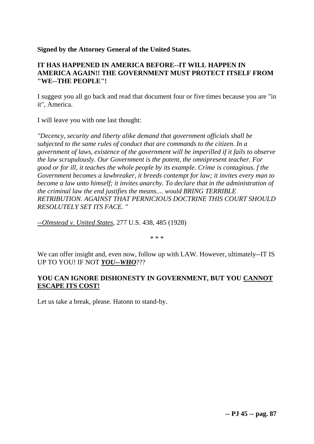### **Signed by the Attorney General of the United States.**

### **IT HAS HAPPENED IN AMERICA BEFORE--IT WILL HAPPEN IN AMERICA AGAIN!! THE GOVERNMENT MUST PROTECT ITSELF FROM "WE--THE PEOPLE"!**

I suggest you all go back and read that document four or five times because you are "in it", America.

I will leave you with one last thought:

*"Decency, security and liberty alike demand that government officials shall be subjected to the same rules of conduct that are commands to the citizen. In a government of laws, existence of the government will be imperilled if it fails to observe the law scrupulously. Our Government is the potent, the omnipresent teacher. For good or for ill, it teaches the whole people by its example. Crime is contagious. f the Government becomes a lawbreaker, it breeds contempt for law; it invites every man to become a law unto himself; it invites anarchy. To declare that in the administration of the criminal law the end justifies the means.... would BRING TERRIBLE RETRIBUTION. AGAINST THAT PERNICIOUS DOCTRINE THIS COURT SHOULD RESOLUTELY SET ITS FACE. "*

*--Olmstead v. United States*, 277 U.S. 438, 485 (1928)

\* \* \*

We can offer insight and, even now, follow up with LAW. However, ultimately--IT IS UP TO YOU! IF NOT *YOU--WHO*???

## **YOU CAN IGNORE DISHONESTY IN GOVERNMENT, BUT YOU CANNOT ESCAPE ITS COST!**

Let us take a break, please. Hatonn to stand-by.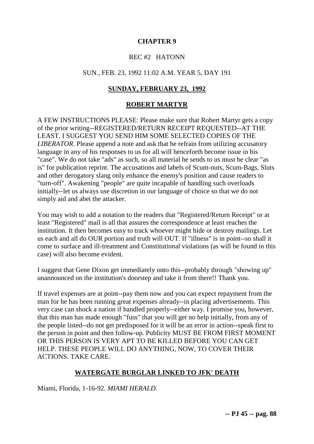### **CHAPTER 9**

### REC #2 HATONN

### SUN., FEB. 23, 1992 11:02 A.M. YEAR 5, DAY 191

### **SUNDAY, FEBRUARY 23, 1992**

### **ROBERT MARTYR**

A FEW INSTRUCTIONS PLEASE: Please make sure that Robert Martyr gets a copy of the prior writing--REGISTERED/RETURN RECEIPT REQUESTED--AT THE LEAST. I SUGGEST YOU SEND HIM SOME SELECTED COPIES OF THE *LIBERATOR*. Please append a note and ask that he refrain from utilizing accusatory language in any of his responses to us for all will henceforth become issue in his "case". We do not take "ads" as such, so all material he sends to us must be clear "as is" for publication reprint. The accusations and labels of Scum-nuts, Scum-Bags, Sluts and other derogatory slang only enhance the enemy's position and cause readers to "turn-off". Awakening "people" are quite incapable of handling such overloads initially--let us always use discretion in our language of choice so that we do not simply aid and abet the attacker.

You may wish to add a notation to the readers that "Registered/Return Receipt" or at least "Registered" mail is all that assures the correspondence at least reaches the institution. It then becomes easy to track whoever might hide or destroy mailings. Let us each and all do OUR portion and truth will OUT. If "illness" is in point--so shall it come to surface and ill-treatment and Constitutional violations (as will be found in this case) will also become evident.

I suggest that Gene Dixon get immediately onto this--probably through "showing up" unannounced on the institution's doorstep and take it from there!! Thank you.

If travel expenses are at point--pay them now and you can expect repayment from the man for he has been running great expenses already--in placing advertisements. This very case can shock a nation if handled properly--either way. I promise you, however, that this man has made enough "fuss" that you will get no help initially, from any of the people listed--do not get predisposed for it will be an error in action--speak first to the person in point and then follow-up. Publicity MUST BE FROM FIRST MOMENT OR THIS PERSON IS VERY APT TO BE KILLED BEFORE YOU CAN GET HELP. THESE PEOPLE WILL DO ANYTHING, NOW, TO COVER THEIR ACTIONS. TAKE CARE.

### **WATERGATE BURGLAR LINKED TO JFK' DEATH**

Miami, Florida, 1-16-92. *MIAMI HERALD.*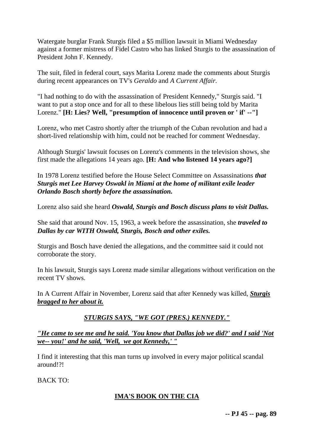Watergate burglar Frank Sturgis filed a \$5 million lawsuit in Miami Wednesday against a former mistress of Fidel Castro who has linked Sturgis to the assassination of President John F. Kennedy.

The suit, filed in federal court, says Marita Lorenz made the comments about Sturgis during recent appearances on TV's *Geraldo* and *A Current Affair.*

"I had nothing to do with the assassination of President Kennedy," Sturgis said. "I want to put a stop once and for all to these libelous lies still being told by Marita Lorenz." **[H: Lies? Well, "presumption of innocence until proven or ' if' --"]**

Lorenz, who met Castro shortly after the triumph of the Cuban revolution and had a short-lived relationship with him, could not be reached for comment Wednesday.

Although Sturgis' lawsuit focuses on Lorenz's comments in the television shows, she first made the allegations 14 years ago. **[H: And who listened 14 years ago?]**

In 1978 Lorenz testified before the House Select Committee on Assassinations *that Sturgis met Lee Harvey Oswakl in Miami at the home of militant exile leader Orlando Bosch shortly before the assassination.*

Lorenz also said she heard *Oswald, Sturgis and Bosch discuss plans to visit Dallas.*

She said that around Nov. 15, 1963, a week before the assassination, she *traveled to Dallas by car WITH Oswald, Sturgis, Bosch and other exiles.*

Sturgis and Bosch have denied the allegations, and the committee said it could not corroborate the story.

In his lawsuit, Sturgis says Lorenz made similar allegations without verification on the recent TV shows.

In A Current Affair in November, Lorenz said that after Kennedy was killed, *Sturgis bragged to her about it.* 

# *STURGIS SAYS, "WE GOT (PRES.) KENNEDY."*

## *"He came to see me and he said. 'You know that Dallas job we did?' and I said 'Not we-- you!' and he said, 'Well, we got Kennedy,' "*

I find it interesting that this man turns up involved in every major political scandal around!?!

BACK TO:

# **IMA'S BOOK ON THE CIA**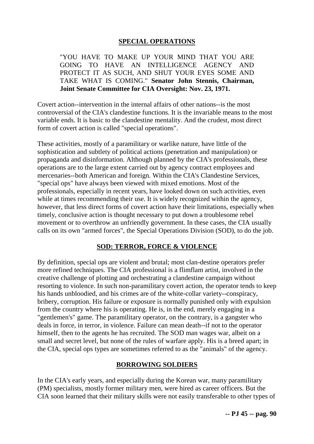## **SPECIAL OPERATIONS**

"YOU HAVE TO MAKE UP YOUR MIND THAT YOU ARE GOING TO HAVE AN INTELLIGENCE AGENCY AND PROTECT IT AS SUCH, AND SHUT YOUR EYES SOME AND TAKE WHAT IS COMING." **Senator John Stennis, Chairman, Joint Senate Committee for CIA Oversight: Nov. 23, 1971.**

Covert action--intervention in the internal affairs of other nations--is the most controversial of the CIA's clandestine functions. It is the invariable means to the most variable ends. It is basic to the clandestine mentality. And the crudest, most direct form of covert action is called "special operations".

These activities, mostly of a paramilitary or warlike nature, have little of the sophistication and subtlety of political actions (penetration and manipulation) or propaganda and disinformation. Although planned by the CIA's professionals, these operations are to the large extent carried out by agency contract employees and mercenaries--both American and foreign. Within the CIA's Clandestine Services, "special ops" have always been viewed with mixed emotions. Most of the professionals, especially in recent years, have looked down on such activities, even while at times recommending their use. It is widely recognized within the agency, however, that less direct forms of covert action have their limitations, especially when timely, conclusive action is thought necessary to put down a troublesome rebel movement or to overthrow an unfriendly government. In these cases, the CIA usually calls on its own "armed forces", the Special Operations Division (SOD), to do the job.

#### **SOD: TERROR, FORCE & VIOLENCE**

By definition, special ops are violent and brutal; most clan-destine operators prefer more refined techniques. The CIA professional is a flimflam artist, involved in the creative challenge of plotting and orchestrating a clandestine campaign without resorting to violence. In such non-paramilitary covert action, the operator tends to keep his hands unbloodied, and his crimes are of the white-collar variety--conspiracy, bribery, corruption. His failure or exposure is normally punished only with expulsion from the country where his is operating. He is, in the end, merely engaging in a "gentlemen's" game. The paramilitary operator, on the contrary, is a gangster who deals in force, in terror, in violence. Failure can mean death--if not to the operator himself, then to the agents he has recruited. The SOD man wages war, albeit on a small and secret level, but none of the rules of warfare apply. His is a breed apart; in the CIA, special ops types are sometimes referred to as the "animals" of the agency.

#### **BORROWING SOLDIERS**

In the CIA's early years, and especially during the Korean war, many paramilitary (PM) specialists, mostly former military men, were hired as career officers. But the CIA soon learned that their military skills were not easily transferable to other types of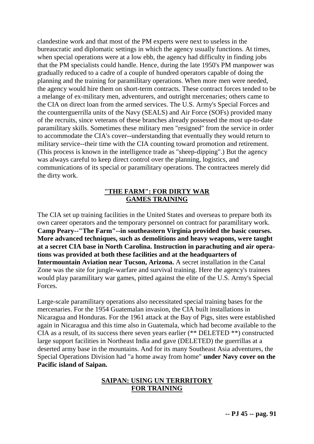clandestine work and that most of the PM experts were next to useless in the bureaucratic and diplomatic settings in which the agency usually functions. At times, when special operations were at a low ebb, the agency had difficulty in finding jobs that the PM specialists could handle. Hence, during the late 1950's PM manpower was gradually reduced to a cadre of a couple of hundred operators capable of doing the planning and the training for paramilitary operations. When more men were needed, the agency would hire them on short-term contracts. These contract forces tended to be a melange of ex-military men, adventurers, and outright mercenaries; others came to the CIA on direct loan from the armed services. The U.S. Army's Special Forces and the counterguerrilla units of the Navy (SEALS) and Air Force (SOFs) provided many of the recruits, since veterans of these branches already possessed the most up-to-date paramilitary skills. Sometimes these military men "resigned" from the service in order to accommodate the CIA's cover--understanding that eventually they would return to military service--their time with the CIA counting toward promotion and retirement. (This process is known in the intelligence trade as "sheep-dipping".) But the agency was always careful to keep direct control over the planning, logistics, and communications of its special or paramilitary operations. The contractees merely did the dirty work.

## **"THE FARM": FOR DIRTY WAR GAMES TRAINING**

The CIA set up training facilities in the United States and overseas to prepare both its own career operators and the temporary personnel on contract for paramilitary work. **Camp Peary--"The Farm"--in southeastern Virginia provided the basic courses. More advanced techniques, such as demolitions and heavy weapons, were taught at a secret CIA base in North Carolina. Instruction in parachuting and air operations was provided at both these facilities and at the headquarters of Intermountain Aviation near Tucson, Arizona.** A secret installation in the Canal Zone was the site for jungle-warfare and survival training. Here the agency's trainees would play paramilitary war games, pitted against the elite of the U.S. Army's Special Forces.

Large-scale paramilitary operations also necessitated special training bases for the mercenaries. For the 1954 Guatemalan invasion, the CIA built installations in Nicaragua and Honduras. For the 1961 attack at the Bay of Pigs, sites were established again in Nicaragua and this time also in Guatemala, which had become available to the CIA as a result, of its success there seven years earlier (\*\* DELETED \*\*) constructed large support facilities in Northeast India and gave (DELETED) the guerrillas at a deserted army base in the mountains. And for its many Southeast Asia adventures, the Special Operations Division had "a home away from home" **under Navy cover on the Pacific island of Saipan.**

### **SAIPAN: USING UN TERRRITORY FOR TRAINING**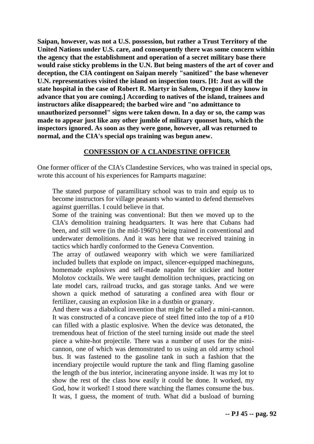**Saipan, however, was not a U.S. possession, but rather a Trust Territory of the United Nations under U.S. care, and consequently there was some concern within the agency that the establishment and operation of a secret military base there would raise sticky problems in the U.N. But being masters of the art of cover and deception, the CIA contingent on Saipan merely "sanitized" the base whenever U.N. representatives visited the island on inspection tours. [H: Just as will the state hospital in the case of Robert R. Martyr in Salem, Oregon if they know in advance that you are coming.] According to natives of the island, trainees and instructors alike disappeared; the barbed wire and "no admittance to unauthorized personnel" signs were taken down. In a day or so, the camp was made to appear just like any other jumble of military quonset huts, which the inspectors ignored. As soon as they were gone, however, all was returned to normal, and the CIA's special ops training was begun anew.**

### **CONFESSION OF A CLANDESTINE OFFICER**

One former officer of the CIA's Clandestine Services, who was trained in special ops, wrote this account of his experiences for Ramparts magazine:

The stated purpose of paramilitary school was to train and equip us to become instructors for village peasants who wanted to defend themselves against guerrillas. I could believe in that.

Some of the training was conventional: But then we moved up to the CIA's demolition training headquarters. It was here that Cubans had been, and still were (in the mid-1960's) being trained in conventional and underwater demolitions. And it was here that we received training in tactics which hardly conformed to the Geneva Convention.

The array of outlawed weaponry with which we were familiarized included bullets that explode on impact, silencer-equipped machineguns, homemade explosives and self-made napalm for stickier and hotter Molotov cocktails. We were taught demolition techniques, practicing on late model cars, railroad trucks, and gas storage tanks. And we were shown a quick method of saturating a confined area with flour or fertilizer, causing an explosion like in a dustbin or granary.

And there was a diabolical invention that might be called a mini-cannon. It was constructed of a concave piece of steel fitted into the top of a #10 can filled with a plastic explosive. When the device was detonated, the tremendous heat of friction of the steel turning inside out made the steel piece a white-hot projectile. There was a number of uses for the minicannon, one of which was demonstrated to us using an old army school bus. It was fastened to the gasoline tank in such a fashion that the incendiary projectile would rupture the tank and fling flaming gasoline the length of the bus interior, incinerating anyone inside. It was my lot to show the rest of the class how easily it could be done. It worked, my God, how it worked! I stood there watching the flames consume the bus. It was, I guess, the moment of truth. What did a busload of burning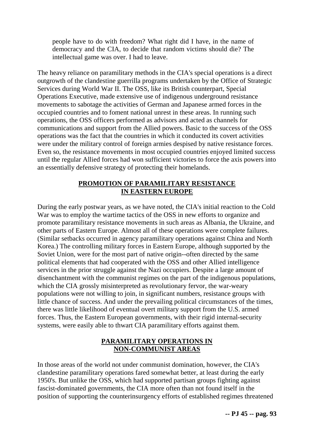people have to do with freedom? What right did I have, in the name of democracy and the CIA, to decide that random victims should die? The intellectual game was over. I had to leave.

The heavy reliance on paramilitary methods in the CIA's special operations is a direct outgrowth of the clandestine guerrilla programs undertaken by the Office of Strategic Services during World War II. The OSS, like its British counterpart, Special Operations Executive, made extensive use of indigenous underground resistance movements to sabotage the activities of German and Japanese armed forces in the occupied countries and to foment national unrest in these areas. In running such operations, the OSS officers performed as advisors and acted as channels for communications and support from the Allied powers. Basic to the success of the OSS operations was the fact that the countries in which it conducted its covert activities were under the military control of foreign armies despised by native resistance forces. Even so, the resistance movements in most occupied countries enjoyed limited success until the regular Allied forces had won sufficient victories to force the axis powers into an essentially defensive strategy of protecting their homelands.

## **PROMOTION OF PARAMILITARY RESISTANCE IN EASTERN EUROPE**

During the early postwar years, as we have noted, the CIA's initial reaction to the Cold War was to employ the wartime tactics of the OSS in new efforts to organize and promote paramilitary resistance movements in such areas as Albania, the Ukraine, and other parts of Eastern Europe. Almost all of these operations were complete failures. (Similar setbacks occurred in agency paramilitary operations against China and North Korea.) The controlling military forces in Eastern Europe, although supported by the Soviet Union, were for the most part of native origin--often directed by the same political elements that had cooperated with the OSS and other Allied intelligence services in the prior struggle against the Nazi occupiers. Despite a large amount of disenchantment with the communist regimes on the part of the indigenous populations, which the CIA grossly misinterpreted as revolutionary fervor, the war-weary populations were not willing to join, in significant numbers, resistance groups with little chance of success. And under the prevailing political circumstances of the times, there was little likelihood of eventual overt military support from the U.S. armed forces. Thus, the Eastern European governments, with their rigid internal-security systems, were easily able to thwart CIA paramilitary efforts against them.

## **PARAMILITARY OPERATIONS IN NON-COMMUNIST AREAS**

In those areas of the world not under communist domination, however, the CIA's clandestine paramilitary operations fared somewhat better, at least during the early 1950's. But unlike the OSS, which had supported partisan groups fighting against fascist-dominated governments, the CIA more often than not found itself in the position of supporting the counterinsurgency efforts of established regimes threatened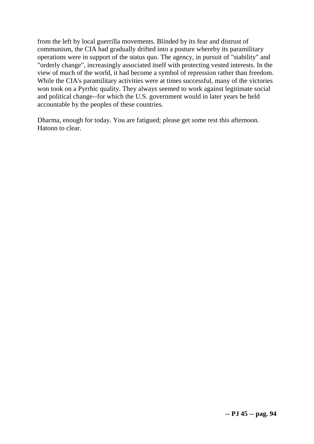from the left by local guerrilla movements. Blinded by its fear and distrust of communism, the CIA had gradually drifted into a posture whereby its paramilitary operations were in support of the status quo. The agency, in pursuit of "stability" and "orderly change", increasingly associated itself with protecting vested interests. In the view of much of the world, it had become a symbol of repression rather than freedom. While the CIA's paramilitary activities were at times successful, many of the victories won took on a Pyrrhic quality. They always seemed to work against legitimate social and political change--for which the U.S. government would in later years be held accountable by the peoples of these countries.

Dharma, enough for today. You are fatigued; please get some rest this afternoon. Hatonn to clear.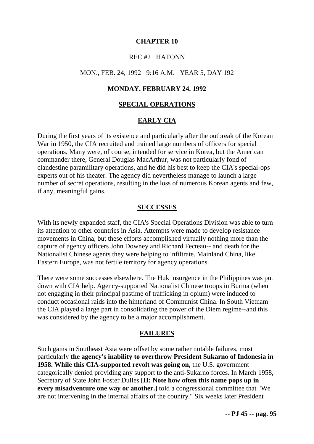#### **CHAPTER 10**

#### REC #2 HATONN

#### MON., FEB. 24, 1992 9:16 A.M. YEAR 5, DAY 192

#### **MONDAY. FEBRUARY 24. 1992**

#### **SPECIAL OPERATIONS**

#### **EARLY CIA**

During the first years of its existence and particularly after the outbreak of the Korean War in 1950, the CIA recruited and trained large numbers of officers for special operations. Many were, of course, intended for service in Korea, but the American commander there, General Douglas MacArthur, was not particularly fond of clandestine paramilitary operations, and he did his best to keep the CIA's special-ops experts out of his theater. The agency did nevertheless manage to launch a large number of secret operations, resulting in the loss of numerous Korean agents and few, if any, meaningful gains.

#### **SUCCESSES**

With its newly expanded staff, the CIA's Special Operations Division was able to turn its attention to other countries in Asia. Attempts were made to develop resistance movements in China, but these efforts accomplished virtually nothing more than the capture of agency officers John Downey and Richard Fecteau-- and death for the Nationalist Chinese agents they were helping to infiltrate. Mainland China, like Eastern Europe, was not fertile territory for agency operations.

There were some successes elsewhere. The Huk insurgence in the Philippines was put down with CIA help. Agency-supported Nationalist Chinese troops in Burma (when not engaging in their principal pastime of trafficking in opium) were induced to conduct occasional raids into the hinterland of Communist China. In South Vietnam the CIA played a large part in consolidating the power of the Diem regime--and this was considered by the agency to be a major accomplishment.

#### **FAILURES**

Such gains in Southeast Asia were offset by some rather notable failures, most particularly **the agency's inability to overthrow President Sukarno of Indonesia in 1958. While this CIA-supported revolt was going on,** the U.S. government categorically denied providing any support to the anti-Sukarno forces. In March 1958, Secretary of State John Foster Dulles **[H: Note how often this name pops up in every misadventure one way or another.]** told a congressional committee that "We are not intervening in the internal affairs of the country." Six weeks later President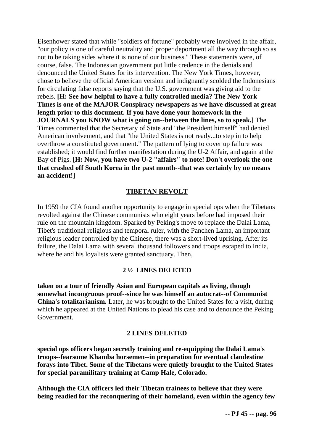Eisenhower stated that while "soldiers of fortune" probably were involved in the affair, "our policy is one of careful neutrality and proper deportment all the way through so as not to be taking sides where it is none of our business." These statements were, of course, false. The Indonesian government put little credence in the denials and denounced the United States for its intervention. The New York Times, however, chose to believe the official American version and indignantly scolded the Indonesians for circulating false reports saying that the U.S. government was giving aid to the rebels. **[H: See how helpful to have a fully controlled media? The New York Times is one of the MAJOR Conspiracy newspapers as we have discussed at great length prior to this document. If you have done your homework in the JOURNALS you KNOW what is going on--between the lines, so to speak.]** The Times commented that the Secretary of State and "the President himself" had denied American involvement, and that "the United States is not ready...to step in to help overthrow a constituted government." The pattern of lying to cover up failure was established; it would find further manifestation during the U-2 Affair, and again at the Bay of Pigs. **[H: Now, you have two U-2 "affairs" to note! Don't overlook the one that crashed off South Korea in the past month--that was certainly by no means an accident!]**

### **TIBETAN REVOLT**

In 1959 the CIA found another opportunity to engage in special ops when the Tibetans revolted against the Chinese communists who eight years before had imposed their rule on the mountain kingdom. Sparked by Peking's move to replace the Dalai Lama, Tibet's traditional religious and temporal ruler, with the Panchen Lama, an important religious leader controlled by the Chinese, there was a short-lived uprising. After its failure, the Dalai Lama with several thousand followers and troops escaped to India, where he and his loyalists were granted sanctuary. Then,

### **2 ½ LINES DELETED**

**taken on a tour of friendly Asian and European capitals as living, though somewhat incongruous proof--since he was himself an autocrat--of Communist China's totalitarianism.** Later, he was brought to the United States for a visit, during which he appeared at the United Nations to plead his case and to denounce the Peking Government.

#### **2 LINES DELETED**

**special ops officers began secretly training and re-equipping the Dalai Lama's troops--fearsome Khamba horsemen--in preparation for eventual clandestine forays into Tibet. Some of the Tibetans were quietly brought to the United States for special paramilitary training at Camp Hale, Colorado.**

**Although the CIA officers led their Tibetan trainees to believe that they were being readied for the reconquering of their homeland, even within the agency few**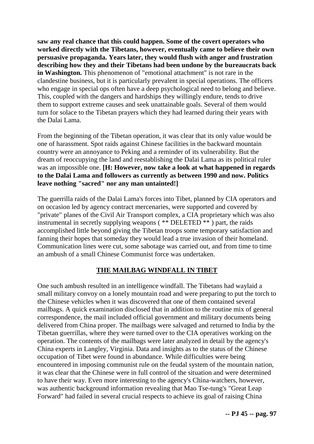**saw any real chance that this could happen. Some of the covert operators who worked directly with the Tibetans, however, eventually came to believe their own persuasive propaganda. Years later, they would flush with anger and frustration describing how they and their Tibetans had been undone by the bureaucrats back in Washington.** This phenomenon of "emotional attachment" is not rare in the clandestine business, but it is particularly prevalent in special operations. The officers who engage in special ops often have a deep psychological need to belong and believe. This, coupled with the dangers and hardships they willingly endure, tends to drive them to support extreme causes and seek unattainable goals. Several of them would turn for solace to the Tibetan prayers which they had learned during their years with the Dalai Lama.

From the beginning of the Tibetan operation, it was clear that its only value would be one of harassment. Spot raids against Chinese facilities in the backward mountain country were an annoyance to Peking and a reminder of its vulnerability. But the dream of reoccupying the land and reestablishing the Dalai Lama as its political ruler was an impossible one. **[H: However, now take a look at what happened in regards to the Dalai Lama and followers as currently as between 1990 and now. Politics leave nothing "sacred" nor any man untainted!]**

The guerrilla raids of the Dalai Lama's forces into Tibet, planned by CIA operators and on occasion led by agency contract mercenaries, were supported and covered by "private" planes of the Civil Air Transport complex, a CIA proprietary which was also instrumental in secretly supplying weapons ( \*\* DELETED \*\* ) part, the raids accomplished little beyond giving the Tibetan troops some temporary satisfaction and fanning their hopes that someday they would lead a true invasion of their homeland. Communication lines were cut, some sabotage was carried out, and from time to time an ambush of a small Chinese Communist force was undertaken.

## **THE MAILBAG WINDFALL IN TIBET**

One such ambush resulted in an intelligence windfall. The Tibetans had waylaid a small military convoy on a lonely mountain road and were preparing to put the torch to the Chinese vehicles when it was discovered that one of them contained several mailbags. A quick examination disclosed that in addition to the routine mix of general correspondence, the mail included official government and military documents being delivered from China proper. The mailbags were salvaged and returned to India by the Tibetan guerrillas, where they were turned over to the CIA operatives working on the operation. The contents of the mailbags were later analyzed in detail by the agency's China experts in Langley, Virginia. Data and insights as to the status of the Chinese occupation of Tibet were found in abundance. While difficulties were being encountered in imposing communist rule on the feudal system of the mountain nation, it was clear that the Chinese were in full control of the situation and were determined to have their way. Even more interesting to the agency's China-watchers, however, was authentic background information revealing that Mao Tse-tung's "Great Leap Forward" had failed in several crucial respects to achieve its goal of raising China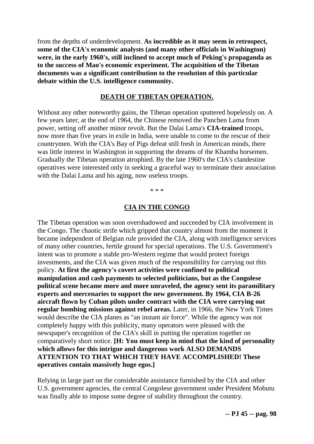from the depths of underdevelopment. **As incredible as it may seem in retrospect, some of the CIA's economic analysts (and many other officials in Washington) were, in the early 1960's, still inclined to accept much of Peking's propaganda as to the success of Mao's economic experiment. The acquisition of the Tibetan documents was a significant contribution to the resolution of this particular debate within the U.S. intelligence community.**

### **DEATH OF TIBETAN OPERATION.**

Without any other noteworthy gains, the Tibetan operation sputtered hopelessly on. A few years later, at the end of 1964, the Chinese removed the Panchen Lama from power, setting off another minor revolt. But the Dalai Lama's **CIA-trained** troops, now more than five years in exile in India, were unable to come to the rescue of their countrymen. With the CIA's Bay of Pigs defeat still fresh in American minds, there was little interest in Washington in supporting the dreams of the Khamba horsemen. Gradually the Tibetan operation atrophied. By the late 1960's the CIA's clandestine operatives were interested only in seeking a graceful way to terminate their association with the Dalai Lama and his aging, now useless troops.

\* \* \*

### **CIA IN THE CONGO**

The Tibetan operation was soon overshadowed and succeeded by CIA involvement in the Congo. The chaotic strife which gripped that country almost from the moment it became independent of Belgian rule provided the CIA, along with intelligence services of many other countries, fertile ground for special operations. The U.S. Government's intent was to promote a stable pro-Western regime that would protect foreign investments, and the CIA was given much of the responsibility for carrying out this policy. **At first the agency's covert activities were confined to political manipulation and cash payments to selected politicians, but as the Congolese political scene became more and more unraveled, the agency sent its paramilitary experts and mercenaries to support the new government. By 1964, CIA B-26 aircraft flown by Cuban pilots under contract with the CIA were carrying out regular bombing missions against rebel areas.** Later, in 1966, the New York Times would describe the CIA planes as "an instant air force". While the agency was not completely happy with this publicity, many operators were pleased with the newspaper's recognition of the CIA's skill in putting the operation together on comparatively short notice. **[H: You must keep in mind that the kind of personality which allows for this intrigue and dangerous work ALSO DEMANDS ATTENTION TO THAT WHICH THEY HAVE ACCOMPLISHED! These operatives contain massively huge egos.]**

Relying in large part on the considerable assistance furnished by the CIA and other U.S. government agencies, the central Congolese government under President Mobutu was finally able to impose some degree of stability throughout the country.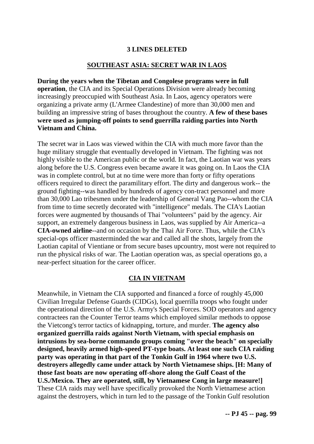## **3 LINES DELETED**

### **SOUTHEAST ASIA: SECRET WAR IN LAOS**

**During the years when the Tibetan and Congolese programs were in full operation**, the CIA and its Special Operations Division were already becoming increasingly preoccupied with Southeast Asia. In Laos, agency operators were organizing a private army (L'Armee Clandestine) of more than 30,000 men and building an impressive string of bases throughout the country. **A few of these bases were used as jumping-off points to send guerrilla raiding parties into North Vietnam and China.**

The secret war in Laos was viewed within the CIA with much more favor than the huge military struggle that eventually developed in Vietnam. The fighting was not highly visible to the American public or the world. In fact, the Laotian war was years along before the U.S. Congress even became aware it was going on. In Laos the CIA was in complete control, but at no time were more than forty or fifty operations officers required to direct the paramilitary effort. The dirty and dangerous work-- the ground fighting--was handled by hundreds of agency con-tract personnel and more than 30,000 Lao tribesmen under the leadership of General Vang Pao--whom the CIA from time to time secretly decorated with "intelligence" medals. The CIA's Laotian forces were augmented by thousands of Thai "volunteers" paid by the agency. Air support, an extremely dangerous business in Laos, was supplied by Air America--a **CIA-owned airline**--and on occasion by the Thai Air Force. Thus, while the CIA's special-ops officer masterminded the war and called all the shots, largely from the Laotian capital of Vientiane or from secure bases upcountry, most were not required to run the physical risks of war. The Laotian operation was, as special operations go, a near-perfect situation for the career officer.

## **CIA IN VIETNAM**

Meanwhile, in Vietnam the CIA supported and financed a force of roughly 45,000 Civilian Irregular Defense Guards (CIDGs), local guerrilla troops who fought under the operational direction of the U.S. Army's Special Forces. SOD operators and agency contractees ran the Counter Terror teams which employed similar methods to oppose the Vietcong's terror tactics of kidnapping, torture, and murder. **The agency also organized guerrilla raids against North Vietnam, with special emphasis on intrusions by sea-borne commando groups coming "over the beach" on specially designed, heavily armed high-speed PT-type boats. At least one such CIA raiding party was operating in that part of the Tonkin Gulf in 1964 where two U.S. destroyers allegedly came under attack by North Vietnamese ships. [H: Many of those fast boats are now operating off-shore along the Gulf Coast of the U.S./Mexico. They are operated, still, by Vietnamese Cong in large measure!]** These CIA raids may well have specifically provoked the North Vietnamese action against the destroyers, which in turn led to the passage of the Tonkin Gulf resolution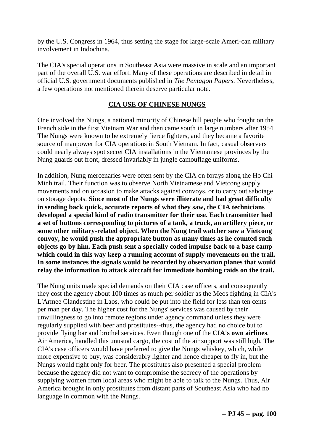by the U.S. Congress in 1964, thus setting the stage for large-scale Ameri-can military involvement in Indochina.

The CIA's special operations in Southeast Asia were massive in scale and an important part of the overall U.S. war effort. Many of these operations are described in detail in official U.S. government documents published in *The Pentagon Papers.* Nevertheless, a few operations not mentioned therein deserve particular note.

## **CIA USE OF CHINESE NUNGS**

One involved the Nungs, a national minority of Chinese hill people who fought on the French side in the first Vietnam War and then came south in large numbers after 1954. The Nungs were known to be extremely fierce fighters, and they became a favorite source of manpower for CIA operations in South Vietnam. In fact, casual observers could nearly always spot secret CIA installations in the Vietnamese provinces by the Nung guards out front, dressed invariably in jungle camouflage uniforms.

In addition, Nung mercenaries were often sent by the CIA on forays along the Ho Chi Minh trail. Their function was to observe North Vietnamese and Vietcong supply movements and on occasion to make attacks against convoys, or to carry out sabotage on storage depots. **Since most of the Nungs were illiterate and had great difficulty in sending back quick, accurate reports of what they saw, the CIA technicians developed a special kind of radio transmitter for their use. Each transmitter had a set of buttons corresponding to pictures of a tank, a truck, an artillery piece, or some other military-related object. When the Nung trail watcher saw a Vietcong convoy, he would push the appropriate button as many times as he counted such objects go by him. Each push sent a specially coded impulse back to a base camp which could in this way keep a running account of supply movements on the trail. In some instances the signals would be recorded by observation planes that would relay the information to attack aircraft for immediate bombing raids on the trail.**

The Nung units made special demands on their CIA case officers, and consequently they cost the agency about 100 times as much per soldier as the Meos fighting in CIA's L'Armee Clandestine in Laos, who could be put into the field for less than ten cents per man per day. The higher cost for the Nungs' services was caused by their unwillingness to go into remote regions under agency command unless they were regularly supplied with beer and prostitutes--thus, the agency had no choice but to provide flying bar and brothel services. Even though one of the **CIA's own airlines**, Air America, handled this unusual cargo, the cost of the air support was still high. The CIA's case officers would have preferred to give the Nungs whiskey, which, while more expensive to buy, was considerably lighter and hence cheaper to fly in, but the Nungs would fight only for beer. The prostitutes also presented a special problem because the agency did not want to compromise the secrecy of the operations by supplying women from local areas who might be able to talk to the Nungs. Thus, Air America brought in only prostitutes from distant parts of Southeast Asia who had no language in common with the Nungs.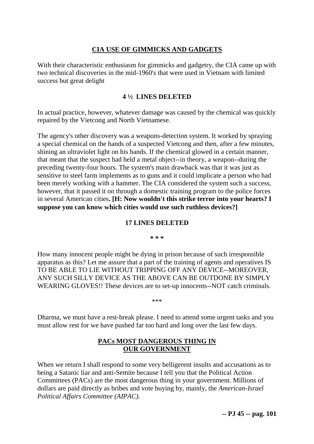## **CIA USE OF GIMMICKS AND GADGETS**

With their characteristic enthusiasm for gimmicks and gadgetry, the CIA came up with two technical discoveries in the mid-1960's that were used in Vietnam with limited success but great delight

#### **4 ½ LINES DELETED**

In actual practice, however, whatever damage was caused by the chemical was quickly repaired by the Vietcong and North Vietnamese.

The agency's other discovery was a weapons-detection system. It worked by spraying a special chemical on the hands of a suspected Vietcong and then, after a few minutes, shining an ultraviolet light on his hands. If the chemical glowed in a certain manner, that meant that the suspect had held a metal object--in theory, a weapon--during the preceding twenty-four hours. The system's main drawback was that it was just as sensitive to steel farm implements as to guns and it could implicate a person who had been merely working with a hammer. The CIA considered the system such a success, however, that it passed it on through a domestic training program to the police forces in several American cities**. [H: Now wouldn't this strike terror into your hearts? I suppose you can know which cities would use such ruthless devices?]**

#### **17 LINES DELETED**

**\* \* \***

How many innocent people might be dying in prison because of such irresponsible apparatus as this? Let me assure that a part of the training of agents and operatives IS TO BE ABLE TO LIE WITHOUT TRIPPING OFF ANY DEVICE--MOREOVER, ANY SUCH SILLY DEVICE AS THE ABOVE CAN BE OUTDONE BY SIMPLY WEARING GLOVES!! These devices are to set-up innocents--NOT catch criminals.

\*\*\*

Dharma, we must have a rest-break please. I need to attend some urgent tasks and you must allow rest for we have pushed far too hard and long over the last few days.

### **PACs MOST DANGEROUS THING IN OUR GOVERNMENT**

When we return I shall respond to some very belligerent insults and accusations as to being a Satanic liar and anti-Semite because I tell you that the Political Action Committees (PACs) are the most dangerous thing in your government. Millions of dollars are paid directly as bribes and vote buying by, mainly, the *American-Israel Political Affairs Committee (AIPAC).*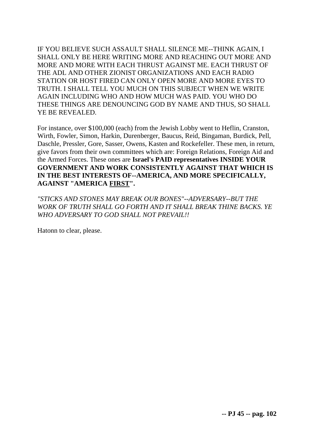IF YOU BELIEVE SUCH ASSAULT SHALL SILENCE ME--THINK AGAIN, I SHALL ONLY BE HERE WRITING MORE AND REACHING OUT MORE AND MORE AND MORE WITH EACH THRUST AGAINST ME. EACH THRUST OF THE ADL AND OTHER ZIONIST ORGANIZATIONS AND EACH RADIO STATION OR HOST FIRED CAN ONLY OPEN MORE AND MORE EYES TO TRUTH. I SHALL TELL YOU MUCH ON THIS SUBJECT WHEN WE WRITE AGAIN INCLUDING WHO AND HOW MUCH WAS PAID. YOU WHO DO THESE THINGS ARE DENOUNCING GOD BY NAME AND THUS, SO SHALL YE BE REVEALED.

For instance, over \$100,000 (each) from the Jewish Lobby went to Heflin, Cranston, Wirth, Fowler, Simon, Harkin, Durenberger, Baucus, Reid, Bingaman, Burdick, Pell, Daschle, Pressler, Gore, Sasser, Owens, Kasten and Rockefeller. These men, in return, give favors from their own committees which are: Foreign Relations, Foreign Aid and the Armed Forces. These ones are **Israel's PAID representatives INSIDE YOUR GOVERNMENT AND WORK CONSISTENTLY AGAINST THAT WHICH IS IN THE BEST INTERESTS OF--AMERICA, AND MORE SPECIFICALLY, AGAINST "AMERICA FIRST".**

*"STICKS AND STONES MAY BREAK OUR BONES"--ADVERSARY--BUT THE WORK OF TRUTH SHALL GO FORTH AND IT SHALL BREAK THINE BACKS. YE WHO ADVERSARY TO GOD SHALL NOT PREVAIL!!* 

Hatonn to clear, please.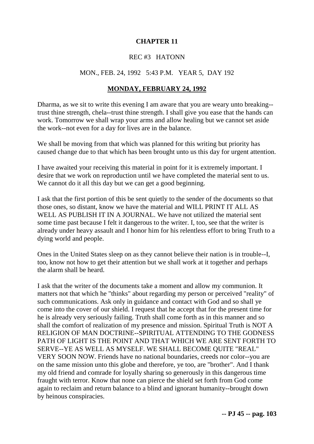### **CHAPTER 11**

### REC #3 HATONN

### MON., FEB. 24, 1992 5:43 P.M. YEAR 5, DAY 192

### **MONDAY, FEBRUARY 24, 1992**

Dharma, as we sit to write this evening I am aware that you are weary unto breaking- trust thine strength, chela--trust thine strength. I shall give you ease that the hands can work. Tomorrow we shall wrap your arms and allow healing but we cannot set aside the work--not even for a day for lives are in the balance.

We shall be moving from that which was planned for this writing but priority has caused change due to that which has been brought unto us this day for urgent attention.

I have awaited your receiving this material in point for it is extremely important. I desire that we work on reproduction until we have completed the material sent to us. We cannot do it all this day but we can get a good beginning.

I ask that the first portion of this be sent quietly to the sender of the documents so that those ones, so distant, know we have the material and WILL PRINT IT ALL AS WELL AS PUBLISH IT IN A JOURNAL. We have not utilized the material sent some time past because I felt it dangerous to the writer. I, too, see that the writer is already under heavy assault and I honor him for his relentless effort to bring Truth to a dying world and people.

Ones in the United States sleep on as they cannot believe their nation is in trouble--I, too, know not how to get their attention but we shall work at it together and perhaps the alarm shall be heard.

I ask that the writer of the documents take a moment and allow my communion. It matters not that which he "thinks" about regarding my person or perceived "reality" of such communications. Ask only in guidance and contact with God and so shall ye come into the cover of our shield. I request that he accept that for the present time for he is already very seriously failing. Truth shall come forth as in this manner and so shall the comfort of realization of my presence and mission. Spiritual Truth is NOT A RELIGION OF MAN DOCTRINE--SPIRITUAL ATTENDING TO THE GODNESS PATH OF LIGHT IS THE POINT AND THAT WHICH WE ARE SENT FORTH TO SERVE--YE AS WELL AS MYSELF. WE SHALL BECOME QUITE "REAL" VERY SOON NOW. Friends have no national boundaries, creeds nor color--you are on the same mission unto this globe and therefore, ye too, are "brother". And I thank my old friend and comrade for loyally sharing so generously in this dangerous time fraught with terror. Know that none can pierce the shield set forth from God come again to reclaim and return balance to a blind and ignorant humanity--brought down by heinous conspiracies.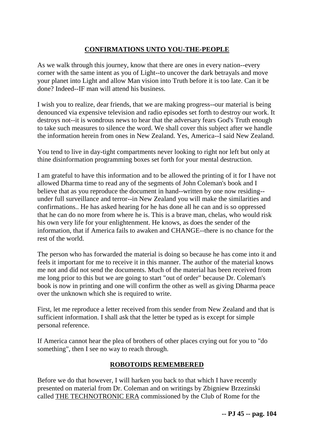# **CONFIRMATIONS UNTO YOU-THE-PEOPLE**

As we walk through this journey, know that there are ones in every nation--every corner with the same intent as you of Light--to uncover the dark betrayals and move your planet into Light and allow Man vision into Truth before it is too late. Can it be done? Indeed--IF man will attend his business.

I wish you to realize, dear friends, that we are making progress--our material is being denounced via expensive television and radio episodes set forth to destroy our work. It destroys not--it is wondrous news to hear that the adversary fears God's Truth enough to take such measures to silence the word. We shall cover this subject after we handle the information herein from ones in New Zealand. Yes, America--I said New Zealand.

You tend to live in day-tight compartments never looking to right nor left but only at thine disinformation programming boxes set forth for your mental destruction.

I am grateful to have this information and to be allowed the printing of it for I have not allowed Dharma time to read any of the segments of John Coleman's book and I believe that as you reproduce the document in hand--written by one now residing- under full surveillance and terror--in New Zealand you will make the similarities and confirmations.. He has asked hearing for he has done all he can and is so oppressed that he can do no more from where he is. This is a brave man, chelas, who would risk his own very life for your enlightenment. He knows, as does the sender of the information, that if America fails to awaken and CHANGE--there is no chance for the rest of the world.

The person who has forwarded the material is doing so because he has come into it and feels it important for me to receive it in this manner. The author of the material knows me not and did not send the documents. Much of the material has been received from me long prior to this but we are going to start "out of order" because Dr. Coleman's book is now in printing and one will confirm the other as well as giving Dharma peace over the unknown which she is required to write.

First, let me reproduce a letter received from this sender from New Zealand and that is sufficient information. I shall ask that the letter be typed as is except for simple personal reference.

If America cannot hear the plea of brothers of other places crying out for you to "do something", then I see no way to reach through.

# **ROBOTOIDS REMEMBERED**

Before we do that however, I will harken you back to that which I have recently presented on material from Dr. Coleman and on writings by Zbigniew Brzezinski called THE TECHNOTRONIC ERA commissioned by the Club of Rome for the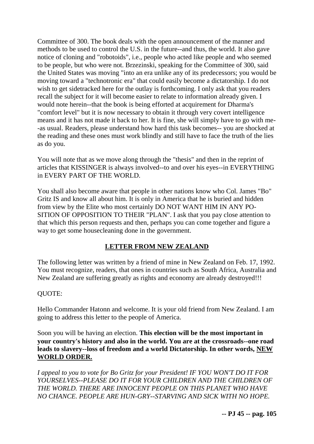Committee of 300. The book deals with the open announcement of the manner and methods to be used to control the U.S. in the future--and thus, the world. It also gave notice of cloning and "robotoids", i.e., people who acted like people and who seemed to be people, but who were not. Brzezinski, speaking for the Committee of 300, said the United States was moving "into an era unlike any of its predecessors; you would be moving toward a "technotronic era" that could easily become a dictatorship. I do not wish to get sidetracked here for the outlay is forthcoming. I only ask that you readers recall the subject for it will become easier to relate to information already given. I would note herein--that the book is being efforted at acquirement for Dharma's "comfort level" but it is now necessary to obtain it through very covert intelligence means and it has not made it back to her. It is fine, she will simply have to go with me- -as usual. Readers, please understand how hard this task becomes-- you are shocked at the reading and these ones must work blindly and still have to face the truth of the lies as do you.

You will note that as we move along through the "thesis" and then in the reprint of articles that KISSINGER is always involved--to and over his eyes--in EVERYTHING in EVERY PART OF THE WORLD.

You shall also become aware that people in other nations know who Col. James "Bo" Gritz IS and know all about him. It is only in America that he is buried and hidden from view by the Elite who most certainly DO NOT WANT HIM IN ANY PO-SITION OF OPPOSITION TO THEIR "PLAN". I ask that you pay close attention to that which this person requests and then, perhaps you can come together and figure a way to get some housecleaning done in the government.

# **LETTER FROM NEW ZEALAND**

The following letter was written by a friend of mine in New Zealand on Feb. 17, 1992. You must recognize, readers, that ones in countries such as South Africa, Australia and New Zealand are suffering greatly as rights and economy are already destroyed!!!

# QUOTE:

Hello Commander Hatonn and welcome. It is your old friend from New Zealand. I am going to address this letter to the people of America.

Soon you will be having an election. **This election will be the most important in your country's history and also in the world. You are at the crossroads--one road leads to slavery--loss of freedom and a world Dictatorship. In other words, NEW WORLD ORDER.**

*I appeal to you to vote for Bo Gritz for your President! IF YOU WON'T DO IT FOR*  YOURSELVES--PLEASE DO IT FOR YOUR CHILDREN AND THE CHILDREN OF *THE WORLD. THERE ARE INNOCENT PEOPLE ON THIS PLANET WHO HAVE NO CHANCE. PEOPLE ARE HUN-GRY--STARVING AND SICK WITH NO HOPE.*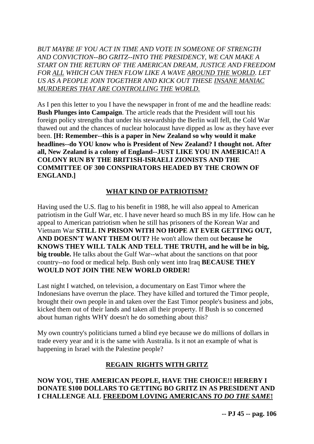*BUT MAYBE IF YOU ACT IN TIME AND VOTE IN SOMEONE OF STRENGTH AND CONVICTION--BO GRITZ--INTO THE PRESIDENCY, WE CAN MAKE A START ON THE RETURN OF THE AMERICAN DREAM, JUSTICE AND FREEDOM FOR ALL WHICH CAN THEN FLOW LIKE A WAVE AROUND THE WORLD. LET US AS A PEOPLE JOIN TOGETHER AND KICK OUT THESE INSANE MANIAC MURDERERS THAT ARE CONTROLLING THE WORLD.*

As I pen this letter to you I have the newspaper in front of me and the headline reads: **Bush Plunges into Campaign**. The article reads that the President will tout his foreign policy strengths that under his stewardship the Berlin wall fell, the Cold War thawed out and the chances of nuclear holocaust have dipped as low as they have ever been. **[H: Remember--this is a paper in New Zealand so why would it make headlines--do YOU know who is President of New Zealand? I thought not. After all, New Zealand is a colony of England--JUST LIKE YOU IN AMERICA!! A COLONY RUN BY THE BRIT1SH-ISRAELI ZIONISTS AND THE COMMITTEE OF 300 CONSPIRATORS HEADED BY THE CROWN OF ENGLAND.]**

## **WHAT KIND OF PATRIOTISM?**

Having used the U.S. flag to his benefit in 1988, he will also appeal to American patriotism in the Gulf War, etc. I have never heard so much BS in my life. How can he appeal to American patriotism when he still has prisoners of the Korean War and Vietnam War **STILL IN PRISON WITH NO HOPE AT EVER GETTING OUT, AND DOESN'T WANT THEM OUT?** He won't allow them out **because he KNOWS THEY WILL TALK AND TELL THE TRUTH, and he will be in big, big trouble.** He talks about the Gulf War--what about the sanctions on that poor country--no food or medical help. Bush only went into Iraq **BECAUSE THEY WOULD NOT JOIN THE NEW WORLD ORDER!**

Last night I watched, on television, a documentary on East Timor where the Indonesians have overrun the place. They have killed and tortured the Timor people, brought their own people in and taken over the East Timor people's business and jobs, kicked them out of their lands and taken all their property. If Bush is so concerned about human rights WHY doesn't he do something about this?

My own country's politicians turned a blind eye because we do millions of dollars in trade every year and it is the same with Australia. Is it not an example of what is happening in Israel with the Palestine people?

## **REGAIN RIGHTS WITH GRITZ**

**NOW YOU, THE AMERICAN PEOPLE, HAVE THE CHOICE!! HEREBY I DONATE \$100 DOLLARS TO GETTING BO GRITZ IN AS PRESIDENT AND I CHALLENGE ALL FREEDOM LOVING AMERICANS** *TO DO THE SAME***!**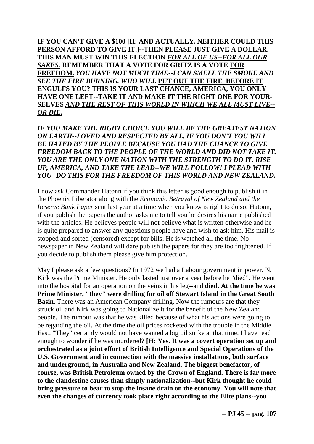**IF YOU CAN'T GIVE A \$100 [H: AND ACTUALLY, NEITHER COULD THIS PERSON AFFORD TO GIVE IT.]--THEN PLEASE JUST GIVE A DOLLAR. THIS MAN MUST WIN THIS ELECTION** *FOR ALL OF US--FOR ALL OUR SAKES.* **REMEMBER THAT A VOTE FOR GRITZ IS A VOTE FOR FREEDOM.** *YOU HAVE NOT MUCH TIME--I CAN SMELL THE SMOKE AND SEE THE FIRE BURNING. WHO WILL* **PUT OUT THE FIRE BEFORE IT ENGULFS YOU? THIS IS YOUR LAST CHANCE, AMERICA, YOU ONLY HAVE ONE LEFT--TAKE IT AND MAKE IT THE RIGHT ONE FOR YOUR-SELVES** *AND THE REST OF THIS WORLD IN WHICH WE ALL MUST LIVE-- OR DIE.*

*IF YOU MAKE THE RIGHT CHOICE YOU WILL BE THE GREATEST NATION ON EARTH--LOVED AND RESPECTED BY ALL. IF YOU DON'T YOU WILL BE HATED BY THE PEOPLE BECAUSE YOU HAD THE CHANCE TO GIVE FREEDOM BACK TO THE PEOPLE OF THE WORLD AND DID NOT TAKE IT. YOU ARE THE ONLY ONE NATION WITH THE STRENGTH TO DO IT. RISE UP, AMERICA, AND TAKE THE LEAD--WE WILL FOLLOW! I PLEAD WITH YOU--DO THIS FOR THE FREEDOM OF THIS WORLD AND NEW ZEALAND.*

I now ask Commander Hatonn if you think this letter is good enough to publish it in the Phoenix Liberator along with the *Economic Betrayal of New Zealand and the Reserve Bank Paper* sent last year at a time when you know is right to do so. Hatonn, if you publish the papers the author asks me to tell you he desires his name published with the articles. He believes people will not believe what is written otherwise and he is quite prepared to answer any questions people have and wish to ask him. His mail is stopped and sorted (censored) except for bills. He is watched all the time. No newspaper in New Zealand will dare publish the papers for they are too frightened. If you decide to publish them please give him protection.

May I please ask a few questions? In 1972 we had a Labour government in power. N. Kirk was the Prime Minister. He only lasted just over a year before he "died". He went into the hospital for an operation on the veins in his leg--and **died. At the time he was Prime Minister, "they" were drilling for oil off Stewart Island in the Great South Basin.** There was an American Company drilling. Now the rumours are that they struck oil and Kirk was going to Nationalize it for the benefit of the New Zealand people. The rumour was that he was killed because of what his actions were going to be regarding the oil. At the time the oil prices rocketed with the trouble in the Middle East. "They" certainly would not have wanted a big oil strike at that time. I have read enough to wonder if he was murdered? **[H: Yes. It was a covert operation set up and orchestrated as a joint effort of British Intelligence and Special Operations of the U.S. Government and in connection with the massive installations, both surface and underground, in Australia and New Zealand. The biggest benefactor, of course, was British Petroleum owned by the Crown of England. There is far more to the clandestine causes than simply nationalization--but Kirk thought he could bring pressure to bear to stop the insane drain on the economy. You will note that even the changes of currency took place right according to the Elite plans--you**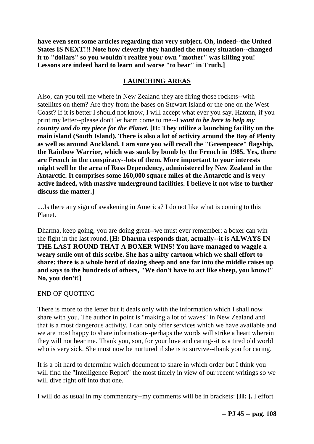**have even sent some articles regarding that very subject. Oh, indeed--the United States IS NEXT!!! Note how cleverly they handled the money situation--changed it to "dollars" so you wouldn't realize your own "mother" was killing you! Lessons are indeed hard to learn and worse "to bear" in Truth.]**

## **LAUNCHING AREAS**

Also, can you tell me where in New Zealand they are firing those rockets--with satellites on them? Are they from the bases on Stewart Island or the one on the West Coast? If it is better I should not know, I will accept what ever you say. Hatonn, if you print my letter--please don't let harm come to me--*I want to be here to help my country and do my piece for the Planet.* **[H: They utilize a launching facility on the main island (South Island). There is also a lot of activity around the Bay of Plenty as well as around Auckland. I am sure you will recall the "Greenpeace" flagship, the Rainbow Warrior, which was sunk by bomb by the French in 1985. Yes, there are French in the conspiracy--lots of them. More important to your interests might well be the area of Ross Dependency, administered by New Zealand in the Antarctic. It comprises some 160,000 square miles of the Antarctic and is very active indeed, with massive underground facilities. I believe it not wise to further discuss the matter.]**

....Is there any sign of awakening in America? I do not like what is coming to this Planet.

Dharma, keep going, you are doing great--we must ever remember: a boxer can win the fight in the last round. **[H: Dharma responds that, actually--it is ALWAYS IN THE LAST ROUND THAT A BOXER WINS! You have managed to waggle a weary smile out of this scribe. She has a nifty cartoon which we shall effort to share: there is a whole herd of dozing sheep and one far into the middle raises up and says to the hundreds of others, "We don't have to act like sheep, you know!" No, you don't!]**

## END OF QUOTING

There is more to the letter but it deals only with the information which I shall now share with you. The author in point is "making a lot of waves" in New Zealand and that is a most dangerous activity. I can only offer services which we have available and we are most happy to share information--perhaps the words will strike a heart wherein they will not hear me. Thank you, son, for your love and caring--it is a tired old world who is very sick. She must now be nurtured if she is to survive--thank you for caring.

It is a bit hard to determine which document to share in which order but I think you will find the "Intelligence Report" the most timely in view of our recent writings so we will dive right off into that one.

I will do as usual in my commentary--my comments will be in brackets: **[H: ].** I effort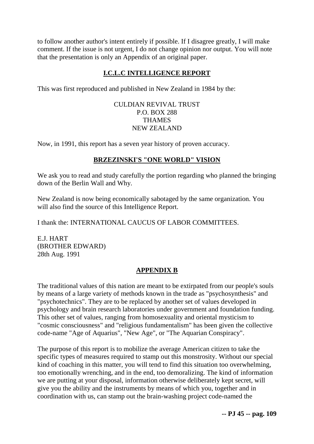to follow another author's intent entirely if possible. If I disagree greatly, I will make comment. If the issue is not urgent, I do not change opinion nor output. You will note that the presentation is only an Appendix of an original paper.

# **I.C.L.C INTELLIGENCE REPORT**

This was first reproduced and published in New Zealand in 1984 by the:

## CULDIAN REVIVAL TRUST P.O. BOX 288 **THAMES** NEW ZEALAND

Now, in 1991, this report has a seven year history of proven accuracy.

# **BRZEZINSKI'S "ONE WORLD" VISION**

We ask you to read and study carefully the portion regarding who planned the bringing down of the Berlin Wall and Why.

New Zealand is now being economically sabotaged by the same organization. You will also find the source of this Intelligence Report.

I thank the: INTERNATIONAL CAUCUS OF LABOR COMMITTEES.

E.J. HART (BROTHER EDWARD) 28th Aug. 1991

# **APPENDIX B**

The traditional values of this nation are meant to be extirpated from our people's souls by means of a large variety of methods known in the trade as "psychosynthesis" and "psychotechnics". They are to be replaced by another set of values developed in psychology and brain research laboratories under government and foundation funding. This other set of values, ranging from homosexuality and oriental mysticism to "cosmic consciousness" and "religious fundamentalism" has been given the collective code-name "Age of Aquarius", "New Age", or "The Aquarian Conspiracy".

The purpose of this report is to mobilize the average American citizen to take the specific types of measures required to stamp out this monstrosity. Without our special kind of coaching in this matter, you will tend to find this situation too overwhelming, too emotionally wrenching, and in the end, too demoralizing. The kind of information we are putting at your disposal, information otherwise deliberately kept secret, will give you the ability and the instruments by means of which you, together and in coordination with us, can stamp out the brain-washing project code-named the

**-- PJ 45 -- pag. 109**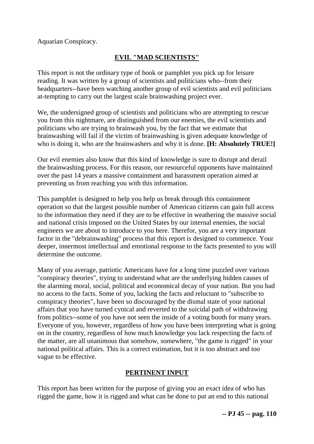Aquarian Conspiracy.

## **EVIL "MAD SCIENTISTS"**

This report is not the ordinary type of book or pamphlet you pick up for leisure reading. It was written by a group of scientists and politicians who--from their headquarters--have been watching another group of evil scientists and evil politicians at-tempting to carry out the largest scale brainwashing project ever.

We, the undersigned group of scientists and politicians who are attempting to rescue you from this nightmare, are distinguished from our enemies, the evil scientists and politicians who are trying to brainwash you, by the fact that we estimate that brainwashing will fail if the victim of brainwashing is given adequate knowledge of who is doing it, who are the brainwashers and why it is done. **[H: Absolutely TRUE!]**

Our evil enemies also know that this kind of knowledge is sure to disrupt and derail the brainwashing process. For this reason, our resourceful opponents have maintained over the past 14 years a massive containment and harassment operation aimed at preventing us from reaching you with this information.

This pamphlet is designed to help you help us break through this containment operation so that the largest possible number of American citizens can gain full access to the information they need if they are to be effective in weathering the massive social and national crisis imposed on the United States by our internal enemies, the social engineers we are about to introduce to you here. Therefor, you are a very important factor in the "debrainwashing" process that this report is designed to commence. Your deeper, innermost intellectual and emotional response to the facts presented to you will determine the outcome.

Many of you average, patriotic Americans have for a long time puzzled over various "conspiracy theories", trying to understand what are the underlying hidden causes of the alarming moral, social, political and economical decay of your nation. But you had no access to the facts. Some of you, lacking the facts and reluctant to "subscribe to conspiracy theories", have been so discouraged by the dismal state of your national affairs that you have turned cynical and reverted to the suicidal path of withdrawing from politics--some of you have not seen the inside of a voting booth for many years. Everyone of you, however, regardless of how you have been interpreting what is going on in the country, regardless of how much knowledge you lack respecting the facts of the matter, are all unanimous that somehow, somewhere, "the game is rigged" in your national political affairs. This is a correct estimation, but it is too abstract and too vague to be effective.

# **PERTINENT INPUT**

This report has been written for the purpose of giving you an exact idea of who has rigged the game, how it is rigged and what can be done to put an end to this national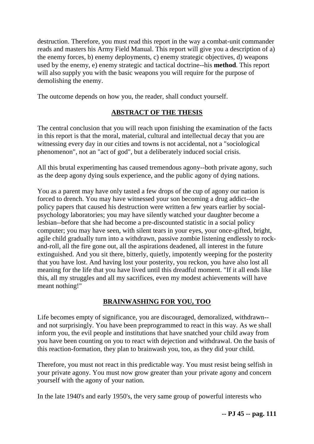destruction. Therefore, you must read this report in the way a combat-unit commander reads and masters his Army Field Manual. This report will give you a description of a) the enemy forces, b) enemy deployments, c) enemy strategic objectives, d) weapons used by the enemy, e) enemy strategic and tactical doctrine--his **method**. This report will also supply you with the basic weapons you will require for the purpose of demolishing the enemy.

The outcome depends on how you, the reader, shall conduct yourself.

# **ABSTRACT OF THE THESIS**

The central conclusion that you will reach upon finishing the examination of the facts in this report is that the moral, material, cultural and intellectual decay that you are witnessing every day in our cities and towns is not accidental, not a "sociological phenomenon", not an "act of god", but a deliberately induced social crisis.

All this brutal experimenting has caused tremendous agony--both private agony, such as the deep agony dying souls experience, and the public agony of dying nations.

You as a parent may have only tasted a few drops of the cup of agony our nation is forced to drench. You may have witnessed your son becoming a drug addict--the policy papers that caused his destruction were written a few years earlier by socialpsychology laboratories; you may have silently watched your daughter become a lesbian--before that she had become a pre-discounted statistic in a social policy computer; you may have seen, with silent tears in your eyes, your once-gifted, bright, agile child gradually turn into a withdrawn, passive zombie listening endlessly to rockand-roll, all the fire gone out, all the aspirations deadened, all interest in the future extinguished. And you sit there, bitterly, quietly, impotently weeping for the posterity that you have lost. And having lost your posterity, you reckon, you have also lost all meaning for the life that you have lived until this dreadful moment. "If it all ends like this, all my struggles and all my sacrifices, even my modest achievements will have meant nothing!"

# **BRAINWASHING FOR YOU, TOO**

Life becomes empty of significance, you are discouraged, demoralized, withdrawn- and not surprisingly. You have been preprogrammed to react in this way. As we shall inform you, the evil people and institutions that have snatched your child away from you have been counting on you to react with dejection and withdrawal. On the basis of this reaction-formation, they plan to brainwash you, too, as they did your child.

Therefore, you must not react in this predictable way. You must resist being selfish in your private agony. You must now grow greater than your private agony and concern yourself with the agony of your nation.

In the late 1940's and early 1950's, the very same group of powerful interests who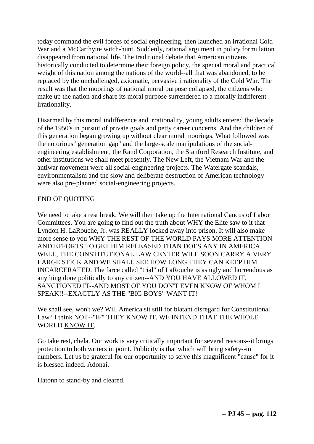today command the evil forces of social engineering, then launched an irrational Cold War and a McCarthyite witch-hunt. Suddenly, rational argument in policy formulation disappeared from national life. The traditional debate that American citizens historically conducted to determine their foreign policy, the special moral and practical weight of this nation among the nations of the world--all that was abandoned, to be replaced by the unchallenged, axiomatic, pervasive irrationality of the Cold War. The result was that the moorings of national moral purpose collapsed, the citizens who make up the nation and share its moral purpose surrendered to a morally indifferent irrationality.

Disarmed by this moral indifference and irrationality, young adults entered the decade of the 1950's in pursuit of private goals and petty career concerns. And the children of this generation began growing up without clear moral moorings. What followed was the notorious "generation gap" and the large-scale manipulations of the socialengineering establishment, the Rand Corporation, the Stanford Research Institute, and other institutions we shall meet presently. The New Left, the Vietnam War and the antiwar movement were all social-engineering projects. The Watergate scandals, environmentalism and the slow and deliberate destruction of American technology were also pre-planned social-engineering projects.

## END OF QUOTING

We need to take a rest break. We will then take up the International Caucus of Labor Committees. You are going to find out the truth about WHY the Elite saw to it that Lyndon H. LaRouche, Jr. was REALLY locked away into prison. It will also make more sense to you WHY THE REST OF THE WORLD PAYS MORE ATTENTION AND EFFORTS TO GET HIM RELEASED THAN DOES ANY IN AMERICA. WELL, THE CONSTITUTIONAL LAW CENTER WILL SOON CARRY A VERY LARGE STICK AND WE SHALL SEE HOW LONG THEY CAN KEEP HIM INCARCERATED. The farce called "trial" of LaRouche is as ugly and horrendous as anything done politically to any citizen--AND YOU HAVE ALLOWED IT, SANCTIONED IT--AND MOST OF YOU DON'T EVEN KNOW OF WHOM I SPEAK!!--EXACTLY AS THE "BIG BOYS" WANT IT!

We shall see, won't we? Will America sit still for blatant disregard for Constitutional Law? I think NOT--"IF" THEY KNOW IT. WE INTEND THAT THE WHOLE WORLD KNOW IT.

Go take rest, chela. Our work is very critically important for several reasons--it brings protection to both writers in point. Publicity is that which will bring safety--in numbers. Let us be grateful for our opportunity to serve this magnificent "cause" for it is blessed indeed. Adonai.

Hatonn to stand-by and cleared.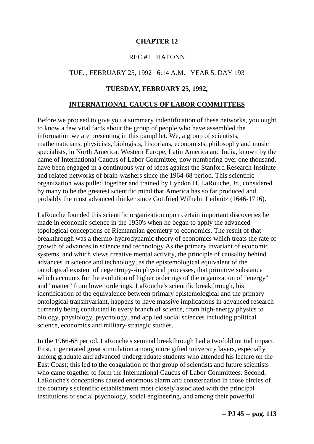### **CHAPTER 12**

#### REC #1 HATONN

#### TUE. , FEBRUARY 25, 1992 6:14 A.M. YEAR 5, DAY 193

### **TUESDAY, FEBRUARY 25, 1992,**

#### **INTERNATIONAL CAUCUS OF LABOR COMMITTEES**

Before we proceed to give you a summary indentification of these networks, you ought to know a few vital facts about the group of people who have assembled the information we are presenting in this pamphlet. We, a group of scientists, mathematicians, physicists, biologists, historians, economists, philosophy and music specialists, in North America, Western Europe, Latin America and India, known by the name of International Caucus of Labor Committee, now numbering over one thousand, have been engaged in a continuous war of ideas against the Stanford Research Institute and related networks of brain-washers since the 1964-68 period. This scientific organization was pulled together and trained by Lyndon H. LaRouche, Jr., considered by many to be the greatest scientific mind that America has so far produced and probably the most advanced thinker since Gottfried Wilhelm Leibnitz (1646-1716).

LaRouche founded this scientific organization upon certain important discoveries he made in economic science in the 1950's when he began to apply the advanced topological conceptions of Riemannian geometry to economics. The result of that breakthrough was a thermo-hydrodynamic theory of economics which treats the rate of growth of advances in science and technology As the primary invariant of economic systems, and which views creative mental activity, the principle of causality behind advances in science and technology, as the epistemological equivalent of the ontological existent of negentropy--in physical processes, that primitive substance which accounts for the evolution of higher orderings of the organization of "energy" and "matter" from lower orderings. LaRouche's scientific breakthrough, his identification of the equivalence between primary epistemological and the primary ontological transinvariant, happens to have massive implications in advanced research currently being conducted in every branch of science, from high-energy physics to biology, physiology, psychology, and applied social sciences including political science, economics and military-strategic studies.

In the 1966-68 period, LaRouche's seminal breakthrough had a twofold intitial impact. First, it generated great stimulation among more gifted university layers, especially among graduate and advanced undergraduate students who attended his lecture on the East Coast; this led to the coagulation of that group of scientists and future scientists who came together to form the International Caucus of Labor Committees. Second, LaRouche's conceptions caused enormous alarm and consternation in those circles of the country's scientific establishment most closely associated with the principal institutions of social psychology, social engineering, and among their powerful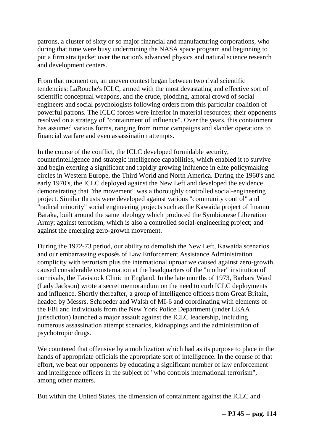patrons, a cluster of sixty or so major financial and manufacturing corporations, who during that time were busy undermining the NASA space program and beginning to put a firm straitjacket over the nation's advanced physics and natural science research and development centers.

From that moment on, an uneven contest began between two rival scientific tendencies: LaRouche's ICLC, armed with the most devastating and effective sort of scientific conceptual weapons, and the crude, plodding, amoral crowd of social engineers and social psychologists following orders from this particular coalition of powerful patrons. The ICLC forces were inferior in material resources; their opponents resolved on a strategy of "containment of influence". Over the years, this containment has assumed various forms, ranging from rumor campaigns and slander operations to financial warfare and even assassination attempts.

In the course of the conflict, the ICLC developed formidable security, counterintelligence and strategic intelligence capabilities, which enabled it to survive and begin exerting a significant and rapidly growing influence in elite policymaking circles in Western Europe, the Third World and North America. During the 1960's and early 1970's, the ICLC deployed against the New Left and developed the evidence demonstrating that "the movement" was a thoroughly controlled social-engineering project. Similar thrusts were developed against various "community control" and "radical minority" social engineering projects such as the Kawaida project of Imamu Baraka, built around the same ideology which produced the Symbionese Liberation Army; against terrorism, which is also a controlled social-engineering project; and against the emerging zero-growth movement.

During the 1972-73 period, our ability to demolish the New Left, Kawaida scenarios and our embarrassing exposés of Law Enforcement Assistance Administration complicity with terrorism plus the international uproar we caused against zero-growth, caused considerable consternation at the headquarters of the "mother" institution of our rivals, the Tavistock Clinic in England. In the late months of 1973, Barbara Ward (Lady Jackson) wrote a secret memorandum on the need to curb ICLC deployments and influence. Shortly thereafter, a group of intelligence officers from Great Britain, headed by Messrs. Schroeder and Walsh of MI-6 and coordinating with elements of the FBI and individuals from the New York Police Department (under LEAA jurisdiction) launched a major assault against the ICLC leadership, including numerous assassination attempt scenarios, kidnappings and the administration of psychotropic drugs.

We countered that offensive by a mobilization which had as its purpose to place in the hands of appropriate officials the appropriate sort of intelligence. In the course of that effort, we beat our opponents by educating a significant number of law enforcement and intelligence officers in the subject of "who controls international terrorism", among other matters.

But within the United States, the dimension of containment against the ICLC and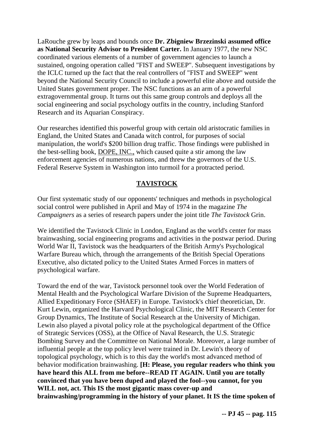LaRouche grew by leaps and bounds once **Dr. Zbigniew Brzezinski assumed office as National Security Advisor to President Carter.** In January 1977, the new NSC coordinated various elements of a number of government agencies to launch a sustained, ongoing operation called "FIST and SWEEP". Subsequent investigations by the ICLC turned up the fact that the real controllers of "FIST and SWEEP" went beyond the National Security Council to include a powerful elite above and outside the United States government proper. The NSC functions as an arm of a powerful extragovernmental group. It turns out this same group controls and deploys all the social engineering and social psychology outfits in the country, including Stanford Research and its Aquarian Conspiracy.

Our researches identified this powerful group with certain old aristocratic families in England, the United States and Canada witch control, for purposes of social manipulation, the world's \$200 billion drug traffic. Those findings were published in the best-selling book, DOPE, INC., which caused quite a stir among the law enforcement agencies of numerous nations, and threw the governors of the U.S. Federal Reserve System in Washington into turmoil for a protracted period.

## **TAVISTOCK**

Our first systematic study of our opponents' techniques and methods in psychological social control were published in April and May of 1974 in the magazine *The Campaigners* as a series of research papers under the joint title *The Tavistock* Grin.

We identified the Tavistock Clinic in London, England as the world's center for mass brainwashing, social engineering programs and activities in the postwar period. During World War II, Tavistock was the headquarters of the British Army's Psychological Warfare Bureau which, through the arrangements of the British Special Operations Executive, also dictated policy to the United States Armed Forces in matters of psychological warfare.

Toward the end of the war, Tavistock personnel took over the World Federation of Mental Health and the Psychological Warfare Division of the Supreme Headquarters, Allied Expeditionary Force (SHAEF) in Europe. Tavistock's chief theoretician, Dr. Kurt Lewin, organized the Harvard Psychological Clinic, the MIT Research Center for Group Dynamics, The Institute of Social Research at the University of Michigan. Lewin also played a pivotal policy role at the psychological department of the Office of Strategic Services (OSS), at the Office of Naval Research, the U.S. Strategic Bombing Survey and the Committee on National Morale. Moreover, a large number of influential people at the top policy level were trained in Dr. Lewin's theory of topological psychology, which is to this day the world's most advanced method of behavior modification brainwashing. **[H: Please, you regular readers who think you have heard this ALL from me before--READ IT AGAIN. Until you are totally convinced that you have been duped and played the fool--you cannot, for you WILL not, act. This IS the most gigantic mass cover-up and brainwashing/programming in the history of your planet. It IS the time spoken of**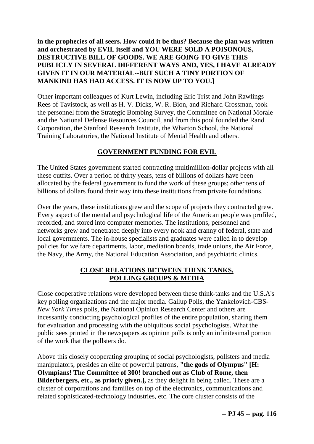**in the prophecies of all seers. How could it be thus? Because the plan was written and orchestrated by EVIL itself and YOU WERE SOLD A POISONOUS, DESTRUCTIVE BILL OF GOODS. WE ARE GOING TO GIVE THIS PUBLICLY IN SEVERAL DIFFERENT WAYS AND, YES, I HAVE ALREADY GIVEN IT IN OUR MATERIAL--BUT SUCH A TINY PORTION OF MANKIND HAS HAD ACCESS. IT IS NOW UP TO YOU.]**

Other important colleagues of Kurt Lewin, including Eric Trist and John Rawlings Rees of Tavistock, as well as H. V. Dicks, W. R. Bion, and Richard Crossman, took the personnel from the Strategic Bombing Survey, the Committee on National Morale and the National Defense Resources Council, and from this pool founded the Rand Corporation, the Stanford Research Institute, the Wharton School, the National Training Laboratories, the National Institute of Mental Health and others.

## **GOVERNMENT FUNDING FOR EVIL**

The United States government started contracting multimillion-dollar projects with all these outfits. Over a period of thirty years, tens of billions of dollars have been allocated by the federal government to fund the work of these groups; other tens of billions of dollars found their way into these institutions from private foundations.

Over the years, these institutions grew and the scope of projects they contracted grew. Every aspect of the mental and psychological life of the American people was profiled, recorded, and stored into computer memories. The institutions, personnel and networks grew and penetrated deeply into every nook and cranny of federal, state and local governments. The in-house specialists and graduates were called in to develop policies for welfare departments, labor, mediation boards, trade unions, the Air Force, the Navy, the Army, the National Education Association, and psychiatric clinics.

### **CLOSE RELATIONS BETWEEN THINK TANKS, POLLING GROUPS & MEDIA**

Close cooperative relations were developed between these think-tanks and the U.S.A's key polling organizations and the major media. Gallup Polls, the Yankelovich-CBS-*New York Times* polls, the National Opinion Research Center and others are incessantly conducting psychological profiles of the entire population, sharing them for evaluation and processing with the ubiquitous social psychologists. What the public sees printed in the newspapers as opinion polls is only an infinitesimal portion of the work that the pollsters do.

Above this closely cooperating grouping of social psychologists, pollsters and media manipulators, presides an elite of powerful patrons, **"the gods of Olympus" [H: Olympians! The Committee of 300! branched out as Club of Rome, then Bilderbergers, etc., as priorly given.],** as they delight in being called. These are a cluster of corporations and families on top of the electronics, communications and related sophisticated-technology industries, etc. The core cluster consists of the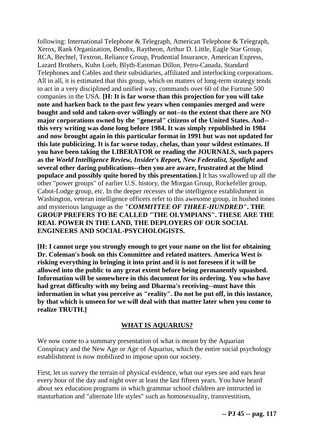following: International Telephone & Telegraph, American Telephone & Telegraph, Xerox, Rank Organization, Bendix, Raytheon, Arthur D. Little, Eagle Star Group, RCA, Bechtel, Textron, Reliance Group, Prudential Insurance, American Express, Lazard Brothers, Kuhn Loeb, Blyth-Eastman Dillon, Petro-Canada, Standard Telephones and Cables and their subsidiaries, affiliated and interlocking corporations. All in all, it is estimated that this group, which on matters of long-term strategy tends to act in a very disciplined and unified way, commands over 60 of the Fortune 500 companies in the USA. **[H: It is far worse than this projection for you will take note and harken back to the past few years when companies merged and were bought and sold and taken-over willingly or not--to the extent that there are NO major corporations owned by the "general" citizens of the United States. And- this very writing was done long before 1984. It was simply republished in 1984 and now brought again in this particular format in 1991 but was not updated for this late publicizing. It is far worse today, chelas, than your wildest estimates. If you have been taking the LIBERATOR or reading the JOURNALS, such papers as the** *World Intelligence Review, Insider's Report, New Federalist, Spotlight* **and several other daring publications--then you are aware, frustrated at the blind populace and possibly quite bored by this presentation.]** It has swallowed up all the other "power groups" of earlier U.S. history, the Morgan Group, Rockefeller group, Cabot-Lodge group, etc. In the deeper recesses of the intelligence establishment in Washington, veteran intelligence officers refer to this awesome group, in hushed tones and mysterious language as the *"COMMITTEE OF THREE-HUNDRED"***. THE GROUP PREFERS TO BE CALLED "THE OLYMPIANS". THESE ARE THE REAL POWER IN THE LAND, THE DEPLOYERS OF OUR SOCIAL ENGINEERS AND SOCIAL-PSYCHOLOGISTS.**

**[H: I cannot urge you strongly enough to get your name on the list for obtaining Dr. Coleman's book on this Committee and related matters. America West is risking everything in bringing it into print and it is not foreseen if it will be allowed into the public to any great extent before being permanently squashed. Information will be somewhere in this document for its ordering. You who have had great difficulty with my being and Dharma's receiving--must have this information in what you perceive as "reality". Do not be put off, in this instance, by that which is unseen for we will deal with that matter later when you come to realize TRUTH.]**

#### **WHAT IS AQUARIUS?**

We now come to a summary presentation of what is meant by the Aquarian Conspiracy and the New Age or Age of Aquarius, which the entire social psychology establishment is now mobilized to impose upon our society.

First, let us survey the terrain of physical evidence, what our eyes see and ears hear every hour of the day and night over at least the last fifteen years. You have heard about sex education programs in which grammar school children are instructed in masturbation and "alternate life styles" such as homosexuality, transvestitism,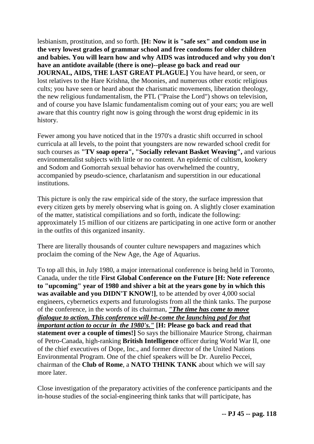lesbianism, prostitution, and so forth. **[H: Now it is "safe sex" and condom use in the very lowest grades of grammar school and free condoms for older children and babies. You will learn how and why AIDS was introduced and why you don't have an antidote available (there is one)--please go back and read our JOURNAL, AIDS, THE LAST GREAT PLAGUE.]** You have heard, or seen, or lost relatives to the Hare Krishna, the Moonies, and numerous other exotic religious cults; you have seen or heard about the charismatic movements, liberation theology, the new religious fundamentalism, the PTL ("Praise the Lord") shows on television, and of course you have Islamic fundamentalism coming out of your ears; you are well aware that this country right now is going through the worst drug epidemic in its history.

Fewer among you have noticed that in the 1970's a drastic shift occurred in school curricula at all levels, to the point that youngsters are now rewarded school credit for such courses as **"TV soap opera", "Socially relevant Basket Weaving",** and various environmentalist subjects with little or no content. An epidemic of cultism, kookery and Sodom and Gomorrah sexual behavior has overwhelmed the country, accompanied by pseudo-science, charlatanism and superstition in our educational institutions.

This picture is only the raw empirical side of the story, the surface impression that every citizen gets by merely observing what is going on. A slightly closer examination of the matter, statistical compiliations and so forth, indicate the following: approximately 15 million of our citizens are participating in one active form or another in the outfits of this organized insanity.

There are literally thousands of counter culture newspapers and magazines which proclaim the coming of the New Age, the Age of Aquarius.

To top all this, in July 1980, a major international conference is being held in Toronto, Canada, under the title **First Global Conference on the Future [H: Note reference to "upcoming" year of 1980 and shiver a bit at the years gone by in which this was available and you DIDN'T KNOW!]**, to be attended by over 4,000 social engineers, cybernetics experts and futurologists from all the think tanks. The purpose of the conference, in the words of its chairman, *"The time has come to move dialogue to action. This conference will be-come the launching pad for that important action to occur in the 1980's."* **[H: Please go back and read that statement over a couple of times!]** So says the billionaire Maurice Strong, chairman of Petro-Canada, high-ranking **British Intelligence** officer during World War II, one of the chief executives of Dope, Inc., and former director of the United Nations Environmental Program. One of the chief speakers will be Dr. Aurelio Peccei, chairman of the **Club of Rome**, a **NATO THINK TANK** about which we will say more later.

Close investigation of the preparatory activities of the conference participants and the in-house studies of the social-engineering think tanks that will participate, has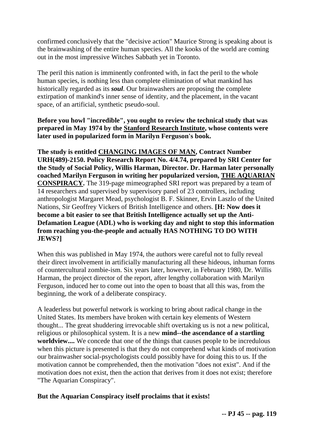confirmed conclusively that the "decisive action" Maurice Strong is speaking about is the brainwashing of the entire human species. All the kooks of the world are coming out in the most impressive Witches Sabbath yet in Toronto.

The peril this nation is imminently confronted with, in fact the peril to the whole human species, is nothing less than complete elimination of what mankind has historically regarded as its *soul*. Our brainwashers are proposing the complete extirpation of mankind's inner sense of identity, and the placement, in the vacant space, of an artificial, synthetic pseudo-soul.

**Before you howl "incredible", you ought to review the technical study that was prepared in May 1974 by the Stanford Research Institute, whose contents were later used in popularized form in Marilyn Ferguson's book.**

**The study is entitled CHANGING IMAGES OF MAN, Contract Number URH(489)-2150. Policy Research Report No. 4/4.74, prepared by SRI Center for the Study of Social Policy, Willis Harman, Director. Dr. Harman later personally coached Marilyn Ferguson in writing her popularized version, THE AQUARIAN CONSPIRACY.** The 319-page mimeographed SRI report was prepared by a team of 14 researchers and supervised by supervisory panel of 23 controllers, including anthropologist Margaret Mead, psychologist B. F. Skinner, Ervin Laszlo of the United Nations, Sir Geoffrey Vickers of British Intelligence and others. **[H: Now does it become a bit easier to see that British Intelligence actually set up the Anti-Defamation League (ADL) who is working day and night to stop this information from reaching you-the-people and actually HAS NOTHING TO DO WITH JEWS?]**

When this was published in May 1974, the authors were careful not to fully reveal their direct involvement in artificially manufacturing all these hideous, inhuman forms of countercultural zombie-ism. Six years later, however, in February 1980, Dr. Willis Harman, the project director of the report, after lengthy collaboration with Marilyn Ferguson, induced her to come out into the open to boast that all this was, from the beginning, the work of a deliberate conspiracy.

A leaderless but powerful network is working to bring about radical change in the United States. Its members have broken with certain key elements of Western thought... The great shuddering irrevocable shift overtaking us is not a new political, religious or philosophical system. It is a new **mind--the ascendance of a startling worldview....** We concede that one of the things that causes people to be incredulous when this picture is presented is that they do not comprehend what kinds of motivation our brainwasher social-psychologists could possibly have for doing this to us. If the motivation cannot be comprehended, then the motivation "does not exist". And if the motivation does not exist, then the action that derives from it does not exist; therefore "The Aquarian Conspiracy".

## **But the Aquarian Conspiracy itself proclaims that it exists!**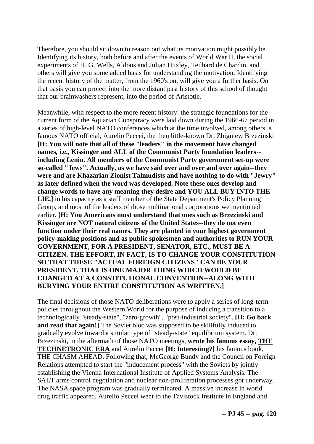Therefore, you should sit down to reason out what its motivation might possibly be. Identifying its history, both before and after the events of World War II, the social experiments of H. G. Wells, Aldous and Julian Huxley, Teilhard de Chardin, and others will give you some added basis for understanding the motivation. Identifying the recent history of the matter, from the 1960's on, will give you a further basis. On that basis you can project into the more distant past history of this school of thought that our brainwashers represent, into the period of Aristotle.

Meanwhile, with respect to the more recent history: the strategic foundations for the current form of the Aquarian Conspiracy were laid down during the 1966-67 period in a series of high-level NATO conferences which at the time involved, among others, a famous NATO official, Aurelio Peccei, the then little-known Dr. Zbigniew Brzezinski **[H: You will note that all of these "leaders" in the movement have changed names, i.e., Kissinger and ALL of the Communist Party foundation leaders- including Lenin. All members of the Communist Party government set-up were so-called "Jews". Actually, as we have said over and over and over again--they were and are Khazarian Zionist Talmudists and have nothing to do with "Jewry" as later defined when the word was developed. Note these ones develop and change words to have any meaning they desire and YOU ALL BUY INTO THE LIE.]** in his capacity as a staff member of the State Department's Policy Planning Group, and most of the leaders of those multinational corporations we mentioned earlier. **[H: You Americans must understand that ones such as Brzezinski and Kissinger are NOT natural citizens of the United States--they do not even function under their real names. They are planted in your highest government policy-making positions and as public spokesmen and authorities to RUN YOUR GOVERNMENT, FOR A PRESIDENT, SENATOR, ETC., MUST BE A CITIZEN. THE EFFORT, IN FACT, IS TO CHANGE YOUR CONSTITUTION SO THAT THESE "ACTUAL FOREIGN CITIZENS" CAN BE YOUR PRESIDENT. THAT IS ONE MAJOR THING WHICH WOULD BE CHANGED AT A CONSTITUTIONAL CONVENTION--ALONG WITH BURYING YOUR ENTIRE CONSTITUTION AS WRITTEN.]**

The final decisions of those NATO deliberations were to apply a series of long-term policies throughout the Western World for the purpose of inducing a transition to a technologically "steady-state", "zero-growth", "post-industrial society". **[H: Go back and read that again!]** The Soviet bloc was supposed to be skillfully induced to gradually evolve toward a similar type of "steady-state" equilibrium system. Dr. Brzezinski, in the aftermath of those NATO meetings, **wrote his famous essay, THE TECHNETRONIC ERA** and Aurelio Peccei **[H: Interesting?]** his famous book, THE CHASM AHEAD. Following that, McGeorge Bundy and the Council on Foreign Relations attempted to start the "inducement process" with the Soviets by jointly establishing the Vienna International Institute of Applied Systems Analysis. The SALT arms control negotiation and nuclear non-proliferation processes got underway. The NASA space program was gradually terminated. A massive increase in world drug traffic appeared. Aurelio Peccei went to the Tavistock Institute in England and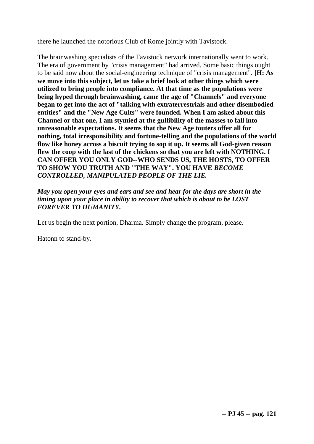there he launched the notorious Club of Rome jointly with Tavistock.

The brainwashing specialists of the Tavistock network internationally went to work. The era of government by "crisis management" had arrived. Some basic things ought to be said now about the social-engineering technique of "crisis management". **[H: As we move into this subject, let us take a brief look at other things which were utilized to bring people into compliance. At that time as the populations were being hyped through brainwashing, came the age of "Channels" and everyone began to get into the act of "talking with extraterrestrials and other disembodied entities" and the "New Age Cults" were founded. When I am asked about this Channel or that one, I am stymied at the gullibility of the masses to fall into unreasonable expectations. It seems that the New Age touters offer all for nothing, total irresponsibility and fortune-telling and the populations of the world flow like honey across a biscuit trying to sop it up. It seems all God-given reason flew the coop with the last of the chickens so that you are left with NOTHING. I CAN OFFER YOU ONLY GOD--WHO SENDS US, THE HOSTS, TO OFFER TO SHOW YOU TRUTH AND "THE WAY". YOU HAVE** *BECOME CONTROLLED, MANIPULATED PEOPLE OF THE LIE.*

*May you open your eyes and ears and see and hear for the days are short in the timing upon your place in ability to recover that which is about to be LOST FOREVER TO HUMANITY.*

Let us begin the next portion, Dharma. Simply change the program, please.

Hatonn to stand-by.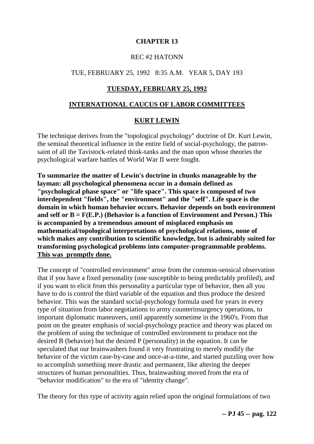## **CHAPTER 13**

### REC #2 HATONN

### TUE, FEBRUARY 25, 1992 8:35 A.M. YEAR 5, DAY 193

### **TUESDAY, FEBRUARY 25, 1992**

### **INTERNATIONAL CAUCUS OF LABOR COMMITTEES**

#### **KURT LEWIN**

The technique derives from the "topological psychology" doctrine of Dr. Kurt Lewin, the seminal theoretical influence in the entire field of social-psychology, the patronsaint of all the Tavistock-related think-tanks and the man upon whose theories the psychological warfare battles of World War II were fought.

**To summarize the matter of Lewin's doctrine in chunks manageable by the layman: all psychological phenomena occur in a domain defined as "psychological phase space" or "life space". This space is composed of two interdependent "fields", the "environment" and the "self". Life space is the domain in which human behavior occurs. Behavior depends on both environment and self or B = F(E.P.) (Behavior is a function of Environment and Person.) This is accompanied by a tremendous amount of misplaced emphasis on mathematical/topological interpretations of psychological relations, none of which makes any contribution to scientific knowledge, but is admirably suited for transforming psychological problems into computer-programmable problems. This was promptly done.**

The concept of "controlled environment" arose from the common-sensical observation that if you have a fixed personality (one susceptible to being predictably profiled), and if you want to elicit from this personality a particular type of behavior, then all you have to do is control the third variable of the equation and thus produce the desired behavior. This was the standard social-psychology formula used for years in every type of situation from labor negotiations to army counterinsurgency operations, to important diplomatic maneuvers, until apparently sometime in the 1960's. From that point on the greater emphasis of social-psychology practice and theory was placed on the problem of using the technique of controlled environment to produce not the desired B (behavior) but the desired P (personality) in the equation. It can be speculated that our brainwashers found it very frustrating to merely modify the behavior of the victim case-by-case and once-at-a-time, and started puzzling over how to accomplish something more drastic and permanent, like altering the deeper structures of human personalities. Thus, brainwashing moved from the era of "behavior modification" to the era of "identity change".

The theory for this type of activity again relied upon the original formulations of two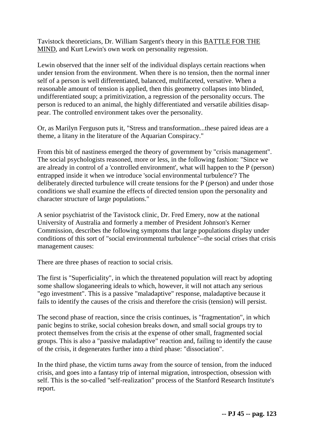Tavistock theoreticians, Dr. William Sargent's theory in this BATTLE FOR THE MIND, and Kurt Lewin's own work on personality regression.

Lewin observed that the inner self of the individual displays certain reactions when under tension from the environment. When there is no tension, then the normal inner self of a person is well differentiated, balanced, multifaceted, versative. When a reasonable amount of tension is applied, then this geometry collapses into blinded, undifferentiated soup; a primitivization, a regression of the personality occurs. The person is reduced to an animal, the highly differentiated and versatile abilities disappear. The controlled environment takes over the personality.

Or, as Marilyn Ferguson puts it, "Stress and transformation...these paired ideas are a theme, a litany in the literature of the Aquarian Conspiracy."

From this bit of nastiness emerged the theory of government by "crisis management". The social psychologists reasoned, more or less, in the following fashion: "Since we are already in control of a 'controlled environment', what will happen to the P (person) entrapped inside it when we introduce 'social environmental turbulence'? The deliberately directed turbulence will create tensions for the P (person) and under those conditions we shall examine the effects of directed tension upon the personality and character structure of large populations."

A senior psychiatrist of the Tavistock clinic, Dr. Fred Emery, now at the national University of Australia and formerly a member of President Johnson's Kerner Commission, describes the following symptoms that large populations display under conditions of this sort of "social environmental turbulence"--the social crises that crisis management causes:

There are three phases of reaction to social crisis.

The first is "Superficiality", in which the threatened population will react by adopting some shallow sloganeering ideals to which, however, it will not attach any serious "ego investment". This is a passive "maladaptive" response, maladaptive because it fails to identify the causes of the crisis and therefore the crisis (tension) will persist.

The second phase of reaction, since the crisis continues, is "fragmentation", in which panic begins to strike, social cohesion breaks down, and small social groups try to protect themselves from the crisis at the expense of other small, fragmented social groups. This is also a "passive maladaptive" reaction and, failing to identify the cause of the crisis, it degenerates further into a third phase: "dissociation".

In the third phase, the victim turns away from the source of tension, from the induced crisis, and goes into a fantasy trip of internal migration, introspection, obsession with self. This is the so-called "self-realization" process of the Stanford Research Institute's report.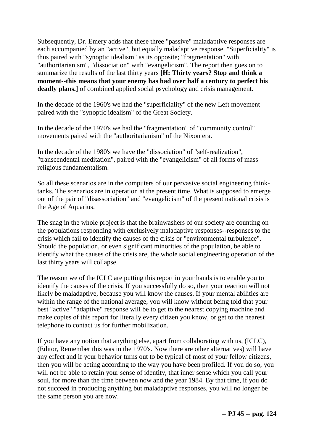Subsequently, Dr. Emery adds that these three "passive" maladaptive responses are each accompanied by an "active", but equally maladaptive response. "Superficiality" is thus paired with "synoptic idealism" as its opposite; "fragmentation" with "authoritarianism", "dissociation" with "evangelicism". The report then goes on to summarize the results of the last thirty years **[H: Thirty years? Stop and think a moment--this means that your enemy has had over half a century to perfect his**  deadly plans.] of combined applied social psychology and crisis management.

In the decade of the 1960's we had the "superficiality" of the new Left movement paired with the "synoptic idealism" of the Great Society.

In the decade of the 1970's we had the "fragmentation" of "community control" movements paired with the "authoritarianism" of the Nixon era.

In the decade of the 1980's we have the "dissociation" of "self-realization", "transcendental meditation", paired with the "evangelicism" of all forms of mass religious fundamentalism.

So all these scenarios are in the computers of our pervasive social engineering thinktanks. The scenarios are in operation at the present time. What is supposed to emerge out of the pair of "disassociation" and "evangelicism" of the present national crisis is the Age of Aquarius.

The snag in the whole project is that the brainwashers of our society are counting on the populations responding with exclusively maladaptive responses--responses to the crisis which fail to identify the causes of the crisis or "environmental turbulence". Should the population, or even significant minorities of the population, be able to identify what the causes of the crisis are, the whole social engineering operation of the last thirty years will collapse.

The reason we of the ICLC are putting this report in your hands is to enable you to identify the causes of the crisis. If you successfully do so, then your reaction will not likely be maladaptive, because you will know the causes. If your mental abilities are within the range of the national average, you will know without being told that your best "active" "adaptive" response will be to get to the nearest copying machine and make copies of this report for literally every citizen you know, or get to the nearest telephone to contact us for further mobilization.

If you have any notion that anything else, apart from collaborating with us, (ICLC), (Editor, Remember this was in the 1970's. Now there are other alternatives) will have any effect and if your behavior turns out to be typical of most of your fellow citizens, then you will be acting according to the way you have been profiled. If you do so, you will not be able to retain your sense of identity, that inner sense which you call your soul, for more than the time between now and the year 1984. By that time, if you do not succeed in producing anything but maladaptive responses, you will no longer be the same person you are now.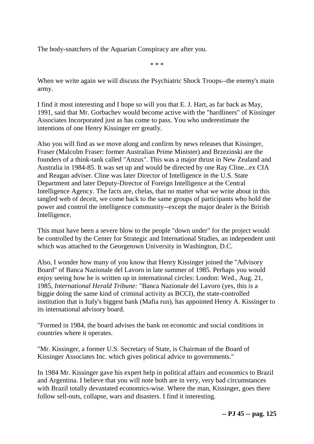The body-snatchers of the Aquarian Conspiracy are after you.

\* \* \*

When we write again we will discuss the Psychiatric Shock Troops--the enemy's main army.

I find it most interesting and I hope so will you that E. J. Hart, as far back as May, 1991, said that Mr. Gorbachev would become active with the "hardliners" of Kissinger Associates Incorporated just as has come to pass. You who underestimate the intentions of one Henry Kissinger err greatly.

Also you will find as we move along and confirm by news releases that Kissinger, Fraser (Malcolm Fraser: former Australian Prime Minister) and Brzezinski are the founders of a think-tank called "Anzus". This was a major thrust in New Zealand and Australia in 1984-85. It was set up and would be directed by one Ray Cline...ex CIA and Reagan adviser. Cline was later Director of Intelligence in the U.S. State Department and later Deputy-Director of Foreign Intelligence at the Central Intelligence Agency. The facts are, chelas, that no matter what we write about in this tangled web of deceit, we come back to the same groups of participants who hold the power and control the intelligence community--except the major dealer is the British Intelligence.

This must have been a severe blow to the people "down under" for the project would be controlled by the Center for Strategic and International Studies, an independent unit which was attached to the Georgetown University in Washington, D.C.

Also, I wonder how many of you know that Henry Kissinger joined the "Advisory Board" of Banca Nazionale del Lavoro in late summer of 1985. Perhaps you would enjoy seeing how he is written up in international circles: London: Wed., Aug. 21, 1985, *International Herald Tribune:* "Banca Nazionale del Lavoro (yes, this is a biggie doing the same kind of criminal activity as BCCI), the state-controlled institution that is Italy's biggest bank (Mafia run), has appointed Henry A. Kissinger to its international advisory board.

"Formed in 1984, the board advises the bank on economic and social conditions in countries where it operates.

"Mr. Kissinger, a former U.S. Secretary of State, is Chairman of the Board of Kissinger Associates Inc. which gives political advice to governments."

In 1984 Mr. Kissinger gave his expert help in political affairs and economics to Brazil and Argentina. I believe that you will note both are in very, very bad circumstances with Brazil totally devastated economics-wise. Where the man, Kissinger, goes there follow sell-outs, collapse, wars and disasters. I find it interesting.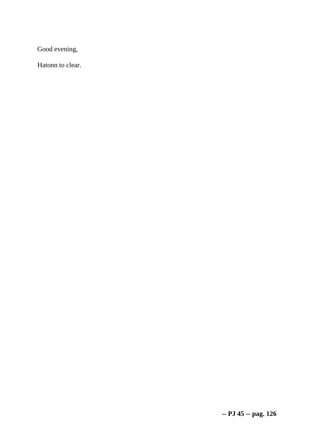Good evening,

Hatonn to clear.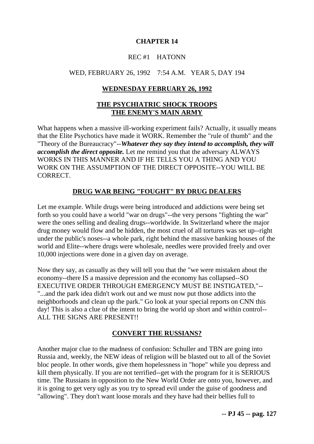### **CHAPTER 14**

#### REC #1 HATONN

#### WED, FEBRUARY 26, 1992 7:54 A.M. YEAR 5, DAY 194

### **WEDNESDAY FEBRUARY 26, 1992**

#### **THE PSYCHIATRIC SHOCK TROOPS THE ENEMY'S MAIN ARMY**

What happens when a massive ill-working experiment fails? Actually, it usually means that the Elite Psychotics have made it WORK. Remember the "rule of thumb" and the "Theory of the Bureaucracy"--*Whatever they say they intend to accomplish, they will accomplish the direct opposite.* Let me remind you that the adversary ALWAYS WORKS IN THIS MANNER AND IF HE TELLS YOU A THING AND YOU WORK ON THE ASSUMPTION OF THE DIRECT OPPOSITE--YOU WILL BE **CORRECT.** 

#### **DRUG WAR BEING "FOUGHT" BY DRUG DEALERS**

Let me example. While drugs were being introduced and addictions were being set forth so you could have a world "war on drugs"--the very persons "fighting the war" were the ones selling and dealing drugs--worldwide. In Switzerland where the major drug money would flow and be hidden, the most cruel of all tortures was set up--right under the public's noses--a whole park, right behind the massive banking houses of the world and Elite--where drugs were wholesale, needles were provided freely and over 10,000 injections were done in a given day on average.

Now they say, as casually as they will tell you that the "we were mistaken about the economy--there IS a massive depression and the economy has collapsed--SO EXECUTIVE ORDER THROUGH EMERGENCY MUST BE INSTIGATED,"-- "...and the park idea didn't work out and we must now put those addicts into the neighborhoods and clean up the park." Go look at your special reports on CNN this day! This is also a clue of the intent to bring the world up short and within control-- ALL THE SIGNS ARE PRESENT!!

#### **CONVERT THE RUSSIANS?**

Another major clue to the madness of confusion: Schuller and TBN are going into Russia and, weekly, the NEW ideas of religion will be blasted out to all of the Soviet bloc people. In other words, give them hopelessness in "hope" while you depress and kill them physically. If you are not terrified--get with the program for it is SERIOUS time. The Russians in opposition to the New World Order are onto you, however, and it is going to get very ugly as you try to spread evil under the guise of goodness and "allowing". They don't want loose morals and they have had their bellies full to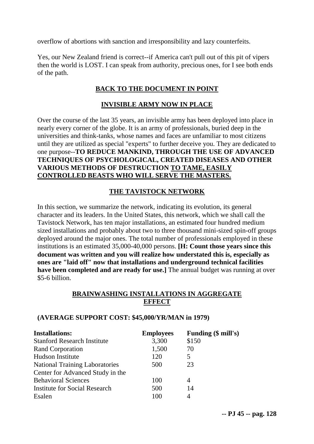overflow of abortions with sanction and irresponsibility and lazy counterfeits.

Yes, our New Zealand friend is correct--if America can't pull out of this pit of vipers then the world is LOST. I can speak from authority, precious ones, for I see both ends of the path.

# **BACK TO THE DOCUMENT IN POINT**

# **INVISIBLE ARMY NOW IN PLACE**

Over the course of the last 35 years, an invisible army has been deployed into place in nearly every corner of the globe. It is an army of professionals, buried deep in the universities and think-tanks, whose names and faces are unfamiliar to most citizens until they are utilized as special "experts" to further deceive you. They are dedicated to one purpose--**TO REDUCE MANKIND, THROUGH THE USE OF ADVANCED TECHNIQUES OF PSYCHOLOGICAL, CREATED DISEASES AND OTHER VARIOUS METHODS OF DESTRUCTION TO TAME, EASILY CONTROLLED BEASTS WHO WILL SERVE THE MASTERS.**

# **THE TAVISTOCK NETWORK**

In this section, we summarize the network, indicating its evolution, its general character and its leaders. In the United States, this network, which we shall call the Tavistock Network, has ten major installations, an estimated four hundred medium sized installations and probably about two to three thousand mini-sized spin-off groups deployed around the major ones. The total number of professionals employed in these institutions is an estimated 35,000-40,000 persons. **[H: Count those years since this document was written and you will realize how understated this is, especially as ones are "laid off" now that installations and underground technical facilities have been completed and are ready for use.]** The annual budget was running at over \$5-6 billion.

# **BRAINWASHING INSTALLATIONS IN AGGREGATE EFFECT**

## **(AVERAGE SUPPORT COST: \$45,000/YR/MAN in 1979)**

| <b>Installations:</b>                 | <b>Employees</b> | Funding (\$ mill's) |
|---------------------------------------|------------------|---------------------|
| <b>Stanford Research Institute</b>    | 3,300            | \$150               |
| <b>Rand Corporation</b>               | 1,500            | 70                  |
| Hudson Institute                      | 120              | 5                   |
| <b>National Training Laboratories</b> | 500              | 23                  |
| Center for Advanced Study in the      |                  |                     |
| <b>Behavioral Sciences</b>            | 100              | 4                   |
| <b>Institute for Social Research</b>  | 500              | 14                  |
| Esalen                                | 100              | 4                   |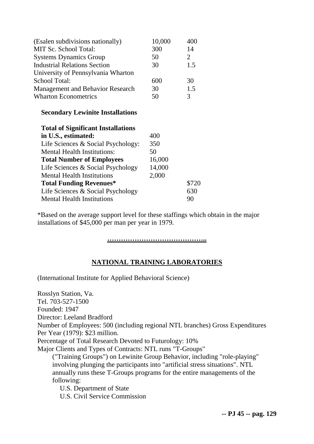| (Esalen subdivisions nationally)    | 10,000 | 400                         |
|-------------------------------------|--------|-----------------------------|
| MIT Sc. School Total:               | 300    | 14                          |
| <b>Systems Dynamics Group</b>       | 50     | $\mathcal{D}_{\mathcal{L}}$ |
| <b>Industrial Relations Section</b> | 30     | 1.5                         |
| University of Pennsylvania Wharton  |        |                             |
| <b>School Total:</b>                | 600    | 30                          |
| Management and Behavior Research    | 30     | 1.5                         |
| <b>Wharton Econometrics</b>         | 50     | 3                           |

## **Secondary Lewinite Installations**

| <b>Total of Significant Installations</b> |        |       |
|-------------------------------------------|--------|-------|
| in U.S., estimated:                       | 400    |       |
| Life Sciences & Social Psychology:        | 350    |       |
| <b>Mental Health Institutions:</b>        | 50     |       |
| <b>Total Number of Employees</b>          | 16,000 |       |
| Life Sciences & Social Psychology         | 14,000 |       |
| <b>Mental Health Institutions</b>         | 2,000  |       |
| <b>Total Funding Revenues*</b>            |        | \$720 |
| Life Sciences & Social Psychology         |        | 630   |
| <b>Mental Health Institutions</b>         |        | 90    |

\*Based on the average support level for these staffings which obtain in the major installations of \$45,000 per man per year in 1979.

**……………………………………..**

# **NATIONAL TRAINING LABORATORIES**

(International Institute for Applied Behavioral Science)

Rosslyn Station, Va. Tel. 703-527-1500 Founded: 1947 Director: Leeland Bradford Number of Employees: 500 (including regional NTL branches) Gross Expenditures Per Year (1979): \$23 million. Percentage of Total Research Devoted to Futurology: 10% Major Clients and Types of Contracts: NTL runs "T-Groups" ("Training Groups") on Lewinite Group Behavior, including "role-playing" involving plunging the participants into "artificial stress situations". NTL annually runs these T-Groups programs for the entire managements of the following: U.S. Department of State U.S. Civil Service Commission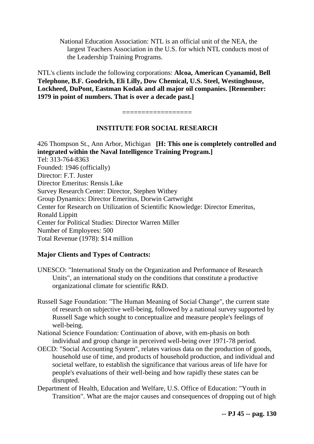National Education Association: NTL is an official unit of the NEA, the largest Teachers Association in the U.S. for which NTL conducts most of the Leadership Training Programs.

NTL's clients include the following corporations: **Alcoa, American Cyanamid, Bell Telephone, B.F. Goodrich, Eli Lilly, Dow Chemical, U.S. Steel, Westinghouse, Lockheed, DuPont, Eastman Kodak and all major oil companies. [Remember: 1979 in point of numbers. That is over a decade past.]**

==================

## **INSTITUTE FOR SOCIAL RESEARCH**

426 Thompson St., Ann Arbor, Michigan **[H: This one is completely controlled and integrated within the Naval Intelligence Training Program.]** Tel: 313-764-8363 Founded: 1946 (officially) Director: F.T. Juster Director Emeritus: Rensis Like Survey Research Center: Director, Stephen Withey Group Dynamics: Director Emeritus, Dorwin Cartwright Center for Research on Utilization of Scientific Knowledge: Director Emeritus, Ronald Lippitt Center for Political Studies: Director Warren Miller Number of Employees: 500 Total Revenue (1978): \$14 million

#### **Major Clients and Types of Contracts:**

- UNESCO: "International Study on the Organization and Performance of Research Units", an international study on the conditions that constitute a productive organizational climate for scientific R&D.
- Russell Sage Foundation: "The Human Meaning of Social Change", the current state of research on subjective well-being, followed by a national survey supported by Russell Sage which sought to conceptualize and measure people's feelings of well-being.
- National Science Foundation: Continuation of above, with em-phasis on both individual and group change in perceived well-being over 1971-78 period.
- OECD: "Social Accounting System", relates various data on the production of goods, household use of time, and products of household production, and individual and societal welfare, to establish the significance that various areas of life have for people's evaluations of their well-being and how rapidly these states can be disrupted.
- Department of Health, Education and Welfare, U.S. Office of Education: "Youth in Transition". What are the major causes and consequences of dropping out of high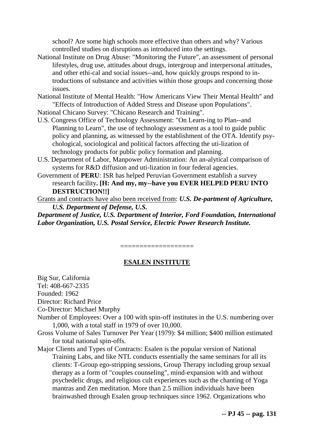school? Are some high schools more effective than others and why? Various controlled studies on disruptions as introduced into the settings.

- National Institute on Drug Abuse: "Monitoring the Future", an assessment of personal lifestyles, drug use, attitudes about drugs, intergroup and interpersonal attitudes, and other ethi-cal and social issues--and, how quickly groups respond to introductions of substance and activities within those groups and concerning those issues.
- National Institute of Mental Health: "How Americans View Their Mental Health" and "Effects of Introduction of Added Stress and Disease upon Populations".
- National Chicano Survey: "Chicano Research and Training".
- U.S. Congress Office of Technology Assessment: "On Learn-ing to Plan--and Planning to Learn", the use of technology assessment as a tool to guide public policy and planning, as witnessed by the establishment of the OTA. Identify psychological, sociological and political factors affecting the uti-lization of technology products for public policy formation and planning.
- U.S. Department of Labor, Manpower Administration: An an-alytical comparison of systems for R&D diffusion and uti-lization in four federal agencies.
- Government of **PERU**: ISR has helped Peruvian Government establish a survey research facility**. [H: And my, my--have you EVER HELPED PERU INTO DESTRUCTION!!]**
- Grants and contracts have also been received from: *U.S. De-partment of Agriculture, U.S. Department of Defense, U.S.*

*Department of Justice, U.S. Department of Interior, Ford Foundation, International Labor Organization, U.S. Postal Service, Electric Power Research Institute.*

# **ESALEN INSTITUTE**

====================

Big Sur, California

Tel: 408-667-2335

Founded: 1962

Director: Richard Price

Co-Director: Michael Murphy

- Number of Employees: Over a 100 with spin-off institutes in the U.S. numbering over 1,000, with a total staff in 1979 of over 10,000.
- Gross Volume of Sales Turnover Per Year (1979): \$4 million; \$400 million estimated for total national spin-offs.
- Major Clients and Types of Contracts: Esalen is the popular version of National Training Labs, and like NTL conducts essentially the same seminars for all its clients: T-Group ego-stripping sessions, Group Therapy including group sexual therapy as a form of "couples counseling", mind-expansion with and without psychedelic drugs, and religious cult experiences such as the chanting of Yoga mantras and Zen meditation. More than 2.5 million individuals have been brainwashed through Esalen group techniques since 1962. Organizations who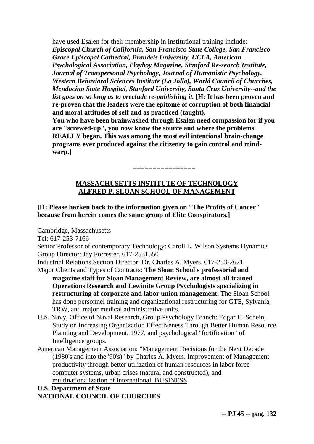have used Esalen for their membership in institutional training include: *Episcopal Church of California, San Francisco State College, San Francisco Grace Episcopal Cathedral, Brandeis University, UCLA, American Psychological Association, Playboy Magazine, Stanford Re-search Institute, Journal of Transpersonal Psychology, Journal of Humanistic Psychology, Western Behavioral Sciences Institute (La Jolla), World Council of Churches, Mendocino State Hospital, Stanford University, Santa Cruz University--and the list goes on so long as to preclude re-publishing it.* **[H: It has been proven and re-proven that the leaders were the epitome of corruption of both financial and moral attitudes of self and as practiced (taught). You who have been brainwashed through Esalen need compassion for if you are "screwed-up", you now know the source and where the problems REALLY began. This was among the most evil intentional brain-change programs ever produced against the citizenry to gain control and mind-**

**warp.]**

**================**

## **MASSACHUSETTS INSTITUTE OF TECHNOLOGY ALFRED P. SLOAN SCHOOL OF MANAGEMENT**

**[H: Please harken back to the information given on "The Profits of Cancer" because from herein comes the same group of Elite Conspirators.]**

Cambridge, Massachusetts

Tel: 617-253-7166

Senior Professor of contemporary Technology: Caroll L. Wilson Systems Dynamics Group Director: Jay Forrester. 617-2531550

Industrial Relations Section Director: Dr. Charles A. Myers. 617-253-2671.

- Major Clients and Types of Contracts: **The Sloan School's professorial and magazine staff for Sloan Management Review, are almost all trained Operations Research and Lewinite Group Psychologists specializing in restructuring of corporate and labor union management.** The Sloan School has done personnel training and organizational restructuring for GTE, Sylvania, TRW, and major medical administrative units.
- U.S. Navy, Office of Naval Research, Group Psychology Branch: Edgar H. Schein, Study on Increasing Organization Effectiveness Through Better Human Resource Planning and Development, 1977, and psychological "fortification" of Intelligence groups.
- American Management Association: "Management Decisions for the Next Decade (1980's and into the '90's)" by Charles A. Myers. Improvement of Management productivity through better utilization of human resources in labor force computer systems, urban crises (natural and constructed), and multinationalization of international BUSINESS.

**U.S. Department of State NATIONAL COUNCIL OF CHURCHES**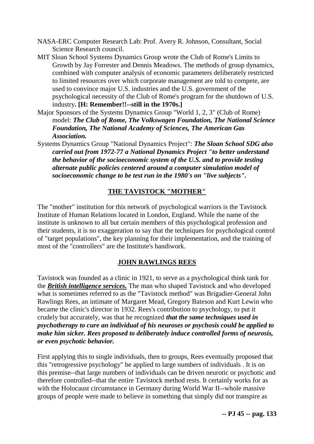- NASA-ERC Computer Research Lab: Prof. Avery R. Johnson, Consultant, Social Science Research council.
- MIT Sloan School Systems Dynamics Group wrote the Club of Rome's Limits to Growth by Jay Forrester and Dennis Meadows. The methods of group dynamics, combined with computer analysis of economic parameters deliberately restricted to limited resources over which corporate management are told to compete, are used to convince major U.S. industries and the U.S. government of the psychological necessity of the Club of Rome's program for the shutdown of U.S. industry**. [H: Remember!!--still in the 1970s.]**
- Major Sponsors of the Systems Dynamics Group "World 1, 2, 3" (Club of Rome) model: *The Club of Rome, The Volkswagen Foundation, The National Science Foundation, The National Academy of Sciences, The American Gas Association.*
- Systems Dynamics Group "National Dynamics Project": *The Sloan School SDG also carried out from 1972-77 a National Dynamics Project "to better understand the behavior of the socioeconomic system of the U.S. and to provide testing alternate public policies centered around a computer simulation model of socioeconomic change to be test run in the 1980's on "live subjects".*

# **THE TAVISTOCK "MOTHER"**

The "mother" institution for this network of psychological warriors is the Tavistock Institute of Human Relations located in London, England. While the name of the institute is unknown to all but certain members of this psychological profession and their students, it is no exaggeration to say that the techniques for psychological control of "target populations", the key planning for their implementation, and the training of most of the "controllers" are the Institute's handiwork.

# **JOHN RAWLINGS REES**

Tavistock was founded as a clinic in 1921, to serve as a psychological think tank for the *British intelligence services.* The man who shaped Tavistock and who developed what is sometimes referred to as the "Tavistock method" was Brigadier-General John Rawlings Rees, an intimate of Margaret Mead, Gregory Bateson and Kurt Lewin who became the clinic's director in 1932. Rees's contribution to psychology, to put it crudely but accurately, was that he recognized *that the same techniques used in psychotherapy to cure an individual of his neuroses or psychosis could be applied to make him sicker. Rees proposed to deliberately induce controlled forms of neurosis, or even psychotic behavior.*

First applying this to single individuals, then to groups, Rees eventually proposed that this "retrogressive psychology" be applied to large numbers of individuals . It is on this premise--that large numbers of individuals can be driven neurotic or psychotic and therefore controlled--that the entire Tavistock method rests. It certainly works for as with the Holocaust circumstance in Germany during World War II--whole massive groups of people were made to believe in something that simply did not transpire as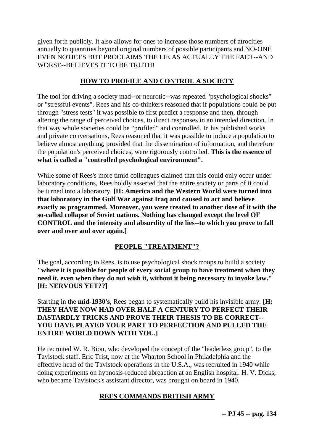given forth publicly. It also allows for ones to increase those numbers of atrocities annually to quantities beyond original numbers of possible participants and NO-ONE EVEN NOTICES BUT PROCLAIMS THE LIE AS ACTUALLY THE FACT--AND WORSE--BELIEVES IT TO BE TRUTH!

# **HOW TO PROFILE AND CONTROL A SOCIETY**

The tool for driving a society mad--or neurotic--was repeated "psychological shocks" or "stressful events". Rees and his co-thinkers reasoned that if populations could be put through "stress tests" it was possible to first predict a response and then, through altering the range of perceived choices, to direct responses in an intended direction. In that way whole societies could be "profiled" and controlled. In his published works and private conversations, Rees reasoned that it was possible to induce a population to believe almost anything, provided that the dissemination of information, and therefore the population's perceived choices, were rigorously controlled. **This is the essence of what is called a "controlled psychological environment".**

While some of Rees's more timid colleagues claimed that this could only occur under laboratory conditions, Rees boldly asserted that the entire society or parts of it could be turned into a laboratory. **[H: America and the Western World were turned into that laboratory in the Gulf War against Iraq and caused to act and believe exactly as programmed. Moreover, you were treated to another dose of it with the so-called collapse of Soviet nations. Nothing has changed except the level OF CONTROL and the intensity and absurdity of the lies--to which you prove to fall over and over and over again.]**

# **PEOPLE "TREATMENT"?**

The goal, according to Rees, is to use psychological shock troops to build a society **"where it is possible for people of every social group to have treatment when they need it, even when they do not wish it, without it being necessary to invoke law." [H: NERVOUS YET??]**

Starting in the **mid-1930's**, Rees began to systematically build his invisible army. **[H: THEY HAVE NOW HAD OVER HALF A CENTURY TO PERFECT THEIR DASTARDLY TRICKS AND PROVE THEIR THESIS TO BE CORRECT-- YOU HAVE PLAYED YOUR PART TO PERFECTION AND PULLED THE ENTIRE WORLD DOWN WITH YOU.]**

He recruited W. R. Bion, who developed the concept of the "leaderless group", to the Tavistock staff. Eric Trist, now at the Wharton School in Philadelphia and the effective head of the Tavistock operations in the U.S.A., was recruited in 1940 while doing experiments on hypnosis-reduced abreaction at an English hospital. H. V. Dicks, who became Tavistock's assistant director, was brought on board in 1940.

# **REES COMMANDS BRITISH ARMY**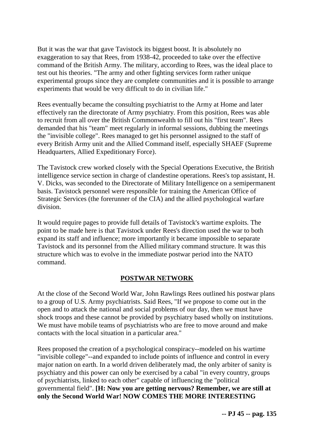But it was the war that gave Tavistock its biggest boost. It is absolutely no exaggeration to say that Rees, from 1938-42, proceeded to take over the effective command of the British Army. The military, according to Rees, was the ideal place to test out his theories. "The army and other fighting services form rather unique experimental groups since they are complete communities and it is possible to arrange experiments that would be very difficult to do in civilian life."

Rees eventually became the consulting psychiatrist to the Army at Home and later effectively ran the directorate of Army psychiatry. From this position, Rees was able to recruit from all over the British Commonwealth to fill out his "first team". Rees demanded that his "team" meet regularly in informal sessions, dubbing the meetings the "invisible college". Rees managed to get his personnel assigned to the staff of every British Army unit and the Allied Command itself, especially SHAEF (Supreme Headquarters, Allied Expeditionary Force).

The Tavistock crew worked closely with the Special Operations Executive, the British intelligence service section in charge of clandestine operations. Rees's top assistant, H. V. Dicks, was seconded to the Directorate of Military Intelligence on a semipermanent basis. Tavistock personnel were responsible for training the American Office of Strategic Services (the forerunner of the CIA) and the allied psychological warfare division.

It would require pages to provide full details of Tavistock's wartime exploits. The point to be made here is that Tavistock under Rees's direction used the war to both expand its staff and influence; more importantly it became impossible to separate Tavistock and its personnel from the Allied military command structure. It was this structure which was to evolve in the immediate postwar period into the NATO command.

## **POSTWAR NETWORK**

At the close of the Second World War, John Rawlings Rees outlined his postwar plans to a group of U.S. Army psychiatrists. Said Rees, "If we propose to come out in the open and to attack the national and social problems of our day, then we must have shock troops and these cannot be provided by psychiatry based wholly on institutions. We must have mobile teams of psychiatrists who are free to move around and make contacts with the local situation in a particular area."

Rees proposed the creation of a psychological conspiracy--modeled on his wartime "invisible college"--and expanded to include points of influence and control in every major nation on earth. In a world driven deliberately mad, the only arbiter of sanity is psychiatry and this power can only be exercised by a cabal "in every country, groups of psychiatrists, linked to each other" capable of influencing the "political governmental field". **[H: Now you are getting nervous? Remember, we are still at only the Second World War! NOW COMES THE MORE INTERESTING**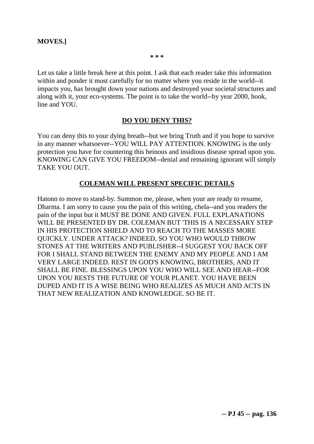### **MOVES.]**

**\* \* \***

Let us take a little break here at this point. I ask that each reader take this information within and ponder it most carefully for no matter where you reside in the world--it impacts you, has brought down your nations and destroyed your societal structures and along with it, your eco-systems. The point is to take the world--by year 2000, hook, line and YOU.

#### **DO YOU DENY THIS?**

You can deny this to your dying breath--but we bring Truth and if you hope to survive in any manner whatsoever--YOU WILL PAY ATTENTION. KNOWING is the only protection you have for countering this heinous and insidious disease spread upon you. KNOWING CAN GIVE YOU FREEDOM--denial and remaining ignorant will simply TAKE YOU OUT.

#### **COLEMAN WILL PRESENT SPECIFIC DETAILS**

Hatonn to move to stand-by. Summon me, please, when your are ready to resume, Dharma. I am sorry to cause you the pain of this writing, chela--and you readers the pain of the input but it MUST BE DONE AND GIVEN. FULL EXPLANATIONS WILL BE PRESENTED BY DR. COLEMAN BUT 'THIS IS A NECESSARY STEP IN HIS PROTECTION SHIELD AND TO REACH TO THE MASSES MORE QUICKLY. UNDER ATTACK? INDEED, SO YOU WHO WOULD THROW STONES AT THE WRITERS AND PUBLISHER--I SUGGEST YOU BACK OFF FOR I SHALL STAND BETWEEN THE ENEMY AND MY PEOPLE AND I AM VERY LARGE INDEED. REST IN GOD'S KNOWING, BROTHERS, AND IT SHALL BE FINE. BLESSINGS UPON YOU WHO WILL SEE AND HEAR--FOR UPON YOU RESTS THE FUTURE OF YOUR PLANET. YOU HAVE BEEN DUPED AND IT IS A WISE BEING WHO REALIZES AS MUCH AND ACTS IN THAT NEW REALIZATION AND [KNOWLEDGE. SO](http://knowledge.so/) BE IT.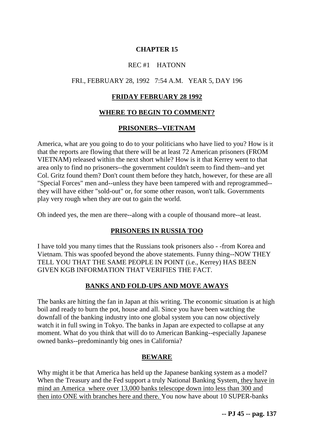## **CHAPTER 15**

#### REC #1 HATONN

#### FRI., FEBRUARY 28, 1992 7:54 A.M. YEAR 5, DAY 196

#### **FRIDAY FEBRUARY 28 1992**

#### **WHERE TO BEGIN TO COMMENT?**

#### **PRISONERS--VIETNAM**

America, what are you going to do to your politicians who have lied to you? How is it that the reports are flowing that there will be at least 72 American prisoners (FROM VIETNAM) released within the next short while? How is it that Kerrey went to that area only to find no prisoners--the government couldn't seem to find them--and yet Col. Gritz found them? Don't count them before they hatch, however, for these are all "Special Forces" men and--unless they have been tampered with and reprogrammed- they will have either "sold-out" or, for some other reason, won't talk. Governments play very rough when they are out to gain the world.

Oh indeed yes, the men are there--along with a couple of thousand more--at least.

#### **PRISONERS IN RUSSIA TOO**

I have told you many times that the Russians took prisoners also - -from Korea and Vietnam. This was spoofed beyond the above statements. Funny thing--NOW THEY TELL YOU THAT THE SAME PEOPLE IN POINT (i.e., Kerrey) HAS BEEN GIVEN KGB INFORMATION THAT VERIFIES THE FACT.

#### **BANKS AND FOLD-UPS AND MOVE AWAYS**

The banks are hitting the fan in Japan at this writing. The economic situation is at high boil and ready to burn the pot, house and all. Since you have been watching the downfall of the banking industry into one global system you can now objectively watch it in full swing in Tokyo. The banks in Japan are expected to collapse at any moment. What do you think that will do to American Banking--especially Japanese owned banks--predominantly big ones in California?

#### **BEWARE**

Why might it be that America has held up the Japanese banking system as a model? When the Treasury and the Fed support a truly National Banking System, they have in mind an America where over 13,000 banks telescope down into less than 300 and then into ONE with branches here and there. You now have about 10 SUPER-banks

**-- PJ 45 -- pag. 137**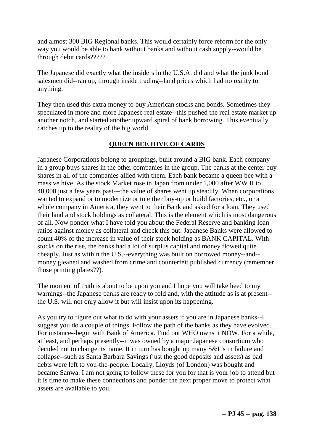and almost 300 BIG Regional banks. This would certainly force reform for the only way you would be able to bank without banks and without cash supply--would be through debit cards?????

The Japanese did exactly what the insiders in the U.S.A. did and what the junk bond salesmen did--ran up, through inside trading--land prices which had no reality to anything.

They then used this extra money to buy American stocks and bonds. Sometimes they speculated in more and more Japanese real estate--this pushed the real estate market up another notch, and started another upward spiral of bank borrowing. This eventually catches up to the reality of the big world.

## **QUEEN BEE HIVE OF CARDS**

Japanese Corporations belong to groupings, built around a BIG bank. Each company in a group buys shares in the other companies in the group. The banks at the center buy shares in all of the companies allied with them. Each bank became a queen bee with a massive hive. As the stock Market rose in Japan from under 1,000 after WW II to 40,000 just a few years past---the value of shares went up steadily. When corporations wanted to expand or to modernize or to either buy-up or build factories, etc., or a whole company in America, they went to their Bank and asked for a loan. They used their land and stock holdings as collateral. This is the element which is most dangerous of all. Now ponder what I have told you about the Federal Reserve and banking loan ratios against money as collateral and check this out: Japanese Banks were allowed to count 40% of the increase in value of their stock holding as BANK CAPITAL. With stocks on the rise, the banks had a lot of surplus capital and money flowed quite cheaply. Just as within the U.S.--everything was built on borrowed money--and- money gleaned and washed from crime and counterfeit published currency (remember those printing plates??).

The moment of truth is about to be upon you and I hope you will take heed to my warnings--the Japanese banks are ready to fold and, with the attitude as is at present- the U.S. will not only allow it but will insist upon its happening.

As you try to figure out what to do with your assets if you are in Japanese banks--I suggest you do a couple of things. Follow the path of the banks as they have evolved. For instance--begin with Bank of America. Find out WHO owns it NOW. For a while, at least, and perhaps presently--it was owned by a major Japanese consortium who decided not to change its name. It in turn has bought up many S&L's in failure and collapse--such as Santa Barbara Savings (just the good deposits and assets) as bad debts were left to you-the-people. Locally, Lloyds (of London) was bought and became Sanwa. I am not going to follow these for you for that is your job to attend but it is time to make these connections and ponder the next proper move to protect what assets are available to you.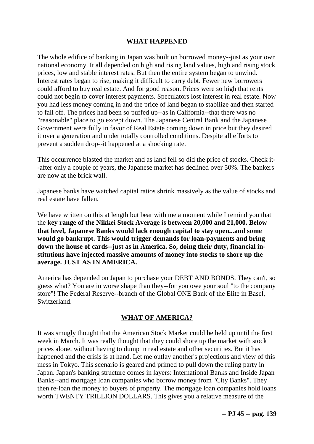## **WHAT HAPPENED**

The whole edifice of banking in Japan was built on borrowed money--just as your own national economy. It all depended on high and rising land values, high and rising stock prices, low and stable interest rates. But then the entire system began to unwind. Interest rates began to rise, making it difficult to carry debt. Fewer new borrowers could afford to buy real estate. And for good reason. Prices were so high that rents could not begin to cover interest payments. Speculators lost interest in real estate. Now you had less money coming in and the price of land began to stabilize and then started to fall off. The prices had been so puffed up--as in California--that there was no "reasonable" place to go except down. The Japanese Central Bank and the Japanese Government were fully in favor of Real Estate coming down in price but they desired it over a generation and under totally controlled conditions. Despite all efforts to prevent a sudden drop--it happened at a shocking rate.

This occurrence blasted the market and as land fell so did the price of stocks. Check it- -after only a couple of years, the Japanese market has declined over 50%. The bankers are now at the brick wall.

Japanese banks have watched capital ratios shrink massively as the value of stocks and real estate have fallen.

We have written on this at length but bear with me a moment while I remind you that the **key range of the Nikkei Stock Average is between 20,000 and 21,000. Below that level, Japanese Banks would lack enough capital to stay open...and some would go bankrupt. This would trigger demands for loan-payments and bring down the house of cards--just as in America. So, doing their duty, financial institutions have injected massive amounts of money into stocks to shore up the average. JUST AS IN AMERICA.**

America has depended on Japan to purchase your DEBT AND BONDS. They can't, so guess what? You are in worse shape than they--for you owe your soul "to the company store"! The Federal Reserve--branch of the Global ONE Bank of the Elite in Basel, Switzerland.

#### **WHAT OF AMERICA?**

It was smugly thought that the American Stock Market could be held up until the first week in March. It was really thought that they could shore up the market with stock prices alone, without having to dump in real estate and other securities. But it has happened and the crisis is at hand. Let me outlay another's projections and view of this mess in Tokyo. This scenario is geared and primed to pull down the ruling party in Japan. Japan's banking structure comes in layers: International Banks and Inside Japan Banks--and mortgage loan companies who borrow money from "City Banks". They then re-loan the money to buyers of property. The mortgage loan companies hold loans worth TWENTY TRILLION DOLLARS. This gives you a relative measure of the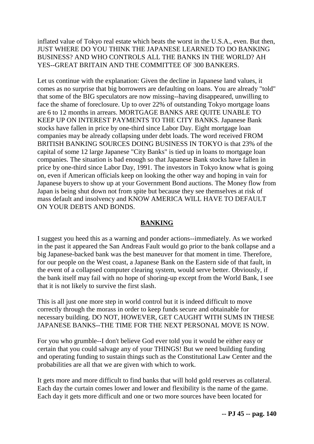inflated value of Tokyo real estate which beats the worst in the U.S.A., even. But then, JUST WHERE DO YOU THINK THE JAPANESE LEARNED TO DO BANKING BUSINESS? AND WHO CONTROLS ALL THE BANKS IN THE WORLD? AH YES--GREAT BRITAIN AND THE COMMITTEE OF 300 BANKERS.

Let us continue with the explanation: Given the decline in Japanese land values, it comes as no surprise that big borrowers are defaulting on loans. You are already "told" that some of the BIG speculators are now missing--having disappeared, unwilling to face the shame of foreclosure. Up to over 22% of outstanding Tokyo mortgage loans are 6 to 12 months in arrears. MORTGAGE BANKS ARE QUITE UNABLE TO KEEP UP ON INTEREST PAYMENTS TO THE CITY BANKS. Japanese Bank stocks have fallen in price by one-third since Labor Day. Eight mortgage loan companies may be already collapsing under debt loads. The word received FROM BRITISH BANKING SOURCES DOING BUSINESS IN TOKYO is that 23% of the capital of some 12 large Japanese "City Banks" is tied up in loans to mortgage loan companies. The situation is bad enough so that Japanese Bank stocks have fallen in price by one-third since Labor Day, 1991. The investors in Tokyo know what is going on, even if American officials keep on looking the other way and hoping in vain for Japanese buyers to show up at your Government Bond auctions. The Money flow from Japan is being shut down not from spite but because they see themselves at risk of mass default and insolvency and KNOW AMERICA WILL HAVE TO DEFAULT ON YOUR DEBTS AND BONDS.

## **BANKING**

I suggest you heed this as a warning and ponder actions--immediately. As we worked in the past it appeared the San Andreas Fault would go prior to the bank collapse and a big Japanese-backed bank was the best maneuver for that moment in time. Therefore, for our people on the West coast, a Japanese Bank on the Eastern side of that fault, in the event of a collapsed computer clearing system, would serve better. Obviously, if the bank itself may fail with no hope of shoring-up except from the World Bank, I see that it is not likely to survive the first slash.

This is all just one more step in world control but it is indeed difficult to move correctly through the morass in order to keep funds secure and obtainable for necessary building. DO NOT, HOWEVER, GET CAUGHT WITH SUMS IN THESE JAPANESE BANKS--THE TIME FOR THE NEXT PERSONAL MOVE IS NOW.

For you who grumble--I don't believe God ever told you it would be either easy or certain that you could salvage any of your THINGS! But we need building funding and operating funding to sustain things such as the Constitutional Law Center and the probabilities are all that we are given with which to work.

It gets more and more difficult to find banks that will hold gold reserves as collateral. Each day the curtain comes lower and lower and flexibility is the name of the game. Each day it gets more difficult and one or two more sources have been located for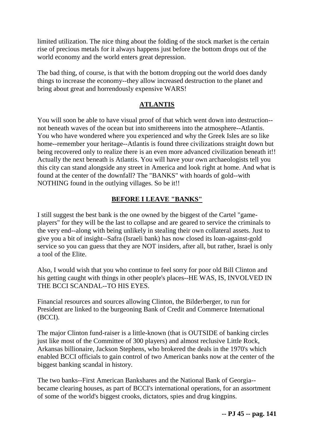limited utilization. The nice thing about the folding of the stock market is the certain rise of precious metals for it always happens just before the bottom drops out of the world economy and the world enters great depression.

The bad thing, of course, is that with the bottom dropping out the world does dandy things to increase the economy--they allow increased destruction to the planet and bring about great and horrendously expensive WARS!

# **ATLANTIS**

You will soon be able to have visual proof of that which went down into destruction- not beneath waves of the ocean but into smithereens into the atmosphere--Atlantis. You who have wondered where you experienced and why the Greek Isles are so like home--remember your heritage--Atlantis is found three civilizations straight down but being recovered only to realize there is an even more advanced civilization beneath it!! Actually the next beneath is Atlantis. You will have your own archaeologists tell you this city can stand alongside any street in America and look right at home. And what is found at the center of the downfall? The "BANKS" with hoards of gold--with NOTHING found in the outlying villages. So be it!!

### **BEFORE I LEAVE "BANKS"**

I still suggest the best bank is the one owned by the biggest of the Cartel "gameplayers" for they will be the last to collapse and are geared to service the criminals to the very end--along with being unlikely in stealing their own collateral assets. Just to give you a bit of insight--Safra (Israeli bank) has now closed its loan-against-gold service so you can guess that they are NOT insiders, after all, but rather, Israel is only a tool of the Elite.

Also, I would wish that you who continue to feel sorry for poor old Bill Clinton and his getting caught with things in other people's places--HE WAS, IS, INVOLVED IN THE BCCI SCANDAL--TO HIS EYES.

Financial resources and sources allowing Clinton, the Bilderberger, to run for President are linked to the burgeoning Bank of Credit and Commerce International (BCCI).

The major Clinton fund-raiser is a little-known (that is OUTSIDE of banking circles just like most of the Committee of 300 players) and almost reclusive Little Rock, Arkansas billionaire, Jackson Stephens, who brokered the deals in the 1970's which enabled BCCI officials to gain control of two American banks now at the center of the biggest banking scandal in history.

The two banks--First American Bankshares and the National Bank of Georgia- became clearing houses, as part of BCCI's international operations, for an assortment of some of the world's biggest crooks, dictators, spies and drug kingpins.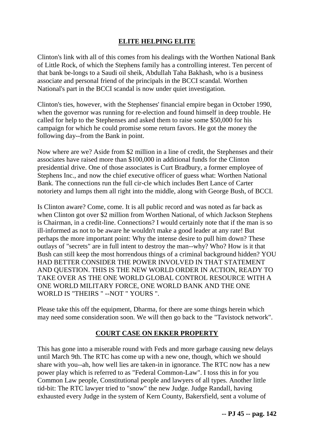## **ELITE HELPING ELITE**

Clinton's link with all of this comes from his dealings with the Worthen National Bank of Little Rock, of which the Stephens family has a controlling interest. Ten percent of that bank be-longs to a Saudi oil sheik, Abdullah Taha Bakhash, who is a business associate and personal friend of the principals in the BCCI scandal. Worthen National's part in the BCCI scandal is now under quiet investigation.

Clinton's ties, however, with the Stephenses' financial empire began in October 1990, when the governor was running for re-election and found himself in deep trouble. He called for help to the Stephenses and asked them to raise some \$50,000 for his campaign for which he could promise some return favors. He got the money the following day--from the Bank in point.

Now where are we? Aside from \$2 million in a line of credit, the Stephenses and their associates have raised more than \$100,000 in additional funds for the Clinton presidential drive. One of those associates is Curt Bradbury, a former employee of Stephens Inc., and now the chief executive officer of guess what: Worthen National Bank. The connections run the full cir-cle which includes Bert Lance of Carter notoriety and lumps them all right into the middle, along with George Bush, of BCCI.

Is Clinton aware? Come, come. It is all public record and was noted as far back as when Clinton got over \$2 million from Worthen National, of which Jackson Stephens is Chairman, in a credit-line. Connections? I would certainly note that if the man is so ill-informed as not to be aware he wouldn't make a good leader at any rate! But perhaps the more important point: Why the intense desire to pull him down? These outlays of "secrets" are in full intent to destroy the man--why? Who? How is it that Bush can still keep the most horrendous things of a criminal background hidden? YOU HAD BETTER CONSIDER THE POWER INVOLVED IN THAT STATEMENT AND QUESTION. THIS IS THE NEW WORLD ORDER IN ACTION, READY TO TAKE OVER AS THE ONE WORLD GLOBAL CONTROL RESOURCE WITH A ONE WORLD MILITARY FORCE, ONE WORLD BANK AND THE ONE WORLD IS "THEIRS " --NOT " YOURS ".

Please take this off the equipment, Dharma, for there are some things herein which may need some consideration soon. We will then go back to the "Tavistock network".

## **COURT CASE ON EKKER PROPERTY**

This has gone into a miserable round with Feds and more garbage causing new delays until March 9th. The RTC has come up with a new one, though, which we should share with you--ah, how well lies are taken-in in ignorance. The RTC now has a new power play which is referred to as "Federal Common-Law". I toss this in for you Common Law people, Constitutional people and lawyers of all types. Another little tid-bit: The RTC lawyer tried to "snow" the new Judge. Judge Randall, having exhausted every Judge in the system of Kern County, Bakersfield, sent a volume of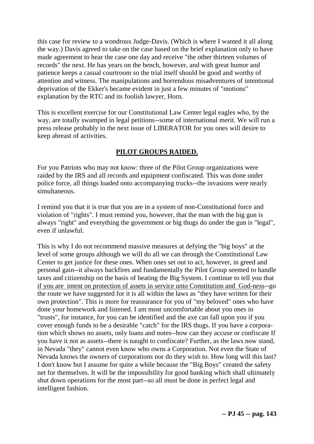this case for review to a wondrous Judge-Davis. (Which is where I wanted it all along the way.) Davis agreed to take on the case based on the brief explanation only to have made agreement to hear the case one day and receive "the other thirteen volumes of records" the next. He has years on the bench, however, and with great humor and patience keeps a casual courtroom so the trial itself should be good and worthy of attention and witness. The manipulations and horrendous misadventures of intentional deprivation of the Ekker's became evident in just a few minutes of "motions" explanation by the RTC and its foolish lawyer, Horn.

This is excellent exercise for our Constitutional Law Center legal eagles who, by the way, are totally swamped in legal petitions--some of international merit. We will run a press release probably in the next issue of LIBERATOR for you ones will desire to keep abreast of activities.

# **PILOT GROUPS RAIDED.**

For you Patriots who may not know: three of the Pilot Group organizations were raided by the IRS and all records and equipment confiscated. This was done under police force, all things loaded onto accompanying trucks--the invasions were nearly simultaneous.

I remind you that it is true that you are in a system of non-Constitutional force and violation of "rights". I must remind you, however, that the man with the big gun is always "right" and everything the government or big thugs do under the gun is "legal", even if unlawful.

This is why I do not recommend massive measures at defying the "big boys" at the level of some groups although we will do all we can through the Constitutional Law Center to get justice for these ones. When ones set out to act, however, in greed and personal gain--it always backfires and fundamentally the Pilot Group seemed to handle taxes and citizenship on the basis of beating the Big System. I continue to tell you that if you are intent on protection of assets in service unto Constitution and God-ness--go the route we have suggested for it is all within the laws as "they have written for their own protection". This is more for reassurance for you of "my beloved" ones who have done your homework and listened. I am most uncomfortable about you ones in "trusts", for instance, for you can be identified and the axe can fall upon you if you cover enough funds to be a desirable "catch" for the IRS thugs. If you have a corporation which shows no assets, only loans and notes--how can they accuse or confiscate If you have it not as assets--there is naught to confiscate? Further, as the laws now stand, in Nevada "they" cannot even know who owns a Corporation. Not even the State of Nevada knows the owners of corporations nor do they wish to. How long will this last? I don't know but I assume for quite a while because the "Big Boys" created the safety net for themselves. It will be the impossibility for good banking which shall ultimately shut down operations for the most part--so all must be done in perfect legal and intelligent fashion.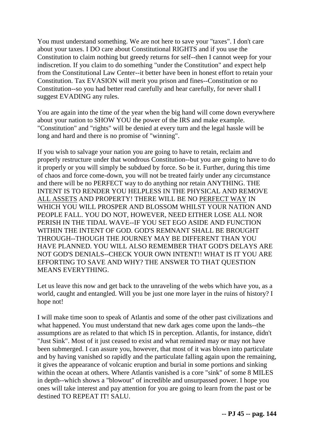You must understand something. We are not here to save your "taxes". I don't care about your taxes. I DO care about Constitutional RIGHTS and if you use the Constitution to claim nothing but greedy returns for self--then I cannot weep for your indiscretion. If you claim to do something "under the Constitution" and expect help from the Constitutional Law Center--it better have been in honest effort to retain your Constitution. Tax EVASION will merit you prison and fines--Constitution or no Constitution--so you had better read carefully and hear carefully, for never shall I suggest EVADING any rules.

You are again into the time of the year when the big hand will come down everywhere about your nation to SHOW YOU the power of the IRS and make example. "Constitution" and "rights" will be denied at every turn and the legal hassle will be long and hard and there is no promise of "winning".

If you wish to salvage your nation you are going to have to retain, reclaim and properly restructure under that wondrous Constitution--but you are going to have to do it properly or you will simply be subdued by force. So be it. Further, during this time of chaos and force come-down, you will not be treated fairly under any circumstance and there will be no PERFECT way to do anything nor retain ANYTHING. THE INTENT IS TO RENDER YOU HELPLESS IN THE PHYSICAL AND REMOVE ALL ASSETS AND PROPERTY! THERE WILL BE NO PERFECT WAY IN WHICH YOU WILL PROSPER AND BLOSSOM WHILST YOUR NATION AND PEOPLE FALL. YOU DO NOT, HOWEVER, NEED EITHER LOSE ALL NOR PERISH IN THE TIDAL WAVE--IF YOU SET EGO ASIDE AND FUNCTION WITHIN THE INTENT OF GOD. GOD'S REMNANT SHALL BE BROUGHT THROUGH--THOUGH THE JOURNEY MAY BE DIFFERENT THAN YOU HAVE PLANNED. YOU WILL ALSO REMEMBER THAT GOD'S DELAYS ARE NOT GOD'S DENIALS--CHECK YOUR OWN INTENT!! WHAT IS IT YOU ARE EFFORTING TO SAVE AND WHY? THE ANSWER TO THAT QUESTION MEANS EVERYTHING.

Let us leave this now and get back to the unraveling of the webs which have you, as a world, caught and entangled. Will you be just one more layer in the ruins of history? I hope not!

I will make time soon to speak of Atlantis and some of the other past civilizations and what happened. You must understand that new dark ages come upon the lands--the assumptions are as related to that which IS in perception. Atlantis, for instance, didn't "Just Sink". Most of it just ceased to exist and what remained may or may not have been submerged. I can assure you, however, that most of it was blown into particulate and by having vanished so rapidly and the particulate falling again upon the remaining, it gives the appearance of volcanic eruption and burial in some portions and sinking within the ocean at others. Where Atlantis vanished is a core "sink" of some 8 MILES in depth--which shows a "blowout" of incredible and unsurpassed power. I hope you ones will take interest and pay attention for you are going to learn from the past or be destined TO REPEAT IT! SALU.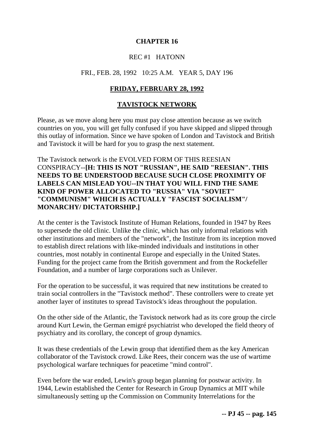#### **CHAPTER 16**

#### REC #1 HATONN

#### FRI., FEB. 28, 1992 10:25 A.M. YEAR 5, DAY 196

#### **FRIDAY, FEBRUARY 28, 1992**

#### **TAVISTOCK NETWORK**

Please, as we move along here you must pay close attention because as we switch countries on you, you will get fully confused if you have skipped and slipped through this outlay of information. Since we have spoken of London and Tavistock and British and Tavistock it will be hard for you to grasp the next statement.

The Tavistock network is the EVOLVED FORM OF THIS REESIAN CONSPIRACY--**[H: THIS IS NOT "RUSSIAN", HE SAID "REESIAN". THIS NEEDS TO BE UNDERSTOOD BECAUSE SUCH CLOSE PROXIMITY OF LABELS CAN MISLEAD YOU--IN THAT YOU WILL FIND THE SAME KIND OF POWER ALLOCATED TO "RUSSIA" VIA "SOVIET" "COMMUNISM" WHICH IS ACTUALLY "FASCIST SOCIALISM"/ MONARCHY/ DICTATORSHIP.]**

At the center is the Tavistock Institute of Human Relations, founded in 1947 by Rees to supersede the old clinic. Unlike the clinic, which has only informal relations with other institutions and members of the "network", the Institute from its inception moved to establish direct relations with like-minded individuals and institutions in other countries, most notably in continental Europe and especially in the United States. Funding for the project came from the British government and from the Rockefeller Foundation, and a number of large corporations such as Unilever.

For the operation to be successful, it was required that new institutions be created to train social controllers in the "Tavistock method". These controllers were to create yet another layer of institutes to spread Tavistock's ideas throughout the population.

On the other side of the Atlantic, the Tavistock network had as its core group the circle around Kurt Lewin, the German emigré psychiatrist who developed the field theory of psychiatry and its corollary, the concept of group dynamics.

It was these credentials of the Lewin group that identified them as the key American collaborator of the Tavistock crowd. Like Rees, their concern was the use of wartime psychological warfare techniques for peacetime "mind control".

Even before the war ended, Lewin's group began planning for postwar activity. In 1944, Lewin established the Center for Research in Group Dynamics at MIT while simultaneously setting up the Commission on Community Interrelations for the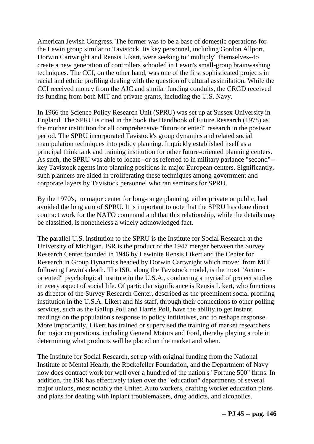American Jewish Congress. The former was to be a base of domestic operations for the Lewin group similar to Tavistock. Its key personnel, including Gordon Allport, Dorwin Cartwright and Rensis Likert, were seeking to "multiply" themselves--to create a new generation of controllers schooled in Lewin's small-group brainwashing techniques. The CCI, on the other hand, was one of the first sophisticated projects in racial and ethnic profiling dealing with the question of cultural assimilation. While the CCI received money from the AJC and similar funding conduits, the CRGD received its funding from both MIT and private grants, including the U.S. Navy.

In 1966 the Science Policy Research Unit (SPRU) was set up at Sussex University in England. The SPRU is cited in the book the Handbook of Future Research (1978) as the mother institution for all comprehensive "future oriented" research in the postwar period. The SPRU incorporated Tavistock's group dynamics and related social manipulation techniques into policy planning. It quickly established itself as a principal think tank and training institution for other future-oriented planning centers. As such, the SPRU was able to locate--or as referred to in military parlance "second"- key Tavistock agents into planning positions in major European centers. Significantly, such planners are aided in proliferating these techniques among government and corporate layers by Tavistock personnel who ran seminars for SPRU.

By the 1970's, no major center for long-range planning, either private or public, had avoided the long arm of SPRU. It is important to note that the SPRU has done direct contract work for the NATO command and that this relationship, while the details may be classified, is nonetheless a widely acknowledged fact.

The parallel U.S. institution to the SPRU is the Institute for Social Research at the University of Michigan. ISR is the product of the 1947 merger between the Survey Research Center founded in 1946 by Lewinite Rensis Likert and the Center for Research in Group Dynamics headed by Dorwin Cartwright which moved from MIT following Lewin's death. The ISR, along the Tavistock model, is the most "Actionoriented" psychological institute in the U.S.A., conducting a myriad of project studies in every aspect of social life. Of particular significance is Rensis Likert, who functions as director of the Survey Research Center, described as the preeminent social profiling institution in the U.S.A. Likert and his staff, through their connections to other polling services, such as the Gallup Poll and Harris Poll, have the ability to get instant readings on the population's response to policy intitiatives, and to reshape response. More importantly, Likert has trained or supervised the training of market researchers for major corporations, including General Motors and Ford, thereby playing a role in determining what products will be placed on the market and when.

The Institute for Social Research, set up with original funding from the National Institute of Mental Health, the Rockefeller Foundation, and the Department of Navy now does contract work for well over a hundred of the nation's "Fortune 500" firms. In addition, the ISR has effectively taken over the "education" departments of several major unions, most notably the United Auto workers, drafting worker education plans and plans for dealing with inplant troublemakers, drug addicts, and alcoholics.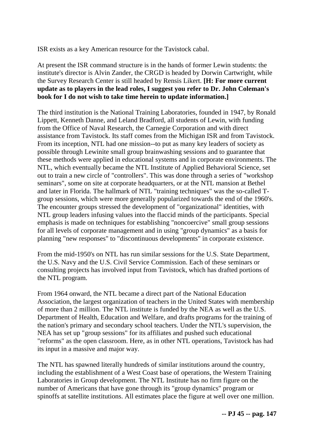ISR exists as a key American resource for the Tavistock cabal.

At present the ISR command structure is in the hands of former Lewin students: the institute's director is Alvin Zander, the CRGD is headed by Dorwin Cartwright, while the Survey Research Center is still headed by Rensis Likert. **[H: For more current update as to players in the lead roles, I suggest you refer to Dr. John Coleman's book for I do not wish to take time herein to update information.]**

The third institution is the National Training Laboratories, founded in 1947, by Ronald Lippett, Kenneth Danne, and Leland Bradford, all students of Lewin, with funding from the Office of Naval Research, the Carnegie Corporation and with direct assistance from Tavistock. Its staff comes from the Michigan ISR and from Tavistock. From its inception, NTL had one mission--to put as many key leaders of society as possible through Lewinite small group brainwashing sessions and to guarantee that these methods were applied in educational systems and in corporate environments. The NTL, which eventually became the NTL Institute of Applied Behavioral Science, set out to train a new circle of "controllers". This was done through a series of "workshop seminars", some on site at corporate headquarters, or at the NTL mansion at Bethel and later in Florida. The hallmark of NTL "training techniques" was the so-called Tgroup sessions, which were more generally popularized towards the end of the 1960's. The encounter groups stressed the development of "organizational" identities, with NTL group leaders infusing values into the flaccid minds of the participants. Special emphasis is made on techniques for establishing "noncoercive" small group sessions for all levels of corporate management and in using "group dynamics" as a basis for planning "new responses" to "discontinuous developments" in corporate existence.

From the mid-1950's on NTL has run similar sessions for the U.S. State Department, the U.S. Navy and the U.S. Civil Service Commission. Each of these seminars or consulting projects has involved input from Tavistock, which has drafted portions of the NTL program.

From 1964 onward, the NTL became a direct part of the National Education Association, the largest organization of teachers in the United States with membership of more than 2 million. The NTL institute is funded by the NEA as well as the U.S. Department of Health, Education and Welfare, and drafts programs for the training of the nation's primary and secondary school teachers. Under the NTL's supervision, the NEA has set up "group sessions" for its affiliates and pushed such educational "reforms" as the open classroom. Here, as in other NTL operations, Tavistock has had its input in a massive and major way.

The NTL has spawned literally hundreds of similar institutions around the country, including the establishment of a West Coast base of operations, the Western Training Laboratories in Group development. The NTL Institute has no firm figure on the number of Americans that have gone through its "group dynamics" program or spinoffs at satellite institutions. All estimates place the figure at well over one million.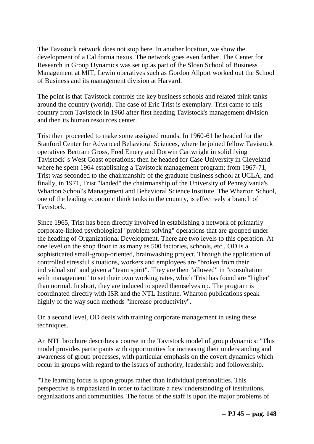The Tavistock network does not stop here. In another location, we show the development of a California nexus. The network goes even farther. The Center for Research in Group Dynamics was set up as part of the Sloan School of Business Management at MIT; Lewin operatives such as Gordon Allport worked out the School of Business and its management division at Harvard.

The point is that Tavistock controls the key business schools and related think tanks around the country (world). The case of Eric Trist is exemplary. Trist came to this country from Tavistock in 1960 after first heading Tavistock's management division and then its human resources center.

Trist then proceeded to make some assigned rounds. In 1960-61 he headed for the Stanford Center for Advanced Behavioral Sciences, where he joined fellow Tavistock operatives Bertram Gross, Fred Emery and Dorwin Cartwright in solidifying Tavistock' s West Coast operations; then he headed for Case University in Cleveland where he spent 1964 establishing a Tavistock management program; from 1967-71, Trist was seconded to the chairmanship of the graduate business school at UCLA; and finally, in 1971, Trist "landed" the chairmanship of the University of Pennsylvania's Wharton School's Management and Behavioral Science Institute. The Wharton School, one of the leading economic think tanks in the country, is effectively a branch of Tavistock.

Since 1965, Trist has been directly involved in establishing a network of primarily corporate-linked psychological "problem solving" operations that are grouped under the heading of Organizational Development. There are two levels to this operation. At one level on the shop floor in as many as 500 factories, schools, etc., OD is a sophisticated small-group-oriented, brainwashing project. Through the application of controlled stressful situations, workers and employees are "broken from their individualism" and given a "team spirit". They are then "allowed" in "consultation with management" to set their own working rates, which Trist has found are "higher" than normal. In short, they are induced to speed themselves up. The program is coordinated directly with ISR and the NTL Institute. Wharton publications speak highly of the way such methods "increase productivity".

On a second level, OD deals with training corporate management in using these techniques.

An NTL brochure describes a course in the Tavistock model of group dynamics: "This model provides participants with opportunities for increasing their understanding and awareness of group processes, with particular emphasis on the covert dynamics which occur in groups with regard to the issues of authority, leadership and followership.

"The learning focus is upon groups rather than individual personalities. This perspective is emphasized in order to facilitate a new understanding of institutions, organizations and communities. The focus of the staff is upon the major problems of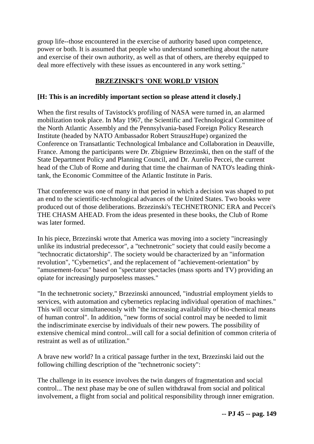group life--those encountered in the exercise of authority based upon competence, power or both. It is assumed that people who understand something about the nature and exercise of their own authority, as well as that of others, are thereby equipped to deal more effectively with these issues as encountered in any work setting."

## **BRZEZINSKI'S 'ONE WORLD' VISION**

### **[H: This is an incredibly important section so please attend it closely.]**

When the first results of Tavistock's profiling of NASA were turned in, an alarmed mobilization took place. In May 1967, the Scientific and Technological Committee of the North Atlantic Assembly and the Pennsylvania-based Foreign Policy Research Institute (headed by NATO Ambassador Robert StrauszHupe) organized the Conference on Transatlantic Technological Imbalance and Collaboration in Deauville, France. Among the participants were Dr. Zbigniew Brzezinski, then on the staff of the State Department Policy and Planning Council, and Dr. Aurelio Peccei, the current head of the Club of Rome and during that time the chairman of NATO's leading thinktank, the Economic Committee of the Atlantic Institute in Paris.

That conference was one of many in that period in which a decision was shaped to put an end to the scientific-technological advances of the United States. Two books were produced out of those deliberations. Brzezinski's TECHNETRONIC ERA and Peccei's THE CHASM AHEAD. From the ideas presented in these books, the Club of Rome was later formed.

In his piece, Brzezinski wrote that America was moving into a society "increasingly unlike its industrial predecessor", a "technetronic" society that could easily become a "technocratic dictatorship". The society would be characterized by an "information revolution", "Cybernetics", and the replacement of "achievement-orientation" by "amusement-focus" based on "spectator spectacles (mass sports and TV) providing an opiate for increasingly purposeless masses."

"In the technetronic society," Brzezinski announced, "industrial employment yields to services, with automation and cybernetics replacing individual operation of machines." This will occur simultaneously with "the increasing availability of bio-chemical means of human control". In addition, "new forms of social control may be needed to limit the indiscriminate exercise by individuals of their new powers. The possibility of extensive chemical mind control...will call for a social definition of common criteria of restraint as well as of utilization."

A brave new world? In a critical passage further in the text, Brzezinski laid out the following chilling description of the "technetronic society":

The challenge in its essence involves the twin dangers of fragmentation and social control... The next phase may be one of sullen withdrawal from social and political involvement, a flight from social and political responsibility through inner emigration.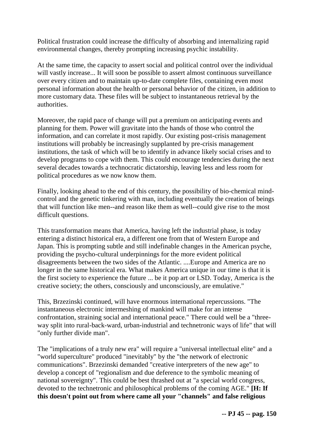Political frustration could increase the difficulty of absorbing and internalizing rapid environmental changes, thereby prompting increasing psychic instability.

At the same time, the capacity to assert social and political control over the individual will vastly increase... It will soon be possible to assert almost continuous surveillance over every citizen and to maintain up-to-date complete files, containing even most personal information about the health or personal behavior of the citizen, in addition to more customary data. These files will be subject to instantaneous retrieval by the authorities.

Moreover, the rapid pace of change will put a premium on anticipating events and planning for them. Power will gravitate into the hands of those who control the information, and can correlate it most rapidly. Our existing post-crisis management institutions will probably be increasingly supplanted by pre-crisis management institutions, the task of which will be to identify in advance likely social crises and to develop programs to cope with them. This could encourage tendencies during the next several decades towards a technocratic dictatorship, leaving less and less room for political procedures as we now know them.

Finally, looking ahead to the end of this century, the possibility of bio-chemical mindcontrol and the genetic tinkering with man, including eventually the creation of beings that will function like men--and reason like them as well--could give rise to the most difficult questions.

This transformation means that America, having left the industrial phase, is today entering a distinct historical era, a different one from that of Western Europe and Japan. This is prompting subtle and still indefinable changes in the American psyche, providing the psycho-cultural underpinnings for the more evident political disagreements between the two sides of the Atlantic. ....Europe and America are no longer in the same historical era. What makes America unique in our time is that it is the first society to experience the future ... be it pop art or LSD. Today, America is the creative society; the others, consciously and unconsciously, are emulative."

This, Brzezinski continued, will have enormous international repercussions. "The instantaneous electronic intermeshing of mankind will make for an intense confrontation, straining social and international peace." There could well be a "threeway split into rural-back-ward, urban-industrial and technetronic ways of life" that will "only further divide man".

The "implications of a truly new era" will require a "universal intellectual elite" and a "world superculture" produced "inevitably" by the "the network of electronic communications". Brzezinski demanded "creative interpreters of the new age" to develop a concept of "regionalism and due deference to the symbolic meaning of national sovereignty". This could be best thrashed out at "a special world congress, devoted to the technetronic and philosophical problems of the coming AGE." **[H: If this doesn't point out from where came all your "channels" and false religious**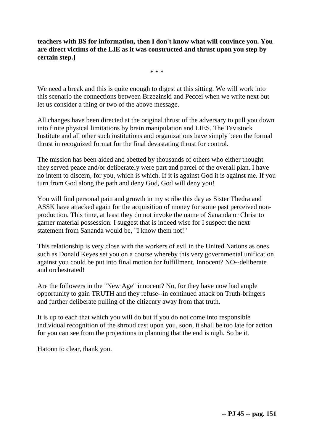### **teachers with BS for information, then I don't know what will convince you. You are direct victims of the LIE as it was constructed and thrust upon you step by certain step.]**

\* \* \*

We need a break and this is quite enough to digest at this sitting. We will work into this scenario the connections between Brzezinski and Peccei when we write next but let us consider a thing or two of the above message.

All changes have been directed at the original thrust of the adversary to pull you down into finite physical limitations by brain manipulation and LIES. The Tavistock Institute and all other such institutions and organizations have simply been the formal thrust in recognized format for the final devastating thrust for control.

The mission has been aided and abetted by thousands of others who either thought they served peace and/or deliberately were part and parcel of the overall plan. I have no intent to discern, for you, which is which. If it is against God it is against me. If you turn from God along the path and deny God, God will deny you!

You will find personal pain and growth in my scribe this day as Sister Thedra and ASSK have attacked again for the acquisition of money for some past perceived nonproduction. This time, at least they do not invoke the name of Sananda or Christ to garner material possession. I suggest that is indeed wise for I suspect the next statement from Sananda would be, "I know them not!"

This relationship is very close with the workers of evil in the United Nations as ones such as Donald Keyes set you on a course whereby this very governmental unification against you could be put into final motion for fulfillment. Innocent? NO--deliberate and orchestrated!

Are the followers in the "New Age" innocent? No, for they have now had ample opportunity to gain TRUTH and they refuse--in continued attack on Truth-bringers and further deliberate pulling of the citizenry away from that truth.

It is up to each that which you will do but if you do not come into responsible individual recognition of the shroud cast upon you, soon, it shall be too late for action for you can see from the projections in planning that the end is nigh. So be it.

Hatonn to clear, thank you.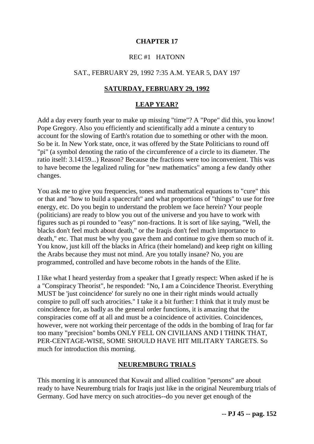#### **CHAPTER 17**

#### REC #1 HATONN

#### SAT., FEBRUARY 29, 1992 7:35 A.M. YEAR 5, DAY 197

#### **SATURDAY, FEBRUARY 29, 1992**

#### **LEAP YEAR?**

Add a day every fourth year to make up missing "time"? A "Pope" did this, you know! Pope Gregory. Also you efficiently and scientifically add a minute a century to account for the slowing of Earth's rotation due to something or other with the moon. So be it. In New York state, once, it was offered by the State Politicians to round off "pi" (a symbol denoting the ratio of the circumference of a circle to its diameter. The ratio itself: 3.14159...) Reason? Because the fractions were too inconvenient. This was to have become the legalized ruling for "new mathematics" among a few dandy other changes.

You ask me to give you frequencies, tones and mathematical equations to "cure" this or that and "how to build a spacecraft" and what proportions of "things" to use for free energy, etc. Do you begin to understand the problem we face herein? Your people (politicians) are ready to blow you out of the universe and you have to work with figures such as pi rounded to "easy" non-fractions. It is sort of like saying, "Well, the blacks don't feel much about death," or the Iraqis don't feel much importance to death," etc. That must be why you gave them and continue to give them so much of it. You know, just kill off the blacks in Africa (their homeland) and keep right on killing the Arabs because they must not mind. Are you totally insane? No, you are programmed, controlled and have become robots in the hands of the Elite.

I like what I heard yesterday from a speaker that I greatly respect: When asked if he is a "Conspiracy Theorist", he responded: "No, I am a Coincidence Theorist. Everything MUST be 'just coincidence' for surely no one in their right minds would actually conspire to pull off such atrocities." I take it a bit further: I think that it truly must be coincidence for, as badly as the general order functions, it is amazing that the conspiracies come off at all and must be a coincidence of activities. Coincidences, however, were not working their percentage of the odds in the bombing of Iraq for far too many "precision" bombs ONLY FELL ON CIVILIANS AND I THINK THAT, PER-CENTAGE-WISE, SOME SHOULD HAVE HIT MILITARY TARGETS. So much for introduction this morning.

#### **NEUREMBURG TRIALS**

This morning it is announced that Kuwait and allied coalition "persons" are about ready to have Neuremburg trials for Iraqis just like in the original Neuremburg trials of Germany. God have mercy on such atrocities--do you never get enough of the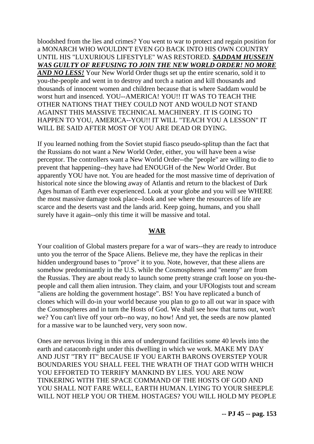bloodshed from the lies and crimes? You went to war to protect and regain position for a MONARCH WHO WOULDN'T EVEN GO BACK INTO HIS OWN COUNTRY UNTIL HIS "LUXURIOUS LIFESTYLE" WAS RESTORED. *SADDAM HUSSEIN WAS GUILTY OF REFUSING TO JOIN THE NEW WORLD ORDER! NO MORE AND NO LESS!* Your New World Order thugs set up the entire scenario, sold it to you-the-people and went in to destroy and torch a nation and kill thousands and thousands of innocent women and children because that is where Saddam would be worst hurt and insenced. YOU--AMERICA! YOU!! IT WAS TO TEACH THE OTHER NATIONS THAT THEY COULD NOT AND WOULD NOT STAND AGAINST THIS MASSIVE TECHNICAL MACHINERY. IT IS GOING TO HAPPEN TO YOU, AMERICA--YOU!! IT WILL "TEACH YOU A LESSON" IT WILL BE SAID AFTER MOST OF YOU ARE DEAD OR DYING.

If you learned nothing from the Soviet stupid fiasco pseudo-splitup than the fact that the Russians do not want a New World Order, either, you will have been a wise perceptor. The controllers want a New World Order--the "people" are willing to die to prevent that happening--they have had ENOUGH of the New World Order. But apparently YOU have not. You are headed for the most massive time of deprivation of historical note since the blowing away of Atlantis and return to the blackest of Dark Ages human of Earth ever experienced. Look at your globe and you will see WHERE the most massive damage took place--look and see where the resources of life are scarce and the deserts vast and the lands arid. Keep going, humans, and you shall surely have it again--only this time it will be massive and total.

#### **WAR**

Your coalition of Global masters prepare for a war of wars--they are ready to introduce unto you the terror of the Space Aliens. Believe me, they have the replicas in their hidden underground bases to "prove" it to you. Note, however, that these aliens are somehow predominantly in the U.S. while the Cosmospheres and "enemy" are from the Russias. They are about ready to launch some pretty strange craft loose on you-thepeople and call them alien intrusion. They claim, and your UFOlogists tout and scream "aliens are holding the government hostage". BS! You have replicated a bunch of clones which will do-in your world because you plan to go to all out war in space with the Cosmospheres and in turn the Hosts of God. We shall see how that turns out, won't we? You can't live off your orb--no way, no how! And yet, the seeds are now planted for a massive war to be launched very, very soon now.

Ones are nervous living in this area of underground facilities some 40 levels into the earth and catacomb right under this dwelling in which we work. MAKE MY DAY AND JUST "TRY IT" BECAUSE IF YOU EARTH BARONS OVERSTEP YOUR BOUNDARIES YOU SHALL FEEL THE WRATH OF THAT GOD WITH WHICH YOU EFFORTED TO TERRIFY MANKIND BY LIES. YOU ARE NOW TINKERING WITH THE SPACE COMMAND OF THE HOSTS OF GOD AND YOU SHALL NOT FARE WELL, EARTH HUMAN. LYING TO YOUR SHEEPLE WILL NOT HELP YOU OR THEM. HOSTAGES? YOU WILL HOLD MY PEOPLE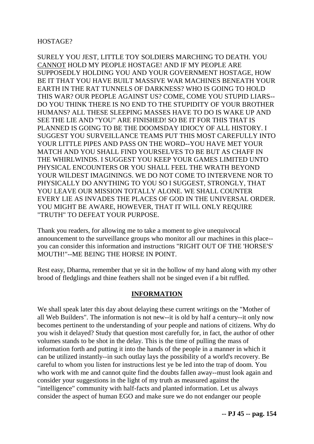#### HOSTAGE?

SURELY YOU JEST, LITTLE TOY SOLDIERS MARCHING TO DEATH. YOU CANNOT HOLD MY PEOPLE HOSTAGE! AND IF MY PEOPLE ARE SUPPOSEDLY HOLDING YOU AND YOUR GOVERNMENT HOSTAGE, HOW BE IT THAT YOU HAVE BUILT MASSIVE WAR MACHINES BENEATH YOUR EARTH IN THE RAT TUNNELS OF DARKNESS? WHO IS GOING TO HOLD THIS WAR? OUR PEOPLE AGAINST US? COME, COME YOU STUPID LIARS-- DO YOU THINK THERE IS NO END TO THE STUPIDITY OF YOUR BROTHER HUMANS? ALL THESE SLEEPING MASSES HAVE TO DO IS WAKE UP AND SEE THE LIE AND "YOU" ARE FINISHED! SO BE IT FOR THIS THAT IS PLANNED IS GOING TO BE THE DOOMSDAY IDIOCY OF ALL HISTORY. I SUGGEST YOU SURVEILLANCE TEAMS PUT THIS MOST CAREFULLY INTO YOUR LITTLE PIPES AND PASS ON THE WORD--YOU HAVE MET YOUR MATCH AND YOU SHALL FIND YOURSELVES TO BE BUT AS CHAFF IN THE WHIRLWINDS. I SUGGEST YOU KEEP YOUR GAMES LIMITED UNTO PHYSICAL ENCOUNTERS OR YOU SHALL FEEL THE WRATH BEYOND YOUR WILDEST IMAGININGS. WE DO NOT COME TO INTERVENE NOR TO PHYSICALLY DO ANYTHING TO YOU SO I SUGGEST, STRONGLY, THAT YOU LEAVE OUR MISSION TOTALLY ALONE. WE SHALL COUNTER EVERY LIE AS INVADES THE PLACES OF GOD IN THE UNIVERSAL ORDER. YOU MIGHT BE AWARE, HOWEVER, THAT IT WILL ONLY REQUIRE "TRUTH" TO DEFEAT YOUR PURPOSE.

Thank you readers, for allowing me to take a moment to give unequivocal announcement to the surveillance groups who monitor all our machines in this place- you can consider this information and instructions "RIGHT OUT OF THE 'HORSE'S' MOUTH!"--ME BEING THE HORSE IN POINT.

Rest easy, Dharma, remember that ye sit in the hollow of my hand along with my other brood of fledglings and thine feathers shall not be singed even if a bit ruffled.

#### **INFORMATION**

We shall speak later this day about delaying these current writings on the "Mother of all Web Builders". The information is not new--it is old by half a century--it only now becomes pertinent to the understanding of your people and nations of citizens. Why do you wish it delayed? Study that question most carefully for, in fact, the author of other volumes stands to be shot in the delay. This is the time of pulling the mass of information forth and putting it into the hands of the people in a manner in which it can be utilized instantly--in such outlay lays the possibility of a world's recovery. Be careful to whom you listen for instructions lest ye be led into the trap of doom. You who work with me and cannot quite find the doubts fallen away--must look again and consider your suggestions in the light of my truth as measured against the "intelligence" community with half-facts and planted information. Let us always consider the aspect of human EGO and make sure we do not endanger our people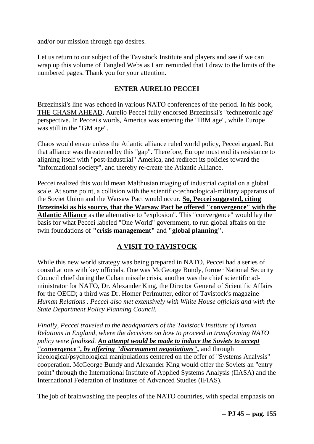and/or our mission through ego desires.

Let us return to our subject of the Tavistock Institute and players and see if we can wrap up this volume of Tangled Webs as I am reminded that I draw to the limits of the numbered pages. Thank you for your attention.

## **ENTER AURELIO PECCEI**

Brzezinski's line was echoed in various NATO conferences of the period. In his book, THE CHASM AHEAD, Aurelio Peccei fully endorsed Brzezinski's "technetronic age" perspective. In Peccei's words, America was entering the "IBM age", while Europe was still in the "GM age".

Chaos would ensue unless the Atlantic alliance ruled world policy, Peccei argued. But that alliance was threatened by this "gap". Therefore, Europe must end its resistance to aligning itself with "post-industrial" America, and redirect its policies toward the "informational society", and thereby re-create the Atlantic Alliance.

Peccei realized this would mean Malthusian triaging of industrial capital on a global scale. At some point, a collision with the scientific-technological-military apparatus of the Soviet Union and the Warsaw Pact would occur. **So, Peccei suggested, citing Brzezinski as his source, that the Warsaw Pact be offered "convergence" with the Atlantic Alliance** as the alternative to "explosion". This "convergence" would lay the basis for what Peccei labeled "One World" government, to run global affairs on the twin foundations of **"crisis management"** and **"global planning".**

## **A VISIT TO TAVISTOCK**

While this new world strategy was being prepared in NATO, Peccei had a series of consultations with key officials. One was McGeorge Bundy, former National Security Council chief during the Cuban missile crisis, another was the chief scientific administrator for NATO, Dr. Alexander King, the Director General of Scientific Affairs for the OECD; a third was Dr. Homer Perlmutter, editor of Tavistock's magazine *Human Relations . Peccei also met extensively with White House officials and with the State Department Policy Planning Council.*

*Finally, Peccei traveled to the headquarters of the Tavistock Institute of Human Relations in England, where the decisions on how to proceed in transforming NATO policy were finalized. An attempt would be made to induce the Soviets to accept "convergence", by offering "disarmament negotiations",* and through ideological/psychological manipulations centered on the offer of "Systems Analysis" cooperation. McGeorge Bundy and Alexander King would offer the Soviets an "entry point" through the International Institute of Applied Systems Analysis (IIASA) and the International Federation of Institutes of Advanced Studies (IFIAS).

The job of brainwashing the peoples of the NATO countries, with special emphasis on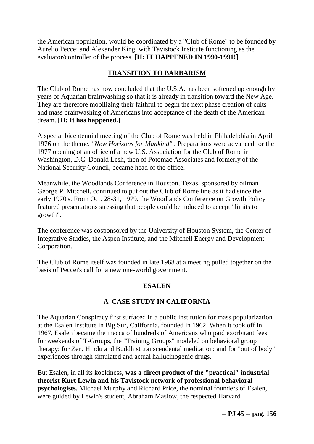the American population, would be coordinated by a "Club of Rome" to be founded by Aurelio Peccei and Alexander King, with Tavistock Institute functioning as the evaluator/controller of the process. **[H: IT HAPPENED IN 1990-1991!]**

# **TRANSITION TO BARBARISM**

The Club of Rome has now concluded that the U.S.A. has been softened up enough by years of Aquarian brainwashing so that it is already in transition toward the New Age. They are therefore mobilizing their faithful to begin the next phase creation of cults and mass brainwashing of Americans into acceptance of the death of the American dream. **[H: It has happened.]**

A special bicentennial meeting of the Club of Rome was held in Philadelphia in April 1976 on the theme, *"New Horizons for Mankind"* . Preparations were advanced for the 1977 opening of an office of a new U.S. Association for the Club of Rome in Washington, D.C. Donald Lesh, then of Potomac Associates and formerly of the National Security Council, became head of the office.

Meanwhile, the Woodlands Conference in Houston, Texas, sponsored by oilman George P. Mitchell, continued to put out the Club of Rome line as it had since the early 1970's. From Oct. 28-31, 1979, the Woodlands Conference on Growth Policy featured presentations stressing that people could be induced to accept "limits to growth".

The conference was cosponsored by the University of Houston System, the Center of Integrative Studies, the Aspen Institute, and the Mitchell Energy and Development Corporation.

The Club of Rome itself was founded in late 1968 at a meeting pulled together on the basis of Peccei's call for a new one-world government.

# **ESALEN**

# **A CASE STUDY IN CALIFORNIA**

The Aquarian Conspiracy first surfaced in a public institution for mass popularization at the Esalen Institute in Big Sur, California, founded in 1962. When it took off in 1967, Esalen became the mecca of hundreds of Americans who paid exorbitant fees for weekends of T-Groups, the "Training Groups" modeled on behavioral group therapy; for Zen, Hindu and Buddhist transcendental meditation; and for "out of body" experiences through simulated and actual hallucinogenic drugs.

But Esalen, in all its kookiness, **was a direct product of the "practical" industrial theorist Kurt Lewin and his Tavistock network of professional behavioral psychologists.** Michael Murphy and Richard Price, the nominal founders of Esalen, were guided by Lewin's student, Abraham Maslow, the respected Harvard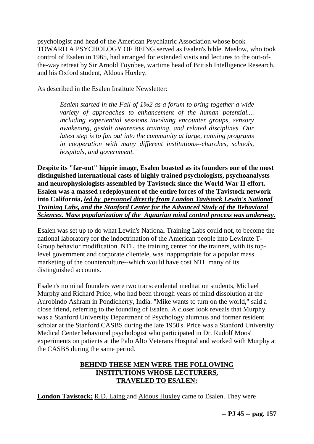psychologist and head of the American Psychiatric Association whose book TOWARD A PSYCHOLOGY OF BEING served as Esalen's bible. Maslow, who took control of Esalen in 1965, had arranged for extended visits and lectures to the out-ofthe-way retreat by Sir Arnold Toynbee, wartime head of British Intelligence Research, and his Oxford student, Aldous Huxley.

As described in the Esalen Institute Newsletter:

*Esalen started in the Fall of 1%2 as a forum to bring together a wide variety of approaches to enhancement of the human potential.... including experiential sessions involving encounter groups, sensory awakening, gestalt awareness training, and related disciplines. Our latest step is to fan out into the community at large, running programs in cooperation with many different institutions--churches, schools, hospitals, and government.*

**Despite its "far-out" hippie image, Esalen boasted as its founders one of the most distinguished international casts of highly trained psychologists, psychoanalysts and neurophysiologists assembled by Tavistock since the World War II effort. Esalen was a massed redeployment of the entire forces of the Tavistock network into California,** *led by personnel directly from London Tavistock Lewin's National Training Labs, and the Stanford Center for the Advanced Study of the Behavioral Sciences. Mass popularization of the Aquarian mind control process was underway.* 

Esalen was set up to do what Lewin's National Training Labs could not, to become the national laboratory for the indoctrination of the American people into Lewinite T-Group behavior modification. NTL, the training center for the trainers, with its toplevel government and corporate clientele, was inappropriate for a popular mass marketing of the counterculture--which would have cost NTL many of its distinguished accounts.

Esalen's nominal founders were two transcendental meditation students, Michael Murphy and Richard Price, who had been through years of mind dissolution at the Aurobindo Ashram in Pondicherry, India. "Mike wants to turn on the world," said a close friend, referring to the founding of Esalen. A closer look reveals that Murphy was a Stanford University Department of Psychology alumnus and former resident scholar at the Stanford CASBS during the late 1950's. Price was a Stanford University Medical Center behavioral psychologist who participated in Dr. Rudolf Moos' experiments on patients at the Palo Alto Veterans Hospital and worked with Murphy at the CASBS during the same period.

## **BEHIND THESE MEN WERE THE FOLLOWING INSTITUTIONS WHOSE LECTURERS, TRAVELED TO ESALEN:**

**London Tavistock:** R.D. Laing and Aldous Huxley came to Esalen. They were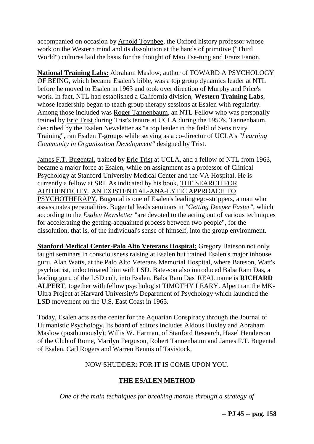accompanied on occasion by Arnold Toynbee, the Oxford history professor whose work on the Western mind and its dissolution at the hands of primitive ("Third World") cultures laid the basis for the thought of Mao Tse-tung and Franz Fanon.

**National Training Labs:** Abraham Maslow, author of TOWARD A PSYCHOLOGY OF BEING, which became Esalen's bible, was a top group dynamics leader at NTL before he moved to Esalen in 1963 and took over direction of Murphy and Price's work. In fact, NTL had established a California division, **Western Training Labs**, whose leadership began to teach group therapy sessions at Esalen with regularity. Among those included was Roger Tannenbaum, an NTL Fellow who was personally trained by Eric Trist during Trist's tenure at UCLA during the 1950's. Tannenbaum, described by the Esalen Newsletter as "a top leader in the field of Sensitivity Training", ran Esalen T-groups while serving as a co-director of UCLA's *"Learning Community in Organization Development"* designed by Trist.

James F.T. Bugental, trained by Eric Trist at UCLA, and a fellow of NTL from 1963, became a major force at Esalen, while on assignment as a professor of Clinical Psychology at Stanford University Medical Center and the VA Hospital. He is currently a fellow at SRI. As indicated by his book, THE SEARCH FOR AUTHENTICITY, AN EXISTENTIAL-ANA-LYTIC APPROACH TO PSYCHOTHERAPY, Bugental is one of Esalen's leading ego-strippers, a man who assassinates personalities. Bugental leads seminars in *"Getting Deeper Faster"*, which according to the *Esalen Newsletter* "are devoted to the acting out of various techniques for accelerating the getting-acquainted process between two people", for the dissolution, that is, of the individual's sense of himself, into the group environment.

**Stanford Medical Center-Palo Alto Veterans Hospital:** Gregory Bateson not only taught seminars in consciousness raising at Esalen but trained Esalen's major inhouse guru, Alan Watts, at the Palo Alto Veterans Memorial Hospital, where Bateson, Watt's psychiatrist, indoctrinated him with LSD. Bate-son also introduced Baba Ram Das, a leading guru of the LSD cult, into Esalen. Baba Ram Das' REAL name is **RICHARD ALPERT**, together with fellow psychologist TIMOTHY LEARY. Alpert ran the MK-Ultra Project at Harvard University's Department of Psychology which launched the LSD movement on the U.S. East Coast in 1965.

Today, Esalen acts as the center for the Aquarian Conspiracy through the Journal of Humanistic Psychology. Its board of editors includes Aldous Huxley and Abraham Maslow (posthumously); Willis W. Harman, of Stanford Research, Hazel Henderson of the Club of Rome, Marilyn Ferguson, Robert Tannenbaum and James F.T. Bugental of Esalen. Carl Rogers and Warren Bennis of Tavistock.

### NOW SHUDDER: FOR IT IS COME UPON YOU.

## **THE ESALEN METHOD**

*One of the main techniques for breaking morale through a strategy of*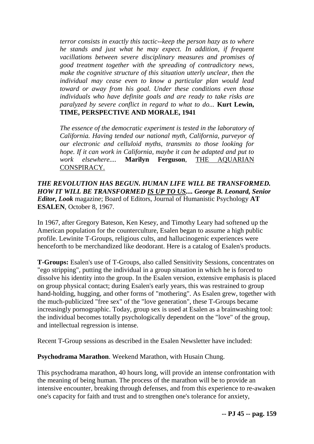*terror consists in exactly this tactic--keep the person hazy as to where he stands and just what he may expect. In addition, if frequent vacillations between severe disciplinary measures and promises of good treatment together with the spreading of contradictory news, make the cognitive structure of this situation utterly unclear, then the individual may cease even to know a particular plan would lead toward or away from his goal. Under these conditions even those individuals who have definite goals and are ready to take risks are paralyzed by severe conflict in regard to what to do...* **Kurt Lewin, TIME, PERSPECTIVE AND MORALE, 1941**

*The essence of the democratic experiment is tested in the laboratory of California. Having tended our national myth, California, purveyor of our electronic and celluloid myths, transmits to those looking for hope. If it can work in California, maybe it can be adapted and put to work elsewhere....* **Marilyn Ferguson**, THE AQUARIAN CONSPIRACY.

*THE REVOLUTION HAS BEGUN. HUMAN LIFE WILL BE TRANSFORMED. HOW IT WILL BE TRANSFORMED IS UP TO US.... George B. Leonard, Senior Editor, Look* magazine; Board of Editors, Journal of Humanistic Psychology **AT ESALEN**, October 8, 1967.

In 1967, after Gregory Bateson, Ken Kesey, and Timothy Leary had softened up the American population for the counterculture, Esalen began to assume a high public profile. Lewinite T-Groups, religious cults, and hallucinogenic experiences were henceforth to be merchandized like deodorant. Here is a catalog of Esalen's products.

**T-Groups:** Esalen's use of T-Groups, also called Sensitivity Sessions, concentrates on "ego stripping", putting the individual in a group situation in which he is forced to dissolve his identity into the group. In the Esalen version, extensive emphasis is placed on group physical contact; during Esalen's early years, this was restrained to group hand-holding, hugging, and other forms of "mothering". As Esalen grew, together with the much-publicized "free sex" of the "love generation", these T-Groups became increasingly pornographic. Today, group sex is used at Esalen as a brainwashing tool: the individual becomes totally psychologically dependent on the "love" of the group, and intellectual regression is intense.

Recent T-Group sessions as described in the Esalen Newsletter have included:

**Psychodrama Marathon**. Weekend Marathon, with Husain Chung.

This psychodrama marathon, 40 hours long, will provide an intense confrontation with the meaning of being human. The process of the marathon will be to provide an intensive encounter, breaking through defenses, and from this experience to re-awaken one's capacity for faith and trust and to strengthen one's tolerance for anxiety,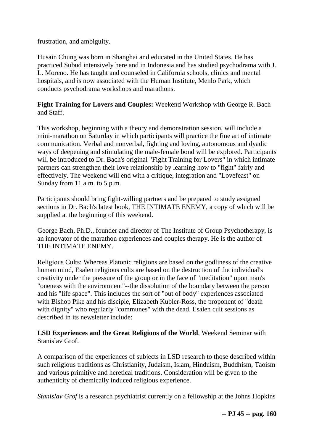frustration, and ambiguity.

Husain Chung was born in Shanghai and educated in the United States. He has practiced Subud intensively here and in Indonesia and has studied psychodrama with J. L. Moreno. He has taught and counseled in California schools, clinics and mental hospitals, and is now associated with the Human Institute, Menlo Park, which conducts psychodrama workshops and marathons.

**Fight Training for Lovers and Couples:** Weekend Workshop with George R. Bach and Staff.

This workshop, beginning with a theory and demonstration session, will include a mini-marathon on Saturday in which participants will practice the fine art of intimate communication. Verbal and nonverbal, fighting and loving, autonomous and dyadic ways of deepening and stimulating the male-female bond will be explored. Participants will be introduced to Dr. Bach's original "Fight Training for Lovers" in which intimate partners can strengthen their love relationship by learning how to "fight" fairly and effectively. The weekend will end with a critique, integration and "Lovefeast" on Sunday from 11 a.m. to 5 p.m.

Participants should bring fight-willing partners and be prepared to study assigned sections in Dr. Bach's latest book, THE INTIMATE ENEMY, a copy of which will be supplied at the beginning of this weekend.

George Bach, Ph.D., founder and director of The Institute of Group Psychotherapy, is an innovator of the marathon experiences and couples therapy. He is the author of THE INTIMATE ENEMY.

Religious Cults: Whereas Platonic religions are based on the godliness of the creative human mind, Esalen religious cults are based on the destruction of the individual's creativity under the pressure of the group or in the face of "meditation" upon man's "oneness with the environment"--the dissolution of the boundary between the person and his "life space". This includes the sort of "out of body" experiences associated with Bishop Pike and his disciple, Elizabeth Kubler-Ross, the proponent of "death with dignity" who regularly "communes" with the dead. Esalen cult sessions as described in its newsletter include:

**LSD Experiences and the Great Religions of the World**, Weekend Seminar with Stanislav Grof.

A comparison of the experiences of subjects in LSD research to those described within such religious traditions as Christianity, Judaism, Islam, Hinduism, Buddhism, Taoism and various primitive and heretical traditions. Consideration will be given to the authenticity of chemically induced religious experience.

*Stanislav Grof* is a research psychiatrist currently on a fellowship at the Johns Hopkins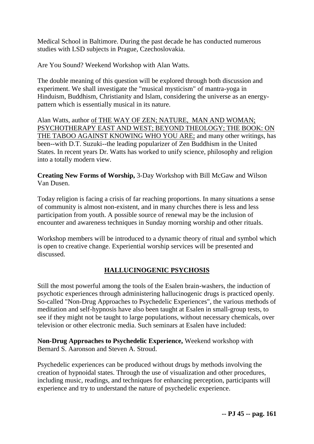Medical School in Baltimore. During the past decade he has conducted numerous studies with LSD subjects in Prague, Czechoslovakia.

Are You Sound? Weekend Workshop with Alan Watts.

The double meaning of this question will be explored through both discussion and experiment. We shall investigate the "musical mysticism" of mantra-yoga in Hinduism, Buddhism, Christianity and Islam, considering the universe as an energypattern which is essentially musical in its nature.

Alan Watts, author of THE WAY OF ZEN; NATURE, MAN AND WOMAN; PSYCHOTHERAPY EAST AND WEST; BEYOND THEOLOGY; THE BOOK: ON THE TABOO AGAINST KNOWING WHO YOU ARE; and many other writings, has been--with D.T. Suzuki--the leading popularizer of Zen Buddhism in the United States. In recent years Dr. Watts has worked to unify science, philosophy and religion into a totally modern view.

**Creating New Forms of Worship,** 3-Day Workshop with Bill McGaw and Wilson Van Dusen.

Today religion is facing a crisis of far reaching proportions. In many situations a sense of community is almost non-existent, and in many churches there is less and less participation from youth. A possible source of renewal may be the inclusion of encounter and awareness techniques in Sunday morning worship and other rituals.

Workshop members will be introduced to a dynamic theory of ritual and symbol which is open to creative change. Experiential worship services will be presented and discussed.

## **HALLUCINOGENIC PSYCHOSIS**

Still the most powerful among the tools of the Esalen brain-washers, the induction of psychotic experiences through administering hallucinogenic drugs is practiced openly. So-called "Non-Drug Approaches to Psychedelic Experiences", the various methods of meditation and self-hypnosis have also been taught at Esalen in small-group tests, to see if they might not be taught to large populations, without necessary chemicals, over television or other electronic media. Such seminars at Esalen have included:

**Non-Drug Approaches to Psychedelic Experience,** Weekend workshop with Bernard S. Aaronson and Steven A. Stroud.

Psychedelic experiences can be produced without drugs by methods involving the creation of hypnoidal states. Through the use of visualization and other procedures, including music, readings, and techniques for enhancing perception, participants will experience and try to understand the nature of psychedelic experience.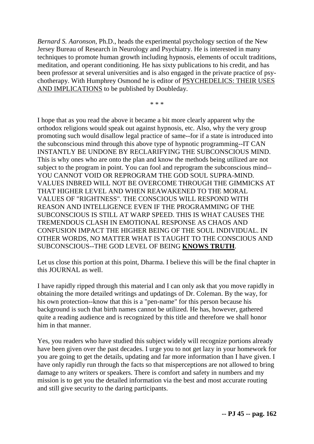*Bernard S. Aaronson*, Ph.D., heads the experimental psychology section of the New Jersey Bureau of Research in Neurology and Psychiatry. He is interested in many techniques to promote human growth including hypnosis, elements of occult traditions, meditation, and operant conditioning. He has sixty publications to his credit, and has been professor at several universities and is also engaged in the private practice of psychotherapy. With Humphrey Osmond he is editor of PSYCHEDELICS: THEIR USES AND IMPLICATIONS to be published by Doubleday.

\* \* \*

I hope that as you read the above it became a bit more clearly apparent why the orthodox religions would speak out against hypnosis, etc. Also, why the very group promoting such would disallow legal practice of same--for if a state is introduced into the subconscious mind through this above type of hypnotic programming--IT CAN INSTANTLY BE UNDONE BY RECLARIFYING THE SUBCONSCIOUS MIND. This is why ones who are onto the plan and know the methods being utilized are not subject to the program in point. You can fool and reprogram the subconscious mind-- YOU CANNOT VOID OR REPROGRAM THE GOD SOUL SUPRA-MIND. VALUES INBRED WILL NOT BE OVERCOME THROUGH THE GIMMICKS AT THAT HIGHER LEVEL AND WHEN REAWAKENED TO THE MORAL VALUES OF "RIGHTNESS". THE CONSCIOUS WILL RESPOND WITH REASON AND INTELLIGENCE EVEN IF THE PROGRAMMING OF THE SUBCONSCIOUS IS STILL AT WARP SPEED. THIS IS WHAT CAUSES THE TREMENDOUS CLASH IN EMOTIONAL RESPONSE AS CHAOS AND CONFUSION IMPACT THE HIGHER BEING OF THE SOUL INDIVIDUAL. IN OTHER WORDS, NO MATTER WHAT IS TAUGHT TO THE CONSCIOUS AND SUBCONSCIOUS--THE GOD LEVEL OF BEING **KNOWS TRUTH**.

Let us close this portion at this point, Dharma. I believe this will be the final chapter in this JOURNAL as well.

I have rapidly ripped through this material and I can only ask that you move rapidly in obtaining the more detailed writings and updatings of Dr. Coleman. By the way, for his own protection--know that this is a "pen-name" for this person because his background is such that birth names cannot be utilized. He has, however, gathered quite a reading audience and is recognized by this title and therefore we shall honor him in that manner.

Yes, you readers who have studied this subject widely will recognize portions already have been given over the past decades. I urge you to not get lazy in your homework for you are going to get the details, updating and far more information than I have given. I have only rapidly run through the facts so that misperceptions are not allowed to bring damage to any writers or speakers. There is comfort and safety in numbers and my mission is to get you the detailed information via the best and most accurate routing and still give security to the daring participants.